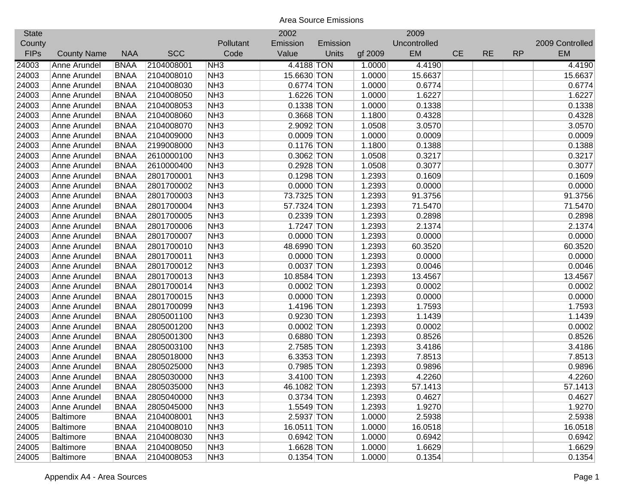| <b>State</b> |                    |             |            |                 | 2002         |          |         | 2009         |           |           |           |                 |
|--------------|--------------------|-------------|------------|-----------------|--------------|----------|---------|--------------|-----------|-----------|-----------|-----------------|
| County       |                    |             |            | Pollutant       | Emission     | Emission |         | Uncontrolled |           |           |           | 2009 Controlled |
| <b>FIPs</b>  | <b>County Name</b> | <b>NAA</b>  | <b>SCC</b> | Code            | Value        | Units    | gf 2009 | EM           | <b>CE</b> | <b>RE</b> | <b>RP</b> | EM              |
| 24003        | Anne Arundel       | <b>BNAA</b> | 2104008001 | NH3             | 4.4188 TON   |          | 1.0000  | 4.4190       |           |           |           | 4.4190          |
| 24003        | Anne Arundel       | <b>BNAA</b> | 2104008010 | NH <sub>3</sub> | 15.6630 TON  |          | 1.0000  | 15.6637      |           |           |           | 15.6637         |
| 24003        | Anne Arundel       | <b>BNAA</b> | 2104008030 | NH <sub>3</sub> | 0.6774 TON   |          | 1.0000  | 0.6774       |           |           |           | 0.6774          |
| 24003        | Anne Arundel       | <b>BNAA</b> | 2104008050 | NH <sub>3</sub> | 1.6226 TON   |          | 1.0000  | 1.6227       |           |           |           | 1.6227          |
| 24003        | Anne Arundel       | <b>BNAA</b> | 2104008053 | NH <sub>3</sub> | 0.1338 TON   |          | 1.0000  | 0.1338       |           |           |           | 0.1338          |
| 24003        | Anne Arundel       | <b>BNAA</b> | 2104008060 | NH <sub>3</sub> | 0.3668 TON   |          | 1.1800  | 0.4328       |           |           |           | 0.4328          |
| 24003        | Anne Arundel       | <b>BNAA</b> | 2104008070 | NH <sub>3</sub> | 2.9092 TON   |          | 1.0508  | 3.0570       |           |           |           | 3.0570          |
| 24003        | Anne Arundel       | <b>BNAA</b> | 2104009000 | NH <sub>3</sub> | $0.0009$ TON |          | 1.0000  | 0.0009       |           |           |           | 0.0009          |
| 24003        | Anne Arundel       | <b>BNAA</b> | 2199008000 | NH <sub>3</sub> | $0.1176$ TON |          | 1.1800  | 0.1388       |           |           |           | 0.1388          |
| 24003        | Anne Arundel       | <b>BNAA</b> | 2610000100 | NH <sub>3</sub> | 0.3062 TON   |          | 1.0508  | 0.3217       |           |           |           | 0.3217          |
| 24003        | Anne Arundel       | <b>BNAA</b> | 2610000400 | NH <sub>3</sub> | 0.2928 TON   |          | 1.0508  | 0.3077       |           |           |           | 0.3077          |
| 24003        | Anne Arundel       | <b>BNAA</b> | 2801700001 | NH <sub>3</sub> | $0.1298$ TON |          | 1.2393  | 0.1609       |           |           |           | 0.1609          |
| 24003        | Anne Arundel       | <b>BNAA</b> | 2801700002 | NH <sub>3</sub> | $0.0000$ TON |          | 1.2393  | 0.0000       |           |           |           | 0.0000          |
| 24003        | Anne Arundel       | <b>BNAA</b> | 2801700003 | NH <sub>3</sub> | 73.7325 TON  |          | 1.2393  | 91.3756      |           |           |           | 91.3756         |
| 24003        | Anne Arundel       | <b>BNAA</b> | 2801700004 | NH <sub>3</sub> | 57.7324 TON  |          | 1.2393  | 71.5470      |           |           |           | 71.5470         |
| 24003        | Anne Arundel       | <b>BNAA</b> | 2801700005 | NH <sub>3</sub> | 0.2339 TON   |          | 1.2393  | 0.2898       |           |           |           | 0.2898          |
| 24003        | Anne Arundel       | <b>BNAA</b> | 2801700006 | NH <sub>3</sub> | 1.7247 TON   |          | 1.2393  | 2.1374       |           |           |           | 2.1374          |
| 24003        | Anne Arundel       | <b>BNAA</b> | 2801700007 | NH <sub>3</sub> | $0.0000$ TON |          | 1.2393  | 0.0000       |           |           |           | 0.0000          |
| 24003        | Anne Arundel       | <b>BNAA</b> | 2801700010 | NH <sub>3</sub> | 48.6990 TON  |          | 1.2393  | 60.3520      |           |           |           | 60.3520         |
| 24003        | Anne Arundel       | <b>BNAA</b> | 2801700011 | NH <sub>3</sub> | $0.0000$ TON |          | 1.2393  | 0.0000       |           |           |           | 0.0000          |
| 24003        | Anne Arundel       | <b>BNAA</b> | 2801700012 | NH <sub>3</sub> | $0.0037$ TON |          | 1.2393  | 0.0046       |           |           |           | 0.0046          |
| 24003        | Anne Arundel       | <b>BNAA</b> | 2801700013 | NH <sub>3</sub> | 10.8584 TON  |          | 1.2393  | 13.4567      |           |           |           | 13.4567         |
| 24003        | Anne Arundel       | <b>BNAA</b> | 2801700014 | NH <sub>3</sub> | $0.0002$ TON |          | 1.2393  | 0.0002       |           |           |           | 0.0002          |
| 24003        | Anne Arundel       | <b>BNAA</b> | 2801700015 | NH <sub>3</sub> | $0.0000$ TON |          | 1.2393  | 0.0000       |           |           |           | 0.0000          |
| 24003        | Anne Arundel       | <b>BNAA</b> | 2801700099 | NH <sub>3</sub> | 1.4196 TON   |          | 1.2393  | 1.7593       |           |           |           | 1.7593          |
| 24003        | Anne Arundel       | <b>BNAA</b> | 2805001100 | NH <sub>3</sub> | 0.9230 TON   |          | 1.2393  | 1.1439       |           |           |           | 1.1439          |
| 24003        | Anne Arundel       | <b>BNAA</b> | 2805001200 | NH <sub>3</sub> | $0.0002$ TON |          | 1.2393  | 0.0002       |           |           |           | 0.0002          |
| 24003        | Anne Arundel       | <b>BNAA</b> | 2805001300 | NH <sub>3</sub> | 0.6880 TON   |          | 1.2393  | 0.8526       |           |           |           | 0.8526          |
| 24003        | Anne Arundel       | <b>BNAA</b> | 2805003100 | NH <sub>3</sub> | 2.7585 TON   |          | 1.2393  | 3.4186       |           |           |           | 3.4186          |
| 24003        | Anne Arundel       | <b>BNAA</b> | 2805018000 | NH <sub>3</sub> | 6.3353 TON   |          | 1.2393  | 7.8513       |           |           |           | 7.8513          |
| 24003        | Anne Arundel       | <b>BNAA</b> | 2805025000 | NH <sub>3</sub> | $0.7985$ TON |          | 1.2393  | 0.9896       |           |           |           | 0.9896          |
| 24003        | Anne Arundel       | <b>BNAA</b> | 2805030000 | NH <sub>3</sub> | 3.4100 TON   |          | 1.2393  | 4.2260       |           |           |           | 4.2260          |
| 24003        | Anne Arundel       | <b>BNAA</b> | 2805035000 | NH <sub>3</sub> | 46.1082 TON  |          | 1.2393  | 57.1413      |           |           |           | 57.1413         |
| 24003        | Anne Arundel       | <b>BNAA</b> | 2805040000 | NH <sub>3</sub> | 0.3734 TON   |          | 1.2393  | 0.4627       |           |           |           | 0.4627          |
| 24003        | Anne Arundel       | <b>BNAA</b> | 2805045000 | NH <sub>3</sub> | 1.5549 TON   |          | 1.2393  | 1.9270       |           |           |           | 1.9270          |
| 24005        | <b>Baltimore</b>   | <b>BNAA</b> | 2104008001 | NH <sub>3</sub> | 2.5937 TON   |          | 1.0000  | 2.5938       |           |           |           | 2.5938          |
| 24005        | <b>Baltimore</b>   | <b>BNAA</b> | 2104008010 | NH <sub>3</sub> | 16.0511 TON  |          | 1.0000  | 16.0518      |           |           |           | 16.0518         |
| 24005        | <b>Baltimore</b>   | <b>BNAA</b> | 2104008030 | NH <sub>3</sub> | 0.6942 TON   |          | 1.0000  | 0.6942       |           |           |           | 0.6942          |
| 24005        | <b>Baltimore</b>   | <b>BNAA</b> | 2104008050 | NH <sub>3</sub> | 1.6628 TON   |          | 1.0000  | 1.6629       |           |           |           | 1.6629          |
| 24005        | Baltimore          | <b>BNAA</b> | 2104008053 | NH3             | $0.1354$ TON |          | 1.0000  | 0.1354       |           |           |           | 0.1354          |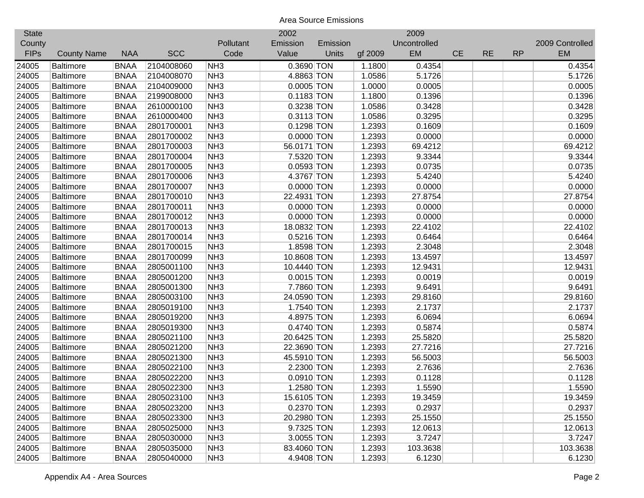| <b>State</b> |                    |             |            |                 | 2002         |              |         | 2009         |           |           |           |                 |
|--------------|--------------------|-------------|------------|-----------------|--------------|--------------|---------|--------------|-----------|-----------|-----------|-----------------|
| County       |                    |             |            | Pollutant       | Emission     | Emission     |         | Uncontrolled |           |           |           | 2009 Controlled |
| <b>FIPs</b>  | <b>County Name</b> | <b>NAA</b>  | <b>SCC</b> | Code            | Value        | <b>Units</b> | gf 2009 | EM           | <b>CE</b> | <b>RE</b> | <b>RP</b> | <b>EM</b>       |
| 24005        | <b>Baltimore</b>   | <b>BNAA</b> | 2104008060 | NH <sub>3</sub> | 0.3690 TON   |              | 1.1800  | 0.4354       |           |           |           | 0.4354          |
| 24005        | <b>Baltimore</b>   | <b>BNAA</b> | 2104008070 | NH <sub>3</sub> | 4.8863 TON   |              | 1.0586  | 5.1726       |           |           |           | 5.1726          |
| 24005        | <b>Baltimore</b>   | <b>BNAA</b> | 2104009000 | NH <sub>3</sub> | $0.0005$ TON |              | 1.0000  | 0.0005       |           |           |           | 0.0005          |
| 24005        | <b>Baltimore</b>   | <b>BNAA</b> | 2199008000 | NH <sub>3</sub> | $0.1183$ TON |              | 1.1800  | 0.1396       |           |           |           | 0.1396          |
| 24005        | <b>Baltimore</b>   | <b>BNAA</b> | 2610000100 | NH <sub>3</sub> | 0.3238 TON   |              | 1.0586  | 0.3428       |           |           |           | 0.3428          |
| 24005        | <b>Baltimore</b>   | <b>BNAA</b> | 2610000400 | NH <sub>3</sub> | $0.3113$ TON |              | 1.0586  | 0.3295       |           |           |           | 0.3295          |
| 24005        | Baltimore          | <b>BNAA</b> | 2801700001 | NH <sub>3</sub> | 0.1298 TON   |              | 1.2393  | 0.1609       |           |           |           | 0.1609          |
| 24005        | <b>Baltimore</b>   | <b>BNAA</b> | 2801700002 | NH <sub>3</sub> | $0.0000$ TON |              | 1.2393  | 0.0000       |           |           |           | 0.0000          |
| 24005        | <b>Baltimore</b>   | <b>BNAA</b> | 2801700003 | NH <sub>3</sub> | 56.0171 TON  |              | 1.2393  | 69.4212      |           |           |           | 69.4212         |
| 24005        | <b>Baltimore</b>   | <b>BNAA</b> | 2801700004 | NH <sub>3</sub> | 7.5320 TON   |              | 1.2393  | 9.3344       |           |           |           | 9.3344          |
| 24005        | <b>Baltimore</b>   | <b>BNAA</b> | 2801700005 | NH <sub>3</sub> | $0.0593$ TON |              | 1.2393  | 0.0735       |           |           |           | 0.0735          |
| 24005        | <b>Baltimore</b>   | <b>BNAA</b> | 2801700006 | NH <sub>3</sub> | 4.3767 TON   |              | 1.2393  | 5.4240       |           |           |           | 5.4240          |
| 24005        | <b>Baltimore</b>   | <b>BNAA</b> | 2801700007 | NH <sub>3</sub> | $0.0000$ TON |              | 1.2393  | 0.0000       |           |           |           | 0.0000          |
| 24005        | <b>Baltimore</b>   | <b>BNAA</b> | 2801700010 | NH <sub>3</sub> | 22.4931 TON  |              | 1.2393  | 27.8754      |           |           |           | 27.8754         |
| 24005        | <b>Baltimore</b>   | <b>BNAA</b> | 2801700011 | NH <sub>3</sub> | $0.0000$ TON |              | 1.2393  | 0.0000       |           |           |           | 0.0000          |
| 24005        | <b>Baltimore</b>   | <b>BNAA</b> | 2801700012 | NH <sub>3</sub> | $0.0000$ TON |              | 1.2393  | 0.0000       |           |           |           | 0.0000          |
| 24005        | <b>Baltimore</b>   | <b>BNAA</b> | 2801700013 | NH <sub>3</sub> | 18.0832 TON  |              | 1.2393  | 22.4102      |           |           |           | 22.4102         |
| 24005        | <b>Baltimore</b>   | <b>BNAA</b> | 2801700014 | NH <sub>3</sub> | $0.5216$ TON |              | 1.2393  | 0.6464       |           |           |           | 0.6464          |
| 24005        | Baltimore          | <b>BNAA</b> | 2801700015 | NH <sub>3</sub> | 1.8598 TON   |              | 1.2393  | 2.3048       |           |           |           | 2.3048          |
| 24005        | <b>Baltimore</b>   | <b>BNAA</b> | 2801700099 | NH <sub>3</sub> | 10.8608 TON  |              | 1.2393  | 13.4597      |           |           |           | 13.4597         |
| 24005        | <b>Baltimore</b>   | <b>BNAA</b> | 2805001100 | NH <sub>3</sub> | 10.4440 TON  |              | 1.2393  | 12.9431      |           |           |           | 12.9431         |
| 24005        | <b>Baltimore</b>   | <b>BNAA</b> | 2805001200 | NH <sub>3</sub> | $0.0015$ TON |              | 1.2393  | 0.0019       |           |           |           | 0.0019          |
| 24005        | <b>Baltimore</b>   | <b>BNAA</b> | 2805001300 | NH <sub>3</sub> | 7.7860 TON   |              | 1.2393  | 9.6491       |           |           |           | 9.6491          |
| 24005        | <b>Baltimore</b>   | <b>BNAA</b> | 2805003100 | NH <sub>3</sub> | 24.0590 TON  |              | 1.2393  | 29.8160      |           |           |           | 29.8160         |
| 24005        | <b>Baltimore</b>   | <b>BNAA</b> | 2805019100 | NH <sub>3</sub> | 1.7540 TON   |              | 1.2393  | 2.1737       |           |           |           | 2.1737          |
| 24005        | <b>Baltimore</b>   | <b>BNAA</b> | 2805019200 | NH <sub>3</sub> | 4.8975 TON   |              | 1.2393  | 6.0694       |           |           |           | 6.0694          |
| 24005        | <b>Baltimore</b>   | <b>BNAA</b> | 2805019300 | NH <sub>3</sub> | 0.4740 TON   |              | 1.2393  | 0.5874       |           |           |           | 0.5874          |
| 24005        | <b>Baltimore</b>   | <b>BNAA</b> | 2805021100 | NH <sub>3</sub> | 20.6425 TON  |              | 1.2393  | 25.5820      |           |           |           | 25.5820         |
| 24005        | <b>Baltimore</b>   | <b>BNAA</b> | 2805021200 | NH <sub>3</sub> | 22.3690 TON  |              | 1.2393  | 27.7216      |           |           |           | 27.7216         |
| 24005        | <b>Baltimore</b>   | <b>BNAA</b> | 2805021300 | NH <sub>3</sub> | 45.5910 TON  |              | 1.2393  | 56.5003      |           |           |           | 56.5003         |
| 24005        | <b>Baltimore</b>   | <b>BNAA</b> | 2805022100 | NH <sub>3</sub> | 2.2300 TON   |              | 1.2393  | 2.7636       |           |           |           | 2.7636          |
| 24005        | <b>Baltimore</b>   | <b>BNAA</b> | 2805022200 | NH <sub>3</sub> | $0.0910$ TON |              | 1.2393  | 0.1128       |           |           |           | 0.1128          |
| 24005        | <b>Baltimore</b>   | <b>BNAA</b> | 2805022300 | NH <sub>3</sub> | 1.2580 TON   |              | 1.2393  | 1.5590       |           |           |           | 1.5590          |
| 24005        | <b>Baltimore</b>   | <b>BNAA</b> | 2805023100 | NH <sub>3</sub> | 15.6105 TON  |              | 1.2393  | 19.3459      |           |           |           | 19.3459         |
| 24005        | Baltimore          | <b>BNAA</b> | 2805023200 | NH <sub>3</sub> | $0.2370$ TON |              | 1.2393  | 0.2937       |           |           |           | 0.2937          |
| 24005        | <b>Baltimore</b>   | <b>BNAA</b> | 2805023300 | NH <sub>3</sub> | 20.2980 TON  |              | 1.2393  | 25.1550      |           |           |           | 25.1550         |
| 24005        | <b>Baltimore</b>   | <b>BNAA</b> | 2805025000 | NH <sub>3</sub> | 9.7325 TON   |              | 1.2393  | 12.0613      |           |           |           | 12.0613         |
| 24005        | <b>Baltimore</b>   | <b>BNAA</b> | 2805030000 | NH <sub>3</sub> | 3.0055 TON   |              | 1.2393  | 3.7247       |           |           |           | 3.7247          |
| 24005        | <b>Baltimore</b>   | <b>BNAA</b> | 2805035000 | NH3             | 83.4060 TON  |              | 1.2393  | 103.3638     |           |           |           | 103.3638        |
| 24005        | Baltimore          | <b>BNAA</b> | 2805040000 | NH3             | 4.9408 TON   |              | 1.2393  | 6.1230       |           |           |           | 6.1230          |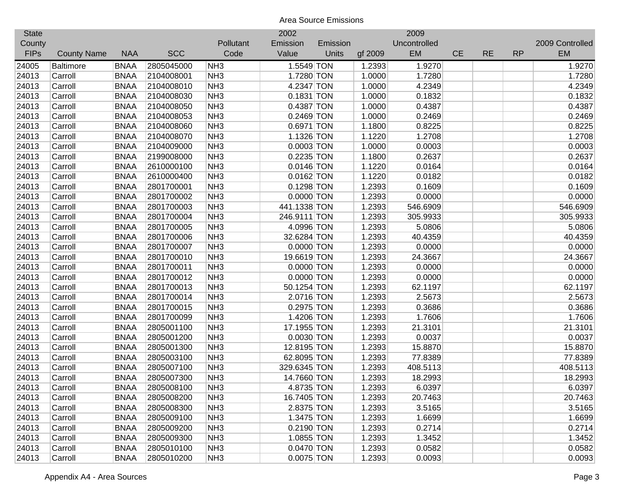| <b>State</b> |                    |             |            |                 | 2002         |          |         | 2009         |           |           |           |                 |
|--------------|--------------------|-------------|------------|-----------------|--------------|----------|---------|--------------|-----------|-----------|-----------|-----------------|
| County       |                    |             |            | Pollutant       | Emission     | Emission |         | Uncontrolled |           |           |           | 2009 Controlled |
| <b>FIPs</b>  | <b>County Name</b> | <b>NAA</b>  | <b>SCC</b> | Code            | Value        | Units    | gf 2009 | EM           | <b>CE</b> | <b>RE</b> | <b>RP</b> | <b>EM</b>       |
| 24005        | <b>Baltimore</b>   | <b>BNAA</b> | 2805045000 | NH <sub>3</sub> | 1.5549 TON   |          | 1.2393  | 1.9270       |           |           |           | 1.9270          |
| 24013        | Carroll            | <b>BNAA</b> | 2104008001 | NH <sub>3</sub> | 1.7280 TON   |          | 1.0000  | 1.7280       |           |           |           | 1.7280          |
| 24013        | Carroll            | <b>BNAA</b> | 2104008010 | NH <sub>3</sub> | 4.2347 TON   |          | 1.0000  | 4.2349       |           |           |           | 4.2349          |
| 24013        | Carroll            | <b>BNAA</b> | 2104008030 | NH <sub>3</sub> | $0.1831$ TON |          | 1.0000  | 0.1832       |           |           |           | 0.1832          |
| 24013        | Carroll            | <b>BNAA</b> | 2104008050 | NH <sub>3</sub> | 0.4387 TON   |          | 1.0000  | 0.4387       |           |           |           | 0.4387          |
| 24013        | Carroll            | <b>BNAA</b> | 2104008053 | NH <sub>3</sub> | 0.2469 TON   |          | 1.0000  | 0.2469       |           |           |           | 0.2469          |
| 24013        | Carroll            | <b>BNAA</b> | 2104008060 | NH <sub>3</sub> | 0.6971 TON   |          | 1.1800  | 0.8225       |           |           |           | 0.8225          |
| 24013        | Carroll            | <b>BNAA</b> | 2104008070 | NH <sub>3</sub> | 1.1326 TON   |          | 1.1220  | 1.2708       |           |           |           | 1.2708          |
| 24013        | Carroll            | <b>BNAA</b> | 2104009000 | NH <sub>3</sub> | $0.0003$ TON |          | 1.0000  | 0.0003       |           |           |           | 0.0003          |
| 24013        | Carroll            | <b>BNAA</b> | 2199008000 | NH <sub>3</sub> | 0.2235 TON   |          | 1.1800  | 0.2637       |           |           |           | 0.2637          |
| 24013        | Carroll            | <b>BNAA</b> | 2610000100 | NH <sub>3</sub> | $0.0146$ TON |          | 1.1220  | 0.0164       |           |           |           | 0.0164          |
| 24013        | Carroll            | <b>BNAA</b> | 2610000400 | NH <sub>3</sub> | $0.0162$ TON |          | 1.1220  | 0.0182       |           |           |           | 0.0182          |
| 24013        | Carroll            | <b>BNAA</b> | 2801700001 | NH <sub>3</sub> | $0.1298$ TON |          | 1.2393  | 0.1609       |           |           |           | 0.1609          |
| 24013        | Carroll            | <b>BNAA</b> | 2801700002 | NH <sub>3</sub> | $0.0000$ TON |          | 1.2393  | 0.0000       |           |           |           | 0.0000          |
| 24013        | Carroll            | <b>BNAA</b> | 2801700003 | NH <sub>3</sub> | 441.1338 TON |          | 1.2393  | 546.6909     |           |           |           | 546.6909        |
| 24013        | Carroll            | <b>BNAA</b> | 2801700004 | NH <sub>3</sub> | 246.9111 TON |          | 1.2393  | 305.9933     |           |           |           | 305.9933        |
| 24013        | Carroll            | <b>BNAA</b> | 2801700005 | NH <sub>3</sub> | 4.0996 TON   |          | 1.2393  | 5.0806       |           |           |           | 5.0806          |
| 24013        | Carroll            | <b>BNAA</b> | 2801700006 | NH <sub>3</sub> | 32.6284 TON  |          | 1.2393  | 40.4359      |           |           |           | 40.4359         |
| 24013        | Carroll            | <b>BNAA</b> | 2801700007 | NH <sub>3</sub> | $0.0000$ TON |          | 1.2393  | 0.0000       |           |           |           | 0.0000          |
| 24013        | Carroll            | <b>BNAA</b> | 2801700010 | NH <sub>3</sub> | 19.6619 TON  |          | 1.2393  | 24.3667      |           |           |           | 24.3667         |
| 24013        | Carroll            | <b>BNAA</b> | 2801700011 | NH <sub>3</sub> | $0.0000$ TON |          | 1.2393  | 0.0000       |           |           |           | 0.0000          |
| 24013        | Carroll            | <b>BNAA</b> | 2801700012 | NH <sub>3</sub> | $0.0000$ TON |          | 1.2393  | 0.0000       |           |           |           | 0.0000          |
| 24013        | Carroll            | <b>BNAA</b> | 2801700013 | NH <sub>3</sub> | 50.1254 TON  |          | 1.2393  | 62.1197      |           |           |           | 62.1197         |
| 24013        | Carroll            | <b>BNAA</b> | 2801700014 | NH <sub>3</sub> | 2.0716 TON   |          | 1.2393  | 2.5673       |           |           |           | 2.5673          |
| 24013        | Carroll            | <b>BNAA</b> | 2801700015 | NH <sub>3</sub> | 0.2975 TON   |          | 1.2393  | 0.3686       |           |           |           | 0.3686          |
| 24013        | Carroll            | <b>BNAA</b> | 2801700099 | NH <sub>3</sub> | 1.4206 TON   |          | 1.2393  | 1.7606       |           |           |           | 1.7606          |
| 24013        | Carroll            | <b>BNAA</b> | 2805001100 | NH <sub>3</sub> | 17.1955 TON  |          | 1.2393  | 21.3101      |           |           |           | 21.3101         |
| 24013        | Carroll            | <b>BNAA</b> | 2805001200 | NH <sub>3</sub> | $0.0030$ TON |          | 1.2393  | 0.0037       |           |           |           | 0.0037          |
| 24013        | Carroll            | <b>BNAA</b> | 2805001300 | NH <sub>3</sub> | 12.8195 TON  |          | 1.2393  | 15.8870      |           |           |           | 15.8870         |
| 24013        | Carroll            | <b>BNAA</b> | 2805003100 | NH <sub>3</sub> | 62.8095 TON  |          | 1.2393  | 77.8389      |           |           |           | 77.8389         |
| 24013        | Carroll            | <b>BNAA</b> | 2805007100 | NH <sub>3</sub> | 329.6345 TON |          | 1.2393  | 408.5113     |           |           |           | 408.5113        |
| 24013        | Carroll            | <b>BNAA</b> | 2805007300 | NH <sub>3</sub> | 14.7660 TON  |          | 1.2393  | 18.2993      |           |           |           | 18.2993         |
| 24013        | Carroll            | <b>BNAA</b> | 2805008100 | NH <sub>3</sub> | 4.8735 TON   |          | 1.2393  | 6.0397       |           |           |           | 6.0397          |
| 24013        | Carroll            | <b>BNAA</b> | 2805008200 | NH <sub>3</sub> | 16.7405 TON  |          | 1.2393  | 20.7463      |           |           |           | 20.7463         |
| 24013        | Carroll            | <b>BNAA</b> | 2805008300 | NH <sub>3</sub> | 2.8375 TON   |          | 1.2393  | 3.5165       |           |           |           | 3.5165          |
| 24013        | Carroll            | <b>BNAA</b> | 2805009100 | NH <sub>3</sub> | 1.3475 TON   |          | 1.2393  | 1.6699       |           |           |           | 1.6699          |
| 24013        | Carroll            | <b>BNAA</b> | 2805009200 | NH <sub>3</sub> | 0.2190 TON   |          | 1.2393  | 0.2714       |           |           |           | 0.2714          |
| 24013        | Carroll            | <b>BNAA</b> | 2805009300 | NH <sub>3</sub> | 1.0855 TON   |          | 1.2393  | 1.3452       |           |           |           | 1.3452          |
| 24013        | Carroll            | <b>BNAA</b> | 2805010100 | NH <sub>3</sub> | 0.0470 TON   |          | 1.2393  | 0.0582       |           |           |           | 0.0582          |
| 24013        | Carroll            | <b>BNAA</b> | 2805010200 | NH <sub>3</sub> | 0.0075 TON   |          | 1.2393  | 0.0093       |           |           |           | 0.0093          |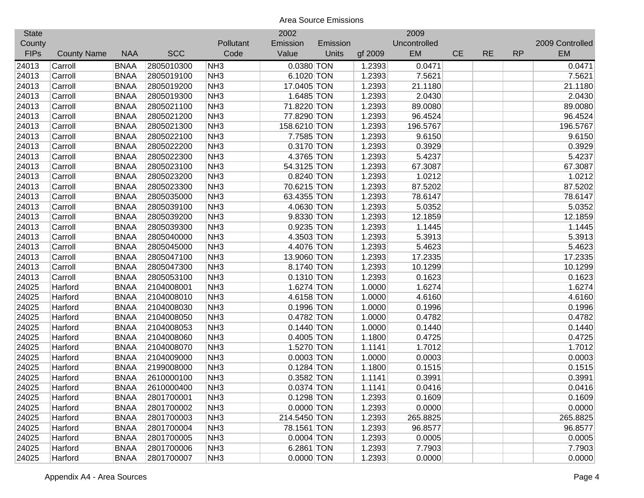| <b>State</b> |                    |             |            |                 | 2002                    |          |         | 2009         |           |           |           |                 |
|--------------|--------------------|-------------|------------|-----------------|-------------------------|----------|---------|--------------|-----------|-----------|-----------|-----------------|
| County       |                    |             |            | Pollutant       | Emission                | Emission |         | Uncontrolled |           |           |           | 2009 Controlled |
| <b>FIPs</b>  | <b>County Name</b> | <b>NAA</b>  | <b>SCC</b> | Code            | Value                   | Units    | gf 2009 | EM           | <b>CE</b> | <b>RE</b> | <b>RP</b> | <b>EM</b>       |
| 24013        | Carroll            | <b>BNAA</b> | 2805010300 | NH <sub>3</sub> | 0.0380 TON              |          | 1.2393  | 0.0471       |           |           |           | 0.0471          |
| 24013        | Carroll            | <b>BNAA</b> | 2805019100 | NH <sub>3</sub> | 6.1020 TON              |          | 1.2393  | 7.5621       |           |           |           | 7.5621          |
| 24013        | Carroll            | <b>BNAA</b> | 2805019200 | NH <sub>3</sub> | 17.0405 TON             |          | 1.2393  | 21.1180      |           |           |           | 21.1180         |
| 24013        | Carroll            | <b>BNAA</b> | 2805019300 | NH <sub>3</sub> | 1.6485 TON              |          | 1.2393  | 2.0430       |           |           |           | 2.0430          |
| 24013        | Carroll            | <b>BNAA</b> | 2805021100 | NH <sub>3</sub> | 71.8220 TON             |          | 1.2393  | 89.0080      |           |           |           | 89.0080         |
| 24013        | Carroll            | <b>BNAA</b> | 2805021200 | NH <sub>3</sub> | 77.8290 TON             |          | 1.2393  | 96.4524      |           |           |           | 96.4524         |
| 24013        | Carroll            | <b>BNAA</b> | 2805021300 | NH <sub>3</sub> | 158.6210 TON            |          | 1.2393  | 196.5767     |           |           |           | 196.5767        |
| 24013        | Carroll            | <b>BNAA</b> | 2805022100 | NH <sub>3</sub> | 7.7585 TON              |          | 1.2393  | 9.6150       |           |           |           | 9.6150          |
| 24013        | Carroll            | <b>BNAA</b> | 2805022200 | NH <sub>3</sub> | 0.3170 TON              |          | 1.2393  | 0.3929       |           |           |           | 0.3929          |
| 24013        | Carroll            | <b>BNAA</b> | 2805022300 | NH <sub>3</sub> | 4.3765 TON              |          | 1.2393  | 5.4237       |           |           |           | 5.4237          |
| 24013        | Carroll            | <b>BNAA</b> | 2805023100 | NH <sub>3</sub> | 54.3125 TON             |          | 1.2393  | 67.3087      |           |           |           | 67.3087         |
| 24013        | Carroll            | <b>BNAA</b> | 2805023200 | NH <sub>3</sub> | 0.8240 TON              |          | 1.2393  | 1.0212       |           |           |           | 1.0212          |
| 24013        | Carroll            | <b>BNAA</b> | 2805023300 | NH <sub>3</sub> | 70.6215 TON             |          | 1.2393  | 87.5202      |           |           |           | 87.5202         |
| 24013        | Carroll            | <b>BNAA</b> | 2805035000 | NH <sub>3</sub> | 63.4355 TON             |          | 1.2393  | 78.6147      |           |           |           | 78.6147         |
| 24013        | Carroll            | <b>BNAA</b> | 2805039100 | NH <sub>3</sub> | 4.0630 TON              |          | 1.2393  | 5.0352       |           |           |           | 5.0352          |
| 24013        | Carroll            | <b>BNAA</b> | 2805039200 | NH <sub>3</sub> | 9.8330 TON              |          | 1.2393  | 12.1859      |           |           |           | 12.1859         |
| 24013        | Carroll            | <b>BNAA</b> | 2805039300 | NH <sub>3</sub> | 0.9235 TON              |          | 1.2393  | 1.1445       |           |           |           | 1.1445          |
| 24013        | Carroll            | <b>BNAA</b> | 2805040000 | NH <sub>3</sub> | 4.3503 TON              |          | 1.2393  | 5.3913       |           |           |           | 5.3913          |
| 24013        | Carroll            | <b>BNAA</b> | 2805045000 | NH <sub>3</sub> | 4.4076 TON              |          | 1.2393  | 5.4623       |           |           |           | 5.4623          |
| 24013        | Carroll            | <b>BNAA</b> | 2805047100 | NH <sub>3</sub> | 13.9060 TON             |          | 1.2393  | 17.2335      |           |           |           | 17.2335         |
| 24013        | Carroll            | <b>BNAA</b> | 2805047300 | NH <sub>3</sub> | 8.1740 TON              |          | 1.2393  | 10.1299      |           |           |           | 10.1299         |
| 24013        | Carroll            | <b>BNAA</b> | 2805053100 | NH <sub>3</sub> | $0.1310$ TON            |          | 1.2393  | 0.1623       |           |           |           | 0.1623          |
| 24025        | Harford            | <b>BNAA</b> | 2104008001 | NH <sub>3</sub> | 1.6274 TON              |          | 1.0000  | 1.6274       |           |           |           | 1.6274          |
| 24025        | Harford            | <b>BNAA</b> | 2104008010 | NH <sub>3</sub> | 4.6158 TON              |          | 1.0000  | 4.6160       |           |           |           | 4.6160          |
| 24025        | Harford            | <b>BNAA</b> | 2104008030 | NH <sub>3</sub> | 0.1996 TON              |          | 1.0000  | 0.1996       |           |           |           | 0.1996          |
| 24025        | Harford            | <b>BNAA</b> | 2104008050 | NH <sub>3</sub> | 0.4782 TON              |          | 1.0000  | 0.4782       |           |           |           | 0.4782          |
| 24025        | Harford            | <b>BNAA</b> | 2104008053 | NH <sub>3</sub> | $0.1440$ TON            |          | 1.0000  | 0.1440       |           |           |           | 0.1440          |
| 24025        | Harford            | <b>BNAA</b> | 2104008060 | NH <sub>3</sub> | $0.4005$ TON            |          | 1.1800  | 0.4725       |           |           |           | 0.4725          |
| 24025        | Harford            | <b>BNAA</b> | 2104008070 | NH <sub>3</sub> | 1.5270 TON              |          | 1.1141  | 1.7012       |           |           |           | 1.7012          |
| 24025        | Harford            | <b>BNAA</b> | 2104009000 | NH <sub>3</sub> | $0.0003$ TON            |          | 1.0000  | 0.0003       |           |           |           | 0.0003          |
| 24025        | Harford            | <b>BNAA</b> | 2199008000 | NH <sub>3</sub> | $0.1284$ TON            |          | 1.1800  | 0.1515       |           |           |           | 0.1515          |
| 24025        | Harford            | <b>BNAA</b> | 2610000100 | NH <sub>3</sub> | 0.3582 TON              |          | 1.1141  | 0.3991       |           |           |           | 0.3991          |
| 24025        | Harford            | <b>BNAA</b> | 2610000400 | NH <sub>3</sub> | 0.0374 TON              |          | 1.1141  | 0.0416       |           |           |           | 0.0416          |
| 24025        | Harford            | <b>BNAA</b> | 2801700001 | NH <sub>3</sub> | $\overline{0.1298}$ TON |          | 1.2393  | 0.1609       |           |           |           | 0.1609          |
| 24025        | Harford            | <b>BNAA</b> | 2801700002 | NH <sub>3</sub> | $0.0000$ TON            |          | 1.2393  | 0.0000       |           |           |           | 0.0000          |
| 24025        | Harford            | <b>BNAA</b> | 2801700003 | NH <sub>3</sub> | 214.5450 TON            |          | 1.2393  | 265.8825     |           |           |           | 265.8825        |
| 24025        | Harford            | <b>BNAA</b> | 2801700004 | NH <sub>3</sub> | 78.1561 TON             |          | 1.2393  | 96.8577      |           |           |           | 96.8577         |
| 24025        | Harford            | <b>BNAA</b> | 2801700005 | NH <sub>3</sub> | $0.0004$ TON            |          | 1.2393  | 0.0005       |           |           |           | 0.0005          |
| 24025        | Harford            | <b>BNAA</b> | 2801700006 | NH <sub>3</sub> | 6.2861 TON              |          | 1.2393  | 7.7903       |           |           |           | 7.7903          |
| 24025        | Harford            | <b>BNAA</b> | 2801700007 | NH <sub>3</sub> | $0.0000$ TON            |          | 1.2393  | 0.0000       |           |           |           | 0.0000          |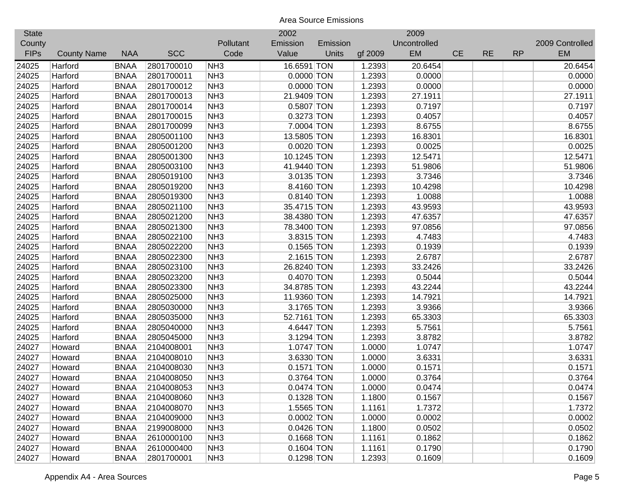| <b>State</b> |                    |             |            |                 | 2002         |          |         | 2009         |           |           |           |                 |
|--------------|--------------------|-------------|------------|-----------------|--------------|----------|---------|--------------|-----------|-----------|-----------|-----------------|
| County       |                    |             |            | Pollutant       | Emission     | Emission |         | Uncontrolled |           |           |           | 2009 Controlled |
| <b>FIPs</b>  | <b>County Name</b> | <b>NAA</b>  | <b>SCC</b> | Code            | Value        | Units    | gf 2009 | EM           | <b>CE</b> | <b>RE</b> | <b>RP</b> | <b>EM</b>       |
| 24025        | Harford            | <b>BNAA</b> | 2801700010 | NH <sub>3</sub> | 16.6591 TON  |          | 1.2393  | 20.6454      |           |           |           | 20.6454         |
| 24025        | Harford            | <b>BNAA</b> | 2801700011 | NH <sub>3</sub> | $0.0000$ TON |          | 1.2393  | 0.0000       |           |           |           | 0.0000          |
| 24025        | Harford            | <b>BNAA</b> | 2801700012 | NH <sub>3</sub> | 0.0000 TON   |          | 1.2393  | 0.0000       |           |           |           | 0.0000          |
| 24025        | Harford            | <b>BNAA</b> | 2801700013 | NH <sub>3</sub> | 21.9409 TON  |          | 1.2393  | 27.1911      |           |           |           | 27.1911         |
| 24025        | Harford            | <b>BNAA</b> | 2801700014 | NH <sub>3</sub> | 0.5807 TON   |          | 1.2393  | 0.7197       |           |           |           | 0.7197          |
| 24025        | Harford            | <b>BNAA</b> | 2801700015 | NH <sub>3</sub> | 0.3273 TON   |          | 1.2393  | 0.4057       |           |           |           | 0.4057          |
| 24025        | Harford            | <b>BNAA</b> | 2801700099 | NH <sub>3</sub> | 7.0004 TON   |          | 1.2393  | 8.6755       |           |           |           | 8.6755          |
| 24025        | Harford            | <b>BNAA</b> | 2805001100 | NH <sub>3</sub> | 13.5805 TON  |          | 1.2393  | 16.8301      |           |           |           | 16.8301         |
| 24025        | Harford            | <b>BNAA</b> | 2805001200 | NH <sub>3</sub> | $0.0020$ TON |          | 1.2393  | 0.0025       |           |           |           | 0.0025          |
| 24025        | Harford            | <b>BNAA</b> | 2805001300 | NH <sub>3</sub> | 10.1245 TON  |          | 1.2393  | 12.5471      |           |           |           | 12.5471         |
| 24025        | Harford            | <b>BNAA</b> | 2805003100 | NH <sub>3</sub> | 41.9440 TON  |          | 1.2393  | 51.9806      |           |           |           | 51.9806         |
| 24025        | Harford            | <b>BNAA</b> | 2805019100 | NH <sub>3</sub> | 3.0135 TON   |          | 1.2393  | 3.7346       |           |           |           | 3.7346          |
| 24025        | Harford            | <b>BNAA</b> | 2805019200 | NH <sub>3</sub> | 8.4160 TON   |          | 1.2393  | 10.4298      |           |           |           | 10.4298         |
| 24025        | Harford            | <b>BNAA</b> | 2805019300 | NH <sub>3</sub> | $0.8140$ TON |          | 1.2393  | 1.0088       |           |           |           | 1.0088          |
| 24025        | Harford            | <b>BNAA</b> | 2805021100 | NH <sub>3</sub> | 35.4715 TON  |          | 1.2393  | 43.9593      |           |           |           | 43.9593         |
| 24025        | Harford            | <b>BNAA</b> | 2805021200 | NH <sub>3</sub> | 38.4380 TON  |          | 1.2393  | 47.6357      |           |           |           | 47.6357         |
| 24025        | Harford            | <b>BNAA</b> | 2805021300 | NH <sub>3</sub> | 78.3400 TON  |          | 1.2393  | 97.0856      |           |           |           | 97.0856         |
| 24025        | Harford            | <b>BNAA</b> | 2805022100 | NH <sub>3</sub> | 3.8315 TON   |          | 1.2393  | 4.7483       |           |           |           | 4.7483          |
| 24025        | Harford            | <b>BNAA</b> | 2805022200 | NH <sub>3</sub> | $0.1565$ TON |          | 1.2393  | 0.1939       |           |           |           | 0.1939          |
| 24025        | Harford            | <b>BNAA</b> | 2805022300 | NH <sub>3</sub> | $2.1615$ TON |          | 1.2393  | 2.6787       |           |           |           | 2.6787          |
| 24025        | Harford            | <b>BNAA</b> | 2805023100 | NH <sub>3</sub> | 26.8240 TON  |          | 1.2393  | 33.2426      |           |           |           | 33.2426         |
| 24025        | Harford            | <b>BNAA</b> | 2805023200 | NH <sub>3</sub> | 0.4070 TON   |          | 1.2393  | 0.5044       |           |           |           | 0.5044          |
| 24025        | Harford            | <b>BNAA</b> | 2805023300 | NH <sub>3</sub> | 34.8785 TON  |          | 1.2393  | 43.2244      |           |           |           | 43.2244         |
| 24025        | Harford            | <b>BNAA</b> | 2805025000 | NH <sub>3</sub> | 11.9360 TON  |          | 1.2393  | 14.7921      |           |           |           | 14.7921         |
| 24025        | Harford            | <b>BNAA</b> | 2805030000 | NH <sub>3</sub> | 3.1765 TON   |          | 1.2393  | 3.9366       |           |           |           | 3.9366          |
| 24025        | Harford            | <b>BNAA</b> | 2805035000 | NH <sub>3</sub> | 52.7161 TON  |          | 1.2393  | 65.3303      |           |           |           | 65.3303         |
| 24025        | Harford            | <b>BNAA</b> | 2805040000 | NH <sub>3</sub> | 4.6447 TON   |          | 1.2393  | 5.7561       |           |           |           | 5.7561          |
| 24025        | Harford            | <b>BNAA</b> | 2805045000 | NH <sub>3</sub> | 3.1294 TON   |          | 1.2393  | 3.8782       |           |           |           | 3.8782          |
| 24027        | Howard             | <b>BNAA</b> | 2104008001 | NH <sub>3</sub> | 1.0747 TON   |          | 1.0000  | 1.0747       |           |           |           | 1.0747          |
| 24027        | Howard             | <b>BNAA</b> | 2104008010 | NH <sub>3</sub> | 3.6330 TON   |          | 1.0000  | 3.6331       |           |           |           | 3.6331          |
| 24027        | Howard             | <b>BNAA</b> | 2104008030 | NH <sub>3</sub> | $0.1571$ TON |          | 1.0000  | 0.1571       |           |           |           | 0.1571          |
| 24027        | Howard             | <b>BNAA</b> | 2104008050 | NH <sub>3</sub> | 0.3764 TON   |          | 1.0000  | 0.3764       |           |           |           | 0.3764          |
| 24027        | Howard             | <b>BNAA</b> | 2104008053 | NH <sub>3</sub> | $0.0474$ TON |          | 1.0000  | 0.0474       |           |           |           | 0.0474          |
| 24027        | Howard             | <b>BNAA</b> | 2104008060 | NH <sub>3</sub> | 0.1328 TON   |          | 1.1800  | 0.1567       |           |           |           | 0.1567          |
| 24027        | Howard             | <b>BNAA</b> | 2104008070 | NH <sub>3</sub> | 1.5565 TON   |          | 1.1161  | 1.7372       |           |           |           | 1.7372          |
| 24027        | Howard             | <b>BNAA</b> | 2104009000 | NH <sub>3</sub> | $0.0002$ TON |          | 1.0000  | 0.0002       |           |           |           | 0.0002          |
| 24027        | Howard             | <b>BNAA</b> | 2199008000 | NH <sub>3</sub> | $0.0426$ TON |          | 1.1800  | 0.0502       |           |           |           | 0.0502          |
| 24027        | Howard             | <b>BNAA</b> | 2610000100 | NH <sub>3</sub> | $0.1668$ TON |          | 1.1161  | 0.1862       |           |           |           | 0.1862          |
| 24027        | Howard             | <b>BNAA</b> | 2610000400 | NH <sub>3</sub> | $0.1604$ TON |          | 1.1161  | 0.1790       |           |           |           | 0.1790          |
| 24027        | Howard             | <b>BNAA</b> | 2801700001 | NH <sub>3</sub> | 0.1298 TON   |          | 1.2393  | 0.1609       |           |           |           | 0.1609          |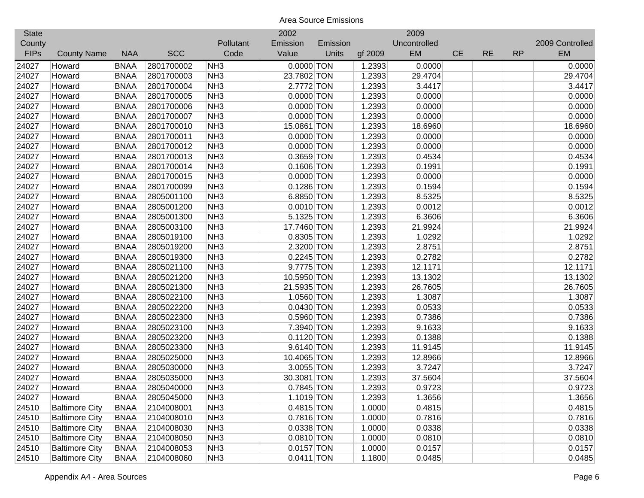| <b>State</b> |                       |             |            |                 | 2002         |          |         | 2009         |           |           |           |                 |
|--------------|-----------------------|-------------|------------|-----------------|--------------|----------|---------|--------------|-----------|-----------|-----------|-----------------|
| County       |                       |             |            | Pollutant       | Emission     | Emission |         | Uncontrolled |           |           |           | 2009 Controlled |
| <b>FIPs</b>  | <b>County Name</b>    | <b>NAA</b>  | <b>SCC</b> | Code            | Value        | Units    | gf 2009 | EM           | <b>CE</b> | <b>RE</b> | <b>RP</b> | <b>EM</b>       |
| 24027        | Howard                | <b>BNAA</b> | 2801700002 | NH <sub>3</sub> | $0.0000$ TON |          | 1.2393  | 0.0000       |           |           |           | 0.0000          |
| 24027        | Howard                | <b>BNAA</b> | 2801700003 | NH <sub>3</sub> | 23.7802 TON  |          | 1.2393  | 29.4704      |           |           |           | 29.4704         |
| 24027        | Howard                | <b>BNAA</b> | 2801700004 | NH <sub>3</sub> | 2.7772 TON   |          | 1.2393  | 3.4417       |           |           |           | 3.4417          |
| 24027        | Howard                | <b>BNAA</b> | 2801700005 | NH <sub>3</sub> | $0.0000$ TON |          | 1.2393  | 0.0000       |           |           |           | 0.0000          |
| 24027        | Howard                | <b>BNAA</b> | 2801700006 | NH <sub>3</sub> | $0.0000$ TON |          | 1.2393  | 0.0000       |           |           |           | 0.0000          |
| 24027        | Howard                | <b>BNAA</b> | 2801700007 | NH <sub>3</sub> | 0.0000 TON   |          | 1.2393  | 0.0000       |           |           |           | 0.0000          |
| 24027        | Howard                | <b>BNAA</b> | 2801700010 | NH <sub>3</sub> | 15.0861 TON  |          | 1.2393  | 18.6960      |           |           |           | 18.6960         |
| 24027        | Howard                | <b>BNAA</b> | 2801700011 | NH <sub>3</sub> | $0.0000$ TON |          | 1.2393  | 0.0000       |           |           |           | 0.0000          |
| 24027        | Howard                | <b>BNAA</b> | 2801700012 | NH <sub>3</sub> | $0.0000$ TON |          | 1.2393  | 0.0000       |           |           |           | 0.0000          |
| 24027        | Howard                | <b>BNAA</b> | 2801700013 | NH <sub>3</sub> | 0.3659 TON   |          | 1.2393  | 0.4534       |           |           |           | 0.4534          |
| 24027        | Howard                | <b>BNAA</b> | 2801700014 | NH <sub>3</sub> | $0.1606$ TON |          | 1.2393  | 0.1991       |           |           |           | 0.1991          |
| 24027        | Howard                | <b>BNAA</b> | 2801700015 | NH <sub>3</sub> | $0.0000$ TON |          | 1.2393  | 0.0000       |           |           |           | 0.0000          |
| 24027        | Howard                | <b>BNAA</b> | 2801700099 | NH <sub>3</sub> | 0.1286 TON   |          | 1.2393  | 0.1594       |           |           |           | 0.1594          |
| 24027        | Howard                | <b>BNAA</b> | 2805001100 | NH <sub>3</sub> | 6.8850 TON   |          | 1.2393  | 8.5325       |           |           |           | 8.5325          |
| 24027        | Howard                | <b>BNAA</b> | 2805001200 | NH <sub>3</sub> | $0.0010$ TON |          | 1.2393  | 0.0012       |           |           |           | 0.0012          |
| 24027        | Howard                | <b>BNAA</b> | 2805001300 | NH <sub>3</sub> | 5.1325 TON   |          | 1.2393  | 6.3606       |           |           |           | 6.3606          |
| 24027        | Howard                | <b>BNAA</b> | 2805003100 | NH <sub>3</sub> | 17.7460 TON  |          | 1.2393  | 21.9924      |           |           |           | 21.9924         |
| 24027        | Howard                | <b>BNAA</b> | 2805019100 | NH <sub>3</sub> | 0.8305 TON   |          | 1.2393  | 1.0292       |           |           |           | 1.0292          |
| 24027        | Howard                | <b>BNAA</b> | 2805019200 | NH <sub>3</sub> | 2.3200 TON   |          | 1.2393  | 2.8751       |           |           |           | 2.8751          |
| 24027        | Howard                | <b>BNAA</b> | 2805019300 | NH <sub>3</sub> | $0.2245$ TON |          | 1.2393  | 0.2782       |           |           |           | 0.2782          |
| 24027        | Howard                | <b>BNAA</b> | 2805021100 | NH <sub>3</sub> | 9.7775 TON   |          | 1.2393  | 12.1171      |           |           |           | 12.1171         |
| 24027        | Howard                | <b>BNAA</b> | 2805021200 | NH <sub>3</sub> | 10.5950 TON  |          | 1.2393  | 13.1302      |           |           |           | 13.1302         |
| 24027        | Howard                | <b>BNAA</b> | 2805021300 | NH <sub>3</sub> | 21.5935 TON  |          | 1.2393  | 26.7605      |           |           |           | 26.7605         |
| 24027        | Howard                | <b>BNAA</b> | 2805022100 | NH <sub>3</sub> | 1.0560 TON   |          | 1.2393  | 1.3087       |           |           |           | 1.3087          |
| 24027        | Howard                | <b>BNAA</b> | 2805022200 | NH <sub>3</sub> | $0.0430$ TON |          | 1.2393  | 0.0533       |           |           |           | 0.0533          |
| 24027        | Howard                | <b>BNAA</b> | 2805022300 | NH <sub>3</sub> | $0.5960$ TON |          | 1.2393  | 0.7386       |           |           |           | 0.7386          |
| 24027        | Howard                | <b>BNAA</b> | 2805023100 | NH <sub>3</sub> | 7.3940 TON   |          | 1.2393  | 9.1633       |           |           |           | 9.1633          |
| 24027        | Howard                | <b>BNAA</b> | 2805023200 | NH <sub>3</sub> | $0.1120$ TON |          | 1.2393  | 0.1388       |           |           |           | 0.1388          |
| 24027        | Howard                | <b>BNAA</b> | 2805023300 | NH <sub>3</sub> | 9.6140 TON   |          | 1.2393  | 11.9145      |           |           |           | 11.9145         |
| 24027        | Howard                | <b>BNAA</b> | 2805025000 | NH <sub>3</sub> | 10.4065 TON  |          | 1.2393  | 12.8966      |           |           |           | 12.8966         |
| 24027        | Howard                | <b>BNAA</b> | 2805030000 | NH <sub>3</sub> | 3.0055 TON   |          | 1.2393  | 3.7247       |           |           |           | 3.7247          |
| 24027        | Howard                | <b>BNAA</b> | 2805035000 | NH <sub>3</sub> | 30.3081 TON  |          | 1.2393  | 37.5604      |           |           |           | 37.5604         |
| 24027        | Howard                | <b>BNAA</b> | 2805040000 | NH <sub>3</sub> | 0.7845 TON   |          | 1.2393  | 0.9723       |           |           |           | 0.9723          |
| 24027        | Howard                | <b>BNAA</b> | 2805045000 | NH <sub>3</sub> | 1.1019 TON   |          | 1.2393  | 1.3656       |           |           |           | 1.3656          |
| 24510        | <b>Baltimore City</b> | <b>BNAA</b> | 2104008001 | NH <sub>3</sub> | $0.4815$ TON |          | 1.0000  | 0.4815       |           |           |           | 0.4815          |
| 24510        | <b>Baltimore City</b> | <b>BNAA</b> | 2104008010 | NH <sub>3</sub> | 0.7816 TON   |          | 1.0000  | 0.7816       |           |           |           | 0.7816          |
| 24510        | <b>Baltimore City</b> | <b>BNAA</b> | 2104008030 | NH <sub>3</sub> | 0.0338 TON   |          | 1.0000  | 0.0338       |           |           |           | 0.0338          |
| 24510        | <b>Baltimore City</b> | <b>BNAA</b> | 2104008050 | NH <sub>3</sub> | $0.0810$ TON |          | 1.0000  | 0.0810       |           |           |           | 0.0810          |
| 24510        | <b>Baltimore City</b> | <b>BNAA</b> | 2104008053 | NH3             | $0.0157$ TON |          | 1.0000  | 0.0157       |           |           |           | 0.0157          |
| 24510        | <b>Baltimore City</b> | <b>BNAA</b> | 2104008060 | NH <sub>3</sub> | 0.0411 TON   |          | 1.1800  | 0.0485       |           |           |           | 0.0485          |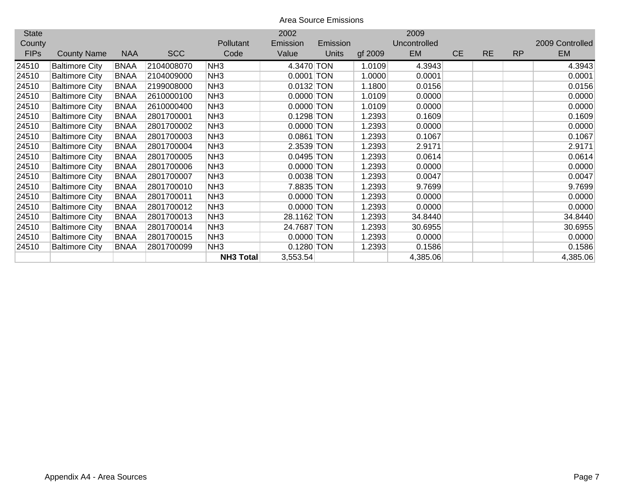| <b>State</b> |                       |             |            |                  | 2002         |              |         | 2009         |           |           |           |                 |
|--------------|-----------------------|-------------|------------|------------------|--------------|--------------|---------|--------------|-----------|-----------|-----------|-----------------|
| County       |                       |             |            | <b>Pollutant</b> | Emission     | Emission     |         | Uncontrolled |           |           |           | 2009 Controlled |
| <b>FIPs</b>  | <b>County Name</b>    | <b>NAA</b>  | <b>SCC</b> | Code             | Value        | <b>Units</b> | gf 2009 | <b>EM</b>    | <b>CE</b> | <b>RE</b> | <b>RP</b> | <b>EM</b>       |
| 24510        | <b>Baltimore City</b> | <b>BNAA</b> | 2104008070 | NH3              | 4.3470 TON   |              | 1.0109  | 4.3943       |           |           |           | 4.3943          |
| 24510        | <b>Baltimore City</b> | <b>BNAA</b> | 2104009000 | NH <sub>3</sub>  | $0.0001$ TON |              | 1.0000  | 0.0001       |           |           |           | 0.0001          |
| 24510        | <b>Baltimore City</b> | <b>BNAA</b> | 2199008000 | NH <sub>3</sub>  | 0.0132 TON   |              | 1.1800  | 0.0156       |           |           |           | 0.0156          |
| 24510        | <b>Baltimore City</b> | <b>BNAA</b> | 2610000100 | NH3              | 0.0000 TON   |              | 1.0109  | 0.0000       |           |           |           | 0.0000          |
| 24510        | <b>Baltimore City</b> | <b>BNAA</b> | 2610000400 | NH <sub>3</sub>  | $0.0000$ TON |              | 1.0109  | 0.0000       |           |           |           | 0.0000          |
| 24510        | <b>Baltimore City</b> | <b>BNAA</b> | 2801700001 | NH3              | 0.1298 TON   |              | 1.2393  | 0.1609       |           |           |           | 0.1609          |
| 24510        | <b>Baltimore City</b> | <b>BNAA</b> | 2801700002 | NH3              | $0.0000$ TON |              | 1.2393  | 0.0000       |           |           |           | 0.0000          |
| 24510        | <b>Baltimore City</b> | <b>BNAA</b> | 2801700003 | NH <sub>3</sub>  | 0.0861 TON   |              | 1.2393  | 0.1067       |           |           |           | 0.1067          |
| 24510        | <b>Baltimore City</b> | <b>BNAA</b> | 2801700004 | NH <sub>3</sub>  | 2.3539 TON   |              | 1.2393  | 2.9171       |           |           |           | 2.9171          |
| 24510        | <b>Baltimore City</b> | <b>BNAA</b> | 2801700005 | NH <sub>3</sub>  | $0.0495$ TON |              | 1.2393  | 0.0614       |           |           |           | 0.0614          |
| 24510        | <b>Baltimore City</b> | <b>BNAA</b> | 2801700006 | NH <sub>3</sub>  | 0.0000 TON   |              | 1.2393  | 0.0000       |           |           |           | 0.0000          |
| 24510        | <b>Baltimore City</b> | <b>BNAA</b> | 2801700007 | NH3              | $0.0038$ TON |              | 1.2393  | 0.0047       |           |           |           | 0.0047          |
| 24510        | <b>Baltimore City</b> | <b>BNAA</b> | 2801700010 | NH <sub>3</sub>  | 7.8835 TON   |              | 1.2393  | 9.7699       |           |           |           | 9.7699          |
| 24510        | <b>Baltimore City</b> | <b>BNAA</b> | 2801700011 | NH3              | 0.0000 TON   |              | 1.2393  | 0.0000       |           |           |           | 0.0000          |
| 24510        | <b>Baltimore City</b> | <b>BNAA</b> | 2801700012 | NH <sub>3</sub>  | 0.0000 TON   |              | 1.2393  | 0.0000       |           |           |           | 0.0000          |
| 24510        | <b>Baltimore City</b> | <b>BNAA</b> | 2801700013 | NH3              | 28.1162 TON  |              | 1.2393  | 34.8440      |           |           |           | 34.8440         |
| 24510        | <b>Baltimore City</b> | <b>BNAA</b> | 2801700014 | NH3              | 24.7687 TON  |              | 1.2393  | 30.6955      |           |           |           | 30.6955         |
| 24510        | <b>Baltimore City</b> | <b>BNAA</b> | 2801700015 | NH <sub>3</sub>  | 0.0000 TON   |              | 1.2393  | 0.0000       |           |           |           | 0.0000          |
| 24510        | <b>Baltimore City</b> | <b>BNAA</b> | 2801700099 | NH <sub>3</sub>  | 0.1280 TON   |              | 1.2393  | 0.1586       |           |           |           | 0.1586          |
|              |                       |             |            | <b>NH3 Total</b> | 3,553.54     |              |         | 4,385.06     |           |           |           | 4,385.06        |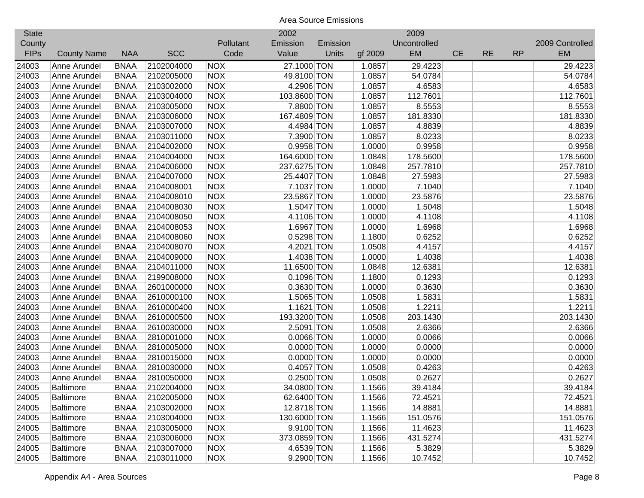| <b>State</b> |                    |             |            |            | 2002         |          |         | 2009         |           |           |           |                 |
|--------------|--------------------|-------------|------------|------------|--------------|----------|---------|--------------|-----------|-----------|-----------|-----------------|
| County       |                    |             |            | Pollutant  | Emission     | Emission |         | Uncontrolled |           |           |           | 2009 Controlled |
| <b>FIPs</b>  | <b>County Name</b> | <b>NAA</b>  | <b>SCC</b> | Code       | Value        | Units    | gf 2009 | EM           | <b>CE</b> | <b>RE</b> | <b>RP</b> | <b>EM</b>       |
| 24003        | Anne Arundel       | <b>BNAA</b> | 2102004000 | <b>NOX</b> | 27.1000 TON  |          | 1.0857  | 29.4223      |           |           |           | 29.4223         |
| 24003        | Anne Arundel       | <b>BNAA</b> | 2102005000 | <b>NOX</b> | 49.8100 TON  |          | 1.0857  | 54.0784      |           |           |           | 54.0784         |
| 24003        | Anne Arundel       | <b>BNAA</b> | 2103002000 | <b>NOX</b> | 4.2906 TON   |          | 1.0857  | 4.6583       |           |           |           | 4.6583          |
| 24003        | Anne Arundel       | <b>BNAA</b> | 2103004000 | <b>NOX</b> | 103.8600 TON |          | 1.0857  | 112.7601     |           |           |           | 112.7601        |
| 24003        | Anne Arundel       | <b>BNAA</b> | 2103005000 | <b>NOX</b> | 7.8800 TON   |          | 1.0857  | 8.5553       |           |           |           | 8.5553          |
| 24003        | Anne Arundel       | <b>BNAA</b> | 2103006000 | <b>NOX</b> | 167.4809 TON |          | 1.0857  | 181.8330     |           |           |           | 181.8330        |
| 24003        | Anne Arundel       | <b>BNAA</b> | 2103007000 | <b>NOX</b> | 4.4984 TON   |          | 1.0857  | 4.8839       |           |           |           | 4.8839          |
| 24003        | Anne Arundel       | <b>BNAA</b> | 2103011000 | <b>NOX</b> | 7.3900 TON   |          | 1.0857  | 8.0233       |           |           |           | 8.0233          |
| 24003        | Anne Arundel       | <b>BNAA</b> | 2104002000 | <b>NOX</b> | 0.9958 TON   |          | 1.0000  | 0.9958       |           |           |           | 0.9958          |
| 24003        | Anne Arundel       | <b>BNAA</b> | 2104004000 | <b>NOX</b> | 164.6000 TON |          | 1.0848  | 178.5600     |           |           |           | 178.5600        |
| 24003        | Anne Arundel       | <b>BNAA</b> | 2104006000 | <b>NOX</b> | 237.6275 TON |          | 1.0848  | 257.7810     |           |           |           | 257.7810        |
| 24003        | Anne Arundel       | <b>BNAA</b> | 2104007000 | <b>NOX</b> | 25.4407 TON  |          | 1.0848  | 27.5983      |           |           |           | 27.5983         |
| 24003        | Anne Arundel       | <b>BNAA</b> | 2104008001 | <b>NOX</b> | 7.1037 TON   |          | 1.0000  | 7.1040       |           |           |           | 7.1040          |
| 24003        | Anne Arundel       | <b>BNAA</b> | 2104008010 | <b>NOX</b> | 23.5867 TON  |          | 1.0000  | 23.5876      |           |           |           | 23.5876         |
| 24003        | Anne Arundel       | <b>BNAA</b> | 2104008030 | <b>NOX</b> | 1.5047 TON   |          | 1.0000  | 1.5048       |           |           |           | 1.5048          |
| 24003        | Anne Arundel       | <b>BNAA</b> | 2104008050 | <b>NOX</b> | 4.1106 TON   |          | 1.0000  | 4.1108       |           |           |           | 4.1108          |
| 24003        | Anne Arundel       | <b>BNAA</b> | 2104008053 | <b>NOX</b> | 1.6967 TON   |          | 1.0000  | 1.6968       |           |           |           | 1.6968          |
| 24003        | Anne Arundel       | <b>BNAA</b> | 2104008060 | <b>NOX</b> | 0.5298 TON   |          | 1.1800  | 0.6252       |           |           |           | 0.6252          |
| 24003        | Anne Arundel       | <b>BNAA</b> | 2104008070 | <b>NOX</b> | 4.2021 TON   |          | 1.0508  | 4.4157       |           |           |           | 4.4157          |
| 24003        | Anne Arundel       | <b>BNAA</b> | 2104009000 | <b>NOX</b> | 1.4038 TON   |          | 1.0000  | 1.4038       |           |           |           | 1.4038          |
| 24003        | Anne Arundel       | <b>BNAA</b> | 2104011000 | <b>NOX</b> | 11.6500 TON  |          | 1.0848  | 12.6381      |           |           |           | 12.6381         |
| 24003        | Anne Arundel       | <b>BNAA</b> | 2199008000 | <b>NOX</b> | 0.1096 TON   |          | 1.1800  | 0.1293       |           |           |           | 0.1293          |
| 24003        | Anne Arundel       | <b>BNAA</b> | 2601000000 | <b>NOX</b> | 0.3630 TON   |          | 1.0000  | 0.3630       |           |           |           | 0.3630          |
| 24003        | Anne Arundel       | <b>BNAA</b> | 2610000100 | <b>NOX</b> | 1.5065 TON   |          | 1.0508  | 1.5831       |           |           |           | 1.5831          |
| 24003        | Anne Arundel       | <b>BNAA</b> | 2610000400 | <b>NOX</b> | 1.1621 TON   |          | 1.0508  | 1.2211       |           |           |           | 1.2211          |
| 24003        | Anne Arundel       | <b>BNAA</b> | 2610000500 | <b>NOX</b> | 193.3200 TON |          | 1.0508  | 203.1430     |           |           |           | 203.1430        |
| 24003        | Anne Arundel       | <b>BNAA</b> | 2610030000 | <b>NOX</b> | 2.5091 TON   |          | 1.0508  | 2.6366       |           |           |           | 2.6366          |
| 24003        | Anne Arundel       | <b>BNAA</b> | 2810001000 | <b>NOX</b> | 0.0066 TON   |          | 1.0000  | 0.0066       |           |           |           | 0.0066          |
| 24003        | Anne Arundel       | <b>BNAA</b> | 2810005000 | <b>NOX</b> | $0.0000$ TON |          | 1.0000  | 0.0000       |           |           |           | 0.0000          |
| 24003        | Anne Arundel       | <b>BNAA</b> | 2810015000 | <b>NOX</b> | 0.0000 TON   |          | 1.0000  | 0.0000       |           |           |           | 0.0000          |
| 24003        | Anne Arundel       | <b>BNAA</b> | 2810030000 | <b>NOX</b> | $0.4057$ TON |          | 1.0508  | 0.4263       |           |           |           | 0.4263          |
| 24003        | Anne Arundel       | <b>BNAA</b> | 2810050000 | <b>NOX</b> | 0.2500 TON   |          | 1.0508  | 0.2627       |           |           |           | 0.2627          |
| 24005        | <b>Baltimore</b>   | <b>BNAA</b> | 2102004000 | <b>NOX</b> | 34.0800 TON  |          | 1.1566  | 39.4184      |           |           |           | 39.4184         |
| 24005        | <b>Baltimore</b>   | <b>BNAA</b> | 2102005000 | <b>NOX</b> | 62.6400 TON  |          | 1.1566  | 72.4521      |           |           |           | 72.4521         |
| 24005        | <b>Baltimore</b>   | <b>BNAA</b> | 2103002000 | <b>NOX</b> | 12.8718 TON  |          | 1.1566  | 14.8881      |           |           |           | 14.8881         |
| 24005        | <b>Baltimore</b>   | <b>BNAA</b> | 2103004000 | <b>NOX</b> | 130.6000 TON |          | 1.1566  | 151.0576     |           |           |           | 151.0576        |
| 24005        | <b>Baltimore</b>   | <b>BNAA</b> | 2103005000 | <b>NOX</b> | 9.9100 TON   |          | 1.1566  | 11.4623      |           |           |           | 11.4623         |
| 24005        | <b>Baltimore</b>   | <b>BNAA</b> | 2103006000 | <b>NOX</b> | 373.0859 TON |          | 1.1566  | 431.5274     |           |           |           | 431.5274        |
| 24005        | <b>Baltimore</b>   | <b>BNAA</b> | 2103007000 | <b>NOX</b> | 4.6539 TON   |          | 1.1566  | 5.3829       |           |           |           | 5.3829          |
| 24005        | Baltimore          | <b>BNAA</b> | 2103011000 | <b>NOX</b> | 9.2900 TON   |          | 1.1566  | 10.7452      |           |           |           | 10.7452         |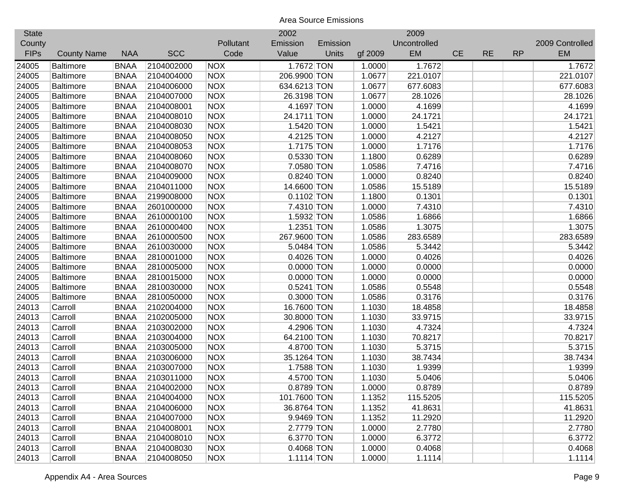| <b>State</b> |                    |             |            |            | 2002         |          |         | 2009         |           |           |           |                 |
|--------------|--------------------|-------------|------------|------------|--------------|----------|---------|--------------|-----------|-----------|-----------|-----------------|
| County       |                    |             |            | Pollutant  | Emission     | Emission |         | Uncontrolled |           |           |           | 2009 Controlled |
| <b>FIPs</b>  | <b>County Name</b> | <b>NAA</b>  | <b>SCC</b> | Code       | Value        | Units    | gf 2009 | EM           | <b>CE</b> | <b>RE</b> | <b>RP</b> | <b>EM</b>       |
| 24005        | <b>Baltimore</b>   | <b>BNAA</b> | 2104002000 | <b>NOX</b> | 1.7672 TON   |          | 1.0000  | 1.7672       |           |           |           | 1.7672          |
| 24005        | <b>Baltimore</b>   | <b>BNAA</b> | 2104004000 | <b>NOX</b> | 206.9900 TON |          | 1.0677  | 221.0107     |           |           |           | 221.0107        |
| 24005        | <b>Baltimore</b>   | <b>BNAA</b> | 2104006000 | <b>NOX</b> | 634.6213 TON |          | 1.0677  | 677.6083     |           |           |           | 677.6083        |
| 24005        | <b>Baltimore</b>   | <b>BNAA</b> | 2104007000 | <b>NOX</b> | 26.3198 TON  |          | 1.0677  | 28.1026      |           |           |           | 28.1026         |
| 24005        | <b>Baltimore</b>   | <b>BNAA</b> | 2104008001 | <b>NOX</b> | 4.1697 TON   |          | 1.0000  | 4.1699       |           |           |           | 4.1699          |
| 24005        | <b>Baltimore</b>   | <b>BNAA</b> | 2104008010 | <b>NOX</b> | 24.1711 TON  |          | 1.0000  | 24.1721      |           |           |           | 24.1721         |
| 24005        | <b>Baltimore</b>   | <b>BNAA</b> | 2104008030 | <b>NOX</b> | 1.5420 TON   |          | 1.0000  | 1.5421       |           |           |           | 1.5421          |
| 24005        | <b>Baltimore</b>   | <b>BNAA</b> | 2104008050 | <b>NOX</b> | 4.2125 TON   |          | 1.0000  | 4.2127       |           |           |           | 4.2127          |
| 24005        | <b>Baltimore</b>   | <b>BNAA</b> | 2104008053 | <b>NOX</b> | 1.7175 TON   |          | 1.0000  | 1.7176       |           |           |           | 1.7176          |
| 24005        | <b>Baltimore</b>   | <b>BNAA</b> | 2104008060 | <b>NOX</b> | 0.5330 TON   |          | 1.1800  | 0.6289       |           |           |           | 0.6289          |
| 24005        | <b>Baltimore</b>   | <b>BNAA</b> | 2104008070 | <b>NOX</b> | 7.0580 TON   |          | 1.0586  | 7.4716       |           |           |           | 7.4716          |
| 24005        | <b>Baltimore</b>   | <b>BNAA</b> | 2104009000 | <b>NOX</b> | 0.8240 TON   |          | 1.0000  | 0.8240       |           |           |           | 0.8240          |
| 24005        | <b>Baltimore</b>   | <b>BNAA</b> | 2104011000 | <b>NOX</b> | 14.6600 TON  |          | 1.0586  | 15.5189      |           |           |           | 15.5189         |
| 24005        | <b>Baltimore</b>   | <b>BNAA</b> | 2199008000 | <b>NOX</b> | $0.1102$ TON |          | 1.1800  | 0.1301       |           |           |           | 0.1301          |
| 24005        | <b>Baltimore</b>   | <b>BNAA</b> | 2601000000 | <b>NOX</b> | 7.4310 TON   |          | 1.0000  | 7.4310       |           |           |           | 7.4310          |
| 24005        | <b>Baltimore</b>   | <b>BNAA</b> | 2610000100 | <b>NOX</b> | 1.5932 TON   |          | 1.0586  | 1.6866       |           |           |           | 1.6866          |
| 24005        | <b>Baltimore</b>   | <b>BNAA</b> | 2610000400 | <b>NOX</b> | 1.2351 TON   |          | 1.0586  | 1.3075       |           |           |           | 1.3075          |
| 24005        | <b>Baltimore</b>   | <b>BNAA</b> | 2610000500 | <b>NOX</b> | 267.9600 TON |          | 1.0586  | 283.6589     |           |           |           | 283.6589        |
| 24005        | <b>Baltimore</b>   | <b>BNAA</b> | 2610030000 | <b>NOX</b> | 5.0484 TON   |          | 1.0586  | 5.3442       |           |           |           | 5.3442          |
| 24005        | <b>Baltimore</b>   | <b>BNAA</b> | 2810001000 | <b>NOX</b> | 0.4026 TON   |          | 1.0000  | 0.4026       |           |           |           | 0.4026          |
| 24005        | <b>Baltimore</b>   | <b>BNAA</b> | 2810005000 | <b>NOX</b> | $0.0000$ TON |          | 1.0000  | 0.0000       |           |           |           | 0.0000          |
| 24005        | <b>Baltimore</b>   | <b>BNAA</b> | 2810015000 | <b>NOX</b> | $0.0000$ TON |          | 1.0000  | 0.0000       |           |           |           | 0.0000          |
| 24005        | <b>Baltimore</b>   | <b>BNAA</b> | 2810030000 | <b>NOX</b> | $0.5241$ TON |          | 1.0586  | 0.5548       |           |           |           | 0.5548          |
| 24005        | <b>Baltimore</b>   | <b>BNAA</b> | 2810050000 | <b>NOX</b> | 0.3000 TON   |          | 1.0586  | 0.3176       |           |           |           | 0.3176          |
| 24013        | Carroll            | <b>BNAA</b> | 2102004000 | <b>NOX</b> | 16.7600 TON  |          | 1.1030  | 18.4858      |           |           |           | 18.4858         |
| 24013        | Carroll            | <b>BNAA</b> | 2102005000 | <b>NOX</b> | 30.8000 TON  |          | 1.1030  | 33.9715      |           |           |           | 33.9715         |
| 24013        | Carroll            | <b>BNAA</b> | 2103002000 | <b>NOX</b> | 4.2906 TON   |          | 1.1030  | 4.7324       |           |           |           | 4.7324          |
| 24013        | Carroll            | <b>BNAA</b> | 2103004000 | <b>NOX</b> | 64.2100 TON  |          | 1.1030  | 70.8217      |           |           |           | 70.8217         |
| 24013        | Carroll            | <b>BNAA</b> | 2103005000 | <b>NOX</b> | 4.8700 TON   |          | 1.1030  | 5.3715       |           |           |           | 5.3715          |
| 24013        | Carroll            | <b>BNAA</b> | 2103006000 | <b>NOX</b> | 35.1264 TON  |          | 1.1030  | 38.7434      |           |           |           | 38.7434         |
| 24013        | Carroll            | <b>BNAA</b> | 2103007000 | <b>NOX</b> | 1.7588 TON   |          | 1.1030  | 1.9399       |           |           |           | 1.9399          |
| 24013        | Carroll            | <b>BNAA</b> | 2103011000 | <b>NOX</b> | 4.5700 TON   |          | 1.1030  | 5.0406       |           |           |           | 5.0406          |
| 24013        | Carroll            | <b>BNAA</b> | 2104002000 | <b>NOX</b> | 0.8789 TON   |          | 1.0000  | 0.8789       |           |           |           | 0.8789          |
| 24013        | Carroll            | <b>BNAA</b> | 2104004000 | <b>NOX</b> | 101.7600 TON |          | 1.1352  | 115.5205     |           |           |           | 115.5205        |
| 24013        | Carroll            | <b>BNAA</b> | 2104006000 | <b>NOX</b> | 36.8764 TON  |          | 1.1352  | 41.8631      |           |           |           | 41.8631         |
| 24013        | Carroll            | <b>BNAA</b> | 2104007000 | <b>NOX</b> | 9.9469 TON   |          | 1.1352  | 11.2920      |           |           |           | 11.2920         |
| 24013        | Carroll            | <b>BNAA</b> | 2104008001 | <b>NOX</b> | 2.7779 TON   |          | 1.0000  | 2.7780       |           |           |           | 2.7780          |
| 24013        | Carroll            | <b>BNAA</b> | 2104008010 | <b>NOX</b> | 6.3770 TON   |          | 1.0000  | 6.3772       |           |           |           | 6.3772          |
| 24013        | Carroll            | <b>BNAA</b> | 2104008030 | <b>NOX</b> | 0.4068 TON   |          | 1.0000  | 0.4068       |           |           |           | 0.4068          |
| 24013        | Carroll            | <b>BNAA</b> | 2104008050 | <b>NOX</b> | 1.1114 TON   |          | 1.0000  | 1.1114       |           |           |           | 1.1114          |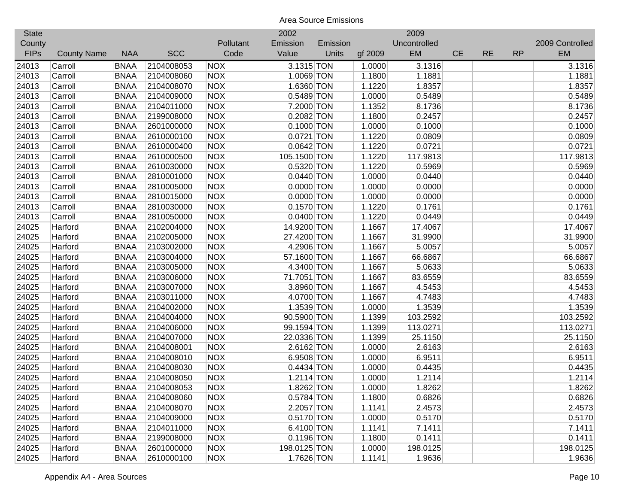| <b>State</b> |                    |             |            |            | 2002         |          |         | 2009         |           |           |           |                 |
|--------------|--------------------|-------------|------------|------------|--------------|----------|---------|--------------|-----------|-----------|-----------|-----------------|
| County       |                    |             |            | Pollutant  | Emission     | Emission |         | Uncontrolled |           |           |           | 2009 Controlled |
| <b>FIPs</b>  | <b>County Name</b> | <b>NAA</b>  | <b>SCC</b> | Code       | Value        | Units    | gf 2009 | <b>EM</b>    | <b>CE</b> | <b>RE</b> | <b>RP</b> | <b>EM</b>       |
| 24013        | Carroll            | <b>BNAA</b> | 2104008053 | <b>NOX</b> | 3.1315 TON   |          | 1.0000  | 3.1316       |           |           |           | 3.1316          |
| 24013        | Carroll            | <b>BNAA</b> | 2104008060 | <b>NOX</b> | 1.0069 TON   |          | 1.1800  | 1.1881       |           |           |           | 1.1881          |
| 24013        | Carroll            | <b>BNAA</b> | 2104008070 | <b>NOX</b> | 1.6360 TON   |          | 1.1220  | 1.8357       |           |           |           | 1.8357          |
| 24013        | Carroll            | <b>BNAA</b> | 2104009000 | <b>NOX</b> | 0.5489 TON   |          | 1.0000  | 0.5489       |           |           |           | 0.5489          |
| 24013        | Carroll            | <b>BNAA</b> | 2104011000 | <b>NOX</b> | 7.2000 TON   |          | 1.1352  | 8.1736       |           |           |           | 8.1736          |
| 24013        | Carroll            | <b>BNAA</b> | 2199008000 | <b>NOX</b> | 0.2082 TON   |          | 1.1800  | 0.2457       |           |           |           | 0.2457          |
| 24013        | Carroll            | <b>BNAA</b> | 2601000000 | <b>NOX</b> | $0.1000$ TON |          | 1.0000  | 0.1000       |           |           |           | 0.1000          |
| 24013        | Carroll            | <b>BNAA</b> | 2610000100 | <b>NOX</b> | 0.0721 TON   |          | 1.1220  | 0.0809       |           |           |           | 0.0809          |
| 24013        | Carroll            | <b>BNAA</b> | 2610000400 | <b>NOX</b> | $0.0642$ TON |          | 1.1220  | 0.0721       |           |           |           | 0.0721          |
| 24013        | Carroll            | <b>BNAA</b> | 2610000500 | <b>NOX</b> | 105.1500 TON |          | 1.1220  | 117.9813     |           |           |           | 117.9813        |
| 24013        | Carroll            | <b>BNAA</b> | 2610030000 | <b>NOX</b> | 0.5320 TON   |          | 1.1220  | 0.5969       |           |           |           | 0.5969          |
| 24013        | Carroll            | <b>BNAA</b> | 2810001000 | <b>NOX</b> | $0.0440$ TON |          | 1.0000  | 0.0440       |           |           |           | 0.0440          |
| 24013        | Carroll            | <b>BNAA</b> | 2810005000 | <b>NOX</b> | $0.0000$ TON |          | 1.0000  | 0.0000       |           |           |           | 0.0000          |
| 24013        | Carroll            | <b>BNAA</b> | 2810015000 | <b>NOX</b> | $0.0000$ TON |          | 1.0000  | 0.0000       |           |           |           | 0.0000          |
| 24013        | Carroll            | <b>BNAA</b> | 2810030000 | <b>NOX</b> | $0.1570$ TON |          | 1.1220  | 0.1761       |           |           |           | 0.1761          |
| 24013        | Carroll            | <b>BNAA</b> | 2810050000 | <b>NOX</b> | 0.0400 TON   |          | 1.1220  | 0.0449       |           |           |           | 0.0449          |
| 24025        | Harford            | <b>BNAA</b> | 2102004000 | <b>NOX</b> | 14.9200 TON  |          | 1.1667  | 17.4067      |           |           |           | 17.4067         |
| 24025        | Harford            | <b>BNAA</b> | 2102005000 | <b>NOX</b> | 27.4200 TON  |          | 1.1667  | 31.9900      |           |           |           | 31.9900         |
| 24025        | Harford            | <b>BNAA</b> | 2103002000 | <b>NOX</b> | 4.2906 TON   |          | 1.1667  | 5.0057       |           |           |           | 5.0057          |
| 24025        | Harford            | <b>BNAA</b> | 2103004000 | <b>NOX</b> | 57.1600 TON  |          | 1.1667  | 66.6867      |           |           |           | 66.6867         |
| 24025        | Harford            | <b>BNAA</b> | 2103005000 | <b>NOX</b> | 4.3400 TON   |          | 1.1667  | 5.0633       |           |           |           | 5.0633          |
| 24025        | Harford            | <b>BNAA</b> | 2103006000 | <b>NOX</b> | 71.7051 TON  |          | 1.1667  | 83.6559      |           |           |           | 83.6559         |
| 24025        | Harford            | <b>BNAA</b> | 2103007000 | <b>NOX</b> | 3.8960 TON   |          | 1.1667  | 4.5453       |           |           |           | 4.5453          |
| 24025        | Harford            | <b>BNAA</b> | 2103011000 | <b>NOX</b> | 4.0700 TON   |          | 1.1667  | 4.7483       |           |           |           | 4.7483          |
| 24025        | Harford            | <b>BNAA</b> | 2104002000 | <b>NOX</b> | 1.3539 TON   |          | 1.0000  | 1.3539       |           |           |           | 1.3539          |
| 24025        | Harford            | <b>BNAA</b> | 2104004000 | <b>NOX</b> | 90.5900 TON  |          | 1.1399  | 103.2592     |           |           |           | 103.2592        |
| 24025        | Harford            | <b>BNAA</b> | 2104006000 | <b>NOX</b> | 99.1594 TON  |          | 1.1399  | 113.0271     |           |           |           | 113.0271        |
| 24025        | Harford            | <b>BNAA</b> | 2104007000 | <b>NOX</b> | 22.0336 TON  |          | 1.1399  | 25.1150      |           |           |           | 25.1150         |
| 24025        | Harford            | <b>BNAA</b> | 2104008001 | <b>NOX</b> | 2.6162 TON   |          | 1.0000  | 2.6163       |           |           |           | 2.6163          |
| 24025        | Harford            | <b>BNAA</b> | 2104008010 | <b>NOX</b> | 6.9508 TON   |          | 1.0000  | 6.9511       |           |           |           | 6.9511          |
| 24025        | Harford            | <b>BNAA</b> | 2104008030 | <b>NOX</b> | 0.4434 TON   |          | 1.0000  | 0.4435       |           |           |           | 0.4435          |
| 24025        | Harford            | <b>BNAA</b> | 2104008050 | <b>NOX</b> | 1.2114 TON   |          | 1.0000  | 1.2114       |           |           |           | 1.2114          |
| 24025        | Harford            | <b>BNAA</b> | 2104008053 | <b>NOX</b> | 1.8262 TON   |          | 1.0000  | 1.8262       |           |           |           | 1.8262          |
| 24025        | Harford            | <b>BNAA</b> | 2104008060 | <b>NOX</b> | 0.5784 TON   |          | 1.1800  | 0.6826       |           |           |           | 0.6826          |
| 24025        | Harford            | <b>BNAA</b> | 2104008070 | <b>NOX</b> | 2.2057 TON   |          | 1.1141  | 2.4573       |           |           |           | 2.4573          |
| 24025        | Harford            | <b>BNAA</b> | 2104009000 | <b>NOX</b> | $0.5170$ TON |          | 1.0000  | 0.5170       |           |           |           | 0.5170          |
| 24025        | Harford            | <b>BNAA</b> | 2104011000 | <b>NOX</b> | 6.4100 TON   |          | 1.1141  | 7.1411       |           |           |           | 7.1411          |
| 24025        | Harford            | <b>BNAA</b> | 2199008000 | <b>NOX</b> | $0.1196$ TON |          | 1.1800  | 0.1411       |           |           |           | 0.1411          |
| 24025        | Harford            | <b>BNAA</b> | 2601000000 | <b>NOX</b> | 198.0125 TON |          | 1.0000  | 198.0125     |           |           |           | 198.0125        |
| 24025        | Harford            | <b>BNAA</b> | 2610000100 | <b>NOX</b> | 1.7626 TON   |          | 1.1141  | 1.9636       |           |           |           | 1.9636          |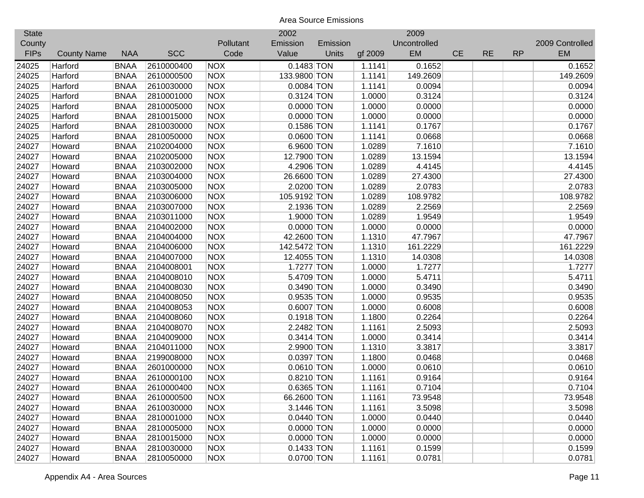| <b>State</b> |                    |             |            |            | 2002         |          |         | 2009         |           |           |           |                 |
|--------------|--------------------|-------------|------------|------------|--------------|----------|---------|--------------|-----------|-----------|-----------|-----------------|
| County       |                    |             |            | Pollutant  | Emission     | Emission |         | Uncontrolled |           |           |           | 2009 Controlled |
| <b>FIPs</b>  | <b>County Name</b> | <b>NAA</b>  | <b>SCC</b> | Code       | Value        | Units    | gf 2009 | EM           | <b>CE</b> | <b>RE</b> | <b>RP</b> | <b>EM</b>       |
| 24025        | Harford            | <b>BNAA</b> | 2610000400 | <b>NOX</b> | $0.1483$ TON |          | 1.1141  | 0.1652       |           |           |           | 0.1652          |
| 24025        | Harford            | <b>BNAA</b> | 2610000500 | <b>NOX</b> | 133.9800 TON |          | 1.1141  | 149.2609     |           |           |           | 149.2609        |
| 24025        | Harford            | <b>BNAA</b> | 2610030000 | <b>NOX</b> | $0.0084$ TON |          | 1.1141  | 0.0094       |           |           |           | 0.0094          |
| 24025        | Harford            | <b>BNAA</b> | 2810001000 | <b>NOX</b> | $0.3124$ TON |          | 1.0000  | 0.3124       |           |           |           | 0.3124          |
| 24025        | Harford            | <b>BNAA</b> | 2810005000 | <b>NOX</b> | $0.0000$ TON |          | 1.0000  | 0.0000       |           |           |           | 0.0000          |
| 24025        | Harford            | <b>BNAA</b> | 2810015000 | <b>NOX</b> | $0.0000$ TON |          | 1.0000  | 0.0000       |           |           |           | 0.0000          |
| 24025        | Harford            | <b>BNAA</b> | 2810030000 | <b>NOX</b> | 0.1586 TON   |          | 1.1141  | 0.1767       |           |           |           | 0.1767          |
| 24025        | Harford            | <b>BNAA</b> | 2810050000 | <b>NOX</b> | 0.0600 TON   |          | 1.1141  | 0.0668       |           |           |           | 0.0668          |
| 24027        | Howard             | <b>BNAA</b> | 2102004000 | <b>NOX</b> | 6.9600 TON   |          | 1.0289  | 7.1610       |           |           |           | 7.1610          |
| 24027        | Howard             | <b>BNAA</b> | 2102005000 | <b>NOX</b> | 12.7900 TON  |          | 1.0289  | 13.1594      |           |           |           | 13.1594         |
| 24027        | Howard             | <b>BNAA</b> | 2103002000 | <b>NOX</b> | 4.2906 TON   |          | 1.0289  | 4.4145       |           |           |           | 4.4145          |
| 24027        | Howard             | <b>BNAA</b> | 2103004000 | <b>NOX</b> | 26.6600 TON  |          | 1.0289  | 27.4300      |           |           |           | 27.4300         |
| 24027        | Howard             | <b>BNAA</b> | 2103005000 | <b>NOX</b> | 2.0200 TON   |          | 1.0289  | 2.0783       |           |           |           | 2.0783          |
| 24027        | Howard             | <b>BNAA</b> | 2103006000 | <b>NOX</b> | 105.9192 TON |          | 1.0289  | 108.9782     |           |           |           | 108.9782        |
| 24027        | Howard             | <b>BNAA</b> | 2103007000 | <b>NOX</b> | 2.1936 TON   |          | 1.0289  | 2.2569       |           |           |           | 2.2569          |
| 24027        | Howard             | <b>BNAA</b> | 2103011000 | <b>NOX</b> | 1.9000 TON   |          | 1.0289  | 1.9549       |           |           |           | 1.9549          |
| 24027        | Howard             | <b>BNAA</b> | 2104002000 | <b>NOX</b> | $0.0000$ TON |          | 1.0000  | 0.0000       |           |           |           | 0.0000          |
| 24027        | Howard             | <b>BNAA</b> | 2104004000 | <b>NOX</b> | 42.2600 TON  |          | 1.1310  | 47.7967      |           |           |           | 47.7967         |
| 24027        | Howard             | <b>BNAA</b> | 2104006000 | <b>NOX</b> | 142.5472 TON |          | 1.1310  | 161.2229     |           |           |           | 161.2229        |
| 24027        | Howard             | <b>BNAA</b> | 2104007000 | <b>NOX</b> | 12.4055 TON  |          | 1.1310  | 14.0308      |           |           |           | 14.0308         |
| 24027        | Howard             | <b>BNAA</b> | 2104008001 | <b>NOX</b> | 1.7277 TON   |          | 1.0000  | 1.7277       |           |           |           | 1.7277          |
| 24027        | Howard             | <b>BNAA</b> | 2104008010 | <b>NOX</b> | 5.4709 TON   |          | 1.0000  | 5.4711       |           |           |           | 5.4711          |
| 24027        | Howard             | <b>BNAA</b> | 2104008030 | <b>NOX</b> | 0.3490 TON   |          | 1.0000  | 0.3490       |           |           |           | 0.3490          |
| 24027        | Howard             | <b>BNAA</b> | 2104008050 | <b>NOX</b> | $0.9535$ TON |          | 1.0000  | 0.9535       |           |           |           | 0.9535          |
| 24027        | Howard             | <b>BNAA</b> | 2104008053 | <b>NOX</b> | 0.6007 TON   |          | 1.0000  | 0.6008       |           |           |           | 0.6008          |
| 24027        | Howard             | <b>BNAA</b> | 2104008060 | <b>NOX</b> | $0.1918$ TON |          | 1.1800  | 0.2264       |           |           |           | 0.2264          |
| 24027        | Howard             | <b>BNAA</b> | 2104008070 | <b>NOX</b> | 2.2482 TON   |          | 1.1161  | 2.5093       |           |           |           | 2.5093          |
| 24027        | Howard             | <b>BNAA</b> | 2104009000 | <b>NOX</b> | $0.3414$ TON |          | 1.0000  | 0.3414       |           |           |           | 0.3414          |
| 24027        | Howard             | <b>BNAA</b> | 2104011000 | <b>NOX</b> | 2.9900 TON   |          | 1.1310  | 3.3817       |           |           |           | 3.3817          |
| 24027        | Howard             | <b>BNAA</b> | 2199008000 | <b>NOX</b> | 0.0397 TON   |          | 1.1800  | 0.0468       |           |           |           | 0.0468          |
| 24027        | Howard             | <b>BNAA</b> | 2601000000 | <b>NOX</b> | $0.0610$ TON |          | 1.0000  | 0.0610       |           |           |           | 0.0610          |
| 24027        | Howard             | <b>BNAA</b> | 2610000100 | <b>NOX</b> | 0.8210 TON   |          | 1.1161  | 0.9164       |           |           |           | 0.9164          |
| 24027        | Howard             | <b>BNAA</b> | 2610000400 | <b>NOX</b> | 0.6365 TON   |          | 1.1161  | 0.7104       |           |           |           | 0.7104          |
| 24027        | Howard             | <b>BNAA</b> | 2610000500 | <b>NOX</b> | 66.2600 TON  |          | 1.1161  | 73.9548      |           |           |           | 73.9548         |
| 24027        | Howard             | <b>BNAA</b> | 2610030000 | <b>NOX</b> | 3.1446 TON   |          | 1.1161  | 3.5098       |           |           |           | 3.5098          |
| 24027        | Howard             | <b>BNAA</b> | 2810001000 | <b>NOX</b> | $0.0440$ TON |          | 1.0000  | 0.0440       |           |           |           | 0.0440          |
| 24027        | Howard             | <b>BNAA</b> | 2810005000 | <b>NOX</b> | $0.0000$ TON |          | 1.0000  | 0.0000       |           |           |           | 0.0000          |
| 24027        | Howard             | <b>BNAA</b> | 2810015000 | <b>NOX</b> | $0.0000$ TON |          | 1.0000  | 0.0000       |           |           |           | 0.0000          |
| 24027        | Howard             | <b>BNAA</b> | 2810030000 | <b>NOX</b> | $0.1433$ TON |          | 1.1161  | 0.1599       |           |           |           | 0.1599          |
| 24027        | Howard             | <b>BNAA</b> | 2810050000 | <b>NOX</b> | 0.0700 TON   |          | 1.1161  | 0.0781       |           |           |           | 0.0781          |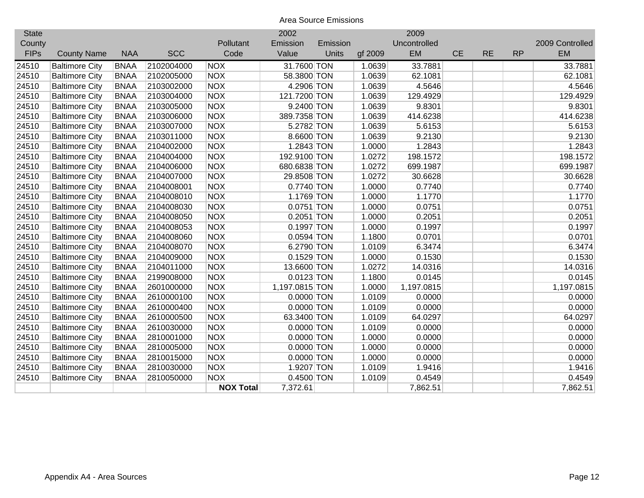| <b>State</b> |                       |             |            |                  | 2002           |          |         | 2009         |           |           |           |                 |
|--------------|-----------------------|-------------|------------|------------------|----------------|----------|---------|--------------|-----------|-----------|-----------|-----------------|
| County       |                       |             |            | Pollutant        | Emission       | Emission |         | Uncontrolled |           |           |           | 2009 Controlled |
| <b>FIPs</b>  | <b>County Name</b>    | <b>NAA</b>  | <b>SCC</b> | Code             | Value          | Units    | gf 2009 | EM           | <b>CE</b> | <b>RE</b> | <b>RP</b> | EM              |
| 24510        | <b>Baltimore City</b> | <b>BNAA</b> | 2102004000 | <b>NOX</b>       | 31.7600 TON    |          | 1.0639  | 33.7881      |           |           |           | 33.7881         |
| 24510        | <b>Baltimore City</b> | <b>BNAA</b> | 2102005000 | <b>NOX</b>       | 58.3800 TON    |          | 1.0639  | 62.1081      |           |           |           | 62.1081         |
| 24510        | <b>Baltimore City</b> | <b>BNAA</b> | 2103002000 | <b>NOX</b>       | 4.2906 TON     |          | 1.0639  | 4.5646       |           |           |           | 4.5646          |
| 24510        | <b>Baltimore City</b> | <b>BNAA</b> | 2103004000 | <b>NOX</b>       | 121.7200 TON   |          | 1.0639  | 129.4929     |           |           |           | 129.4929        |
| 24510        | <b>Baltimore City</b> | <b>BNAA</b> | 2103005000 | <b>NOX</b>       | 9.2400 TON     |          | 1.0639  | 9.8301       |           |           |           | 9.8301          |
| 24510        | <b>Baltimore City</b> | <b>BNAA</b> | 2103006000 | <b>NOX</b>       | 389.7358 TON   |          | 1.0639  | 414.6238     |           |           |           | 414.6238        |
| 24510        | <b>Baltimore City</b> | <b>BNAA</b> | 2103007000 | <b>NOX</b>       | 5.2782 TON     |          | 1.0639  | 5.6153       |           |           |           | 5.6153          |
| 24510        | <b>Baltimore City</b> | <b>BNAA</b> | 2103011000 | <b>NOX</b>       | 8.6600 TON     |          | 1.0639  | 9.2130       |           |           |           | 9.2130          |
| 24510        | <b>Baltimore City</b> | <b>BNAA</b> | 2104002000 | <b>NOX</b>       | 1.2843 TON     |          | 1.0000  | 1.2843       |           |           |           | 1.2843          |
| 24510        | <b>Baltimore City</b> | <b>BNAA</b> | 2104004000 | <b>NOX</b>       | 192.9100 TON   |          | 1.0272  | 198.1572     |           |           |           | 198.1572        |
| 24510        | <b>Baltimore City</b> | <b>BNAA</b> | 2104006000 | <b>NOX</b>       | 680.6838 TON   |          | 1.0272  | 699.1987     |           |           |           | 699.1987        |
| 24510        | <b>Baltimore City</b> | <b>BNAA</b> | 2104007000 | <b>NOX</b>       | 29.8508 TON    |          | 1.0272  | 30.6628      |           |           |           | 30.6628         |
| 24510        | <b>Baltimore City</b> | <b>BNAA</b> | 2104008001 | <b>NOX</b>       | 0.7740 TON     |          | 1.0000  | 0.7740       |           |           |           | 0.7740          |
| 24510        | <b>Baltimore City</b> | <b>BNAA</b> | 2104008010 | <b>NOX</b>       | 1.1769 TON     |          | 1.0000  | 1.1770       |           |           |           | 1.1770          |
| 24510        | <b>Baltimore City</b> | <b>BNAA</b> | 2104008030 | <b>NOX</b>       | 0.0751 TON     |          | 1.0000  | 0.0751       |           |           |           | 0.0751          |
| 24510        | <b>Baltimore City</b> | <b>BNAA</b> | 2104008050 | <b>NOX</b>       | 0.2051 TON     |          | 1.0000  | 0.2051       |           |           |           | 0.2051          |
| 24510        | <b>Baltimore City</b> | <b>BNAA</b> | 2104008053 | <b>NOX</b>       | $0.1997$ TON   |          | 1.0000  | 0.1997       |           |           |           | 0.1997          |
| 24510        | <b>Baltimore City</b> | <b>BNAA</b> | 2104008060 | <b>NOX</b>       | $0.0594$ TON   |          | 1.1800  | 0.0701       |           |           |           | 0.0701          |
| 24510        | <b>Baltimore City</b> | <b>BNAA</b> | 2104008070 | <b>NOX</b>       | 6.2790 TON     |          | 1.0109  | 6.3474       |           |           |           | 6.3474          |
| 24510        | <b>Baltimore City</b> | <b>BNAA</b> | 2104009000 | <b>NOX</b>       | $0.1529$ TON   |          | 1.0000  | 0.1530       |           |           |           | 0.1530          |
| 24510        | <b>Baltimore City</b> | <b>BNAA</b> | 2104011000 | <b>NOX</b>       | 13.6600 TON    |          | 1.0272  | 14.0316      |           |           |           | 14.0316         |
| 24510        | <b>Baltimore City</b> | <b>BNAA</b> | 2199008000 | <b>NOX</b>       | $0.0123$ TON   |          | 1.1800  | 0.0145       |           |           |           | 0.0145          |
| 24510        | <b>Baltimore City</b> | <b>BNAA</b> | 2601000000 | <b>NOX</b>       | 1,197.0815 TON |          | 1.0000  | 1,197.0815   |           |           |           | 1,197.0815      |
| 24510        | <b>Baltimore City</b> | <b>BNAA</b> | 2610000100 | <b>NOX</b>       | $0.0000$ TON   |          | 1.0109  | 0.0000       |           |           |           | 0.0000          |
| 24510        | <b>Baltimore City</b> | <b>BNAA</b> | 2610000400 | <b>NOX</b>       | $0.0000$ TON   |          | 1.0109  | 0.0000       |           |           |           | 0.0000          |
| 24510        | <b>Baltimore City</b> | <b>BNAA</b> | 2610000500 | <b>NOX</b>       | 63.3400 TON    |          | 1.0109  | 64.0297      |           |           |           | 64.0297         |
| 24510        | <b>Baltimore City</b> | <b>BNAA</b> | 2610030000 | <b>NOX</b>       | $0.0000$ TON   |          | 1.0109  | 0.0000       |           |           |           | 0.0000          |
| 24510        | <b>Baltimore City</b> | <b>BNAA</b> | 2810001000 | <b>NOX</b>       | $0.0000$ TON   |          | 1.0000  | 0.0000       |           |           |           | 0.0000          |
| 24510        | <b>Baltimore City</b> | <b>BNAA</b> | 2810005000 | <b>NOX</b>       | $0.0000$ TON   |          | 1.0000  | 0.0000       |           |           |           | 0.0000          |
| 24510        | <b>Baltimore City</b> | <b>BNAA</b> | 2810015000 | <b>NOX</b>       | $0.0000$ TON   |          | 1.0000  | 0.0000       |           |           |           | 0.0000          |
| 24510        | <b>Baltimore City</b> | <b>BNAA</b> | 2810030000 | <b>NOX</b>       | 1.9207 TON     |          | 1.0109  | 1.9416       |           |           |           | 1.9416          |
| 24510        | <b>Baltimore City</b> | <b>BNAA</b> | 2810050000 | <b>NOX</b>       | 0.4500 TON     |          | 1.0109  | 0.4549       |           |           |           | 0.4549          |
|              |                       |             |            | <b>NOX Total</b> | 7,372.61       |          |         | 7,862.51     |           |           |           | 7,862.51        |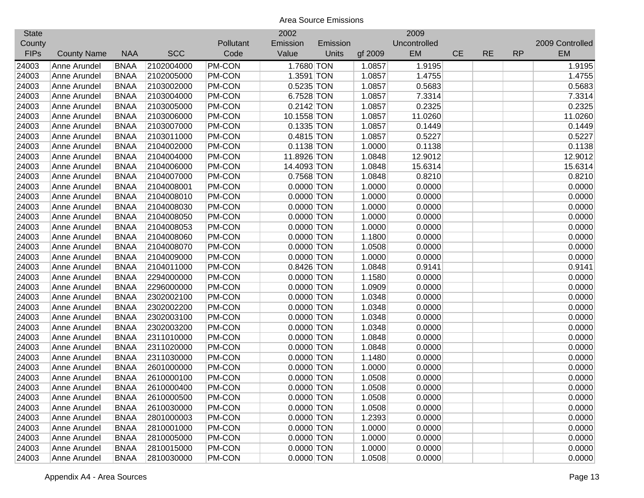| <b>State</b> |                    |             |            |               | 2002         |          |         | 2009         |           |           |           |                 |
|--------------|--------------------|-------------|------------|---------------|--------------|----------|---------|--------------|-----------|-----------|-----------|-----------------|
| County       |                    |             |            | Pollutant     | Emission     | Emission |         | Uncontrolled |           |           |           | 2009 Controlled |
| <b>FIPs</b>  | <b>County Name</b> | <b>NAA</b>  | <b>SCC</b> | Code          | Value        | Units    | gf 2009 | EM           | <b>CE</b> | <b>RE</b> | <b>RP</b> | <b>EM</b>       |
| 24003        | Anne Arundel       | <b>BNAA</b> | 2102004000 | PM-CON        | 1.7680 TON   |          | 1.0857  | 1.9195       |           |           |           | 1.9195          |
| 24003        | Anne Arundel       | <b>BNAA</b> | 2102005000 | <b>PM-CON</b> | 1.3591 TON   |          | 1.0857  | 1.4755       |           |           |           | 1.4755          |
| 24003        | Anne Arundel       | <b>BNAA</b> | 2103002000 | PM-CON        | 0.5235 TON   |          | 1.0857  | 0.5683       |           |           |           | 0.5683          |
| 24003        | Anne Arundel       | <b>BNAA</b> | 2103004000 | PM-CON        | 6.7528 TON   |          | 1.0857  | 7.3314       |           |           |           | 7.3314          |
| 24003        | Anne Arundel       | <b>BNAA</b> | 2103005000 | PM-CON        | $0.2142$ TON |          | 1.0857  | 0.2325       |           |           |           | 0.2325          |
| 24003        | Anne Arundel       | <b>BNAA</b> | 2103006000 | PM-CON        | 10.1558 TON  |          | 1.0857  | 11.0260      |           |           |           | 11.0260         |
| 24003        | Anne Arundel       | <b>BNAA</b> | 2103007000 | PM-CON        | $0.1335$ TON |          | 1.0857  | 0.1449       |           |           |           | 0.1449          |
| 24003        | Anne Arundel       | <b>BNAA</b> | 2103011000 | PM-CON        | $0.4815$ TON |          | 1.0857  | 0.5227       |           |           |           | 0.5227          |
| 24003        | Anne Arundel       | <b>BNAA</b> | 2104002000 | PM-CON        | $0.1138$ TON |          | 1.0000  | 0.1138       |           |           |           | 0.1138          |
| 24003        | Anne Arundel       | <b>BNAA</b> | 2104004000 | PM-CON        | 11.8926 TON  |          | 1.0848  | 12.9012      |           |           |           | 12.9012         |
| 24003        | Anne Arundel       | <b>BNAA</b> | 2104006000 | PM-CON        | 14.4093 TON  |          | 1.0848  | 15.6314      |           |           |           | 15.6314         |
| 24003        | Anne Arundel       | <b>BNAA</b> | 2104007000 | <b>PM-CON</b> | 0.7568 TON   |          | 1.0848  | 0.8210       |           |           |           | 0.8210          |
| 24003        | Anne Arundel       | <b>BNAA</b> | 2104008001 | <b>PM-CON</b> | $0.0000$ TON |          | 1.0000  | 0.0000       |           |           |           | 0.0000          |
| 24003        | Anne Arundel       | <b>BNAA</b> | 2104008010 | <b>PM-CON</b> | $0.0000$ TON |          | 1.0000  | 0.0000       |           |           |           | 0.0000          |
| 24003        | Anne Arundel       | <b>BNAA</b> | 2104008030 | <b>PM-CON</b> | $0.0000$ TON |          | 1.0000  | 0.0000       |           |           |           | 0.0000          |
| 24003        | Anne Arundel       | <b>BNAA</b> | 2104008050 | PM-CON        | $0.0000$ TON |          | 1.0000  | 0.0000       |           |           |           | 0.0000          |
| 24003        | Anne Arundel       | <b>BNAA</b> | 2104008053 | PM-CON        | $0.0000$ TON |          | 1.0000  | 0.0000       |           |           |           | 0.0000          |
| 24003        | Anne Arundel       | <b>BNAA</b> | 2104008060 | <b>PM-CON</b> | $0.0000$ TON |          | 1.1800  | 0.0000       |           |           |           | 0.0000          |
| 24003        | Anne Arundel       | <b>BNAA</b> | 2104008070 | PM-CON        | $0.0000$ TON |          | 1.0508  | 0.0000       |           |           |           | 0.0000          |
| 24003        | Anne Arundel       | <b>BNAA</b> | 2104009000 | PM-CON        | $0.0000$ TON |          | 1.0000  | 0.0000       |           |           |           | 0.0000          |
| 24003        | Anne Arundel       | <b>BNAA</b> | 2104011000 | PM-CON        | 0.8426 TON   |          | 1.0848  | 0.9141       |           |           |           | 0.9141          |
| 24003        | Anne Arundel       | <b>BNAA</b> | 2294000000 | PM-CON        | $0.0000$ TON |          | 1.1580  | 0.0000       |           |           |           | 0.0000          |
| 24003        | Anne Arundel       | <b>BNAA</b> | 2296000000 | PM-CON        | $0.0000$ TON |          | 1.0909  | 0.0000       |           |           |           | 0.0000          |
| 24003        | Anne Arundel       | <b>BNAA</b> | 2302002100 | PM-CON        | $0.0000$ TON |          | 1.0348  | 0.0000       |           |           |           | 0.0000          |
| 24003        | Anne Arundel       | <b>BNAA</b> | 2302002200 | PM-CON        | $0.0000$ TON |          | 1.0348  | 0.0000       |           |           |           | 0.0000          |
| 24003        | Anne Arundel       | <b>BNAA</b> | 2302003100 | PM-CON        | $0.0000$ TON |          | 1.0348  | 0.0000       |           |           |           | 0.0000          |
| 24003        | Anne Arundel       | <b>BNAA</b> | 2302003200 | PM-CON        | $0.0000$ TON |          | 1.0348  | 0.0000       |           |           |           | 0.0000          |
| 24003        | Anne Arundel       | <b>BNAA</b> | 2311010000 | PM-CON        | $0.0000$ TON |          | 1.0848  | 0.0000       |           |           |           | 0.0000          |
| 24003        | Anne Arundel       | <b>BNAA</b> | 2311020000 | PM-CON        | $0.0000$ TON |          | 1.0848  | 0.0000       |           |           |           | 0.0000          |
| 24003        | Anne Arundel       | <b>BNAA</b> | 2311030000 | PM-CON        | $0.0000$ TON |          | 1.1480  | 0.0000       |           |           |           | 0.0000          |
| 24003        | Anne Arundel       | <b>BNAA</b> | 2601000000 | PM-CON        | $0.0000$ TON |          | 1.0000  | 0.0000       |           |           |           | 0.0000          |
| 24003        | Anne Arundel       | <b>BNAA</b> | 2610000100 | PM-CON        | $0.0000$ TON |          | 1.0508  | 0.0000       |           |           |           | 0.0000          |
| 24003        | Anne Arundel       | <b>BNAA</b> | 2610000400 | PM-CON        | $0.0000$ TON |          | 1.0508  | 0.0000       |           |           |           | 0.0000          |
| 24003        | Anne Arundel       | <b>BNAA</b> | 2610000500 | <b>PM-CON</b> | $0.0000$ TON |          | 1.0508  | 0.0000       |           |           |           | 0.0000          |
| 24003        | Anne Arundel       | <b>BNAA</b> | 2610030000 | <b>PM-CON</b> | $0.0000$ TON |          | 1.0508  | 0.0000       |           |           |           | 0.0000          |
| 24003        | Anne Arundel       | <b>BNAA</b> | 2801000003 | <b>PM-CON</b> | $0.0000$ TON |          | 1.2393  | 0.0000       |           |           |           | 0.0000          |
| 24003        | Anne Arundel       | <b>BNAA</b> | 2810001000 | PM-CON        | $0.0000$ TON |          | 1.0000  | 0.0000       |           |           |           | 0.0000          |
| 24003        | Anne Arundel       | <b>BNAA</b> | 2810005000 | PM-CON        | $0.0000$ TON |          | 1.0000  | 0.0000       |           |           |           | 0.0000          |
| 24003        | Anne Arundel       | <b>BNAA</b> | 2810015000 | PM-CON        | 0.0000 TON   |          | 1.0000  | 0.0000       |           |           |           | 0.0000          |
| 24003        | Anne Arundel       | <b>BNAA</b> | 2810030000 | <b>PM-CON</b> | $0.0000$ TON |          | 1.0508  | 0.0000       |           |           |           | 0.0000          |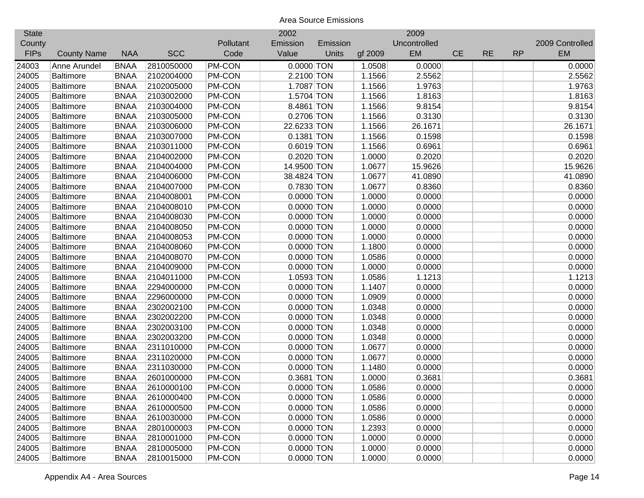| <b>State</b> |                    |             |            |               | 2002         |          |         | 2009         |           |           |           |                 |
|--------------|--------------------|-------------|------------|---------------|--------------|----------|---------|--------------|-----------|-----------|-----------|-----------------|
| County       |                    |             |            | Pollutant     | Emission     | Emission |         | Uncontrolled |           |           |           | 2009 Controlled |
| <b>FIPs</b>  | <b>County Name</b> | <b>NAA</b>  | <b>SCC</b> | Code          | Value        | Units    | gf 2009 | EM           | <b>CE</b> | <b>RE</b> | <b>RP</b> | <b>EM</b>       |
| 24003        | Anne Arundel       | <b>BNAA</b> | 2810050000 | PM-CON        | $0.0000$ TON |          | 1.0508  | 0.0000       |           |           |           | 0.0000          |
| 24005        | <b>Baltimore</b>   | <b>BNAA</b> | 2102004000 | PM-CON        | 2.2100 TON   |          | 1.1566  | 2.5562       |           |           |           | 2.5562          |
| 24005        | <b>Baltimore</b>   | <b>BNAA</b> | 2102005000 | PM-CON        | 1.7087 TON   |          | 1.1566  | 1.9763       |           |           |           | 1.9763          |
| 24005        | <b>Baltimore</b>   | <b>BNAA</b> | 2103002000 | PM-CON        | 1.5704 TON   |          | 1.1566  | 1.8163       |           |           |           | 1.8163          |
| 24005        | <b>Baltimore</b>   | <b>BNAA</b> | 2103004000 | PM-CON        | 8.4861 TON   |          | 1.1566  | 9.8154       |           |           |           | 9.8154          |
| 24005        | <b>Baltimore</b>   | <b>BNAA</b> | 2103005000 | PM-CON        | 0.2706 TON   |          | 1.1566  | 0.3130       |           |           |           | 0.3130          |
| 24005        | <b>Baltimore</b>   | <b>BNAA</b> | 2103006000 | PM-CON        | 22.6233 TON  |          | 1.1566  | 26.1671      |           |           |           | 26.1671         |
| 24005        | <b>Baltimore</b>   | <b>BNAA</b> | 2103007000 | PM-CON        | 0.1381 TON   |          | 1.1566  | 0.1598       |           |           |           | 0.1598          |
| 24005        | <b>Baltimore</b>   | <b>BNAA</b> | 2103011000 | PM-CON        | $0.6019$ TON |          | 1.1566  | 0.6961       |           |           |           | 0.6961          |
| 24005        | <b>Baltimore</b>   | <b>BNAA</b> | 2104002000 | PM-CON        | 0.2020 TON   |          | 1.0000  | 0.2020       |           |           |           | 0.2020          |
| 24005        | <b>Baltimore</b>   | <b>BNAA</b> | 2104004000 | PM-CON        | 14.9500 TON  |          | 1.0677  | 15.9626      |           |           |           | 15.9626         |
| 24005        | <b>Baltimore</b>   | <b>BNAA</b> | 2104006000 | <b>PM-CON</b> | 38.4824 TON  |          | 1.0677  | 41.0890      |           |           |           | 41.0890         |
| 24005        | <b>Baltimore</b>   | <b>BNAA</b> | 2104007000 | <b>PM-CON</b> | 0.7830 TON   |          | 1.0677  | 0.8360       |           |           |           | 0.8360          |
| 24005        | <b>Baltimore</b>   | <b>BNAA</b> | 2104008001 | <b>PM-CON</b> | $0.0000$ TON |          | 1.0000  | 0.0000       |           |           |           | 0.0000          |
| 24005        | <b>Baltimore</b>   | <b>BNAA</b> | 2104008010 | <b>PM-CON</b> | $0.0000$ TON |          | 1.0000  | 0.0000       |           |           |           | 0.0000          |
| 24005        | <b>Baltimore</b>   | <b>BNAA</b> | 2104008030 | <b>PM-CON</b> | $0.0000$ TON |          | 1.0000  | 0.0000       |           |           |           | 0.0000          |
| 24005        | <b>Baltimore</b>   | <b>BNAA</b> | 2104008050 | PM-CON        | $0.0000$ TON |          | 1.0000  | 0.0000       |           |           |           | 0.0000          |
| 24005        | <b>Baltimore</b>   | <b>BNAA</b> | 2104008053 | PM-CON        | $0.0000$ TON |          | 1.0000  | 0.0000       |           |           |           | 0.0000          |
| 24005        | Baltimore          | <b>BNAA</b> | 2104008060 | PM-CON        | $0.0000$ TON |          | 1.1800  | 0.0000       |           |           |           | 0.0000          |
| 24005        | <b>Baltimore</b>   | <b>BNAA</b> | 2104008070 | PM-CON        | $0.0000$ TON |          | 1.0586  | 0.0000       |           |           |           | 0.0000          |
| 24005        | <b>Baltimore</b>   | <b>BNAA</b> | 2104009000 | PM-CON        | $0.0000$ TON |          | 1.0000  | 0.0000       |           |           |           | 0.0000          |
| 24005        | <b>Baltimore</b>   | <b>BNAA</b> | 2104011000 | PM-CON        | 1.0593 TON   |          | 1.0586  | 1.1213       |           |           |           | 1.1213          |
| 24005        | <b>Baltimore</b>   | <b>BNAA</b> | 2294000000 | PM-CON        | $0.0000$ TON |          | 1.1407  | 0.0000       |           |           |           | 0.0000          |
| 24005        | <b>Baltimore</b>   | <b>BNAA</b> | 2296000000 | PM-CON        | $0.0000$ TON |          | 1.0909  | 0.0000       |           |           |           | 0.0000          |
| 24005        | <b>Baltimore</b>   | <b>BNAA</b> | 2302002100 | PM-CON        | $0.0000$ TON |          | 1.0348  | 0.0000       |           |           |           | 0.0000          |
| 24005        | <b>Baltimore</b>   | <b>BNAA</b> | 2302002200 | PM-CON        | $0.0000$ TON |          | 1.0348  | 0.0000       |           |           |           | 0.0000          |
| 24005        | <b>Baltimore</b>   | <b>BNAA</b> | 2302003100 | PM-CON        | $0.0000$ TON |          | 1.0348  | 0.0000       |           |           |           | 0.0000          |
| 24005        | <b>Baltimore</b>   | <b>BNAA</b> | 2302003200 | PM-CON        | $0.0000$ TON |          | 1.0348  | 0.0000       |           |           |           | 0.0000          |
| 24005        | <b>Baltimore</b>   | <b>BNAA</b> | 2311010000 | PM-CON        | $0.0000$ TON |          | 1.0677  | 0.0000       |           |           |           | 0.0000          |
| 24005        | <b>Baltimore</b>   | <b>BNAA</b> | 2311020000 | <b>PM-CON</b> | $0.0000$ TON |          | 1.0677  | 0.0000       |           |           |           | 0.0000          |
| 24005        | <b>Baltimore</b>   | <b>BNAA</b> | 2311030000 | PM-CON        | $0.0000$ TON |          | 1.1480  | 0.0000       |           |           |           | 0.0000          |
| 24005        | <b>Baltimore</b>   | <b>BNAA</b> | 2601000000 | PM-CON        | 0.3681 TON   |          | 1.0000  | 0.3681       |           |           |           | 0.3681          |
| 24005        | <b>Baltimore</b>   | <b>BNAA</b> | 2610000100 | PM-CON        | $0.0000$ TON |          | 1.0586  | 0.0000       |           |           |           | 0.0000          |
| 24005        | <b>Baltimore</b>   | <b>BNAA</b> | 2610000400 | PM-CON        | $0.0000$ TON |          | 1.0586  | 0.0000       |           |           |           | 0.0000          |
| 24005        | <b>Baltimore</b>   | <b>BNAA</b> | 2610000500 | PM-CON        | $0.0000$ TON |          | 1.0586  | 0.0000       |           |           |           | 0.0000          |
| 24005        | <b>Baltimore</b>   | <b>BNAA</b> | 2610030000 | PM-CON        | $0.0000$ TON |          | 1.0586  | 0.0000       |           |           |           | 0.0000          |
| 24005        | <b>Baltimore</b>   | <b>BNAA</b> | 2801000003 | PM-CON        | $0.0000$ TON |          | 1.2393  | 0.0000       |           |           |           | 0.0000          |
| 24005        | <b>Baltimore</b>   | <b>BNAA</b> | 2810001000 | PM-CON        | $0.0000$ TON |          | 1.0000  | 0.0000       |           |           |           | 0.0000          |
| 24005        | <b>Baltimore</b>   | <b>BNAA</b> | 2810005000 | <b>PM-CON</b> | $0.0000$ TON |          | 1.0000  | 0.0000       |           |           |           | 0.0000          |
| 24005        | Baltimore          | <b>BNAA</b> | 2810015000 | <b>PM-CON</b> | 0.0000 TON   |          | 1.0000  | 0.0000       |           |           |           | 0.0000          |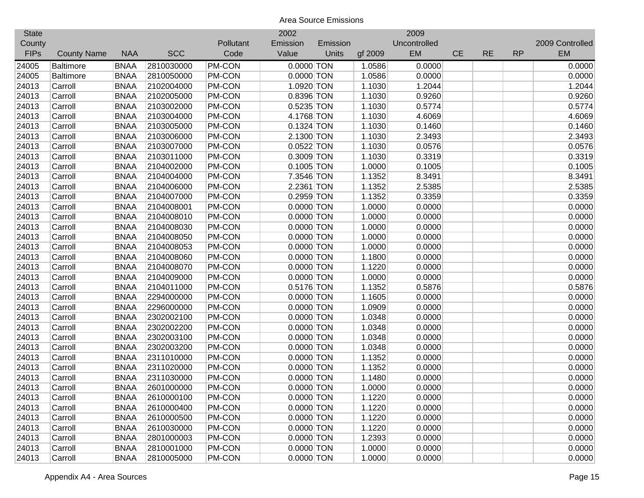| <b>State</b> |                    |             |            |               | 2002         |          |         | 2009         |           |           |           |                 |
|--------------|--------------------|-------------|------------|---------------|--------------|----------|---------|--------------|-----------|-----------|-----------|-----------------|
| County       |                    |             |            | Pollutant     | Emission     | Emission |         | Uncontrolled |           |           |           | 2009 Controlled |
| <b>FIPs</b>  | <b>County Name</b> | <b>NAA</b>  | <b>SCC</b> | Code          | Value        | Units    | gf 2009 | EM           | <b>CE</b> | <b>RE</b> | <b>RP</b> | <b>EM</b>       |
| 24005        | <b>Baltimore</b>   | <b>BNAA</b> | 2810030000 | <b>PM-CON</b> | $0.0000$ TON |          | 1.0586  | 0.0000       |           |           |           | 0.0000          |
| 24005        | <b>Baltimore</b>   | <b>BNAA</b> | 2810050000 | PM-CON        | $0.0000$ TON |          | 1.0586  | 0.0000       |           |           |           | 0.0000          |
| 24013        | Carroll            | <b>BNAA</b> | 2102004000 | PM-CON        | 1.0920 TON   |          | 1.1030  | 1.2044       |           |           |           | 1.2044          |
| 24013        | Carroll            | <b>BNAA</b> | 2102005000 | PM-CON        | 0.8396 TON   |          | 1.1030  | 0.9260       |           |           |           | 0.9260          |
| 24013        | Carroll            | <b>BNAA</b> | 2103002000 | PM-CON        | 0.5235 TON   |          | 1.1030  | 0.5774       |           |           |           | 0.5774          |
| 24013        | Carroll            | <b>BNAA</b> | 2103004000 | PM-CON        | 4.1768 TON   |          | 1.1030  | 4.6069       |           |           |           | 4.6069          |
| 24013        | Carroll            | <b>BNAA</b> | 2103005000 | PM-CON        | $0.1324$ TON |          | 1.1030  | 0.1460       |           |           |           | 0.1460          |
| 24013        | Carroll            | <b>BNAA</b> | 2103006000 | PM-CON        | 2.1300 TON   |          | 1.1030  | 2.3493       |           |           |           | 2.3493          |
| 24013        | Carroll            | <b>BNAA</b> | 2103007000 | PM-CON        | $0.0522$ TON |          | 1.1030  | 0.0576       |           |           |           | 0.0576          |
| 24013        | Carroll            | <b>BNAA</b> | 2103011000 | PM-CON        | 0.3009 TON   |          | 1.1030  | 0.3319       |           |           |           | 0.3319          |
| 24013        | Carroll            | <b>BNAA</b> | 2104002000 | PM-CON        | $0.1005$ TON |          | 1.0000  | 0.1005       |           |           |           | 0.1005          |
| 24013        | Carroll            | <b>BNAA</b> | 2104004000 | <b>PM-CON</b> | 7.3546 TON   |          | 1.1352  | 8.3491       |           |           |           | 8.3491          |
| 24013        | Carroll            | <b>BNAA</b> | 2104006000 | <b>PM-CON</b> | 2.2361 TON   |          | 1.1352  | 2.5385       |           |           |           | 2.5385          |
| 24013        | Carroll            | <b>BNAA</b> | 2104007000 | <b>PM-CON</b> | 0.2959 TON   |          | 1.1352  | 0.3359       |           |           |           | 0.3359          |
| 24013        | Carroll            | <b>BNAA</b> | 2104008001 | <b>PM-CON</b> | $0.0000$ TON |          | 1.0000  | 0.0000       |           |           |           | 0.0000          |
| 24013        | Carroll            | <b>BNAA</b> | 2104008010 | <b>PM-CON</b> | 0.0000 TON   |          | 1.0000  | 0.0000       |           |           |           | 0.0000          |
| 24013        | Carroll            | <b>BNAA</b> | 2104008030 | PM-CON        | $0.0000$ TON |          | 1.0000  | 0.0000       |           |           |           | 0.0000          |
| 24013        | Carroll            | <b>BNAA</b> | 2104008050 | PM-CON        | 0.0000 TON   |          | 1.0000  | 0.0000       |           |           |           | 0.0000          |
| 24013        | Carroll            | <b>BNAA</b> | 2104008053 | PM-CON        | $0.0000$ TON |          | 1.0000  | 0.0000       |           |           |           | 0.0000          |
| 24013        | Carroll            | <b>BNAA</b> | 2104008060 | PM-CON        | 0.0000 TON   |          | 1.1800  | 0.0000       |           |           |           | 0.0000          |
| 24013        | Carroll            | <b>BNAA</b> | 2104008070 | PM-CON        | $0.0000$ TON |          | 1.1220  | 0.0000       |           |           |           | 0.0000          |
| 24013        | Carroll            | <b>BNAA</b> | 2104009000 | PM-CON        | $0.0000$ TON |          | 1.0000  | 0.0000       |           |           |           | 0.0000          |
| 24013        | Carroll            | <b>BNAA</b> | 2104011000 | PM-CON        | 0.5176 TON   |          | 1.1352  | 0.5876       |           |           |           | 0.5876          |
| 24013        | Carroll            | <b>BNAA</b> | 2294000000 | PM-CON        | $0.0000$ TON |          | 1.1605  | 0.0000       |           |           |           | 0.0000          |
| 24013        | Carroll            | <b>BNAA</b> | 2296000000 | PM-CON        | $0.0000$ TON |          | 1.0909  | 0.0000       |           |           |           | 0.0000          |
| 24013        | Carroll            | <b>BNAA</b> | 2302002100 | PM-CON        | $0.0000$ TON |          | 1.0348  | 0.0000       |           |           |           | 0.0000          |
| 24013        | Carroll            | <b>BNAA</b> | 2302002200 | PM-CON        | $0.0000$ TON |          | 1.0348  | 0.0000       |           |           |           | 0.0000          |
| 24013        | Carroll            | <b>BNAA</b> | 2302003100 | PM-CON        | $0.0000$ TON |          | 1.0348  | 0.0000       |           |           |           | 0.0000          |
| 24013        | Carroll            | <b>BNAA</b> | 2302003200 | PM-CON        | $0.0000$ TON |          | 1.0348  | 0.0000       |           |           |           | 0.0000          |
| 24013        | Carroll            | <b>BNAA</b> | 2311010000 | <b>PM-CON</b> | $0.0000$ TON |          | 1.1352  | 0.0000       |           |           |           | 0.0000          |
| 24013        | Carroll            | <b>BNAA</b> | 2311020000 | PM-CON        | $0.0000$ TON |          | 1.1352  | 0.0000       |           |           |           | 0.0000          |
| 24013        | Carroll            | <b>BNAA</b> | 2311030000 | PM-CON        | $0.0000$ TON |          | 1.1480  | 0.0000       |           |           |           | 0.0000          |
| 24013        | Carroll            | <b>BNAA</b> | 2601000000 | PM-CON        | $0.0000$ TON |          | 1.0000  | 0.0000       |           |           |           | 0.0000          |
| 24013        | Carroll            | <b>BNAA</b> | 2610000100 | PM-CON        | $0.0000$ TON |          | 1.1220  | 0.0000       |           |           |           | 0.0000          |
| 24013        | Carroll            | <b>BNAA</b> | 2610000400 | PM-CON        | $0.0000$ TON |          | 1.1220  | 0.0000       |           |           |           | 0.0000          |
| 24013        | Carroll            | <b>BNAA</b> | 2610000500 | PM-CON        | $0.0000$ TON |          | 1.1220  | 0.0000       |           |           |           | 0.0000          |
| 24013        | Carroll            | <b>BNAA</b> | 2610030000 | PM-CON        | $0.0000$ TON |          | 1.1220  | 0.0000       |           |           |           | 0.0000          |
| 24013        | Carroll            | <b>BNAA</b> | 2801000003 | PM-CON        | $0.0000$ TON |          | 1.2393  | 0.0000       |           |           |           | 0.0000          |
| 24013        | Carroll            | <b>BNAA</b> | 2810001000 | PM-CON        | $0.0000$ TON |          | 1.0000  | 0.0000       |           |           |           | 0.0000          |
| 24013        | Carroll            | <b>BNAA</b> | 2810005000 | <b>PM-CON</b> | 0.0000 TON   |          | 1.0000  | 0.0000       |           |           |           | 0.0000          |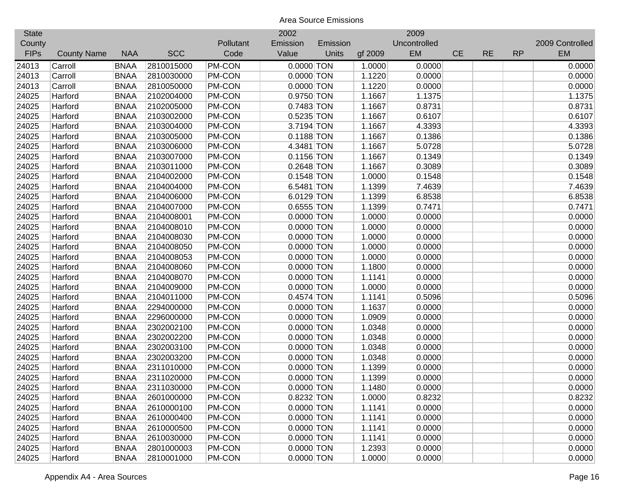| <b>State</b> |                    |             |            |               | 2002         |          |         | 2009         |           |           |           |                 |
|--------------|--------------------|-------------|------------|---------------|--------------|----------|---------|--------------|-----------|-----------|-----------|-----------------|
| County       |                    |             |            | Pollutant     | Emission     | Emission |         | Uncontrolled |           |           |           | 2009 Controlled |
| <b>FIPs</b>  | <b>County Name</b> | <b>NAA</b>  | <b>SCC</b> | Code          | Value        | Units    | gf 2009 | EM           | <b>CE</b> | <b>RE</b> | <b>RP</b> | <b>EM</b>       |
| 24013        | Carroll            | <b>BNAA</b> | 2810015000 | <b>PM-CON</b> | $0.0000$ TON |          | 1.0000  | 0.0000       |           |           |           | 0.0000          |
| 24013        | Carroll            | <b>BNAA</b> | 2810030000 | PM-CON        | 0.0000 TON   |          | 1.1220  | 0.0000       |           |           |           | 0.0000          |
| 24013        | Carroll            | <b>BNAA</b> | 2810050000 | PM-CON        | $0.0000$ TON |          | 1.1220  | 0.0000       |           |           |           | 0.0000          |
| 24025        | Harford            | <b>BNAA</b> | 2102004000 | PM-CON        | 0.9750 TON   |          | 1.1667  | 1.1375       |           |           |           | 1.1375          |
| 24025        | Harford            | <b>BNAA</b> | 2102005000 | PM-CON        | 0.7483 TON   |          | 1.1667  | 0.8731       |           |           |           | 0.8731          |
| 24025        | Harford            | <b>BNAA</b> | 2103002000 | PM-CON        | 0.5235 TON   |          | 1.1667  | 0.6107       |           |           |           | 0.6107          |
| 24025        | Harford            | <b>BNAA</b> | 2103004000 | PM-CON        | 3.7194 TON   |          | 1.1667  | 4.3393       |           |           |           | 4.3393          |
| 24025        | Harford            | <b>BNAA</b> | 2103005000 | PM-CON        | $0.1188$ TON |          | 1.1667  | 0.1386       |           |           |           | 0.1386          |
| 24025        | Harford            | <b>BNAA</b> | 2103006000 | PM-CON        | 4.3481 TON   |          | 1.1667  | 5.0728       |           |           |           | 5.0728          |
| 24025        | Harford            | <b>BNAA</b> | 2103007000 | PM-CON        | $0.1156$ TON |          | 1.1667  | 0.1349       |           |           |           | 0.1349          |
| 24025        | Harford            | <b>BNAA</b> | 2103011000 | PM-CON        | $0.2648$ TON |          | 1.1667  | 0.3089       |           |           |           | 0.3089          |
| 24025        | Harford            | <b>BNAA</b> | 2104002000 | <b>PM-CON</b> | $0.1548$ TON |          | 1.0000  | 0.1548       |           |           |           | 0.1548          |
| 24025        | Harford            | <b>BNAA</b> | 2104004000 | <b>PM-CON</b> | 6.5481 TON   |          | 1.1399  | 7.4639       |           |           |           | 7.4639          |
| 24025        | Harford            | <b>BNAA</b> | 2104006000 | <b>PM-CON</b> | 6.0129 TON   |          | 1.1399  | 6.8538       |           |           |           | 6.8538          |
| 24025        | Harford            | <b>BNAA</b> | 2104007000 | <b>PM-CON</b> | 0.6555 TON   |          | 1.1399  | 0.7471       |           |           |           | 0.7471          |
| 24025        | Harford            | <b>BNAA</b> | 2104008001 | <b>PM-CON</b> | 0.0000 TON   |          | 1.0000  | 0.0000       |           |           |           | 0.0000          |
| 24025        | Harford            | <b>BNAA</b> | 2104008010 | PM-CON        | $0.0000$ TON |          | 1.0000  | 0.0000       |           |           |           | 0.0000          |
| 24025        | Harford            | <b>BNAA</b> | 2104008030 | PM-CON        | $0.0000$ TON |          | 1.0000  | 0.0000       |           |           |           | 0.0000          |
| 24025        | Harford            | <b>BNAA</b> | 2104008050 | PM-CON        | $0.0000$ TON |          | 1.0000  | 0.0000       |           |           |           | 0.0000          |
| 24025        | Harford            | <b>BNAA</b> | 2104008053 | PM-CON        | 0.0000 TON   |          | 1.0000  | 0.0000       |           |           |           | 0.0000          |
| 24025        | Harford            | <b>BNAA</b> | 2104008060 | PM-CON        | $0.0000$ TON |          | 1.1800  | 0.0000       |           |           |           | 0.0000          |
| 24025        | Harford            | <b>BNAA</b> | 2104008070 | PM-CON        | $0.0000$ TON |          | 1.1141  | 0.0000       |           |           |           | 0.0000          |
| 24025        | Harford            | <b>BNAA</b> | 2104009000 | PM-CON        | $0.0000$ TON |          | 1.0000  | 0.0000       |           |           |           | 0.0000          |
| 24025        | Harford            | <b>BNAA</b> | 2104011000 | PM-CON        | $0.4574$ TON |          | 1.1141  | 0.5096       |           |           |           | 0.5096          |
| 24025        | Harford            | <b>BNAA</b> | 2294000000 | PM-CON        | $0.0000$ TON |          | 1.1637  | 0.0000       |           |           |           | 0.0000          |
| 24025        | Harford            | <b>BNAA</b> | 2296000000 | PM-CON        | $0.0000$ TON |          | 1.0909  | 0.0000       |           |           |           | 0.0000          |
| 24025        | Harford            | <b>BNAA</b> | 2302002100 | PM-CON        | $0.0000$ TON |          | 1.0348  | 0.0000       |           |           |           | 0.0000          |
| 24025        | Harford            | <b>BNAA</b> | 2302002200 | PM-CON        | $0.0000$ TON |          | 1.0348  | 0.0000       |           |           |           | 0.0000          |
| 24025        | Harford            | <b>BNAA</b> | 2302003100 | PM-CON        | $0.0000$ TON |          | 1.0348  | 0.0000       |           |           |           | 0.0000          |
| 24025        | Harford            | <b>BNAA</b> | 2302003200 | <b>PM-CON</b> | 0.0000 TON   |          | 1.0348  | 0.0000       |           |           |           | 0.0000          |
| 24025        | Harford            | <b>BNAA</b> | 2311010000 | PM-CON        | $0.0000$ TON |          | 1.1399  | 0.0000       |           |           |           | 0.0000          |
| 24025        | Harford            | <b>BNAA</b> | 2311020000 | PM-CON        | $0.0000$ TON |          | 1.1399  | 0.0000       |           |           |           | 0.0000          |
| 24025        | Harford            | <b>BNAA</b> | 2311030000 | <b>PM-CON</b> | $0.0000$ TON |          | 1.1480  | 0.0000       |           |           |           | 0.0000          |
| 24025        | Harford            | <b>BNAA</b> | 2601000000 | PM-CON        | 0.8232 TON   |          | 1.0000  | 0.8232       |           |           |           | 0.8232          |
| 24025        | Harford            | <b>BNAA</b> | 2610000100 | PM-CON        | $0.0000$ TON |          | 1.1141  | 0.0000       |           |           |           | 0.0000          |
| 24025        | Harford            | <b>BNAA</b> | 2610000400 | PM-CON        | $0.0000$ TON |          | 1.1141  | 0.0000       |           |           |           | 0.0000          |
| 24025        | Harford            | <b>BNAA</b> | 2610000500 | PM-CON        | $0.0000$ TON |          | 1.1141  | 0.0000       |           |           |           | 0.0000          |
| 24025        | Harford            | <b>BNAA</b> | 2610030000 | PM-CON        | $0.0000$ TON |          | 1.1141  | 0.0000       |           |           |           | 0.0000          |
| 24025        | Harford            | <b>BNAA</b> | 2801000003 | PM-CON        | $0.0000$ TON |          | 1.2393  | 0.0000       |           |           |           | 0.0000          |
| 24025        | Harford            | <b>BNAA</b> | 2810001000 | <b>PM-CON</b> | 0.0000 TON   |          | 1.0000  | 0.0000       |           |           |           | 0.0000          |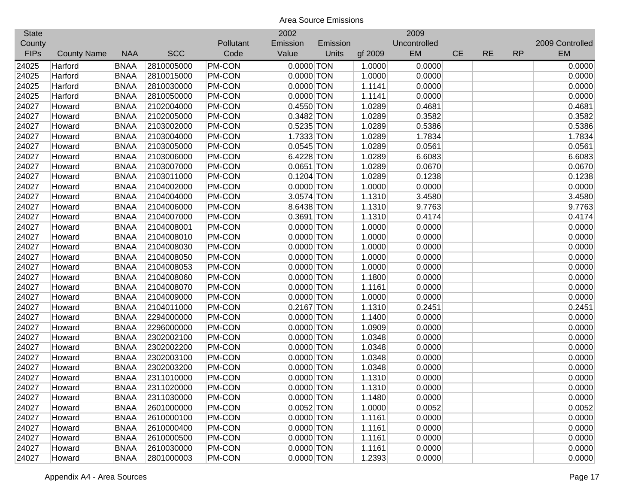| <b>State</b> |                    |             |            |               | 2002         |          |         | 2009         |           |           |           |                 |
|--------------|--------------------|-------------|------------|---------------|--------------|----------|---------|--------------|-----------|-----------|-----------|-----------------|
| County       |                    |             |            | Pollutant     | Emission     | Emission |         | Uncontrolled |           |           |           | 2009 Controlled |
| <b>FIPs</b>  | <b>County Name</b> | <b>NAA</b>  | <b>SCC</b> | Code          | Value        | Units    | gf 2009 | EM           | <b>CE</b> | <b>RE</b> | <b>RP</b> | <b>EM</b>       |
| 24025        | Harford            | <b>BNAA</b> | 2810005000 | PM-CON        | $0.0000$ TON |          | 1.0000  | 0.0000       |           |           |           | 0.0000          |
| 24025        | Harford            | <b>BNAA</b> | 2810015000 | PM-CON        | $0.0000$ TON |          | 1.0000  | 0.0000       |           |           |           | 0.0000          |
| 24025        | Harford            | <b>BNAA</b> | 2810030000 | PM-CON        | $0.0000$ TON |          | 1.1141  | 0.0000       |           |           |           | 0.0000          |
| 24025        | Harford            | <b>BNAA</b> | 2810050000 | PM-CON        | $0.0000$ TON |          | 1.1141  | 0.0000       |           |           |           | 0.0000          |
| 24027        | Howard             | <b>BNAA</b> | 2102004000 | PM-CON        | 0.4550 TON   |          | 1.0289  | 0.4681       |           |           |           | 0.4681          |
| 24027        | Howard             | <b>BNAA</b> | 2102005000 | PM-CON        | 0.3482 TON   |          | 1.0289  | 0.3582       |           |           |           | 0.3582          |
| 24027        | Howard             | <b>BNAA</b> | 2103002000 | PM-CON        | 0.5235 TON   |          | 1.0289  | 0.5386       |           |           |           | 0.5386          |
| 24027        | Howard             | <b>BNAA</b> | 2103004000 | PM-CON        | 1.7333 TON   |          | 1.0289  | 1.7834       |           |           |           | 1.7834          |
| 24027        | Howard             | <b>BNAA</b> | 2103005000 | PM-CON        | $0.0545$ TON |          | 1.0289  | 0.0561       |           |           |           | 0.0561          |
| 24027        | Howard             | <b>BNAA</b> | 2103006000 | PM-CON        | 6.4228 TON   |          | 1.0289  | 6.6083       |           |           |           | 6.6083          |
| 24027        | Howard             | <b>BNAA</b> | 2103007000 | PM-CON        | $0.0651$ TON |          | 1.0289  | 0.0670       |           |           |           | 0.0670          |
| 24027        | Howard             | <b>BNAA</b> | 2103011000 | <b>PM-CON</b> | $0.1204$ TON |          | 1.0289  | 0.1238       |           |           |           | 0.1238          |
| 24027        | Howard             | <b>BNAA</b> | 2104002000 | <b>PM-CON</b> | $0.0000$ TON |          | 1.0000  | 0.0000       |           |           |           | 0.0000          |
| 24027        | Howard             | <b>BNAA</b> | 2104004000 | <b>PM-CON</b> | 3.0574 TON   |          | 1.1310  | 3.4580       |           |           |           | 3.4580          |
| 24027        | Howard             | <b>BNAA</b> | 2104006000 | <b>PM-CON</b> | 8.6438 TON   |          | 1.1310  | 9.7763       |           |           |           | 9.7763          |
| 24027        | Howard             | <b>BNAA</b> | 2104007000 | <b>PM-CON</b> | 0.3691 TON   |          | 1.1310  | 0.4174       |           |           |           | 0.4174          |
| 24027        | Howard             | <b>BNAA</b> | 2104008001 | PM-CON        | 0.0000 TON   |          | 1.0000  | 0.0000       |           |           |           | 0.0000          |
| 24027        | Howard             | <b>BNAA</b> | 2104008010 | PM-CON        | $0.0000$ TON |          | 1.0000  | 0.0000       |           |           |           | 0.0000          |
| 24027        | Howard             | <b>BNAA</b> | 2104008030 | PM-CON        | $0.0000$ TON |          | 1.0000  | 0.0000       |           |           |           | 0.0000          |
| 24027        | Howard             | <b>BNAA</b> | 2104008050 | PM-CON        | $0.0000$ TON |          | 1.0000  | 0.0000       |           |           |           | 0.0000          |
| 24027        | Howard             | <b>BNAA</b> | 2104008053 | PM-CON        | $0.0000$ TON |          | 1.0000  | 0.0000       |           |           |           | 0.0000          |
| 24027        | Howard             | <b>BNAA</b> | 2104008060 | PM-CON        | $0.0000$ TON |          | 1.1800  | 0.0000       |           |           |           | 0.0000          |
| 24027        | Howard             | <b>BNAA</b> | 2104008070 | PM-CON        | $0.0000$ TON |          | 1.1161  | 0.0000       |           |           |           | 0.0000          |
| 24027        | Howard             | <b>BNAA</b> | 2104009000 | PM-CON        | $0.0000$ TON |          | 1.0000  | 0.0000       |           |           |           | 0.0000          |
| 24027        | Howard             | <b>BNAA</b> | 2104011000 | PM-CON        | $0.2167$ TON |          | 1.1310  | 0.2451       |           |           |           | 0.2451          |
| 24027        | Howard             | <b>BNAA</b> | 2294000000 | PM-CON        | $0.0000$ TON |          | 1.1400  | 0.0000       |           |           |           | 0.0000          |
| 24027        | Howard             | <b>BNAA</b> | 2296000000 | PM-CON        | $0.0000$ TON |          | 1.0909  | 0.0000       |           |           |           | 0.0000          |
| 24027        | Howard             | <b>BNAA</b> | 2302002100 | PM-CON        | $0.0000$ TON |          | 1.0348  | 0.0000       |           |           |           | 0.0000          |
| 24027        | Howard             | <b>BNAA</b> | 2302002200 | PM-CON        | $0.0000$ TON |          | 1.0348  | 0.0000       |           |           |           | 0.0000          |
| 24027        | Howard             | <b>BNAA</b> | 2302003100 | PM-CON        | $0.0000$ TON |          | 1.0348  | 0.0000       |           |           |           | 0.0000          |
| 24027        | Howard             | <b>BNAA</b> | 2302003200 | <b>PM-CON</b> | $0.0000$ TON |          | 1.0348  | 0.0000       |           |           |           | 0.0000          |
| 24027        | Howard             | <b>BNAA</b> | 2311010000 | PM-CON        | $0.0000$ TON |          | 1.1310  | 0.0000       |           |           |           | 0.0000          |
| 24027        | Howard             | <b>BNAA</b> | 2311020000 | <b>PM-CON</b> | $0.0000$ TON |          | 1.1310  | 0.0000       |           |           |           | 0.0000          |
| 24027        | Howard             | <b>BNAA</b> | 2311030000 | PM-CON        | $0.0000$ TON |          | 1.1480  | 0.0000       |           |           |           | 0.0000          |
| 24027        | Howard             | <b>BNAA</b> | 2601000000 | PM-CON        | $0.0052$ TON |          | 1.0000  | 0.0052       |           |           |           | 0.0052          |
| 24027        | Howard             | <b>BNAA</b> | 2610000100 | PM-CON        | $0.0000$ TON |          | 1.1161  | 0.0000       |           |           |           | 0.0000          |
| 24027        | Howard             | <b>BNAA</b> | 2610000400 | PM-CON        | $0.0000$ TON |          | 1.1161  | 0.0000       |           |           |           | 0.0000          |
| 24027        | Howard             | <b>BNAA</b> | 2610000500 | PM-CON        | $0.0000$ TON |          | 1.1161  | 0.0000       |           |           |           | 0.0000          |
| 24027        | Howard             | <b>BNAA</b> | 2610030000 | PM-CON        | $0.0000$ TON |          | 1.1161  | 0.0000       |           |           |           | 0.0000          |
| 24027        | Howard             | <b>BNAA</b> | 2801000003 | <b>PM-CON</b> | $0.0000$ TON |          | 1.2393  | 0.0000       |           |           |           | 0.0000          |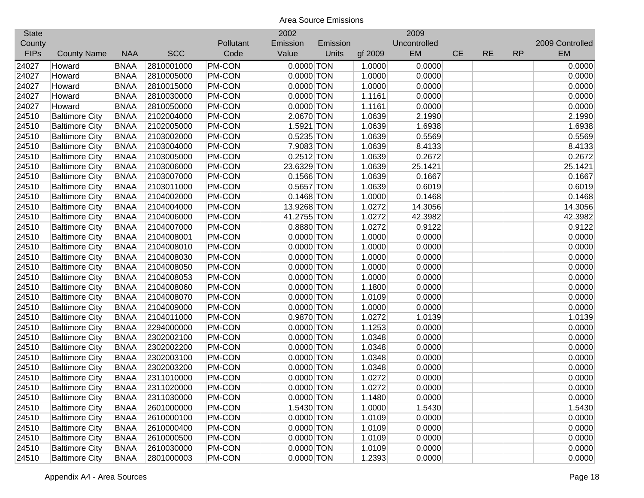| <b>State</b> |                       |             |            |               | 2002         |          |         | 2009         |           |           |           |                 |
|--------------|-----------------------|-------------|------------|---------------|--------------|----------|---------|--------------|-----------|-----------|-----------|-----------------|
| County       |                       |             |            | Pollutant     | Emission     | Emission |         | Uncontrolled |           |           |           | 2009 Controlled |
| <b>FIPs</b>  | <b>County Name</b>    | <b>NAA</b>  | <b>SCC</b> | Code          | Value        | Units    | gf 2009 | EM           | <b>CE</b> | <b>RE</b> | <b>RP</b> | <b>EM</b>       |
| 24027        | Howard                | <b>BNAA</b> | 2810001000 | PM-CON        | $0.0000$ TON |          | 1.0000  | 0.0000       |           |           |           | 0.0000          |
| 24027        | Howard                | <b>BNAA</b> | 2810005000 | PM-CON        | $0.0000$ TON |          | 1.0000  | 0.0000       |           |           |           | 0.0000          |
| 24027        | Howard                | <b>BNAA</b> | 2810015000 | PM-CON        | $0.0000$ TON |          | 1.0000  | 0.0000       |           |           |           | 0.0000          |
| 24027        | Howard                | <b>BNAA</b> | 2810030000 | PM-CON        | $0.0000$ TON |          | 1.1161  | 0.0000       |           |           |           | 0.0000          |
| 24027        | Howard                | <b>BNAA</b> | 2810050000 | PM-CON        | $0.0000$ TON |          | 1.1161  | 0.0000       |           |           |           | 0.0000          |
| 24510        | <b>Baltimore City</b> | <b>BNAA</b> | 2102004000 | PM-CON        | 2.0670 TON   |          | 1.0639  | 2.1990       |           |           |           | 2.1990          |
| 24510        | <b>Baltimore City</b> | <b>BNAA</b> | 2102005000 | PM-CON        | 1.5921 TON   |          | 1.0639  | 1.6938       |           |           |           | 1.6938          |
| 24510        | <b>Baltimore City</b> | <b>BNAA</b> | 2103002000 | PM-CON        | $0.5235$ TON |          | 1.0639  | 0.5569       |           |           |           | 0.5569          |
| 24510        | <b>Baltimore City</b> | <b>BNAA</b> | 2103004000 | PM-CON        | 7.9083 TON   |          | 1.0639  | 8.4133       |           |           |           | 8.4133          |
| 24510        | <b>Baltimore City</b> | <b>BNAA</b> | 2103005000 | PM-CON        | $0.2512$ TON |          | 1.0639  | 0.2672       |           |           |           | 0.2672          |
| 24510        | <b>Baltimore City</b> | <b>BNAA</b> | 2103006000 | PM-CON        | 23.6329 TON  |          | 1.0639  | 25.1421      |           |           |           | 25.1421         |
| 24510        | <b>Baltimore City</b> | <b>BNAA</b> | 2103007000 | <b>PM-CON</b> | $0.1566$ TON |          | 1.0639  | 0.1667       |           |           |           | 0.1667          |
| 24510        | <b>Baltimore City</b> | <b>BNAA</b> | 2103011000 | <b>PM-CON</b> | $0.5657$ TON |          | 1.0639  | 0.6019       |           |           |           | 0.6019          |
| 24510        | <b>Baltimore City</b> | <b>BNAA</b> | 2104002000 | <b>PM-CON</b> | $0.1468$ TON |          | 1.0000  | 0.1468       |           |           |           | 0.1468          |
| 24510        | <b>Baltimore City</b> | <b>BNAA</b> | 2104004000 | <b>PM-CON</b> | 13.9268 TON  |          | 1.0272  | 14.3056      |           |           |           | 14.3056         |
| 24510        | <b>Baltimore City</b> | <b>BNAA</b> | 2104006000 | <b>PM-CON</b> | 41.2755 TON  |          | 1.0272  | 42.3982      |           |           |           | 42.3982         |
| 24510        | <b>Baltimore City</b> | <b>BNAA</b> | 2104007000 | PM-CON        | 0.8880 TON   |          | 1.0272  | 0.9122       |           |           |           | 0.9122          |
| 24510        | <b>Baltimore City</b> | <b>BNAA</b> | 2104008001 | PM-CON        | $0.0000$ TON |          | 1.0000  | 0.0000       |           |           |           | 0.0000          |
| 24510        | <b>Baltimore City</b> | <b>BNAA</b> | 2104008010 | PM-CON        | $0.0000$ TON |          | 1.0000  | 0.0000       |           |           |           | 0.0000          |
| 24510        | <b>Baltimore City</b> | <b>BNAA</b> | 2104008030 | PM-CON        | $0.0000$ TON |          | 1.0000  | 0.0000       |           |           |           | 0.0000          |
| 24510        | <b>Baltimore City</b> | <b>BNAA</b> | 2104008050 | PM-CON        | $0.0000$ TON |          | 1.0000  | 0.0000       |           |           |           | 0.0000          |
| 24510        | <b>Baltimore City</b> | <b>BNAA</b> | 2104008053 | PM-CON        | $0.0000$ TON |          | 1.0000  | 0.0000       |           |           |           | 0.0000          |
| 24510        | <b>Baltimore City</b> | <b>BNAA</b> | 2104008060 | PM-CON        | $0.0000$ TON |          | 1.1800  | 0.0000       |           |           |           | 0.0000          |
| 24510        | <b>Baltimore City</b> | <b>BNAA</b> | 2104008070 | PM-CON        | $0.0000$ TON |          | 1.0109  | 0.0000       |           |           |           | 0.0000          |
| 24510        | <b>Baltimore City</b> | <b>BNAA</b> | 2104009000 | PM-CON        | $0.0000$ TON |          | 1.0000  | 0.0000       |           |           |           | 0.0000          |
| 24510        | <b>Baltimore City</b> | <b>BNAA</b> | 2104011000 | PM-CON        | 0.9870 TON   |          | 1.0272  | 1.0139       |           |           |           | 1.0139          |
| 24510        | <b>Baltimore City</b> | <b>BNAA</b> | 2294000000 | PM-CON        | $0.0000$ TON |          | 1.1253  | 0.0000       |           |           |           | 0.0000          |
| 24510        | <b>Baltimore City</b> | <b>BNAA</b> | 2302002100 | PM-CON        | $0.0000$ TON |          | 1.0348  | 0.0000       |           |           |           | 0.0000          |
| 24510        | <b>Baltimore City</b> | <b>BNAA</b> | 2302002200 | PM-CON        | $0.0000$ TON |          | 1.0348  | 0.0000       |           |           |           | 0.0000          |
| 24510        | <b>Baltimore City</b> | <b>BNAA</b> | 2302003100 | PM-CON        | $0.0000$ TON |          | 1.0348  | 0.0000       |           |           |           | 0.0000          |
| 24510        | <b>Baltimore City</b> | <b>BNAA</b> | 2302003200 | PM-CON        | $0.0000$ TON |          | 1.0348  | 0.0000       |           |           |           | 0.0000          |
| 24510        | <b>Baltimore City</b> | <b>BNAA</b> | 2311010000 | PM-CON        | $0.0000$ TON |          | 1.0272  | 0.0000       |           |           |           | 0.0000          |
| 24510        | <b>Baltimore City</b> | <b>BNAA</b> | 2311020000 | PM-CON        | $0.0000$ TON |          | 1.0272  | 0.0000       |           |           |           | 0.0000          |
| 24510        | <b>Baltimore City</b> | <b>BNAA</b> | 2311030000 | PM-CON        | $0.0000$ TON |          | 1.1480  | 0.0000       |           |           |           | 0.0000          |
| 24510        | <b>Baltimore City</b> | <b>BNAA</b> | 2601000000 | PM-CON        | 1.5430 TON   |          | 1.0000  | 1.5430       |           |           |           | 1.5430          |
| 24510        | <b>Baltimore City</b> | <b>BNAA</b> | 2610000100 | PM-CON        | $0.0000$ TON |          | 1.0109  | 0.0000       |           |           |           | 0.0000          |
| 24510        | <b>Baltimore City</b> | <b>BNAA</b> | 2610000400 | PM-CON        | $0.0000$ TON |          | 1.0109  | 0.0000       |           |           |           | 0.0000          |
| 24510        | <b>Baltimore City</b> | <b>BNAA</b> | 2610000500 | PM-CON        | $0.0000$ TON |          | 1.0109  | 0.0000       |           |           |           | 0.0000          |
| 24510        | <b>Baltimore City</b> | <b>BNAA</b> | 2610030000 | PM-CON        | $0.0000$ TON |          | 1.0109  | 0.0000       |           |           |           | 0.0000          |
| 24510        | <b>Baltimore City</b> | <b>BNAA</b> | 2801000003 | PM-CON        | $0.0000$ TON |          | 1.2393  | 0.0000       |           |           |           | 0.0000          |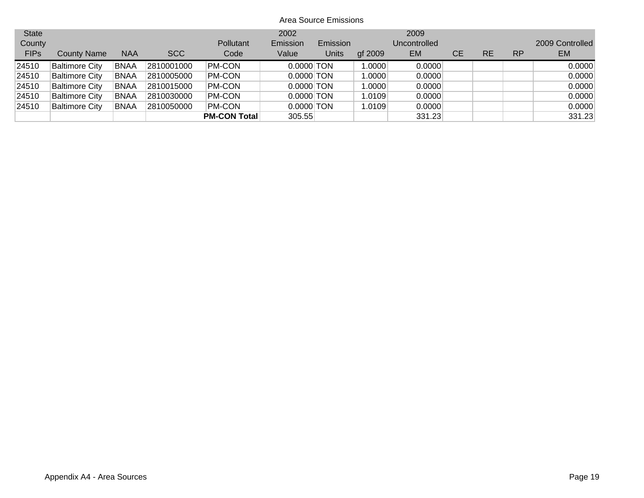| <b>State</b><br>County |                       |             |            | Pollutant           | 2002<br>Emission | Emission |         | 2009<br>Uncontrolled |    |    |           | 2009 Controlled |
|------------------------|-----------------------|-------------|------------|---------------------|------------------|----------|---------|----------------------|----|----|-----------|-----------------|
| <b>FIPs</b>            | <b>County Name</b>    | <b>NAA</b>  | <b>SCC</b> | Code                | Value            | Units    | gf 2009 | <b>EM</b>            | CЕ | RE | <b>RP</b> | <b>EM</b>       |
| 24510                  | <b>Baltimore City</b> | <b>BNAA</b> | 2810001000 | PM-CON              | $0.0000$ TON     |          | 1.0000  | 0.0000               |    |    |           | 0.0000          |
| 24510                  | <b>Baltimore City</b> | <b>BNAA</b> | 2810005000 | PM-CON              | $0.0000$ TON     |          | 1.0000  | 0.0000               |    |    |           | 0.0000          |
| 24510                  | <b>Baltimore City</b> | <b>BNAA</b> | 2810015000 | PM-CON              | $0.0000$ TON     |          | 1.0000  | 0.0000               |    |    |           | 0.0000          |
| 24510                  | <b>Baltimore City</b> | <b>BNAA</b> | 2810030000 | PM-CON              | $0.0000$ TON     |          | 1.0109  | 0.0000               |    |    |           | 0.0000          |
| 24510                  | <b>Baltimore City</b> | <b>BNAA</b> | 2810050000 | PM-CON              | $0.0000$ TON     |          | 1.0109  | 0.0000               |    |    |           | 0.0000          |
|                        |                       |             |            | <b>PM-CON Total</b> | 305.55           |          |         | 331.23               |    |    |           | 331.23          |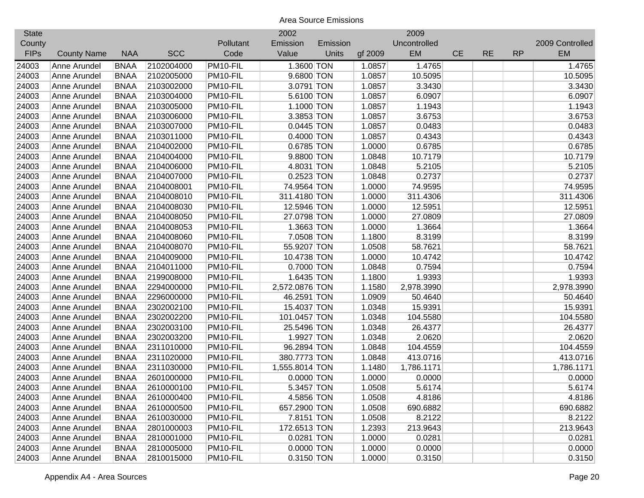| <b>State</b> |                    |             |            |           | 2002           |          |         | 2009         |           |           |           |                 |
|--------------|--------------------|-------------|------------|-----------|----------------|----------|---------|--------------|-----------|-----------|-----------|-----------------|
| County       |                    |             |            | Pollutant | Emission       | Emission |         | Uncontrolled |           |           |           | 2009 Controlled |
| <b>FIPs</b>  | <b>County Name</b> | <b>NAA</b>  | <b>SCC</b> | Code      | Value          | Units    | gf 2009 | EM           | <b>CE</b> | <b>RE</b> | <b>RP</b> | <b>EM</b>       |
| 24003        | Anne Arundel       | <b>BNAA</b> | 2102004000 | PM10-FIL  | 1.3600 TON     |          | 1.0857  | 1.4765       |           |           |           | 1.4765          |
| 24003        | Anne Arundel       | <b>BNAA</b> | 2102005000 | PM10-FIL  | 9.6800 TON     |          | 1.0857  | 10.5095      |           |           |           | 10.5095         |
| 24003        | Anne Arundel       | <b>BNAA</b> | 2103002000 | PM10-FIL  | 3.0791 TON     |          | 1.0857  | 3.3430       |           |           |           | 3.3430          |
| 24003        | Anne Arundel       | <b>BNAA</b> | 2103004000 | PM10-FIL  | 5.6100 TON     |          | 1.0857  | 6.0907       |           |           |           | 6.0907          |
| 24003        | Anne Arundel       | <b>BNAA</b> | 2103005000 | PM10-FIL  | 1.1000 TON     |          | 1.0857  | 1.1943       |           |           |           | 1.1943          |
| 24003        | Anne Arundel       | <b>BNAA</b> | 2103006000 | PM10-FIL  | 3.3853 TON     |          | 1.0857  | 3.6753       |           |           |           | 3.6753          |
| 24003        | Anne Arundel       | <b>BNAA</b> | 2103007000 | PM10-FIL  | $0.0445$ TON   |          | 1.0857  | 0.0483       |           |           |           | 0.0483          |
| 24003        | Anne Arundel       | <b>BNAA</b> | 2103011000 | PM10-FIL  | 0.4000 TON     |          | 1.0857  | 0.4343       |           |           |           | 0.4343          |
| 24003        | Anne Arundel       | <b>BNAA</b> | 2104002000 | PM10-FIL  | 0.6785 TON     |          | 1.0000  | 0.6785       |           |           |           | 0.6785          |
| 24003        | Anne Arundel       | <b>BNAA</b> | 2104004000 | PM10-FIL  | 9.8800 TON     |          | 1.0848  | 10.7179      |           |           |           | 10.7179         |
| 24003        | Anne Arundel       | <b>BNAA</b> | 2104006000 | PM10-FIL  | 4.8031 TON     |          | 1.0848  | 5.2105       |           |           |           | 5.2105          |
| 24003        | Anne Arundel       | <b>BNAA</b> | 2104007000 | PM10-FIL  | 0.2523 TON     |          | 1.0848  | 0.2737       |           |           |           | 0.2737          |
| 24003        | Anne Arundel       | <b>BNAA</b> | 2104008001 | PM10-FIL  | 74.9564 TON    |          | 1.0000  | 74.9595      |           |           |           | 74.9595         |
| 24003        | Anne Arundel       | <b>BNAA</b> | 2104008010 | PM10-FIL  | 311.4180 TON   |          | 1.0000  | 311.4306     |           |           |           | 311.4306        |
| 24003        | Anne Arundel       | <b>BNAA</b> | 2104008030 | PM10-FIL  | 12.5946 TON    |          | 1.0000  | 12.5951      |           |           |           | 12.5951         |
| 24003        | Anne Arundel       | <b>BNAA</b> | 2104008050 | PM10-FIL  | 27.0798 TON    |          | 1.0000  | 27.0809      |           |           |           | 27.0809         |
| 24003        | Anne Arundel       | <b>BNAA</b> | 2104008053 | PM10-FIL  | 1.3663 TON     |          | 1.0000  | 1.3664       |           |           |           | 1.3664          |
| 24003        | Anne Arundel       | <b>BNAA</b> | 2104008060 | PM10-FIL  | 7.0508 TON     |          | 1.1800  | 8.3199       |           |           |           | 8.3199          |
| 24003        | Anne Arundel       | <b>BNAA</b> | 2104008070 | PM10-FIL  | 55.9207 TON    |          | 1.0508  | 58.7621      |           |           |           | 58.7621         |
| 24003        | Anne Arundel       | <b>BNAA</b> | 2104009000 | PM10-FIL  | 10.4738 TON    |          | 1.0000  | 10.4742      |           |           |           | 10.4742         |
| 24003        | Anne Arundel       | <b>BNAA</b> | 2104011000 | PM10-FIL  | 0.7000 TON     |          | 1.0848  | 0.7594       |           |           |           | 0.7594          |
| 24003        | Anne Arundel       | <b>BNAA</b> | 2199008000 | PM10-FIL  | 1.6435 TON     |          | 1.1800  | 1.9393       |           |           |           | 1.9393          |
| 24003        | Anne Arundel       | <b>BNAA</b> | 2294000000 | PM10-FIL  | 2,572.0876 TON |          | 1.1580  | 2,978.3990   |           |           |           | 2,978.3990      |
| 24003        | Anne Arundel       | <b>BNAA</b> | 2296000000 | PM10-FIL  | 46.2591 TON    |          | 1.0909  | 50.4640      |           |           |           | 50.4640         |
| 24003        | Anne Arundel       | <b>BNAA</b> | 2302002100 | PM10-FIL  | 15.4037 TON    |          | 1.0348  | 15.9391      |           |           |           | 15.9391         |
| 24003        | Anne Arundel       | <b>BNAA</b> | 2302002200 | PM10-FIL  | 101.0457 TON   |          | 1.0348  | 104.5580     |           |           |           | 104.5580        |
| 24003        | Anne Arundel       | <b>BNAA</b> | 2302003100 | PM10-FIL  | 25.5496 TON    |          | 1.0348  | 26.4377      |           |           |           | 26.4377         |
| 24003        | Anne Arundel       | <b>BNAA</b> | 2302003200 | PM10-FIL  | 1.9927 TON     |          | 1.0348  | 2.0620       |           |           |           | 2.0620          |
| 24003        | Anne Arundel       | <b>BNAA</b> | 2311010000 | PM10-FIL  | 96.2894 TON    |          | 1.0848  | 104.4559     |           |           |           | 104.4559        |
| 24003        | Anne Arundel       | <b>BNAA</b> | 2311020000 | PM10-FIL  | 380.7773 TON   |          | 1.0848  | 413.0716     |           |           |           | 413.0716        |
| 24003        | Anne Arundel       | <b>BNAA</b> | 2311030000 | PM10-FIL  | 1,555.8014 TON |          | 1.1480  | 1,786.1171   |           |           |           | 1,786.1171      |
| 24003        | Anne Arundel       | <b>BNAA</b> | 2601000000 | PM10-FIL  | 0.0000 TON     |          | 1.0000  | 0.0000       |           |           |           | 0.0000          |
| 24003        | Anne Arundel       | <b>BNAA</b> | 2610000100 | PM10-FIL  | 5.3457 TON     |          | 1.0508  | 5.6174       |           |           |           | 5.6174          |
| 24003        | Anne Arundel       | <b>BNAA</b> | 2610000400 | PM10-FIL  | 4.5856 TON     |          | 1.0508  | 4.8186       |           |           |           | 4.8186          |
| 24003        | Anne Arundel       | <b>BNAA</b> | 2610000500 | PM10-FIL  | 657.2900 TON   |          | 1.0508  | 690.6882     |           |           |           | 690.6882        |
| 24003        | Anne Arundel       | <b>BNAA</b> | 2610030000 | PM10-FIL  | 7.8151 TON     |          | 1.0508  | 8.2122       |           |           |           | 8.2122          |
| 24003        | Anne Arundel       | <b>BNAA</b> | 2801000003 | PM10-FIL  | 172.6513 TON   |          | 1.2393  | 213.9643     |           |           |           | 213.9643        |
| 24003        | Anne Arundel       | <b>BNAA</b> | 2810001000 | PM10-FIL  | $0.0281$ TON   |          | 1.0000  | 0.0281       |           |           |           | 0.0281          |
| 24003        | Anne Arundel       | <b>BNAA</b> | 2810005000 | PM10-FIL  | $0.0000$ TON   |          | 1.0000  | 0.0000       |           |           |           | 0.0000          |
| 24003        | Anne Arundel       | <b>BNAA</b> | 2810015000 | PM10-FIL  | $0.3150$ TON   |          | 1.0000  | 0.3150       |           |           |           | 0.3150          |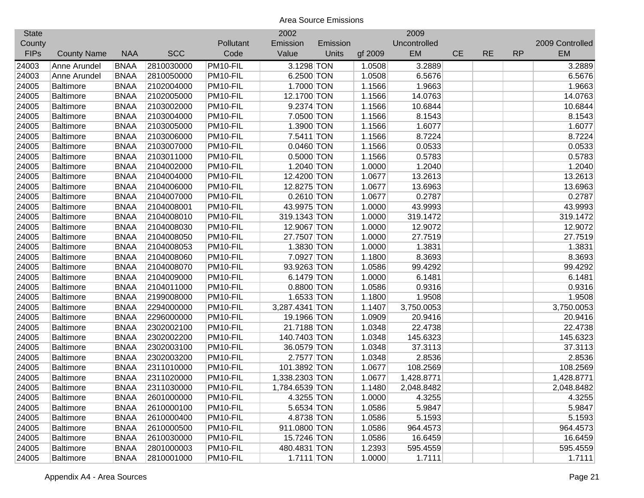| <b>State</b> |                    |             |            |           | 2002           |          |         | 2009         |           |           |           |                 |
|--------------|--------------------|-------------|------------|-----------|----------------|----------|---------|--------------|-----------|-----------|-----------|-----------------|
| County       |                    |             |            | Pollutant | Emission       | Emission |         | Uncontrolled |           |           |           | 2009 Controlled |
| <b>FIPs</b>  | <b>County Name</b> | <b>NAA</b>  | <b>SCC</b> | Code      | Value          | Units    | gf 2009 | <b>EM</b>    | <b>CE</b> | <b>RE</b> | <b>RP</b> | <b>EM</b>       |
| 24003        | Anne Arundel       | <b>BNAA</b> | 2810030000 | PM10-FIL  | 3.1298 TON     |          | 1.0508  | 3.2889       |           |           |           | 3.2889          |
| 24003        | Anne Arundel       | <b>BNAA</b> | 2810050000 | PM10-FIL  | 6.2500 TON     |          | 1.0508  | 6.5676       |           |           |           | 6.5676          |
| 24005        | <b>Baltimore</b>   | <b>BNAA</b> | 2102004000 | PM10-FIL  | 1.7000 TON     |          | 1.1566  | 1.9663       |           |           |           | 1.9663          |
| 24005        | <b>Baltimore</b>   | <b>BNAA</b> | 2102005000 | PM10-FIL  | 12.1700 TON    |          | 1.1566  | 14.0763      |           |           |           | 14.0763         |
| 24005        | <b>Baltimore</b>   | <b>BNAA</b> | 2103002000 | PM10-FIL  | 9.2374 TON     |          | 1.1566  | 10.6844      |           |           |           | 10.6844         |
| 24005        | <b>Baltimore</b>   | <b>BNAA</b> | 2103004000 | PM10-FIL  | 7.0500 TON     |          | 1.1566  | 8.1543       |           |           |           | 8.1543          |
| 24005        | <b>Baltimore</b>   | <b>BNAA</b> | 2103005000 | PM10-FIL  | 1.3900 TON     |          | 1.1566  | 1.6077       |           |           |           | 1.6077          |
| 24005        | <b>Baltimore</b>   | <b>BNAA</b> | 2103006000 | PM10-FIL  | 7.5411 TON     |          | 1.1566  | 8.7224       |           |           |           | 8.7224          |
| 24005        | <b>Baltimore</b>   | <b>BNAA</b> | 2103007000 | PM10-FIL  | 0.0460 TON     |          | 1.1566  | 0.0533       |           |           |           | 0.0533          |
| 24005        | <b>Baltimore</b>   | <b>BNAA</b> | 2103011000 | PM10-FIL  | 0.5000 TON     |          | 1.1566  | 0.5783       |           |           |           | 0.5783          |
| 24005        | <b>Baltimore</b>   | <b>BNAA</b> | 2104002000 | PM10-FIL  | 1.2040 TON     |          | 1.0000  | 1.2040       |           |           |           | 1.2040          |
| 24005        | <b>Baltimore</b>   | <b>BNAA</b> | 2104004000 | PM10-FIL  | 12.4200 TON    |          | 1.0677  | 13.2613      |           |           |           | 13.2613         |
| 24005        | <b>Baltimore</b>   | <b>BNAA</b> | 2104006000 | PM10-FIL  | 12.8275 TON    |          | 1.0677  | 13.6963      |           |           |           | 13.6963         |
| 24005        | <b>Baltimore</b>   | <b>BNAA</b> | 2104007000 | PM10-FIL  | $0.2610$ TON   |          | 1.0677  | 0.2787       |           |           |           | 0.2787          |
| 24005        | <b>Baltimore</b>   | <b>BNAA</b> | 2104008001 | PM10-FIL  | 43.9975 TON    |          | 1.0000  | 43.9993      |           |           |           | 43.9993         |
| 24005        | <b>Baltimore</b>   | <b>BNAA</b> | 2104008010 | PM10-FIL  | 319.1343 TON   |          | 1.0000  | 319.1472     |           |           |           | 319.1472        |
| 24005        | <b>Baltimore</b>   | <b>BNAA</b> | 2104008030 | PM10-FIL  | 12.9067 TON    |          | 1.0000  | 12.9072      |           |           |           | 12.9072         |
| 24005        | <b>Baltimore</b>   | <b>BNAA</b> | 2104008050 | PM10-FIL  | 27.7507 TON    |          | 1.0000  | 27.7519      |           |           |           | 27.7519         |
| 24005        | <b>Baltimore</b>   | <b>BNAA</b> | 2104008053 | PM10-FIL  | 1.3830 TON     |          | 1.0000  | 1.3831       |           |           |           | 1.3831          |
| 24005        | <b>Baltimore</b>   | <b>BNAA</b> | 2104008060 | PM10-FIL  | 7.0927 TON     |          | 1.1800  | 8.3693       |           |           |           | 8.3693          |
| 24005        | <b>Baltimore</b>   | <b>BNAA</b> | 2104008070 | PM10-FIL  | 93.9263 TON    |          | 1.0586  | 99.4292      |           |           |           | 99.4292         |
| 24005        | <b>Baltimore</b>   | <b>BNAA</b> | 2104009000 | PM10-FIL  | 6.1479 TON     |          | 1.0000  | 6.1481       |           |           |           | 6.1481          |
| 24005        | Baltimore          | <b>BNAA</b> | 2104011000 | PM10-FIL  | 0.8800 TON     |          | 1.0586  | 0.9316       |           |           |           | 0.9316          |
| 24005        | <b>Baltimore</b>   | <b>BNAA</b> | 2199008000 | PM10-FIL  | 1.6533 TON     |          | 1.1800  | 1.9508       |           |           |           | 1.9508          |
| 24005        | <b>Baltimore</b>   | <b>BNAA</b> | 2294000000 | PM10-FIL  | 3,287.4341 TON |          | 1.1407  | 3,750.0053   |           |           |           | 3,750.0053      |
| 24005        | <b>Baltimore</b>   | <b>BNAA</b> | 2296000000 | PM10-FIL  | 19.1966 TON    |          | 1.0909  | 20.9416      |           |           |           | 20.9416         |
| 24005        | <b>Baltimore</b>   | <b>BNAA</b> | 2302002100 | PM10-FIL  | 21.7188 TON    |          | 1.0348  | 22.4738      |           |           |           | 22.4738         |
| 24005        | <b>Baltimore</b>   | <b>BNAA</b> | 2302002200 | PM10-FIL  | 140.7403 TON   |          | 1.0348  | 145.6323     |           |           |           | 145.6323        |
| 24005        | <b>Baltimore</b>   | <b>BNAA</b> | 2302003100 | PM10-FIL  | 36.0579 TON    |          | 1.0348  | 37.3113      |           |           |           | 37.3113         |
| 24005        | <b>Baltimore</b>   | <b>BNAA</b> | 2302003200 | PM10-FIL  | 2.7577 TON     |          | 1.0348  | 2.8536       |           |           |           | 2.8536          |
| 24005        | <b>Baltimore</b>   | <b>BNAA</b> | 2311010000 | PM10-FIL  | 101.3892 TON   |          | 1.0677  | 108.2569     |           |           |           | 108.2569        |
| 24005        | <b>Baltimore</b>   | <b>BNAA</b> | 2311020000 | PM10-FIL  | 1,338.2303 TON |          | 1.0677  | 1,428.8771   |           |           |           | 1,428.8771      |
| 24005        | <b>Baltimore</b>   | <b>BNAA</b> | 2311030000 | PM10-FIL  | 1,784.6539 TON |          | 1.1480  | 2,048.8482   |           |           |           | 2,048.8482      |
| 24005        | Baltimore          | <b>BNAA</b> | 2601000000 | PM10-FIL  | 4.3255 TON     |          | 1.0000  | 4.3255       |           |           |           | 4.3255          |
| 24005        | <b>Baltimore</b>   | <b>BNAA</b> | 2610000100 | PM10-FIL  | 5.6534 TON     |          | 1.0586  | 5.9847       |           |           |           | 5.9847          |
| 24005        | <b>Baltimore</b>   | <b>BNAA</b> | 2610000400 | PM10-FIL  | 4.8738 TON     |          | 1.0586  | 5.1593       |           |           |           | 5.1593          |
| 24005        | <b>Baltimore</b>   | <b>BNAA</b> | 2610000500 | PM10-FIL  | 911.0800 TON   |          | 1.0586  | 964.4573     |           |           |           | 964.4573        |
| 24005        | <b>Baltimore</b>   | <b>BNAA</b> | 2610030000 | PM10-FIL  | 15.7246 TON    |          | 1.0586  | 16.6459      |           |           |           | 16.6459         |
| 24005        | <b>Baltimore</b>   | <b>BNAA</b> | 2801000003 | PM10-FIL  | 480.4831 TON   |          | 1.2393  | 595.4559     |           |           |           | 595.4559        |
| 24005        | <b>Baltimore</b>   | <b>BNAA</b> | 2810001000 | PM10-FIL  | $1.7111$ TON   |          | 1.0000  | 1.7111       |           |           |           | 1.7111          |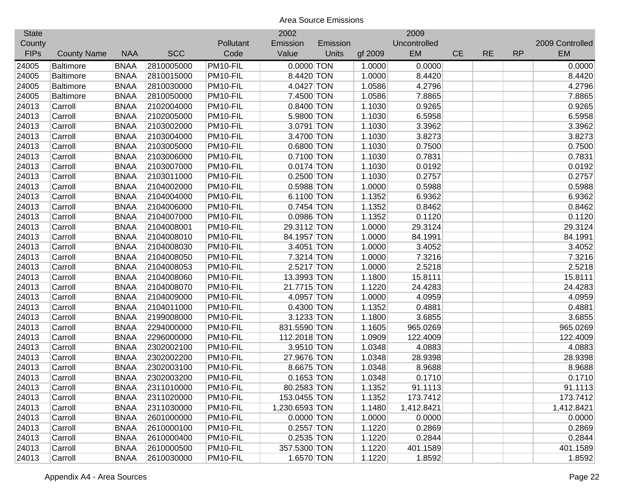|                    |             |            |           | 2002     |              |                                                                                                                                                                                                                                                                                                                                                                                                                                                                                                                                                                                                                | 2009         |           |           |           |                 |
|--------------------|-------------|------------|-----------|----------|--------------|----------------------------------------------------------------------------------------------------------------------------------------------------------------------------------------------------------------------------------------------------------------------------------------------------------------------------------------------------------------------------------------------------------------------------------------------------------------------------------------------------------------------------------------------------------------------------------------------------------------|--------------|-----------|-----------|-----------|-----------------|
|                    |             |            | Pollutant | Emission | Emission     |                                                                                                                                                                                                                                                                                                                                                                                                                                                                                                                                                                                                                | Uncontrolled |           |           |           | 2009 Controlled |
| <b>County Name</b> | <b>NAA</b>  | <b>SCC</b> | Code      | Value    | <b>Units</b> | gf 2009                                                                                                                                                                                                                                                                                                                                                                                                                                                                                                                                                                                                        | EM           | <b>CE</b> | <b>RE</b> | <b>RP</b> | EM              |
| <b>Baltimore</b>   | <b>BNAA</b> | 2810005000 | PM10-FIL  |          |              | 1.0000                                                                                                                                                                                                                                                                                                                                                                                                                                                                                                                                                                                                         | 0.0000       |           |           |           | 0.0000          |
| <b>Baltimore</b>   | <b>BNAA</b> | 2810015000 | PM10-FIL  |          |              | 1.0000                                                                                                                                                                                                                                                                                                                                                                                                                                                                                                                                                                                                         | 8.4420       |           |           |           | 8.4420          |
| <b>Baltimore</b>   | <b>BNAA</b> | 2810030000 | PM10-FIL  |          |              | 1.0586                                                                                                                                                                                                                                                                                                                                                                                                                                                                                                                                                                                                         | 4.2796       |           |           |           | 4.2796          |
| <b>Baltimore</b>   | <b>BNAA</b> | 2810050000 | PM10-FIL  |          |              | 1.0586                                                                                                                                                                                                                                                                                                                                                                                                                                                                                                                                                                                                         | 7.8865       |           |           |           | 7.8865          |
| Carroll            | <b>BNAA</b> | 2102004000 | PM10-FIL  |          |              | 1.1030                                                                                                                                                                                                                                                                                                                                                                                                                                                                                                                                                                                                         | 0.9265       |           |           |           | 0.9265          |
| Carroll            | <b>BNAA</b> | 2102005000 | PM10-FIL  |          |              | 1.1030                                                                                                                                                                                                                                                                                                                                                                                                                                                                                                                                                                                                         | 6.5958       |           |           |           | 6.5958          |
| Carroll            | <b>BNAA</b> | 2103002000 | PM10-FIL  |          |              | 1.1030                                                                                                                                                                                                                                                                                                                                                                                                                                                                                                                                                                                                         | 3.3962       |           |           |           | 3.3962          |
| Carroll            | <b>BNAA</b> | 2103004000 | PM10-FIL  |          |              | 1.1030                                                                                                                                                                                                                                                                                                                                                                                                                                                                                                                                                                                                         | 3.8273       |           |           |           | 3.8273          |
| Carroll            | <b>BNAA</b> | 2103005000 | PM10-FIL  |          |              | 1.1030                                                                                                                                                                                                                                                                                                                                                                                                                                                                                                                                                                                                         | 0.7500       |           |           |           | 0.7500          |
| Carroll            | <b>BNAA</b> | 2103006000 | PM10-FIL  |          |              | 1.1030                                                                                                                                                                                                                                                                                                                                                                                                                                                                                                                                                                                                         | 0.7831       |           |           |           | 0.7831          |
| Carroll            | <b>BNAA</b> | 2103007000 | PM10-FIL  |          |              | 1.1030                                                                                                                                                                                                                                                                                                                                                                                                                                                                                                                                                                                                         | 0.0192       |           |           |           | 0.0192          |
| Carroll            | <b>BNAA</b> | 2103011000 | PM10-FIL  |          |              | 1.1030                                                                                                                                                                                                                                                                                                                                                                                                                                                                                                                                                                                                         | 0.2757       |           |           |           | 0.2757          |
| Carroll            | <b>BNAA</b> | 2104002000 | PM10-FIL  |          |              | 1.0000                                                                                                                                                                                                                                                                                                                                                                                                                                                                                                                                                                                                         | 0.5988       |           |           |           | 0.5988          |
| Carroll            | <b>BNAA</b> | 2104004000 | PM10-FIL  |          |              | 1.1352                                                                                                                                                                                                                                                                                                                                                                                                                                                                                                                                                                                                         | 6.9362       |           |           |           | 6.9362          |
| Carroll            | <b>BNAA</b> | 2104006000 | PM10-FIL  |          |              | 1.1352                                                                                                                                                                                                                                                                                                                                                                                                                                                                                                                                                                                                         | 0.8462       |           |           |           | 0.8462          |
| Carroll            | <b>BNAA</b> | 2104007000 | PM10-FIL  |          |              | 1.1352                                                                                                                                                                                                                                                                                                                                                                                                                                                                                                                                                                                                         | 0.1120       |           |           |           | 0.1120          |
| Carroll            | <b>BNAA</b> | 2104008001 | PM10-FIL  |          |              | 1.0000                                                                                                                                                                                                                                                                                                                                                                                                                                                                                                                                                                                                         | 29.3124      |           |           |           | 29.3124         |
| Carroll            | <b>BNAA</b> | 2104008010 | PM10-FIL  |          |              | 1.0000                                                                                                                                                                                                                                                                                                                                                                                                                                                                                                                                                                                                         | 84.1991      |           |           |           | 84.1991         |
| Carroll            | <b>BNAA</b> | 2104008030 | PM10-FIL  |          |              | 1.0000                                                                                                                                                                                                                                                                                                                                                                                                                                                                                                                                                                                                         | 3.4052       |           |           |           | 3.4052          |
| Carroll            | <b>BNAA</b> | 2104008050 | PM10-FIL  |          |              | 1.0000                                                                                                                                                                                                                                                                                                                                                                                                                                                                                                                                                                                                         | 7.3216       |           |           |           | 7.3216          |
| Carroll            | <b>BNAA</b> | 2104008053 | PM10-FIL  |          |              | 1.0000                                                                                                                                                                                                                                                                                                                                                                                                                                                                                                                                                                                                         | 2.5218       |           |           |           | 2.5218          |
| Carroll            | <b>BNAA</b> | 2104008060 | PM10-FIL  |          |              | 1.1800                                                                                                                                                                                                                                                                                                                                                                                                                                                                                                                                                                                                         | 15.8111      |           |           |           | 15.8111         |
| Carroll            | <b>BNAA</b> | 2104008070 | PM10-FIL  |          |              | 1.1220                                                                                                                                                                                                                                                                                                                                                                                                                                                                                                                                                                                                         | 24.4283      |           |           |           | 24.4283         |
| Carroll            | <b>BNAA</b> | 2104009000 | PM10-FIL  |          |              | 1.0000                                                                                                                                                                                                                                                                                                                                                                                                                                                                                                                                                                                                         | 4.0959       |           |           |           | 4.0959          |
| Carroll            | <b>BNAA</b> | 2104011000 | PM10-FIL  |          |              | 1.1352                                                                                                                                                                                                                                                                                                                                                                                                                                                                                                                                                                                                         | 0.4881       |           |           |           | 0.4881          |
| Carroll            | <b>BNAA</b> | 2199008000 | PM10-FIL  |          |              | 1.1800                                                                                                                                                                                                                                                                                                                                                                                                                                                                                                                                                                                                         | 3.6855       |           |           |           | 3.6855          |
| Carroll            | <b>BNAA</b> | 2294000000 | PM10-FIL  |          |              | 1.1605                                                                                                                                                                                                                                                                                                                                                                                                                                                                                                                                                                                                         | 965.0269     |           |           |           | 965.0269        |
| Carroll            | <b>BNAA</b> | 2296000000 | PM10-FIL  |          |              | 1.0909                                                                                                                                                                                                                                                                                                                                                                                                                                                                                                                                                                                                         | 122.4009     |           |           |           | 122.4009        |
| Carroll            | <b>BNAA</b> | 2302002100 | PM10-FIL  |          |              | 1.0348                                                                                                                                                                                                                                                                                                                                                                                                                                                                                                                                                                                                         | 4.0883       |           |           |           | 4.0883          |
| Carroll            | <b>BNAA</b> | 2302002200 | PM10-FIL  |          |              | 1.0348                                                                                                                                                                                                                                                                                                                                                                                                                                                                                                                                                                                                         | 28.9398      |           |           |           | 28.9398         |
| Carroll            | <b>BNAA</b> | 2302003100 | PM10-FIL  |          |              | 1.0348                                                                                                                                                                                                                                                                                                                                                                                                                                                                                                                                                                                                         | 8.9688       |           |           |           | 8.9688          |
| Carroll            | <b>BNAA</b> | 2302003200 | PM10-FIL  |          |              | 1.0348                                                                                                                                                                                                                                                                                                                                                                                                                                                                                                                                                                                                         | 0.1710       |           |           |           | 0.1710          |
| Carroll            | <b>BNAA</b> | 2311010000 | PM10-FIL  |          |              | 1.1352                                                                                                                                                                                                                                                                                                                                                                                                                                                                                                                                                                                                         | 91.1113      |           |           |           | 91.1113         |
| Carroll            | <b>BNAA</b> | 2311020000 | PM10-FIL  |          |              | 1.1352                                                                                                                                                                                                                                                                                                                                                                                                                                                                                                                                                                                                         | 173.7412     |           |           |           | 173.7412        |
| Carroll            | <b>BNAA</b> | 2311030000 | PM10-FIL  |          |              | 1.1480                                                                                                                                                                                                                                                                                                                                                                                                                                                                                                                                                                                                         | 1,412.8421   |           |           |           | 1,412.8421      |
| Carroll            | <b>BNAA</b> | 2601000000 | PM10-FIL  |          |              | 1.0000                                                                                                                                                                                                                                                                                                                                                                                                                                                                                                                                                                                                         | 0.0000       |           |           |           | 0.0000          |
| Carroll            | <b>BNAA</b> | 2610000100 | PM10-FIL  |          |              | 1.1220                                                                                                                                                                                                                                                                                                                                                                                                                                                                                                                                                                                                         | 0.2869       |           |           |           | 0.2869          |
| Carroll            | <b>BNAA</b> | 2610000400 | PM10-FIL  |          |              | 1.1220                                                                                                                                                                                                                                                                                                                                                                                                                                                                                                                                                                                                         | 0.2844       |           |           |           | 0.2844          |
| Carroll            | <b>BNAA</b> | 2610000500 | PM10-FIL  |          |              | 1.1220                                                                                                                                                                                                                                                                                                                                                                                                                                                                                                                                                                                                         | 401.1589     |           |           |           | 401.1589        |
| Carroll            | <b>BNAA</b> | 2610030000 | PM10-FIL  |          |              | 1.1220                                                                                                                                                                                                                                                                                                                                                                                                                                                                                                                                                                                                         | 1.8592       |           |           |           | 1.8592          |
|                    |             |            |           |          |              | $0.0000$ TON<br>8.4420 TON<br>4.0427 TON<br>7.4500 TON<br>0.8400 TON<br>5.9800 TON<br>3.0791 TON<br>3.4700 TON<br>0.6800 TON<br>0.7100 TON<br>$0.0174$ TON<br>0.2500 TON<br>0.5988 TON<br>6.1100 TON<br>0.7454 TON<br>$0.0986$ TON<br>29.3112 TON<br>84.1957 TON<br>3.4051 TON<br>7.3214 TON<br>2.5217 TON<br>13.3993 TON<br>21.7715 TON<br>4.0957 TON<br>$0.4300$ TON<br>3.1233 TON<br>831.5590 TON<br>112.2018 TON<br>3.9510 TON<br>27.9676 TON<br>8.6675 TON<br>$0.1653$ TON<br>80.2583 TON<br>153.0455 TON<br>1,230.6593 TON<br>$0.0000$ TON<br>$0.2557$ TON<br>$0.2535$ TON<br>357.5300 TON<br>1.6570 TON |              |           |           |           |                 |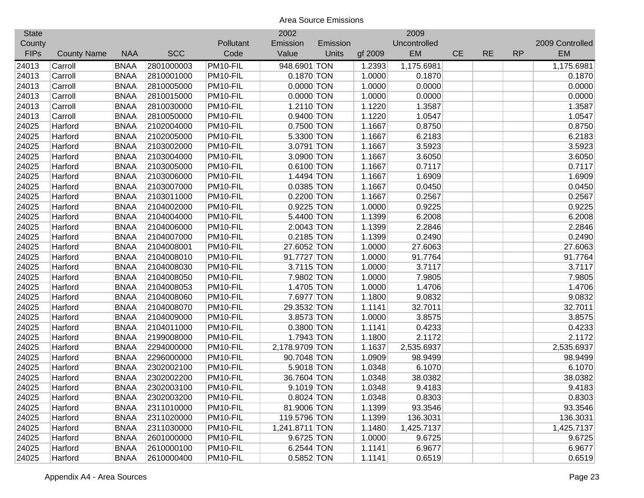| <b>State</b> |                    |             |            |           | 2002           |          |         | 2009         |           |           |           |                 |
|--------------|--------------------|-------------|------------|-----------|----------------|----------|---------|--------------|-----------|-----------|-----------|-----------------|
| County       |                    |             |            | Pollutant | Emission       | Emission |         | Uncontrolled |           |           |           | 2009 Controlled |
| <b>FIPs</b>  | <b>County Name</b> | <b>NAA</b>  | <b>SCC</b> | Code      | Value          | Units    | gf 2009 | EM           | <b>CE</b> | <b>RE</b> | <b>RP</b> | EM              |
| 24013        | Carroll            | <b>BNAA</b> | 2801000003 | PM10-FIL  | 948.6901 TON   |          | 1.2393  | 1,175.6981   |           |           |           | 1,175.6981      |
| 24013        | Carroll            | <b>BNAA</b> | 2810001000 | PM10-FIL  | 0.1870 TON     |          | 1.0000  | 0.1870       |           |           |           | 0.1870          |
| 24013        | Carroll            | <b>BNAA</b> | 2810005000 | PM10-FIL  | $0.0000$ TON   |          | 1.0000  | 0.0000       |           |           |           | 0.0000          |
| 24013        | Carroll            | <b>BNAA</b> | 2810015000 | PM10-FIL  | $0.0000$ TON   |          | 1.0000  | 0.0000       |           |           |           | 0.0000          |
| 24013        | Carroll            | <b>BNAA</b> | 2810030000 | PM10-FIL  | 1.2110 TON     |          | 1.1220  | 1.3587       |           |           |           | 1.3587          |
| 24013        | Carroll            | <b>BNAA</b> | 2810050000 | PM10-FIL  | 0.9400 TON     |          | 1.1220  | 1.0547       |           |           |           | 1.0547          |
| 24025        | Harford            | <b>BNAA</b> | 2102004000 | PM10-FIL  | 0.7500 TON     |          | 1.1667  | 0.8750       |           |           |           | 0.8750          |
| 24025        | Harford            | <b>BNAA</b> | 2102005000 | PM10-FIL  | 5.3300 TON     |          | 1.1667  | 6.2183       |           |           |           | 6.2183          |
| 24025        | Harford            | <b>BNAA</b> | 2103002000 | PM10-FIL  | 3.0791 TON     |          | 1.1667  | 3.5923       |           |           |           | 3.5923          |
| 24025        | Harford            | <b>BNAA</b> | 2103004000 | PM10-FIL  | 3.0900 TON     |          | 1.1667  | 3.6050       |           |           |           | 3.6050          |
| 24025        | Harford            | <b>BNAA</b> | 2103005000 | PM10-FIL  | 0.6100 TON     |          | 1.1667  | 0.7117       |           |           |           | 0.7117          |
| 24025        | Harford            | <b>BNAA</b> | 2103006000 | PM10-FIL  | 1.4494 TON     |          | 1.1667  | 1.6909       |           |           |           | 1.6909          |
| 24025        | Harford            | <b>BNAA</b> | 2103007000 | PM10-FIL  | 0.0385 TON     |          | 1.1667  | 0.0450       |           |           |           | 0.0450          |
| 24025        | Harford            | <b>BNAA</b> | 2103011000 | PM10-FIL  | $0.2200$ TON   |          | 1.1667  | 0.2567       |           |           |           | 0.2567          |
| 24025        | Harford            | <b>BNAA</b> | 2104002000 | PM10-FIL  | 0.9225 TON     |          | 1.0000  | 0.9225       |           |           |           | 0.9225          |
| 24025        | Harford            | <b>BNAA</b> | 2104004000 | PM10-FIL  | 5.4400 TON     |          | 1.1399  | 6.2008       |           |           |           | 6.2008          |
| 24025        | Harford            | <b>BNAA</b> | 2104006000 | PM10-FIL  | 2.0043 TON     |          | 1.1399  | 2.2846       |           |           |           | 2.2846          |
| 24025        | Harford            | <b>BNAA</b> | 2104007000 | PM10-FIL  | $0.2185$ TON   |          | 1.1399  | 0.2490       |           |           |           | 0.2490          |
| 24025        | Harford            | <b>BNAA</b> | 2104008001 | PM10-FIL  | 27.6052 TON    |          | 1.0000  | 27.6063      |           |           |           | 27.6063         |
| 24025        | Harford            | <b>BNAA</b> | 2104008010 | PM10-FIL  | 91.7727 TON    |          | 1.0000  | 91.7764      |           |           |           | 91.7764         |
| 24025        | Harford            | <b>BNAA</b> | 2104008030 | PM10-FIL  | 3.7115 TON     |          | 1.0000  | 3.7117       |           |           |           | 3.7117          |
| 24025        | Harford            | <b>BNAA</b> | 2104008050 | PM10-FIL  | 7.9802 TON     |          | 1.0000  | 7.9805       |           |           |           | 7.9805          |
| 24025        | Harford            | <b>BNAA</b> | 2104008053 | PM10-FIL  | 1.4705 TON     |          | 1.0000  | 1.4706       |           |           |           | 1.4706          |
| 24025        | Harford            | <b>BNAA</b> | 2104008060 | PM10-FIL  | 7.6977 TON     |          | 1.1800  | 9.0832       |           |           |           | 9.0832          |
| 24025        | Harford            | <b>BNAA</b> | 2104008070 | PM10-FIL  | 29.3532 TON    |          | 1.1141  | 32.7011      |           |           |           | 32.7011         |
| 24025        | Harford            | <b>BNAA</b> | 2104009000 | PM10-FIL  | 3.8573 TON     |          | 1.0000  | 3.8575       |           |           |           | 3.8575          |
| 24025        | Harford            | <b>BNAA</b> | 2104011000 | PM10-FIL  | 0.3800 TON     |          | 1.1141  | 0.4233       |           |           |           | 0.4233          |
| 24025        | Harford            | <b>BNAA</b> | 2199008000 | PM10-FIL  | 1.7943 TON     |          | 1.1800  | 2.1172       |           |           |           | 2.1172          |
| 24025        | Harford            | <b>BNAA</b> | 2294000000 | PM10-FIL  | 2,178.9709 TON |          | 1.1637  | 2,535.6937   |           |           |           | 2,535.6937      |
| 24025        | Harford            | <b>BNAA</b> | 2296000000 | PM10-FIL  | 90.7048 TON    |          | 1.0909  | 98.9499      |           |           |           | 98.9499         |
| 24025        | Harford            | <b>BNAA</b> | 2302002100 | PM10-FIL  | 5.9018 TON     |          | 1.0348  | 6.1070       |           |           |           | 6.1070          |
| 24025        | Harford            | <b>BNAA</b> | 2302002200 | PM10-FIL  | 36.7604 TON    |          | 1.0348  | 38.0382      |           |           |           | 38.0382         |
| 24025        | Harford            | <b>BNAA</b> | 2302003100 | PM10-FIL  | 9.1019 TON     |          | 1.0348  | 9.4183       |           |           |           | 9.4183          |
| 24025        | Harford            | <b>BNAA</b> | 2302003200 | PM10-FIL  | $0.8024$ TON   |          | 1.0348  | 0.8303       |           |           |           | 0.8303          |
| 24025        | Harford            | <b>BNAA</b> | 2311010000 | PM10-FIL  | 81.9006 TON    |          | 1.1399  | 93.3546      |           |           |           | 93.3546         |
| 24025        | Harford            | <b>BNAA</b> | 2311020000 | PM10-FIL  | 119.5796 TON   |          | 1.1399  | 136.3031     |           |           |           | 136.3031        |
| 24025        | Harford            | <b>BNAA</b> | 2311030000 | PM10-FIL  | 1,241.8711 TON |          | 1.1480  | 1,425.7137   |           |           |           | 1,425.7137      |
| 24025        | Harford            | <b>BNAA</b> | 2601000000 | PM10-FIL  | 9.6725 TON     |          | 1.0000  | 9.6725       |           |           |           | 9.6725          |
| 24025        | Harford            | <b>BNAA</b> | 2610000100 | PM10-FIL  | 6.2544 TON     |          | 1.1141  | 6.9677       |           |           |           | 6.9677          |
| 24025        | Harford            | <b>BNAA</b> | 2610000400 | PM10-FIL  | 0.5852 TON     |          | 1.1141  | 0.6519       |           |           |           | 0.6519          |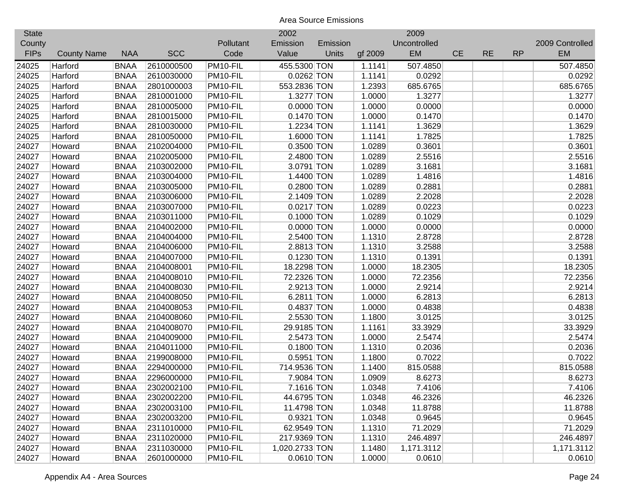| <b>State</b> |                    |             |            |           | 2002           |          |         | 2009         |           |           |           |                 |
|--------------|--------------------|-------------|------------|-----------|----------------|----------|---------|--------------|-----------|-----------|-----------|-----------------|
| County       |                    |             |            | Pollutant | Emission       | Emission |         | Uncontrolled |           |           |           | 2009 Controlled |
| <b>FIPs</b>  | <b>County Name</b> | <b>NAA</b>  | <b>SCC</b> | Code      | Value          | Units    | gf 2009 | <b>EM</b>    | <b>CE</b> | <b>RE</b> | <b>RP</b> | <b>EM</b>       |
| 24025        | Harford            | <b>BNAA</b> | 2610000500 | PM10-FIL  | 455.5300 TON   |          | 1.1141  | 507.4850     |           |           |           | 507.4850        |
| 24025        | Harford            | <b>BNAA</b> | 2610030000 | PM10-FIL  | $0.0262$ TON   |          | 1.1141  | 0.0292       |           |           |           | 0.0292          |
| 24025        | Harford            | <b>BNAA</b> | 2801000003 | PM10-FIL  | 553.2836 TON   |          | 1.2393  | 685.6765     |           |           |           | 685.6765        |
| 24025        | Harford            | <b>BNAA</b> | 2810001000 | PM10-FIL  | 1.3277 TON     |          | 1.0000  | 1.3277       |           |           |           | 1.3277          |
| 24025        | Harford            | <b>BNAA</b> | 2810005000 | PM10-FIL  | $0.0000$ TON   |          | 1.0000  | 0.0000       |           |           |           | 0.0000          |
| 24025        | Harford            | <b>BNAA</b> | 2810015000 | PM10-FIL  | $0.1470$ TON   |          | 1.0000  | 0.1470       |           |           |           | 0.1470          |
| 24025        | Harford            | <b>BNAA</b> | 2810030000 | PM10-FIL  | 1.2234 TON     |          | 1.1141  | 1.3629       |           |           |           | 1.3629          |
| 24025        | Harford            | <b>BNAA</b> | 2810050000 | PM10-FIL  | 1.6000 TON     |          | 1.1141  | 1.7825       |           |           |           | 1.7825          |
| 24027        | Howard             | <b>BNAA</b> | 2102004000 | PM10-FIL  | 0.3500 TON     |          | 1.0289  | 0.3601       |           |           |           | 0.3601          |
| 24027        | Howard             | <b>BNAA</b> | 2102005000 | PM10-FIL  | 2.4800 TON     |          | 1.0289  | 2.5516       |           |           |           | 2.5516          |
| 24027        | Howard             | <b>BNAA</b> | 2103002000 | PM10-FIL  | 3.0791 TON     |          | 1.0289  | 3.1681       |           |           |           | 3.1681          |
| 24027        | Howard             | <b>BNAA</b> | 2103004000 | PM10-FIL  | 1.4400 TON     |          | 1.0289  | 1.4816       |           |           |           | 1.4816          |
| 24027        | Howard             | <b>BNAA</b> | 2103005000 | PM10-FIL  | 0.2800 TON     |          | 1.0289  | 0.2881       |           |           |           | 0.2881          |
| 24027        | Howard             | <b>BNAA</b> | 2103006000 | PM10-FIL  | 2.1409 TON     |          | 1.0289  | 2.2028       |           |           |           | 2.2028          |
| 24027        | Howard             | <b>BNAA</b> | 2103007000 | PM10-FIL  | $0.0217$ TON   |          | 1.0289  | 0.0223       |           |           |           | 0.0223          |
| 24027        | Howard             | <b>BNAA</b> | 2103011000 | PM10-FIL  | $0.1000$ TON   |          | 1.0289  | 0.1029       |           |           |           | 0.1029          |
| 24027        | Howard             | <b>BNAA</b> | 2104002000 | PM10-FIL  | $0.0000$ TON   |          | 1.0000  | 0.0000       |           |           |           | 0.0000          |
| 24027        | Howard             | <b>BNAA</b> | 2104004000 | PM10-FIL  | 2.5400 TON     |          | 1.1310  | 2.8728       |           |           |           | 2.8728          |
| 24027        | Howard             | <b>BNAA</b> | 2104006000 | PM10-FIL  | 2.8813 TON     |          | 1.1310  | 3.2588       |           |           |           | 3.2588          |
| 24027        | Howard             | <b>BNAA</b> | 2104007000 | PM10-FIL  | $0.1230$ TON   |          | 1.1310  | 0.1391       |           |           |           | 0.1391          |
| 24027        | Howard             | <b>BNAA</b> | 2104008001 | PM10-FIL  | 18.2298 TON    |          | 1.0000  | 18.2305      |           |           |           | 18.2305         |
| 24027        | Howard             | <b>BNAA</b> | 2104008010 | PM10-FIL  | 72.2326 TON    |          | 1.0000  | 72.2356      |           |           |           | 72.2356         |
| 24027        | Howard             | <b>BNAA</b> | 2104008030 | PM10-FIL  | 2.9213 TON     |          | 1.0000  | 2.9214       |           |           |           | 2.9214          |
| 24027        | Howard             | <b>BNAA</b> | 2104008050 | PM10-FIL  | 6.2811 TON     |          | 1.0000  | 6.2813       |           |           |           | 6.2813          |
| 24027        | Howard             | <b>BNAA</b> | 2104008053 | PM10-FIL  | 0.4837 TON     |          | 1.0000  | 0.4838       |           |           |           | 0.4838          |
| 24027        | Howard             | <b>BNAA</b> | 2104008060 | PM10-FIL  | 2.5530 TON     |          | 1.1800  | 3.0125       |           |           |           | 3.0125          |
| 24027        | Howard             | <b>BNAA</b> | 2104008070 | PM10-FIL  | 29.9185 TON    |          | 1.1161  | 33.3929      |           |           |           | 33.3929         |
| 24027        | Howard             | <b>BNAA</b> | 2104009000 | PM10-FIL  | 2.5473 TON     |          | 1.0000  | 2.5474       |           |           |           | 2.5474          |
| 24027        | Howard             | <b>BNAA</b> | 2104011000 | PM10-FIL  | 0.1800 TON     |          | 1.1310  | 0.2036       |           |           |           | 0.2036          |
| 24027        | Howard             | <b>BNAA</b> | 2199008000 | PM10-FIL  | 0.5951 TON     |          | 1.1800  | 0.7022       |           |           |           | 0.7022          |
| 24027        | Howard             | <b>BNAA</b> | 2294000000 | PM10-FIL  | 714.9536 TON   |          | 1.1400  | 815.0588     |           |           |           | 815.0588        |
| 24027        | Howard             | <b>BNAA</b> | 2296000000 | PM10-FIL  | 7.9084 TON     |          | 1.0909  | 8.6273       |           |           |           | 8.6273          |
| 24027        | Howard             | <b>BNAA</b> | 2302002100 | PM10-FIL  | 7.1616 TON     |          | 1.0348  | 7.4106       |           |           |           | 7.4106          |
| 24027        | Howard             | <b>BNAA</b> | 2302002200 | PM10-FIL  | 44.6795 TON    |          | 1.0348  | 46.2326      |           |           |           | 46.2326         |
| 24027        | Howard             | <b>BNAA</b> | 2302003100 | PM10-FIL  | 11.4798 TON    |          | 1.0348  | 11.8788      |           |           |           | 11.8788         |
| 24027        | Howard             | <b>BNAA</b> | 2302003200 | PM10-FIL  | 0.9321 TON     |          | 1.0348  | 0.9645       |           |           |           | 0.9645          |
| 24027        | Howard             | <b>BNAA</b> | 2311010000 | PM10-FIL  | 62.9549 TON    |          | 1.1310  | 71.2029      |           |           |           | 71.2029         |
| 24027        | Howard             | <b>BNAA</b> | 2311020000 | PM10-FIL  | 217.9369 TON   |          | 1.1310  | 246.4897     |           |           |           | 246.4897        |
| 24027        | Howard             | <b>BNAA</b> | 2311030000 | PM10-FIL  | 1,020.2733 TON |          | 1.1480  | 1,171.3112   |           |           |           | 1,171.3112      |
| 24027        | Howard             | <b>BNAA</b> | 2601000000 | PM10-FIL  | 0.0610 TON     |          | 1.0000  | 0.0610       |           |           |           | 0.0610          |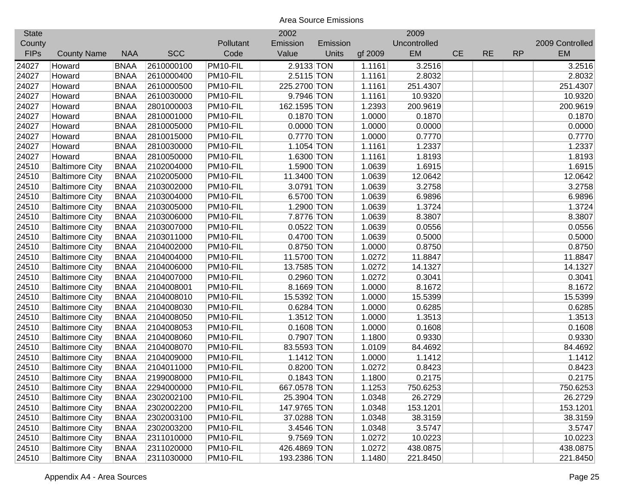| <b>State</b> |                       |             |            |           | 2002         |          |         | 2009         |           |           |           |                 |
|--------------|-----------------------|-------------|------------|-----------|--------------|----------|---------|--------------|-----------|-----------|-----------|-----------------|
| County       |                       |             |            | Pollutant | Emission     | Emission |         | Uncontrolled |           |           |           | 2009 Controlled |
| <b>FIPs</b>  | <b>County Name</b>    | <b>NAA</b>  | <b>SCC</b> | Code      | Value        | Units    | gf 2009 | EM           | <b>CE</b> | <b>RE</b> | <b>RP</b> | <b>EM</b>       |
| 24027        | Howard                | <b>BNAA</b> | 2610000100 | PM10-FIL  | 2.9133 TON   |          | 1.1161  | 3.2516       |           |           |           | 3.2516          |
| 24027        | Howard                | <b>BNAA</b> | 2610000400 | PM10-FIL  | 2.5115 TON   |          | 1.1161  | 2.8032       |           |           |           | 2.8032          |
| 24027        | Howard                | <b>BNAA</b> | 2610000500 | PM10-FIL  | 225.2700 TON |          | 1.1161  | 251.4307     |           |           |           | 251.4307        |
| 24027        | Howard                | <b>BNAA</b> | 2610030000 | PM10-FIL  | 9.7946 TON   |          | 1.1161  | 10.9320      |           |           |           | 10.9320         |
| 24027        | Howard                | <b>BNAA</b> | 2801000003 | PM10-FIL  | 162.1595 TON |          | 1.2393  | 200.9619     |           |           |           | 200.9619        |
| 24027        | Howard                | <b>BNAA</b> | 2810001000 | PM10-FIL  | 0.1870 TON   |          | 1.0000  | 0.1870       |           |           |           | 0.1870          |
| 24027        | Howard                | <b>BNAA</b> | 2810005000 | PM10-FIL  | $0.0000$ TON |          | 1.0000  | 0.0000       |           |           |           | 0.0000          |
| 24027        | Howard                | <b>BNAA</b> | 2810015000 | PM10-FIL  | 0.7770 TON   |          | 1.0000  | 0.7770       |           |           |           | 0.7770          |
| 24027        | Howard                | <b>BNAA</b> | 2810030000 | PM10-FIL  | 1.1054 TON   |          | 1.1161  | 1.2337       |           |           |           | 1.2337          |
| 24027        | Howard                | <b>BNAA</b> | 2810050000 | PM10-FIL  | 1.6300 TON   |          | 1.1161  | 1.8193       |           |           |           | 1.8193          |
| 24510        | <b>Baltimore City</b> | <b>BNAA</b> | 2102004000 | PM10-FIL  | 1.5900 TON   |          | 1.0639  | 1.6915       |           |           |           | 1.6915          |
| 24510        | <b>Baltimore City</b> | <b>BNAA</b> | 2102005000 | PM10-FIL  | 11.3400 TON  |          | 1.0639  | 12.0642      |           |           |           | 12.0642         |
| 24510        | <b>Baltimore City</b> | <b>BNAA</b> | 2103002000 | PM10-FIL  | 3.0791 TON   |          | 1.0639  | 3.2758       |           |           |           | 3.2758          |
| 24510        | <b>Baltimore City</b> | <b>BNAA</b> | 2103004000 | PM10-FIL  | 6.5700 TON   |          | 1.0639  | 6.9896       |           |           |           | 6.9896          |
| 24510        | <b>Baltimore City</b> | <b>BNAA</b> | 2103005000 | PM10-FIL  | 1.2900 TON   |          | 1.0639  | 1.3724       |           |           |           | 1.3724          |
| 24510        | <b>Baltimore City</b> | <b>BNAA</b> | 2103006000 | PM10-FIL  | 7.8776 TON   |          | 1.0639  | 8.3807       |           |           |           | 8.3807          |
| 24510        | <b>Baltimore City</b> | <b>BNAA</b> | 2103007000 | PM10-FIL  | $0.0522$ TON |          | 1.0639  | 0.0556       |           |           |           | 0.0556          |
| 24510        | <b>Baltimore City</b> | <b>BNAA</b> | 2103011000 | PM10-FIL  | 0.4700 TON   |          | 1.0639  | 0.5000       |           |           |           | 0.5000          |
| 24510        | <b>Baltimore City</b> | <b>BNAA</b> | 2104002000 | PM10-FIL  | 0.8750 TON   |          | 1.0000  | 0.8750       |           |           |           | 0.8750          |
| 24510        | <b>Baltimore City</b> | <b>BNAA</b> | 2104004000 | PM10-FIL  | 11.5700 TON  |          | 1.0272  | 11.8847      |           |           |           | 11.8847         |
| 24510        | <b>Baltimore City</b> | <b>BNAA</b> | 2104006000 | PM10-FIL  | 13.7585 TON  |          | 1.0272  | 14.1327      |           |           |           | 14.1327         |
| 24510        | <b>Baltimore City</b> | <b>BNAA</b> | 2104007000 | PM10-FIL  | 0.2960 TON   |          | 1.0272  | 0.3041       |           |           |           | 0.3041          |
| 24510        | <b>Baltimore City</b> | <b>BNAA</b> | 2104008001 | PM10-FIL  | 8.1669 TON   |          | 1.0000  | 8.1672       |           |           |           | 8.1672          |
| 24510        | <b>Baltimore City</b> | <b>BNAA</b> | 2104008010 | PM10-FIL  | 15.5392 TON  |          | 1.0000  | 15.5399      |           |           |           | 15.5399         |
| 24510        | <b>Baltimore City</b> | <b>BNAA</b> | 2104008030 | PM10-FIL  | 0.6284 TON   |          | 1.0000  | 0.6285       |           |           |           | 0.6285          |
| 24510        | <b>Baltimore City</b> | <b>BNAA</b> | 2104008050 | PM10-FIL  | $1.3512$ TON |          | 1.0000  | 1.3513       |           |           |           | 1.3513          |
| 24510        | <b>Baltimore City</b> | <b>BNAA</b> | 2104008053 | PM10-FIL  | $0.1608$ TON |          | 1.0000  | 0.1608       |           |           |           | 0.1608          |
| 24510        | <b>Baltimore City</b> | <b>BNAA</b> | 2104008060 | PM10-FIL  | 0.7907 TON   |          | 1.1800  | 0.9330       |           |           |           | 0.9330          |
| 24510        | <b>Baltimore City</b> | <b>BNAA</b> | 2104008070 | PM10-FIL  | 83.5593 TON  |          | 1.0109  | 84.4692      |           |           |           | 84.4692         |
| 24510        | <b>Baltimore City</b> | <b>BNAA</b> | 2104009000 | PM10-FIL  | $1.1412$ TON |          | 1.0000  | 1.1412       |           |           |           | 1.1412          |
| 24510        | <b>Baltimore City</b> | <b>BNAA</b> | 2104011000 | PM10-FIL  | 0.8200 TON   |          | 1.0272  | 0.8423       |           |           |           | 0.8423          |
| 24510        | <b>Baltimore City</b> | <b>BNAA</b> | 2199008000 | PM10-FIL  | $0.1843$ TON |          | 1.1800  | 0.2175       |           |           |           | 0.2175          |
| 24510        | <b>Baltimore City</b> | <b>BNAA</b> | 2294000000 | PM10-FIL  | 667.0578 TON |          | 1.1253  | 750.6253     |           |           |           | 750.6253        |
| 24510        | <b>Baltimore City</b> | <b>BNAA</b> | 2302002100 | PM10-FIL  | 25.3904 TON  |          | 1.0348  | 26.2729      |           |           |           | 26.2729         |
| 24510        | <b>Baltimore City</b> | <b>BNAA</b> | 2302002200 | PM10-FIL  | 147.9765 TON |          | 1.0348  | 153.1201     |           |           |           | 153.1201        |
| 24510        | <b>Baltimore City</b> | <b>BNAA</b> | 2302003100 | PM10-FIL  | 37.0288 TON  |          | 1.0348  | 38.3159      |           |           |           | 38.3159         |
| 24510        | <b>Baltimore City</b> | <b>BNAA</b> | 2302003200 | PM10-FIL  | 3.4546 TON   |          | 1.0348  | 3.5747       |           |           |           | 3.5747          |
| 24510        | <b>Baltimore City</b> | <b>BNAA</b> | 2311010000 | PM10-FIL  | 9.7569 TON   |          | 1.0272  | 10.0223      |           |           |           | 10.0223         |
| 24510        | <b>Baltimore City</b> | <b>BNAA</b> | 2311020000 | PM10-FIL  | 426.4869 TON |          | 1.0272  | 438.0875     |           |           |           | 438.0875        |
| 24510        | <b>Baltimore City</b> | <b>BNAA</b> | 2311030000 | PM10-FIL  | 193.2386 TON |          | 1.1480  | 221.8450     |           |           |           | 221.8450        |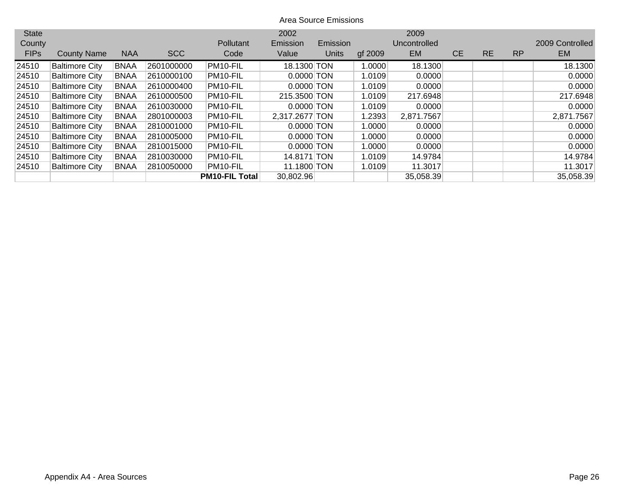| <b>State</b> |                       |             |            |                       | 2002           |          |         | 2009         |           |           |           |                 |
|--------------|-----------------------|-------------|------------|-----------------------|----------------|----------|---------|--------------|-----------|-----------|-----------|-----------------|
| County       |                       |             |            | Pollutant             | Emission       | Emission |         | Uncontrolled |           |           |           | 2009 Controlled |
| <b>FIPs</b>  | <b>County Name</b>    | <b>NAA</b>  | <b>SCC</b> | Code                  | Value          | Units    | gf 2009 | EM           | <b>CE</b> | <b>RE</b> | <b>RP</b> | <b>EM</b>       |
| 24510        | <b>Baltimore City</b> | <b>BNAA</b> | 2601000000 | PM10-FIL              | 18.1300 TON    |          | 1.0000  | 18.1300      |           |           |           | 18.1300         |
| 24510        | <b>Baltimore City</b> | <b>BNAA</b> | 2610000100 | PM10-FIL              | $0.0000$ TON   |          | 1.0109  | 0.0000       |           |           |           | 0.0000          |
| 24510        | <b>Baltimore City</b> | <b>BNAA</b> | 2610000400 | PM10-FIL              | $0.0000$ TON   |          | 1.0109  | 0.0000       |           |           |           | 0.0000          |
| 24510        | <b>Baltimore City</b> | <b>BNAA</b> | 2610000500 | PM10-FIL              | 215.3500 TON   |          | 1.0109  | 217.6948     |           |           |           | 217.6948        |
| 24510        | <b>Baltimore City</b> | <b>BNAA</b> | 2610030000 | PM10-FIL              | $0.0000$ TON   |          | 1.0109  | 0.0000       |           |           |           | 0.0000          |
| 24510        | <b>Baltimore City</b> | <b>BNAA</b> | 2801000003 | PM10-FIL              | 2,317.2677 TON |          | 1.2393  | 2,871.7567   |           |           |           | 2,871.7567      |
| 24510        | <b>Baltimore City</b> | <b>BNAA</b> | 2810001000 | PM10-FIL              | $0.0000$ TON   |          | 1.0000  | 0.0000       |           |           |           | 0.0000          |
| 24510        | <b>Baltimore City</b> | <b>BNAA</b> | 2810005000 | PM10-FIL              | $0.0000$ TON   |          | 1.0000  | 0.0000       |           |           |           | 0.0000          |
| 24510        | <b>Baltimore City</b> | <b>BNAA</b> | 2810015000 | PM10-FIL              | $0.0000$ TON   |          | 1.0000  | 0.0000       |           |           |           | 0.0000          |
| 24510        | <b>Baltimore City</b> | <b>BNAA</b> | 2810030000 | PM10-FIL              | 14.8171 TON    |          | 1.0109  | 14.9784      |           |           |           | 14.9784         |
| 24510        | <b>Baltimore City</b> | <b>BNAA</b> | 2810050000 | PM10-FIL              | 11.1800 TON    |          | 1.0109  | 11.3017      |           |           |           | 11.3017         |
|              |                       |             |            | <b>PM10-FIL Total</b> | 30,802.96      |          |         | 35,058.39    |           |           |           | 35,058.39       |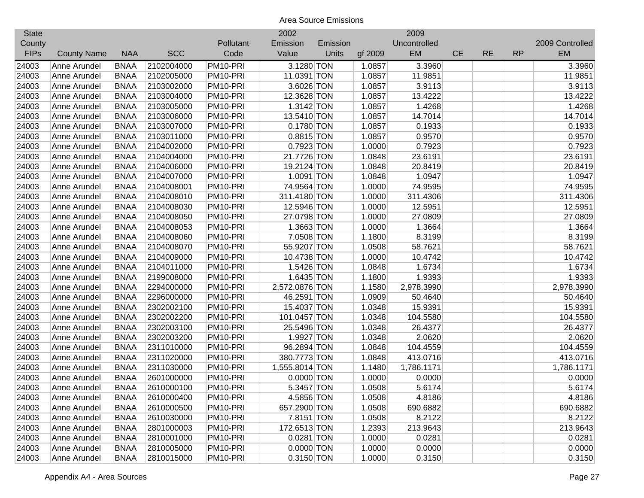| <b>State</b> |                    |             |            |           | 2002           |          |         | 2009         |           |           |           |                 |
|--------------|--------------------|-------------|------------|-----------|----------------|----------|---------|--------------|-----------|-----------|-----------|-----------------|
| County       |                    |             |            | Pollutant | Emission       | Emission |         | Uncontrolled |           |           |           | 2009 Controlled |
| <b>FIPs</b>  | <b>County Name</b> | <b>NAA</b>  | <b>SCC</b> | Code      | Value          | Units    | gf 2009 | EM           | <b>CE</b> | <b>RE</b> | <b>RP</b> | <b>EM</b>       |
| 24003        | Anne Arundel       | <b>BNAA</b> | 2102004000 | PM10-PRI  | 3.1280 TON     |          | 1.0857  | 3.3960       |           |           |           | 3.3960          |
| 24003        | Anne Arundel       | <b>BNAA</b> | 2102005000 | PM10-PRI  | 11.0391 TON    |          | 1.0857  | 11.9851      |           |           |           | 11.9851         |
| 24003        | Anne Arundel       | <b>BNAA</b> | 2103002000 | PM10-PRI  | 3.6026 TON     |          | 1.0857  | 3.9113       |           |           |           | 3.9113          |
| 24003        | Anne Arundel       | <b>BNAA</b> | 2103004000 | PM10-PRI  | 12.3628 TON    |          | 1.0857  | 13.4222      |           |           |           | 13.4222         |
| 24003        | Anne Arundel       | <b>BNAA</b> | 2103005000 | PM10-PRI  | 1.3142 TON     |          | 1.0857  | 1.4268       |           |           |           | 1.4268          |
| 24003        | Anne Arundel       | <b>BNAA</b> | 2103006000 | PM10-PRI  | 13.5410 TON    |          | 1.0857  | 14.7014      |           |           |           | 14.7014         |
| 24003        | Anne Arundel       | <b>BNAA</b> | 2103007000 | PM10-PRI  | 0.1780 TON     |          | 1.0857  | 0.1933       |           |           |           | 0.1933          |
| 24003        | Anne Arundel       | <b>BNAA</b> | 2103011000 | PM10-PRI  | 0.8815 TON     |          | 1.0857  | 0.9570       |           |           |           | 0.9570          |
| 24003        | Anne Arundel       | <b>BNAA</b> | 2104002000 | PM10-PRI  | 0.7923 TON     |          | 1.0000  | 0.7923       |           |           |           | 0.7923          |
| 24003        | Anne Arundel       | <b>BNAA</b> | 2104004000 | PM10-PRI  | 21.7726 TON    |          | 1.0848  | 23.6191      |           |           |           | 23.6191         |
| 24003        | Anne Arundel       | <b>BNAA</b> | 2104006000 | PM10-PRI  | 19.2124 TON    |          | 1.0848  | 20.8419      |           |           |           | 20.8419         |
| 24003        | Anne Arundel       | <b>BNAA</b> | 2104007000 | PM10-PRI  | 1.0091 TON     |          | 1.0848  | 1.0947       |           |           |           | 1.0947          |
| 24003        | Anne Arundel       | <b>BNAA</b> | 2104008001 | PM10-PRI  | 74.9564 TON    |          | 1.0000  | 74.9595      |           |           |           | 74.9595         |
| 24003        | Anne Arundel       | <b>BNAA</b> | 2104008010 | PM10-PRI  | 311.4180 TON   |          | 1.0000  | 311.4306     |           |           |           | 311.4306        |
| 24003        | Anne Arundel       | <b>BNAA</b> | 2104008030 | PM10-PRI  | 12.5946 TON    |          | 1.0000  | 12.5951      |           |           |           | 12.5951         |
| 24003        | Anne Arundel       | <b>BNAA</b> | 2104008050 | PM10-PRI  | 27.0798 TON    |          | 1.0000  | 27.0809      |           |           |           | 27.0809         |
| 24003        | Anne Arundel       | <b>BNAA</b> | 2104008053 | PM10-PRI  | 1.3663 TON     |          | 1.0000  | 1.3664       |           |           |           | 1.3664          |
| 24003        | Anne Arundel       | <b>BNAA</b> | 2104008060 | PM10-PRI  | 7.0508 TON     |          | 1.1800  | 8.3199       |           |           |           | 8.3199          |
| 24003        | Anne Arundel       | <b>BNAA</b> | 2104008070 | PM10-PRI  | 55.9207 TON    |          | 1.0508  | 58.7621      |           |           |           | 58.7621         |
| 24003        | Anne Arundel       | <b>BNAA</b> | 2104009000 | PM10-PRI  | 10.4738 TON    |          | 1.0000  | 10.4742      |           |           |           | 10.4742         |
| 24003        | Anne Arundel       | <b>BNAA</b> | 2104011000 | PM10-PRI  | 1.5426 TON     |          | 1.0848  | 1.6734       |           |           |           | 1.6734          |
| 24003        | Anne Arundel       | <b>BNAA</b> | 2199008000 | PM10-PRI  | 1.6435 TON     |          | 1.1800  | 1.9393       |           |           |           | 1.9393          |
| 24003        | Anne Arundel       | <b>BNAA</b> | 2294000000 | PM10-PRI  | 2,572.0876 TON |          | 1.1580  | 2,978.3990   |           |           |           | 2,978.3990      |
| 24003        | Anne Arundel       | <b>BNAA</b> | 2296000000 | PM10-PRI  | 46.2591 TON    |          | 1.0909  | 50.4640      |           |           |           | 50.4640         |
| 24003        | Anne Arundel       | <b>BNAA</b> | 2302002100 | PM10-PRI  | 15.4037 TON    |          | 1.0348  | 15.9391      |           |           |           | 15.9391         |
| 24003        | Anne Arundel       | <b>BNAA</b> | 2302002200 | PM10-PRI  | 101.0457 TON   |          | 1.0348  | 104.5580     |           |           |           | 104.5580        |
| 24003        | Anne Arundel       | <b>BNAA</b> | 2302003100 | PM10-PRI  | 25.5496 TON    |          | 1.0348  | 26.4377      |           |           |           | 26.4377         |
| 24003        | Anne Arundel       | <b>BNAA</b> | 2302003200 | PM10-PRI  | 1.9927 TON     |          | 1.0348  | 2.0620       |           |           |           | 2.0620          |
| 24003        | Anne Arundel       | <b>BNAA</b> | 2311010000 | PM10-PRI  | 96.2894 TON    |          | 1.0848  | 104.4559     |           |           |           | 104.4559        |
| 24003        | Anne Arundel       | <b>BNAA</b> | 2311020000 | PM10-PRI  | 380.7773 TON   |          | 1.0848  | 413.0716     |           |           |           | 413.0716        |
| 24003        | Anne Arundel       | <b>BNAA</b> | 2311030000 | PM10-PRI  | 1,555.8014 TON |          | 1.1480  | 1,786.1171   |           |           |           | 1,786.1171      |
| 24003        | Anne Arundel       | <b>BNAA</b> | 2601000000 | PM10-PRI  | $0.0000$ TON   |          | 1.0000  | 0.0000       |           |           |           | 0.0000          |
| 24003        | Anne Arundel       | <b>BNAA</b> | 2610000100 | PM10-PRI  | 5.3457 TON     |          | 1.0508  | 5.6174       |           |           |           | 5.6174          |
| 24003        | Anne Arundel       | <b>BNAA</b> | 2610000400 | PM10-PRI  | 4.5856 TON     |          | 1.0508  | 4.8186       |           |           |           | 4.8186          |
| 24003        | Anne Arundel       | <b>BNAA</b> | 2610000500 | PM10-PRI  | 657.2900 TON   |          | 1.0508  | 690.6882     |           |           |           | 690.6882        |
| 24003        | Anne Arundel       | <b>BNAA</b> | 2610030000 | PM10-PRI  | 7.8151 TON     |          | 1.0508  | 8.2122       |           |           |           | 8.2122          |
| 24003        | Anne Arundel       | <b>BNAA</b> | 2801000003 | PM10-PRI  | 172.6513 TON   |          | 1.2393  | 213.9643     |           |           |           | 213.9643        |
| 24003        | Anne Arundel       | <b>BNAA</b> | 2810001000 | PM10-PRI  | 0.0281 TON     |          | 1.0000  | 0.0281       |           |           |           | 0.0281          |
| 24003        | Anne Arundel       | <b>BNAA</b> | 2810005000 | PM10-PRI  | $0.0000$ TON   |          | 1.0000  | 0.0000       |           |           |           | 0.0000          |
| 24003        | Anne Arundel       | <b>BNAA</b> | 2810015000 | PM10-PRI  | $0.3150$ TON   |          | 1.0000  | 0.3150       |           |           |           | 0.3150          |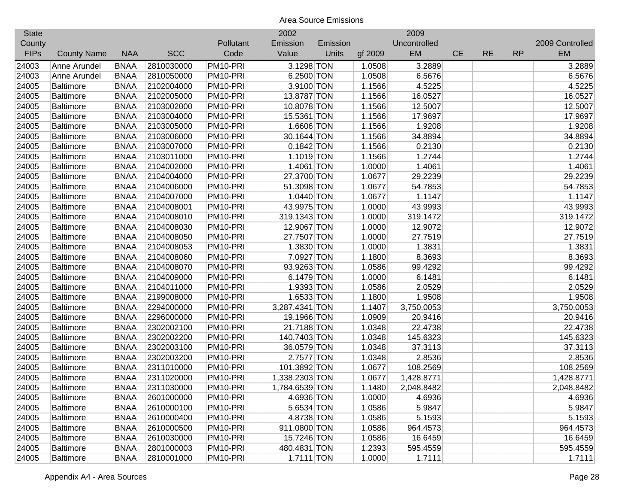| <b>State</b> |                    |             |            |           | 2002           |              |         | 2009         |           |           |           |                 |
|--------------|--------------------|-------------|------------|-----------|----------------|--------------|---------|--------------|-----------|-----------|-----------|-----------------|
| County       |                    |             |            | Pollutant | Emission       | Emission     |         | Uncontrolled |           |           |           | 2009 Controlled |
| <b>FIPs</b>  | <b>County Name</b> | <b>NAA</b>  | <b>SCC</b> | Code      | Value          | <b>Units</b> | gf 2009 | EM           | <b>CE</b> | <b>RE</b> | <b>RP</b> | <b>EM</b>       |
| 24003        | Anne Arundel       | <b>BNAA</b> | 2810030000 | PM10-PRI  | 3.1298 TON     |              | 1.0508  | 3.2889       |           |           |           | 3.2889          |
| 24003        | Anne Arundel       | <b>BNAA</b> | 2810050000 | PM10-PRI  | 6.2500 TON     |              | 1.0508  | 6.5676       |           |           |           | 6.5676          |
| 24005        | <b>Baltimore</b>   | <b>BNAA</b> | 2102004000 | PM10-PRI  | 3.9100 TON     |              | 1.1566  | 4.5225       |           |           |           | 4.5225          |
| 24005        | <b>Baltimore</b>   | <b>BNAA</b> | 2102005000 | PM10-PRI  | 13.8787 TON    |              | 1.1566  | 16.0527      |           |           |           | 16.0527         |
| 24005        | <b>Baltimore</b>   | <b>BNAA</b> | 2103002000 | PM10-PRI  | 10.8078 TON    |              | 1.1566  | 12.5007      |           |           |           | 12.5007         |
| 24005        | <b>Baltimore</b>   | <b>BNAA</b> | 2103004000 | PM10-PRI  | 15.5361 TON    |              | 1.1566  | 17.9697      |           |           |           | 17.9697         |
| 24005        | <b>Baltimore</b>   | <b>BNAA</b> | 2103005000 | PM10-PRI  | 1.6606 TON     |              | 1.1566  | 1.9208       |           |           |           | 1.9208          |
| 24005        | <b>Baltimore</b>   | <b>BNAA</b> | 2103006000 | PM10-PRI  | 30.1644 TON    |              | 1.1566  | 34.8894      |           |           |           | 34.8894         |
| 24005        | <b>Baltimore</b>   | <b>BNAA</b> | 2103007000 | PM10-PRI  | $0.1842$ TON   |              | 1.1566  | 0.2130       |           |           |           | 0.2130          |
| 24005        | <b>Baltimore</b>   | <b>BNAA</b> | 2103011000 | PM10-PRI  | 1.1019 TON     |              | 1.1566  | 1.2744       |           |           |           | 1.2744          |
| 24005        | <b>Baltimore</b>   | <b>BNAA</b> | 2104002000 | PM10-PRI  | 1.4061 TON     |              | 1.0000  | 1.4061       |           |           |           | 1.4061          |
| 24005        | <b>Baltimore</b>   | <b>BNAA</b> | 2104004000 | PM10-PRI  | 27.3700 TON    |              | 1.0677  | 29.2239      |           |           |           | 29.2239         |
| 24005        | <b>Baltimore</b>   | <b>BNAA</b> | 2104006000 | PM10-PRI  | 51.3098 TON    |              | 1.0677  | 54.7853      |           |           |           | 54.7853         |
| 24005        | <b>Baltimore</b>   | <b>BNAA</b> | 2104007000 | PM10-PRI  | $1.0440$ TON   |              | 1.0677  | 1.1147       |           |           |           | 1.1147          |
| 24005        | <b>Baltimore</b>   | <b>BNAA</b> | 2104008001 | PM10-PRI  | 43.9975 TON    |              | 1.0000  | 43.9993      |           |           |           | 43.9993         |
| 24005        | <b>Baltimore</b>   | <b>BNAA</b> | 2104008010 | PM10-PRI  | 319.1343 TON   |              | 1.0000  | 319.1472     |           |           |           | 319.1472        |
| 24005        | <b>Baltimore</b>   | <b>BNAA</b> | 2104008030 | PM10-PRI  | 12.9067 TON    |              | 1.0000  | 12.9072      |           |           |           | 12.9072         |
| 24005        | <b>Baltimore</b>   | <b>BNAA</b> | 2104008050 | PM10-PRI  | 27.7507 TON    |              | 1.0000  | 27.7519      |           |           |           | 27.7519         |
| 24005        | <b>Baltimore</b>   | <b>BNAA</b> | 2104008053 | PM10-PRI  | 1.3830 TON     |              | 1.0000  | 1.3831       |           |           |           | 1.3831          |
| 24005        | <b>Baltimore</b>   | <b>BNAA</b> | 2104008060 | PM10-PRI  | 7.0927 TON     |              | 1.1800  | 8.3693       |           |           |           | 8.3693          |
| 24005        | <b>Baltimore</b>   | <b>BNAA</b> | 2104008070 | PM10-PRI  | 93.9263 TON    |              | 1.0586  | 99.4292      |           |           |           | 99.4292         |
| 24005        | <b>Baltimore</b>   | <b>BNAA</b> | 2104009000 | PM10-PRI  | 6.1479 TON     |              | 1.0000  | 6.1481       |           |           |           | 6.1481          |
| 24005        | <b>Baltimore</b>   | <b>BNAA</b> | 2104011000 | PM10-PRI  | 1.9393 TON     |              | 1.0586  | 2.0529       |           |           |           | 2.0529          |
| 24005        | <b>Baltimore</b>   | <b>BNAA</b> | 2199008000 | PM10-PRI  | 1.6533 TON     |              | 1.1800  | 1.9508       |           |           |           | 1.9508          |
| 24005        | <b>Baltimore</b>   | <b>BNAA</b> | 2294000000 | PM10-PRI  | 3,287.4341 TON |              | 1.1407  | 3,750.0053   |           |           |           | 3,750.0053      |
| 24005        | Baltimore          | <b>BNAA</b> | 2296000000 | PM10-PRI  | 19.1966 TON    |              | 1.0909  | 20.9416      |           |           |           | 20.9416         |
| 24005        | <b>Baltimore</b>   | <b>BNAA</b> | 2302002100 | PM10-PRI  | 21.7188 TON    |              | 1.0348  | 22.4738      |           |           |           | 22.4738         |
| 24005        | <b>Baltimore</b>   | <b>BNAA</b> | 2302002200 | PM10-PRI  | 140.7403 TON   |              | 1.0348  | 145.6323     |           |           |           | 145.6323        |
| 24005        | <b>Baltimore</b>   | <b>BNAA</b> | 2302003100 | PM10-PRI  | 36.0579 TON    |              | 1.0348  | 37.3113      |           |           |           | 37.3113         |
| 24005        | <b>Baltimore</b>   | <b>BNAA</b> | 2302003200 | PM10-PRI  | 2.7577 TON     |              | 1.0348  | 2.8536       |           |           |           | 2.8536          |
| 24005        | <b>Baltimore</b>   | <b>BNAA</b> | 2311010000 | PM10-PRI  | 101.3892 TON   |              | 1.0677  | 108.2569     |           |           |           | 108.2569        |
| 24005        | <b>Baltimore</b>   | <b>BNAA</b> | 2311020000 | PM10-PRI  | 1,338.2303 TON |              | 1.0677  | 1,428.8771   |           |           |           | 1,428.8771      |
| 24005        | <b>Baltimore</b>   | <b>BNAA</b> | 2311030000 | PM10-PRI  | 1,784.6539 TON |              | 1.1480  | 2,048.8482   |           |           |           | 2,048.8482      |
| 24005        | <b>Baltimore</b>   | <b>BNAA</b> | 2601000000 | PM10-PRI  | 4.6936 TON     |              | 1.0000  | 4.6936       |           |           |           | 4.6936          |
| 24005        | <b>Baltimore</b>   | <b>BNAA</b> | 2610000100 | PM10-PRI  | 5.6534 TON     |              | 1.0586  | 5.9847       |           |           |           | 5.9847          |
| 24005        | <b>Baltimore</b>   | <b>BNAA</b> | 2610000400 | PM10-PRI  | 4.8738 TON     |              | 1.0586  | 5.1593       |           |           |           | 5.1593          |
| 24005        | <b>Baltimore</b>   | <b>BNAA</b> | 2610000500 | PM10-PRI  | 911.0800 TON   |              | 1.0586  | 964.4573     |           |           |           | 964.4573        |
| 24005        | <b>Baltimore</b>   | <b>BNAA</b> | 2610030000 | PM10-PRI  | 15.7246 TON    |              | 1.0586  | 16.6459      |           |           |           | 16.6459         |
| 24005        | <b>Baltimore</b>   | <b>BNAA</b> | 2801000003 | PM10-PRI  | 480.4831 TON   |              | 1.2393  | 595.4559     |           |           |           | 595.4559        |
| 24005        | <b>Baltimore</b>   | <b>BNAA</b> | 2810001000 | PM10-PRI  | 1.7111 TON     |              | 1.0000  | 1.7111       |           |           |           | 1.7111          |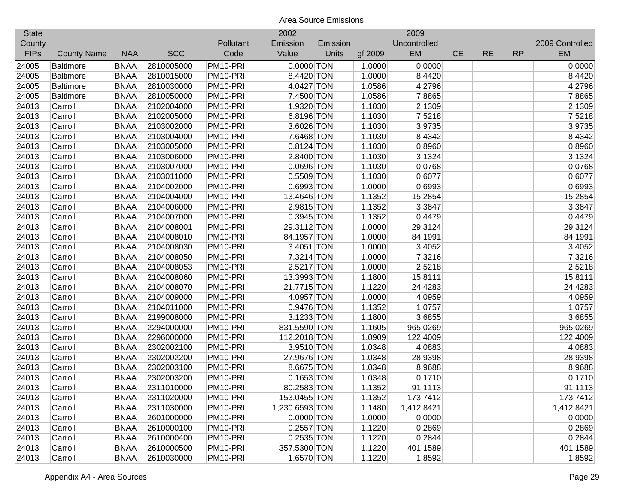| <b>State</b> |                    |             |            |           | 2002           |              |         | 2009         |           |           |           |                 |
|--------------|--------------------|-------------|------------|-----------|----------------|--------------|---------|--------------|-----------|-----------|-----------|-----------------|
| County       |                    |             |            | Pollutant | Emission       | Emission     |         | Uncontrolled |           |           |           | 2009 Controlled |
| <b>FIPs</b>  | <b>County Name</b> | <b>NAA</b>  | <b>SCC</b> | Code      | Value          | <b>Units</b> | gf 2009 | EM           | <b>CE</b> | <b>RE</b> | <b>RP</b> | EM              |
| 24005        | <b>Baltimore</b>   | <b>BNAA</b> | 2810005000 | PM10-PRI  | $0.0000$ TON   |              | 1.0000  | 0.0000       |           |           |           | 0.0000          |
| 24005        | <b>Baltimore</b>   | <b>BNAA</b> | 2810015000 | PM10-PRI  | 8.4420 TON     |              | 1.0000  | 8.4420       |           |           |           | 8.4420          |
| 24005        | <b>Baltimore</b>   | <b>BNAA</b> | 2810030000 | PM10-PRI  | 4.0427 TON     |              | 1.0586  | 4.2796       |           |           |           | 4.2796          |
| 24005        | <b>Baltimore</b>   | <b>BNAA</b> | 2810050000 | PM10-PRI  | 7.4500 TON     |              | 1.0586  | 7.8865       |           |           |           | 7.8865          |
| 24013        | Carroll            | <b>BNAA</b> | 2102004000 | PM10-PRI  | 1.9320 TON     |              | 1.1030  | 2.1309       |           |           |           | 2.1309          |
| 24013        | Carroll            | <b>BNAA</b> | 2102005000 | PM10-PRI  | 6.8196 TON     |              | 1.1030  | 7.5218       |           |           |           | 7.5218          |
| 24013        | Carroll            | <b>BNAA</b> | 2103002000 | PM10-PRI  | 3.6026 TON     |              | 1.1030  | 3.9735       |           |           |           | 3.9735          |
| 24013        | Carroll            | <b>BNAA</b> | 2103004000 | PM10-PRI  | 7.6468 TON     |              | 1.1030  | 8.4342       |           |           |           | 8.4342          |
| 24013        | Carroll            | <b>BNAA</b> | 2103005000 | PM10-PRI  | $0.8124$ TON   |              | 1.1030  | 0.8960       |           |           |           | 0.8960          |
| 24013        | Carroll            | <b>BNAA</b> | 2103006000 | PM10-PRI  | 2.8400 TON     |              | 1.1030  | 3.1324       |           |           |           | 3.1324          |
| 24013        | Carroll            | <b>BNAA</b> | 2103007000 | PM10-PRI  | 0.0696 TON     |              | 1.1030  | 0.0768       |           |           |           | 0.0768          |
| 24013        | Carroll            | <b>BNAA</b> | 2103011000 | PM10-PRI  | 0.5509 TON     |              | 1.1030  | 0.6077       |           |           |           | 0.6077          |
| 24013        | Carroll            | <b>BNAA</b> | 2104002000 | PM10-PRI  | $0.6993$ TON   |              | 1.0000  | 0.6993       |           |           |           | 0.6993          |
| 24013        | Carroll            | <b>BNAA</b> | 2104004000 | PM10-PRI  | 13.4646 TON    |              | 1.1352  | 15.2854      |           |           |           | 15.2854         |
| 24013        | Carroll            | <b>BNAA</b> | 2104006000 | PM10-PRI  | 2.9815 TON     |              | 1.1352  | 3.3847       |           |           |           | 3.3847          |
| 24013        | Carroll            | <b>BNAA</b> | 2104007000 | PM10-PRI  | $0.3945$ TON   |              | 1.1352  | 0.4479       |           |           |           | 0.4479          |
| 24013        | Carroll            | <b>BNAA</b> | 2104008001 | PM10-PRI  | 29.3112 TON    |              | 1.0000  | 29.3124      |           |           |           | 29.3124         |
| 24013        | Carroll            | <b>BNAA</b> | 2104008010 | PM10-PRI  | 84.1957 TON    |              | 1.0000  | 84.1991      |           |           |           | 84.1991         |
| 24013        | Carroll            | <b>BNAA</b> | 2104008030 | PM10-PRI  | 3.4051 TON     |              | 1.0000  | 3.4052       |           |           |           | 3.4052          |
| 24013        | Carroll            | <b>BNAA</b> | 2104008050 | PM10-PRI  | 7.3214 TON     |              | 1.0000  | 7.3216       |           |           |           | 7.3216          |
| 24013        | Carroll            | <b>BNAA</b> | 2104008053 | PM10-PRI  | 2.5217 TON     |              | 1.0000  | 2.5218       |           |           |           | 2.5218          |
| 24013        | Carroll            | <b>BNAA</b> | 2104008060 | PM10-PRI  | 13.3993 TON    |              | 1.1800  | 15.8111      |           |           |           | 15.8111         |
| 24013        | Carroll            | <b>BNAA</b> | 2104008070 | PM10-PRI  | 21.7715 TON    |              | 1.1220  | 24.4283      |           |           |           | 24.4283         |
| 24013        | Carroll            | <b>BNAA</b> | 2104009000 | PM10-PRI  | 4.0957 TON     |              | 1.0000  | 4.0959       |           |           |           | 4.0959          |
| 24013        | Carroll            | <b>BNAA</b> | 2104011000 | PM10-PRI  | 0.9476 TON     |              | 1.1352  | 1.0757       |           |           |           | 1.0757          |
| 24013        | Carroll            | <b>BNAA</b> | 2199008000 | PM10-PRI  | 3.1233 TON     |              | 1.1800  | 3.6855       |           |           |           | 3.6855          |
| 24013        | Carroll            | <b>BNAA</b> | 2294000000 | PM10-PRI  | 831.5590 TON   |              | 1.1605  | 965.0269     |           |           |           | 965.0269        |
| 24013        | Carroll            | <b>BNAA</b> | 2296000000 | PM10-PRI  | 112.2018 TON   |              | 1.0909  | 122.4009     |           |           |           | 122.4009        |
| 24013        | Carroll            | <b>BNAA</b> | 2302002100 | PM10-PRI  | 3.9510 TON     |              | 1.0348  | 4.0883       |           |           |           | 4.0883          |
| 24013        | Carroll            | <b>BNAA</b> | 2302002200 | PM10-PRI  | 27.9676 TON    |              | 1.0348  | 28.9398      |           |           |           | 28.9398         |
| 24013        | Carroll            | <b>BNAA</b> | 2302003100 | PM10-PRI  | 8.6675 TON     |              | 1.0348  | 8.9688       |           |           |           | 8.9688          |
| 24013        | Carroll            | <b>BNAA</b> | 2302003200 | PM10-PRI  | $0.1653$ TON   |              | 1.0348  | 0.1710       |           |           |           | 0.1710          |
| 24013        | Carroll            | <b>BNAA</b> | 2311010000 | PM10-PRI  | 80.2583 TON    |              | 1.1352  | 91.1113      |           |           |           | 91.1113         |
| 24013        | Carroll            | <b>BNAA</b> | 2311020000 | PM10-PRI  | 153.0455 TON   |              | 1.1352  | 173.7412     |           |           |           | 173.7412        |
| 24013        | Carroll            | <b>BNAA</b> | 2311030000 | PM10-PRI  | 1,230.6593 TON |              | 1.1480  | 1,412.8421   |           |           |           | 1,412.8421      |
| 24013        | Carroll            | <b>BNAA</b> | 2601000000 | PM10-PRI  | $0.0000$ TON   |              | 1.0000  | 0.0000       |           |           |           | 0.0000          |
| 24013        | Carroll            | <b>BNAA</b> | 2610000100 | PM10-PRI  | $0.2557$ TON   |              | 1.1220  | 0.2869       |           |           |           | 0.2869          |
| 24013        | Carroll            | <b>BNAA</b> | 2610000400 | PM10-PRI  | $0.2535$ TON   |              | 1.1220  | 0.2844       |           |           |           | 0.2844          |
| 24013        | Carroll            | <b>BNAA</b> | 2610000500 | PM10-PRI  | 357.5300 TON   |              | 1.1220  | 401.1589     |           |           |           | 401.1589        |
| 24013        | Carroll            | <b>BNAA</b> | 2610030000 | PM10-PRI  | 1.6570 TON     |              | 1.1220  | 1.8592       |           |           |           | 1.8592          |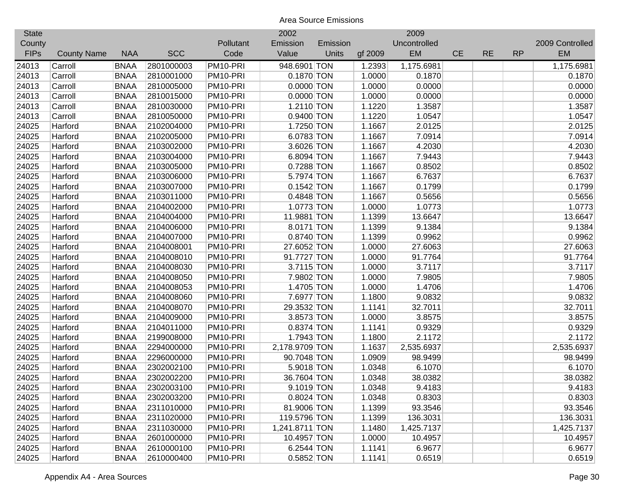| <b>State</b> |                    |             |            |           | 2002           |          |         | 2009         |           |           |           |                 |
|--------------|--------------------|-------------|------------|-----------|----------------|----------|---------|--------------|-----------|-----------|-----------|-----------------|
| County       |                    |             |            | Pollutant | Emission       | Emission |         | Uncontrolled |           |           |           | 2009 Controlled |
| <b>FIPs</b>  | <b>County Name</b> | <b>NAA</b>  | <b>SCC</b> | Code      | Value          | Units    | gf 2009 | EM           | <b>CE</b> | <b>RE</b> | <b>RP</b> | EM              |
| 24013        | Carroll            | <b>BNAA</b> | 2801000003 | PM10-PRI  | 948.6901 TON   |          | 1.2393  | 1,175.6981   |           |           |           | 1,175.6981      |
| 24013        | Carroll            | <b>BNAA</b> | 2810001000 | PM10-PRI  | 0.1870 TON     |          | 1.0000  | 0.1870       |           |           |           | 0.1870          |
| 24013        | Carroll            | <b>BNAA</b> | 2810005000 | PM10-PRI  | $0.0000$ TON   |          | 1.0000  | 0.0000       |           |           |           | 0.0000          |
| 24013        | Carroll            | <b>BNAA</b> | 2810015000 | PM10-PRI  | $0.0000$ TON   |          | 1.0000  | 0.0000       |           |           |           | 0.0000          |
| 24013        | Carroll            | <b>BNAA</b> | 2810030000 | PM10-PRI  | 1.2110 TON     |          | 1.1220  | 1.3587       |           |           |           | 1.3587          |
| 24013        | Carroll            | <b>BNAA</b> | 2810050000 | PM10-PRI  | 0.9400 TON     |          | 1.1220  | 1.0547       |           |           |           | 1.0547          |
| 24025        | Harford            | <b>BNAA</b> | 2102004000 | PM10-PRI  | 1.7250 TON     |          | 1.1667  | 2.0125       |           |           |           | 2.0125          |
| 24025        | Harford            | <b>BNAA</b> | 2102005000 | PM10-PRI  | 6.0783 TON     |          | 1.1667  | 7.0914       |           |           |           | 7.0914          |
| 24025        | Harford            | <b>BNAA</b> | 2103002000 | PM10-PRI  | 3.6026 TON     |          | 1.1667  | 4.2030       |           |           |           | 4.2030          |
| 24025        | Harford            | <b>BNAA</b> | 2103004000 | PM10-PRI  | 6.8094 TON     |          | 1.1667  | 7.9443       |           |           |           | 7.9443          |
| 24025        | Harford            | <b>BNAA</b> | 2103005000 | PM10-PRI  | 0.7288 TON     |          | 1.1667  | 0.8502       |           |           |           | 0.8502          |
| 24025        | Harford            | <b>BNAA</b> | 2103006000 | PM10-PRI  | 5.7974 TON     |          | 1.1667  | 6.7637       |           |           |           | 6.7637          |
| 24025        | Harford            | <b>BNAA</b> | 2103007000 | PM10-PRI  | $0.1542$ TON   |          | 1.1667  | 0.1799       |           |           |           | 0.1799          |
| 24025        | Harford            | <b>BNAA</b> | 2103011000 | PM10-PRI  | 0.4848 TON     |          | 1.1667  | 0.5656       |           |           |           | 0.5656          |
| 24025        | Harford            | <b>BNAA</b> | 2104002000 | PM10-PRI  | 1.0773 TON     |          | 1.0000  | 1.0773       |           |           |           | 1.0773          |
| 24025        | Harford            | <b>BNAA</b> | 2104004000 | PM10-PRI  | 11.9881 TON    |          | 1.1399  | 13.6647      |           |           |           | 13.6647         |
| 24025        | Harford            | <b>BNAA</b> | 2104006000 | PM10-PRI  | 8.0171 TON     |          | 1.1399  | 9.1384       |           |           |           | 9.1384          |
| 24025        | Harford            | <b>BNAA</b> | 2104007000 | PM10-PRI  | 0.8740 TON     |          | 1.1399  | 0.9962       |           |           |           | 0.9962          |
| 24025        | Harford            | <b>BNAA</b> | 2104008001 | PM10-PRI  | 27.6052 TON    |          | 1.0000  | 27.6063      |           |           |           | 27.6063         |
| 24025        | Harford            | <b>BNAA</b> | 2104008010 | PM10-PRI  | 91.7727 TON    |          | 1.0000  | 91.7764      |           |           |           | 91.7764         |
| 24025        | Harford            | <b>BNAA</b> | 2104008030 | PM10-PRI  | 3.7115 TON     |          | 1.0000  | 3.7117       |           |           |           | 3.7117          |
| 24025        | Harford            | <b>BNAA</b> | 2104008050 | PM10-PRI  | 7.9802 TON     |          | 1.0000  | 7.9805       |           |           |           | 7.9805          |
| 24025        | Harford            | <b>BNAA</b> | 2104008053 | PM10-PRI  | 1.4705 TON     |          | 1.0000  | 1.4706       |           |           |           | 1.4706          |
| 24025        | Harford            | <b>BNAA</b> | 2104008060 | PM10-PRI  | 7.6977 TON     |          | 1.1800  | 9.0832       |           |           |           | 9.0832          |
| 24025        | Harford            | <b>BNAA</b> | 2104008070 | PM10-PRI  | 29.3532 TON    |          | 1.1141  | 32.7011      |           |           |           | 32.7011         |
| 24025        | Harford            | <b>BNAA</b> | 2104009000 | PM10-PRI  | 3.8573 TON     |          | 1.0000  | 3.8575       |           |           |           | 3.8575          |
| 24025        | Harford            | <b>BNAA</b> | 2104011000 | PM10-PRI  | 0.8374 TON     |          | 1.1141  | 0.9329       |           |           |           | 0.9329          |
| 24025        | Harford            | <b>BNAA</b> | 2199008000 | PM10-PRI  | 1.7943 TON     |          | 1.1800  | 2.1172       |           |           |           | 2.1172          |
| 24025        | Harford            | <b>BNAA</b> | 2294000000 | PM10-PRI  | 2,178.9709 TON |          | 1.1637  | 2,535.6937   |           |           |           | 2,535.6937      |
| 24025        | Harford            | <b>BNAA</b> | 2296000000 | PM10-PRI  | 90.7048 TON    |          | 1.0909  | 98.9499      |           |           |           | 98.9499         |
| 24025        | Harford            | <b>BNAA</b> | 2302002100 | PM10-PRI  | 5.9018 TON     |          | 1.0348  | 6.1070       |           |           |           | 6.1070          |
| 24025        | Harford            | <b>BNAA</b> | 2302002200 | PM10-PRI  | 36.7604 TON    |          | 1.0348  | 38.0382      |           |           |           | 38.0382         |
| 24025        | Harford            | <b>BNAA</b> | 2302003100 | PM10-PRI  | 9.1019 TON     |          | 1.0348  | 9.4183       |           |           |           | 9.4183          |
| 24025        | Harford            | <b>BNAA</b> | 2302003200 | PM10-PRI  | $0.8024$ TON   |          | 1.0348  | 0.8303       |           |           |           | 0.8303          |
| 24025        | Harford            | <b>BNAA</b> | 2311010000 | PM10-PRI  | 81.9006 TON    |          | 1.1399  | 93.3546      |           |           |           | 93.3546         |
| 24025        | Harford            | <b>BNAA</b> | 2311020000 | PM10-PRI  | 119.5796 TON   |          | 1.1399  | 136.3031     |           |           |           | 136.3031        |
| 24025        | Harford            | <b>BNAA</b> | 2311030000 | PM10-PRI  | 1,241.8711 TON |          | 1.1480  | 1,425.7137   |           |           |           | 1,425.7137      |
| 24025        | Harford            | <b>BNAA</b> | 2601000000 | PM10-PRI  | 10.4957 TON    |          | 1.0000  | 10.4957      |           |           |           | 10.4957         |
| 24025        | Harford            | <b>BNAA</b> | 2610000100 | PM10-PRI  | 6.2544 TON     |          | 1.1141  | 6.9677       |           |           |           | 6.9677          |
| 24025        | Harford            | <b>BNAA</b> | 2610000400 | PM10-PRI  | 0.5852 TON     |          | 1.1141  | 0.6519       |           |           |           | 0.6519          |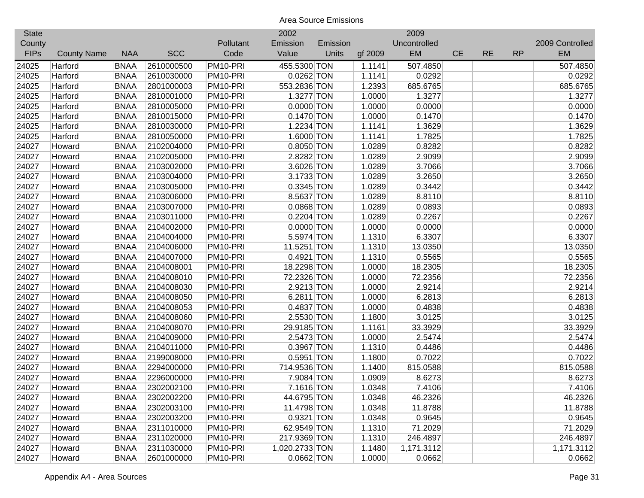| <b>State</b> |                    |             |            |           | 2002           |          |         | 2009         |           |           |           |                 |
|--------------|--------------------|-------------|------------|-----------|----------------|----------|---------|--------------|-----------|-----------|-----------|-----------------|
| County       |                    |             |            | Pollutant | Emission       | Emission |         | Uncontrolled |           |           |           | 2009 Controlled |
| <b>FIPs</b>  | <b>County Name</b> | <b>NAA</b>  | <b>SCC</b> | Code      | Value          | Units    | gf 2009 | <b>EM</b>    | <b>CE</b> | <b>RE</b> | <b>RP</b> | <b>EM</b>       |
| 24025        | Harford            | <b>BNAA</b> | 2610000500 | PM10-PRI  | 455.5300 TON   |          | 1.1141  | 507.4850     |           |           |           | 507.4850        |
| 24025        | Harford            | <b>BNAA</b> | 2610030000 | PM10-PRI  | $0.0262$ TON   |          | 1.1141  | 0.0292       |           |           |           | 0.0292          |
| 24025        | Harford            | <b>BNAA</b> | 2801000003 | PM10-PRI  | 553.2836 TON   |          | 1.2393  | 685.6765     |           |           |           | 685.6765        |
| 24025        | Harford            | <b>BNAA</b> | 2810001000 | PM10-PRI  | 1.3277 TON     |          | 1.0000  | 1.3277       |           |           |           | 1.3277          |
| 24025        | Harford            | <b>BNAA</b> | 2810005000 | PM10-PRI  | $0.0000$ TON   |          | 1.0000  | 0.0000       |           |           |           | 0.0000          |
| 24025        | Harford            | <b>BNAA</b> | 2810015000 | PM10-PRI  | $0.1470$ TON   |          | 1.0000  | 0.1470       |           |           |           | 0.1470          |
| 24025        | Harford            | <b>BNAA</b> | 2810030000 | PM10-PRI  | 1.2234 TON     |          | 1.1141  | 1.3629       |           |           |           | 1.3629          |
| 24025        | Harford            | <b>BNAA</b> | 2810050000 | PM10-PRI  | 1.6000 TON     |          | 1.1141  | 1.7825       |           |           |           | 1.7825          |
| 24027        | Howard             | <b>BNAA</b> | 2102004000 | PM10-PRI  | 0.8050 TON     |          | 1.0289  | 0.8282       |           |           |           | 0.8282          |
| 24027        | Howard             | <b>BNAA</b> | 2102005000 | PM10-PRI  | 2.8282 TON     |          | 1.0289  | 2.9099       |           |           |           | 2.9099          |
| 24027        | Howard             | <b>BNAA</b> | 2103002000 | PM10-PRI  | 3.6026 TON     |          | 1.0289  | 3.7066       |           |           |           | 3.7066          |
| 24027        | Howard             | <b>BNAA</b> | 2103004000 | PM10-PRI  | 3.1733 TON     |          | 1.0289  | 3.2650       |           |           |           | 3.2650          |
| 24027        | Howard             | <b>BNAA</b> | 2103005000 | PM10-PRI  | 0.3345 TON     |          | 1.0289  | 0.3442       |           |           |           | 0.3442          |
| 24027        | Howard             | <b>BNAA</b> | 2103006000 | PM10-PRI  | 8.5637 TON     |          | 1.0289  | 8.8110       |           |           |           | 8.8110          |
| 24027        | Howard             | <b>BNAA</b> | 2103007000 | PM10-PRI  | 0.0868 TON     |          | 1.0289  | 0.0893       |           |           |           | 0.0893          |
| 24027        | Howard             | <b>BNAA</b> | 2103011000 | PM10-PRI  | 0.2204 TON     |          | 1.0289  | 0.2267       |           |           |           | 0.2267          |
| 24027        | Howard             | <b>BNAA</b> | 2104002000 | PM10-PRI  | $0.0000$ TON   |          | 1.0000  | 0.0000       |           |           |           | 0.0000          |
| 24027        | Howard             | <b>BNAA</b> | 2104004000 | PM10-PRI  | 5.5974 TON     |          | 1.1310  | 6.3307       |           |           |           | 6.3307          |
| 24027        | Howard             | <b>BNAA</b> | 2104006000 | PM10-PRI  | 11.5251 TON    |          | 1.1310  | 13.0350      |           |           |           | 13.0350         |
| 24027        | Howard             | <b>BNAA</b> | 2104007000 | PM10-PRI  | 0.4921 TON     |          | 1.1310  | 0.5565       |           |           |           | 0.5565          |
| 24027        | Howard             | <b>BNAA</b> | 2104008001 | PM10-PRI  | 18.2298 TON    |          | 1.0000  | 18.2305      |           |           |           | 18.2305         |
| 24027        | Howard             | <b>BNAA</b> | 2104008010 | PM10-PRI  | 72.2326 TON    |          | 1.0000  | 72.2356      |           |           |           | 72.2356         |
| 24027        | Howard             | <b>BNAA</b> | 2104008030 | PM10-PRI  | 2.9213 TON     |          | 1.0000  | 2.9214       |           |           |           | 2.9214          |
| 24027        | Howard             | <b>BNAA</b> | 2104008050 | PM10-PRI  | 6.2811 TON     |          | 1.0000  | 6.2813       |           |           |           | 6.2813          |
| 24027        | Howard             | <b>BNAA</b> | 2104008053 | PM10-PRI  | 0.4837 TON     |          | 1.0000  | 0.4838       |           |           |           | 0.4838          |
| 24027        | Howard             | <b>BNAA</b> | 2104008060 | PM10-PRI  | 2.5530 TON     |          | 1.1800  | 3.0125       |           |           |           | 3.0125          |
| 24027        | Howard             | <b>BNAA</b> | 2104008070 | PM10-PRI  | 29.9185 TON    |          | 1.1161  | 33.3929      |           |           |           | 33.3929         |
| 24027        | Howard             | <b>BNAA</b> | 2104009000 | PM10-PRI  | 2.5473 TON     |          | 1.0000  | 2.5474       |           |           |           | 2.5474          |
| 24027        | Howard             | <b>BNAA</b> | 2104011000 | PM10-PRI  | 0.3967 TON     |          | 1.1310  | 0.4486       |           |           |           | 0.4486          |
| 24027        | Howard             | <b>BNAA</b> | 2199008000 | PM10-PRI  | 0.5951 TON     |          | 1.1800  | 0.7022       |           |           |           | 0.7022          |
| 24027        | Howard             | <b>BNAA</b> | 2294000000 | PM10-PRI  | 714.9536 TON   |          | 1.1400  | 815.0588     |           |           |           | 815.0588        |
| 24027        | Howard             | <b>BNAA</b> | 2296000000 | PM10-PRI  | 7.9084 TON     |          | 1.0909  | 8.6273       |           |           |           | 8.6273          |
| 24027        | Howard             | <b>BNAA</b> | 2302002100 | PM10-PRI  | 7.1616 TON     |          | 1.0348  | 7.4106       |           |           |           | 7.4106          |
| 24027        | Howard             | <b>BNAA</b> | 2302002200 | PM10-PRI  | 44.6795 TON    |          | 1.0348  | 46.2326      |           |           |           | 46.2326         |
| 24027        | Howard             | <b>BNAA</b> | 2302003100 | PM10-PRI  | 11.4798 TON    |          | 1.0348  | 11.8788      |           |           |           | 11.8788         |
| 24027        | Howard             | <b>BNAA</b> | 2302003200 | PM10-PRI  | 0.9321 TON     |          | 1.0348  | 0.9645       |           |           |           | 0.9645          |
| 24027        | Howard             | <b>BNAA</b> | 2311010000 | PM10-PRI  | 62.9549 TON    |          | 1.1310  | 71.2029      |           |           |           | 71.2029         |
| 24027        | Howard             | <b>BNAA</b> | 2311020000 | PM10-PRI  | 217.9369 TON   |          | 1.1310  | 246.4897     |           |           |           | 246.4897        |
| 24027        | Howard             | <b>BNAA</b> | 2311030000 | PM10-PRI  | 1,020.2733 TON |          | 1.1480  | 1,171.3112   |           |           |           | 1,171.3112      |
| 24027        | Howard             | <b>BNAA</b> | 2601000000 | PM10-PRI  | 0.0662 TON     |          | 1.0000  | 0.0662       |           |           |           | 0.0662          |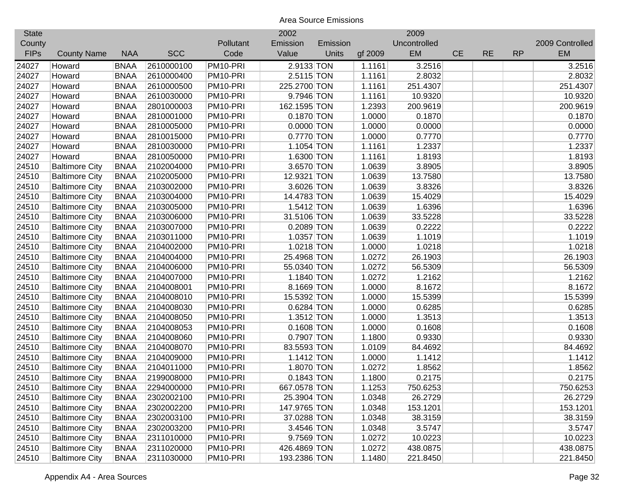| <b>State</b> |                       |             |            |           | 2002         |          |         | 2009         |           |           |           |                 |
|--------------|-----------------------|-------------|------------|-----------|--------------|----------|---------|--------------|-----------|-----------|-----------|-----------------|
| County       |                       |             |            | Pollutant | Emission     | Emission |         | Uncontrolled |           |           |           | 2009 Controlled |
| <b>FIPs</b>  | <b>County Name</b>    | <b>NAA</b>  | <b>SCC</b> | Code      | Value        | Units    | gf 2009 | EM           | <b>CE</b> | <b>RE</b> | <b>RP</b> | <b>EM</b>       |
| 24027        | Howard                | <b>BNAA</b> | 2610000100 | PM10-PRI  | 2.9133 TON   |          | 1.1161  | 3.2516       |           |           |           | 3.2516          |
| 24027        | Howard                | <b>BNAA</b> | 2610000400 | PM10-PRI  | 2.5115 TON   |          | 1.1161  | 2.8032       |           |           |           | 2.8032          |
| 24027        | Howard                | <b>BNAA</b> | 2610000500 | PM10-PRI  | 225.2700 TON |          | 1.1161  | 251.4307     |           |           |           | 251.4307        |
| 24027        | Howard                | <b>BNAA</b> | 2610030000 | PM10-PRI  | 9.7946 TON   |          | 1.1161  | 10.9320      |           |           |           | 10.9320         |
| 24027        | Howard                | <b>BNAA</b> | 2801000003 | PM10-PRI  | 162.1595 TON |          | 1.2393  | 200.9619     |           |           |           | 200.9619        |
| 24027        | Howard                | <b>BNAA</b> | 2810001000 | PM10-PRI  | 0.1870 TON   |          | 1.0000  | 0.1870       |           |           |           | 0.1870          |
| 24027        | Howard                | <b>BNAA</b> | 2810005000 | PM10-PRI  | $0.0000$ TON |          | 1.0000  | 0.0000       |           |           |           | 0.0000          |
| 24027        | Howard                | <b>BNAA</b> | 2810015000 | PM10-PRI  | 0.7770 TON   |          | 1.0000  | 0.7770       |           |           |           | 0.7770          |
| 24027        | Howard                | <b>BNAA</b> | 2810030000 | PM10-PRI  | 1.1054 TON   |          | 1.1161  | 1.2337       |           |           |           | 1.2337          |
| 24027        | Howard                | <b>BNAA</b> | 2810050000 | PM10-PRI  | 1.6300 TON   |          | 1.1161  | 1.8193       |           |           |           | 1.8193          |
| 24510        | <b>Baltimore City</b> | <b>BNAA</b> | 2102004000 | PM10-PRI  | 3.6570 TON   |          | 1.0639  | 3.8905       |           |           |           | 3.8905          |
| 24510        | <b>Baltimore City</b> | <b>BNAA</b> | 2102005000 | PM10-PRI  | 12.9321 TON  |          | 1.0639  | 13.7580      |           |           |           | 13.7580         |
| 24510        | <b>Baltimore City</b> | <b>BNAA</b> | 2103002000 | PM10-PRI  | 3.6026 TON   |          | 1.0639  | 3.8326       |           |           |           | 3.8326          |
| 24510        | <b>Baltimore City</b> | <b>BNAA</b> | 2103004000 | PM10-PRI  | 14.4783 TON  |          | 1.0639  | 15.4029      |           |           |           | 15.4029         |
| 24510        | <b>Baltimore City</b> | <b>BNAA</b> | 2103005000 | PM10-PRI  | 1.5412 TON   |          | 1.0639  | 1.6396       |           |           |           | 1.6396          |
| 24510        | <b>Baltimore City</b> | <b>BNAA</b> | 2103006000 | PM10-PRI  | 31.5106 TON  |          | 1.0639  | 33.5228      |           |           |           | 33.5228         |
| 24510        | <b>Baltimore City</b> | <b>BNAA</b> | 2103007000 | PM10-PRI  | 0.2089 TON   |          | 1.0639  | 0.2222       |           |           |           | 0.2222          |
| 24510        | <b>Baltimore City</b> | <b>BNAA</b> | 2103011000 | PM10-PRI  | 1.0357 TON   |          | 1.0639  | 1.1019       |           |           |           | 1.1019          |
| 24510        | <b>Baltimore City</b> | <b>BNAA</b> | 2104002000 | PM10-PRI  | 1.0218 TON   |          | 1.0000  | 1.0218       |           |           |           | 1.0218          |
| 24510        | <b>Baltimore City</b> | <b>BNAA</b> | 2104004000 | PM10-PRI  | 25.4968 TON  |          | 1.0272  | 26.1903      |           |           |           | 26.1903         |
| 24510        | <b>Baltimore City</b> | <b>BNAA</b> | 2104006000 | PM10-PRI  | 55.0340 TON  |          | 1.0272  | 56.5309      |           |           |           | 56.5309         |
| 24510        | <b>Baltimore City</b> | <b>BNAA</b> | 2104007000 | PM10-PRI  | 1.1840 TON   |          | 1.0272  | 1.2162       |           |           |           | 1.2162          |
| 24510        | <b>Baltimore City</b> | <b>BNAA</b> | 2104008001 | PM10-PRI  | 8.1669 TON   |          | 1.0000  | 8.1672       |           |           |           | 8.1672          |
| 24510        | <b>Baltimore City</b> | <b>BNAA</b> | 2104008010 | PM10-PRI  | 15.5392 TON  |          | 1.0000  | 15.5399      |           |           |           | 15.5399         |
| 24510        | <b>Baltimore City</b> | <b>BNAA</b> | 2104008030 | PM10-PRI  | 0.6284 TON   |          | 1.0000  | 0.6285       |           |           |           | 0.6285          |
| 24510        | <b>Baltimore City</b> | <b>BNAA</b> | 2104008050 | PM10-PRI  | $1.3512$ TON |          | 1.0000  | 1.3513       |           |           |           | 1.3513          |
| 24510        | <b>Baltimore City</b> | <b>BNAA</b> | 2104008053 | PM10-PRI  | $0.1608$ TON |          | 1.0000  | 0.1608       |           |           |           | 0.1608          |
| 24510        | <b>Baltimore City</b> | <b>BNAA</b> | 2104008060 | PM10-PRI  | 0.7907 TON   |          | 1.1800  | 0.9330       |           |           |           | 0.9330          |
| 24510        | <b>Baltimore City</b> | <b>BNAA</b> | 2104008070 | PM10-PRI  | 83.5593 TON  |          | 1.0109  | 84.4692      |           |           |           | 84.4692         |
| 24510        | <b>Baltimore City</b> | <b>BNAA</b> | 2104009000 | PM10-PRI  | $1.1412$ TON |          | 1.0000  | 1.1412       |           |           |           | 1.1412          |
| 24510        | <b>Baltimore City</b> | <b>BNAA</b> | 2104011000 | PM10-PRI  | 1.8070 TON   |          | 1.0272  | 1.8562       |           |           |           | 1.8562          |
| 24510        | <b>Baltimore City</b> | <b>BNAA</b> | 2199008000 | PM10-PRI  | $0.1843$ TON |          | 1.1800  | 0.2175       |           |           |           | 0.2175          |
| 24510        | <b>Baltimore City</b> | <b>BNAA</b> | 2294000000 | PM10-PRI  | 667.0578 TON |          | 1.1253  | 750.6253     |           |           |           | 750.6253        |
| 24510        | <b>Baltimore City</b> | <b>BNAA</b> | 2302002100 | PM10-PRI  | 25.3904 TON  |          | 1.0348  | 26.2729      |           |           |           | 26.2729         |
| 24510        | <b>Baltimore City</b> | <b>BNAA</b> | 2302002200 | PM10-PRI  | 147.9765 TON |          | 1.0348  | 153.1201     |           |           |           | 153.1201        |
| 24510        | <b>Baltimore City</b> | <b>BNAA</b> | 2302003100 | PM10-PRI  | 37.0288 TON  |          | 1.0348  | 38.3159      |           |           |           | 38.3159         |
| 24510        | <b>Baltimore City</b> | <b>BNAA</b> | 2302003200 | PM10-PRI  | 3.4546 TON   |          | 1.0348  | 3.5747       |           |           |           | 3.5747          |
| 24510        | <b>Baltimore City</b> | <b>BNAA</b> | 2311010000 | PM10-PRI  | 9.7569 TON   |          | 1.0272  | 10.0223      |           |           |           | 10.0223         |
| 24510        | <b>Baltimore City</b> | <b>BNAA</b> | 2311020000 | PM10-PRI  | 426.4869 TON |          | 1.0272  | 438.0875     |           |           |           | 438.0875        |
| 24510        | <b>Baltimore City</b> | <b>BNAA</b> | 2311030000 | PM10-PRI  | 193.2386 TON |          | 1.1480  | 221.8450     |           |           |           | 221.8450        |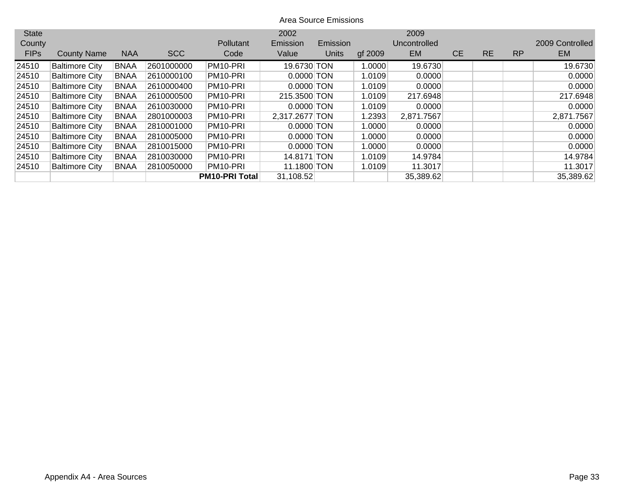| <b>State</b> |                       |             |            |                       | 2002           |          |         | 2009         |           |           |           |                 |
|--------------|-----------------------|-------------|------------|-----------------------|----------------|----------|---------|--------------|-----------|-----------|-----------|-----------------|
| County       |                       |             |            | Pollutant             | Emission       | Emission |         | Uncontrolled |           |           |           | 2009 Controlled |
| <b>FIPs</b>  | <b>County Name</b>    | <b>NAA</b>  | <b>SCC</b> | Code                  | Value          | Units    | gf 2009 | <b>EM</b>    | <b>CE</b> | <b>RE</b> | <b>RP</b> | <b>EM</b>       |
| 24510        | <b>Baltimore City</b> | <b>BNAA</b> | 2601000000 | PM10-PRI              | 19.6730 TON    |          | 1.0000  | 19.6730      |           |           |           | 19.6730         |
| 24510        | <b>Baltimore City</b> | <b>BNAA</b> | 2610000100 | PM <sub>10</sub> -PRI | $0.0000$ TON   |          | 1.0109  | 0.0000       |           |           |           | 0.0000          |
| 24510        | <b>Baltimore City</b> | <b>BNAA</b> | 2610000400 | PM10-PRI              | $0.0000$ TON   |          | 1.0109  | 0.0000       |           |           |           | 0.0000          |
| 24510        | <b>Baltimore City</b> | <b>BNAA</b> | 2610000500 | PM <sub>10</sub> -PRI | 215.3500 TON   |          | 1.0109  | 217.6948     |           |           |           | 217.6948        |
| 24510        | <b>Baltimore City</b> | <b>BNAA</b> | 2610030000 | PM <sub>10</sub> -PRI | $0.0000$ TON   |          | 1.0109  | 0.0000       |           |           |           | 0.0000          |
| 24510        | <b>Baltimore City</b> | <b>BNAA</b> | 2801000003 | PM <sub>10</sub> -PRI | 2,317.2677 TON |          | 1.2393  | 2,871.7567   |           |           |           | 2,871.7567      |
| 24510        | <b>Baltimore City</b> | <b>BNAA</b> | 2810001000 | PM <sub>10</sub> -PRI | $0.0000$ TON   |          | 1.0000  | 0.0000       |           |           |           | 0.0000          |
| 24510        | <b>Baltimore City</b> | <b>BNAA</b> | 2810005000 | PM <sub>10</sub> -PRI | $0.0000$ TON   |          | 1.0000  | 0.0000       |           |           |           | 0.0000          |
| 24510        | <b>Baltimore City</b> | <b>BNAA</b> | 2810015000 | PM <sub>10</sub> -PRI | $0.0000$ TON   |          | 1.0000  | 0.0000       |           |           |           | 0.0000          |
| 24510        | <b>Baltimore City</b> | <b>BNAA</b> | 2810030000 | PM <sub>10</sub> -PRI | 14.8171 TON    |          | 1.0109  | 14.9784      |           |           |           | 14.9784         |
| 24510        | <b>Baltimore City</b> | <b>BNAA</b> | 2810050000 | PM <sub>10</sub> -PRI | 11.1800 TON    |          | 1.0109  | 11.3017      |           |           |           | 11.3017         |
|              |                       |             |            | <b>PM10-PRI Total</b> | 31,108.52      |          |         | 35,389.62    |           |           |           | 35,389.62       |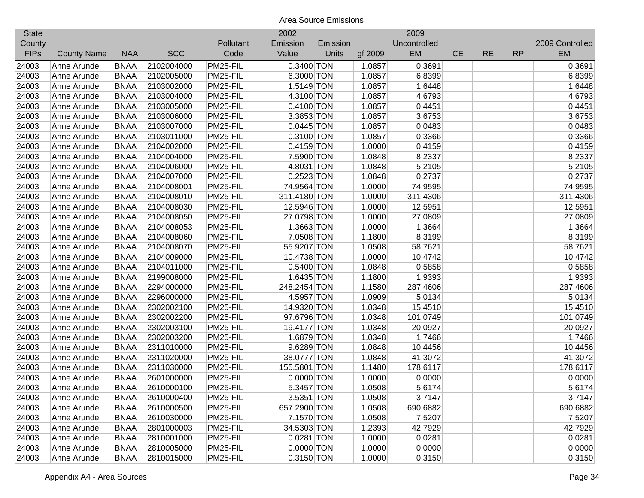| <b>State</b> |                    |             |            |           | 2002         |          |         | 2009         |           |           |           |                 |
|--------------|--------------------|-------------|------------|-----------|--------------|----------|---------|--------------|-----------|-----------|-----------|-----------------|
| County       |                    |             |            | Pollutant | Emission     | Emission |         | Uncontrolled |           |           |           | 2009 Controlled |
| <b>FIPs</b>  | <b>County Name</b> | <b>NAA</b>  | <b>SCC</b> | Code      | Value        | Units    | gf 2009 | EM           | <b>CE</b> | <b>RE</b> | <b>RP</b> | <b>EM</b>       |
| 24003        | Anne Arundel       | <b>BNAA</b> | 2102004000 | PM25-FIL  | 0.3400 TON   |          | 1.0857  | 0.3691       |           |           |           | 0.3691          |
| 24003        | Anne Arundel       | <b>BNAA</b> | 2102005000 | PM25-FIL  | 6.3000 TON   |          | 1.0857  | 6.8399       |           |           |           | 6.8399          |
| 24003        | Anne Arundel       | <b>BNAA</b> | 2103002000 | PM25-FIL  | 1.5149 TON   |          | 1.0857  | 1.6448       |           |           |           | 1.6448          |
| 24003        | Anne Arundel       | <b>BNAA</b> | 2103004000 | PM25-FIL  | 4.3100 TON   |          | 1.0857  | 4.6793       |           |           |           | 4.6793          |
| 24003        | Anne Arundel       | <b>BNAA</b> | 2103005000 | PM25-FIL  | 0.4100 TON   |          | 1.0857  | 0.4451       |           |           |           | 0.4451          |
| 24003        | Anne Arundel       | <b>BNAA</b> | 2103006000 | PM25-FIL  | 3.3853 TON   |          | 1.0857  | 3.6753       |           |           |           | 3.6753          |
| 24003        | Anne Arundel       | <b>BNAA</b> | 2103007000 | PM25-FIL  | $0.0445$ TON |          | 1.0857  | 0.0483       |           |           |           | 0.0483          |
| 24003        | Anne Arundel       | <b>BNAA</b> | 2103011000 | PM25-FIL  | 0.3100 TON   |          | 1.0857  | 0.3366       |           |           |           | 0.3366          |
| 24003        | Anne Arundel       | <b>BNAA</b> | 2104002000 | PM25-FIL  | $0.4159$ TON |          | 1.0000  | 0.4159       |           |           |           | 0.4159          |
| 24003        | Anne Arundel       | <b>BNAA</b> | 2104004000 | PM25-FIL  | 7.5900 TON   |          | 1.0848  | 8.2337       |           |           |           | 8.2337          |
| 24003        | Anne Arundel       | <b>BNAA</b> | 2104006000 | PM25-FIL  | 4.8031 TON   |          | 1.0848  | 5.2105       |           |           |           | 5.2105          |
| 24003        | Anne Arundel       | <b>BNAA</b> | 2104007000 | PM25-FIL  | $0.2523$ TON |          | 1.0848  | 0.2737       |           |           |           | 0.2737          |
| 24003        | Anne Arundel       | <b>BNAA</b> | 2104008001 | PM25-FIL  | 74.9564 TON  |          | 1.0000  | 74.9595      |           |           |           | 74.9595         |
| 24003        | Anne Arundel       | <b>BNAA</b> | 2104008010 | PM25-FIL  | 311.4180 TON |          | 1.0000  | 311.4306     |           |           |           | 311.4306        |
| 24003        | Anne Arundel       | <b>BNAA</b> | 2104008030 | PM25-FIL  | 12.5946 TON  |          | 1.0000  | 12.5951      |           |           |           | 12.5951         |
| 24003        | Anne Arundel       | <b>BNAA</b> | 2104008050 | PM25-FIL  | 27.0798 TON  |          | 1.0000  | 27.0809      |           |           |           | 27.0809         |
| 24003        | Anne Arundel       | <b>BNAA</b> | 2104008053 | PM25-FIL  | 1.3663 TON   |          | 1.0000  | 1.3664       |           |           |           | 1.3664          |
| 24003        | Anne Arundel       | <b>BNAA</b> | 2104008060 | PM25-FIL  | 7.0508 TON   |          | 1.1800  | 8.3199       |           |           |           | 8.3199          |
| 24003        | Anne Arundel       | <b>BNAA</b> | 2104008070 | PM25-FIL  | 55.9207 TON  |          | 1.0508  | 58.7621      |           |           |           | 58.7621         |
| 24003        | Anne Arundel       | <b>BNAA</b> | 2104009000 | PM25-FIL  | 10.4738 TON  |          | 1.0000  | 10.4742      |           |           |           | 10.4742         |
| 24003        | Anne Arundel       | <b>BNAA</b> | 2104011000 | PM25-FIL  | 0.5400 TON   |          | 1.0848  | 0.5858       |           |           |           | 0.5858          |
| 24003        | Anne Arundel       | <b>BNAA</b> | 2199008000 | PM25-FIL  | 1.6435 TON   |          | 1.1800  | 1.9393       |           |           |           | 1.9393          |
| 24003        | Anne Arundel       | <b>BNAA</b> | 2294000000 | PM25-FIL  | 248.2454 TON |          | 1.1580  | 287.4606     |           |           |           | 287.4606        |
| 24003        | Anne Arundel       | <b>BNAA</b> | 2296000000 | PM25-FIL  | 4.5957 TON   |          | 1.0909  | 5.0134       |           |           |           | 5.0134          |
| 24003        | Anne Arundel       | <b>BNAA</b> | 2302002100 | PM25-FIL  | 14.9320 TON  |          | 1.0348  | 15.4510      |           |           |           | 15.4510         |
| 24003        | Anne Arundel       | <b>BNAA</b> | 2302002200 | PM25-FIL  | 97.6796 TON  |          | 1.0348  | 101.0749     |           |           |           | 101.0749        |
| 24003        | Anne Arundel       | <b>BNAA</b> | 2302003100 | PM25-FIL  | 19.4177 TON  |          | 1.0348  | 20.0927      |           |           |           | 20.0927         |
| 24003        | Anne Arundel       | <b>BNAA</b> | 2302003200 | PM25-FIL  | 1.6879 TON   |          | 1.0348  | 1.7466       |           |           |           | 1.7466          |
| 24003        | Anne Arundel       | <b>BNAA</b> | 2311010000 | PM25-FIL  | 9.6289 TON   |          | 1.0848  | 10.4456      |           |           |           | 10.4456         |
| 24003        | Anne Arundel       | <b>BNAA</b> | 2311020000 | PM25-FIL  | 38.0777 TON  |          | 1.0848  | 41.3072      |           |           |           | 41.3072         |
| 24003        | Anne Arundel       | <b>BNAA</b> | 2311030000 | PM25-FIL  | 155.5801 TON |          | 1.1480  | 178.6117     |           |           |           | 178.6117        |
| 24003        | Anne Arundel       | <b>BNAA</b> | 2601000000 | PM25-FIL  | 0.0000 TON   |          | 1.0000  | 0.0000       |           |           |           | 0.0000          |
| 24003        | Anne Arundel       | <b>BNAA</b> | 2610000100 | PM25-FIL  | 5.3457 TON   |          | 1.0508  | 5.6174       |           |           |           | 5.6174          |
| 24003        | Anne Arundel       | <b>BNAA</b> | 2610000400 | PM25-FIL  | 3.5351 TON   |          | 1.0508  | 3.7147       |           |           |           | 3.7147          |
| 24003        | Anne Arundel       | <b>BNAA</b> | 2610000500 | PM25-FIL  | 657.2900 TON |          | 1.0508  | 690.6882     |           |           |           | 690.6882        |
| 24003        | Anne Arundel       | <b>BNAA</b> | 2610030000 | PM25-FIL  | 7.1570 TON   |          | 1.0508  | 7.5207       |           |           |           | 7.5207          |
| 24003        | Anne Arundel       | <b>BNAA</b> | 2801000003 | PM25-FIL  | 34.5303 TON  |          | 1.2393  | 42.7929      |           |           |           | 42.7929         |
| 24003        | Anne Arundel       | <b>BNAA</b> | 2810001000 | PM25-FIL  | 0.0281 TON   |          | 1.0000  | 0.0281       |           |           |           | 0.0281          |
| 24003        | Anne Arundel       | <b>BNAA</b> | 2810005000 | PM25-FIL  | $0.0000$ TON |          | 1.0000  | 0.0000       |           |           |           | 0.0000          |
| 24003        | Anne Arundel       | <b>BNAA</b> | 2810015000 | PM25-FIL  | $0.3150$ TON |          | 1.0000  | 0.3150       |           |           |           | 0.3150          |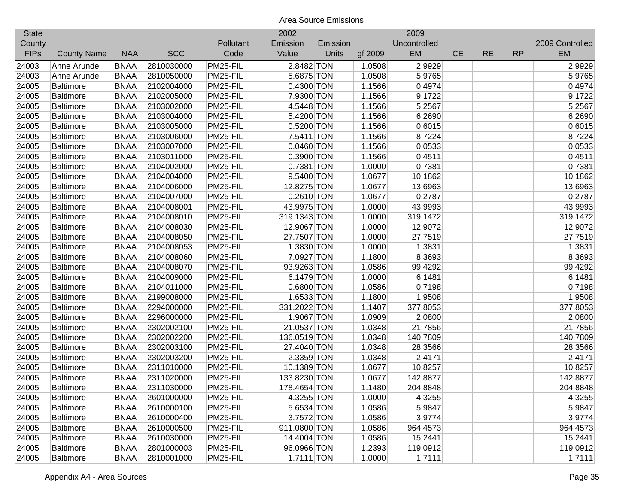| <b>State</b> |                    |             |            |           | 2002         |          |         | 2009         |           |           |           |                 |
|--------------|--------------------|-------------|------------|-----------|--------------|----------|---------|--------------|-----------|-----------|-----------|-----------------|
| County       |                    |             |            | Pollutant | Emission     | Emission |         | Uncontrolled |           |           |           | 2009 Controlled |
| <b>FIPs</b>  | <b>County Name</b> | <b>NAA</b>  | <b>SCC</b> | Code      | Value        | Units    | gf 2009 | <b>EM</b>    | <b>CE</b> | <b>RE</b> | <b>RP</b> | <b>EM</b>       |
| 24003        | Anne Arundel       | <b>BNAA</b> | 2810030000 | PM25-FIL  | 2.8482 TON   |          | 1.0508  | 2.9929       |           |           |           | 2.9929          |
| 24003        | Anne Arundel       | <b>BNAA</b> | 2810050000 | PM25-FIL  | 5.6875 TON   |          | 1.0508  | 5.9765       |           |           |           | 5.9765          |
| 24005        | <b>Baltimore</b>   | <b>BNAA</b> | 2102004000 | PM25-FIL  | 0.4300 TON   |          | 1.1566  | 0.4974       |           |           |           | 0.4974          |
| 24005        | <b>Baltimore</b>   | <b>BNAA</b> | 2102005000 | PM25-FIL  | 7.9300 TON   |          | 1.1566  | 9.1722       |           |           |           | 9.1722          |
| 24005        | <b>Baltimore</b>   | <b>BNAA</b> | 2103002000 | PM25-FIL  | 4.5448 TON   |          | 1.1566  | 5.2567       |           |           |           | 5.2567          |
| 24005        | <b>Baltimore</b>   | <b>BNAA</b> | 2103004000 | PM25-FIL  | 5.4200 TON   |          | 1.1566  | 6.2690       |           |           |           | 6.2690          |
| 24005        | <b>Baltimore</b>   | <b>BNAA</b> | 2103005000 | PM25-FIL  | 0.5200 TON   |          | 1.1566  | 0.6015       |           |           |           | 0.6015          |
| 24005        | <b>Baltimore</b>   | <b>BNAA</b> | 2103006000 | PM25-FIL  | 7.5411 TON   |          | 1.1566  | 8.7224       |           |           |           | 8.7224          |
| 24005        | <b>Baltimore</b>   | <b>BNAA</b> | 2103007000 | PM25-FIL  | 0.0460 TON   |          | 1.1566  | 0.0533       |           |           |           | 0.0533          |
| 24005        | <b>Baltimore</b>   | <b>BNAA</b> | 2103011000 | PM25-FIL  | 0.3900 TON   |          | 1.1566  | 0.4511       |           |           |           | 0.4511          |
| 24005        | <b>Baltimore</b>   | <b>BNAA</b> | 2104002000 | PM25-FIL  | 0.7381 TON   |          | 1.0000  | 0.7381       |           |           |           | 0.7381          |
| 24005        | <b>Baltimore</b>   | <b>BNAA</b> | 2104004000 | PM25-FIL  | 9.5400 TON   |          | 1.0677  | 10.1862      |           |           |           | 10.1862         |
| 24005        | <b>Baltimore</b>   | <b>BNAA</b> | 2104006000 | PM25-FIL  | 12.8275 TON  |          | 1.0677  | 13.6963      |           |           |           | 13.6963         |
| 24005        | <b>Baltimore</b>   | <b>BNAA</b> | 2104007000 | PM25-FIL  | $0.2610$ TON |          | 1.0677  | 0.2787       |           |           |           | 0.2787          |
| 24005        | <b>Baltimore</b>   | <b>BNAA</b> | 2104008001 | PM25-FIL  | 43.9975 TON  |          | 1.0000  | 43.9993      |           |           |           | 43.9993         |
| 24005        | <b>Baltimore</b>   | <b>BNAA</b> | 2104008010 | PM25-FIL  | 319.1343 TON |          | 1.0000  | 319.1472     |           |           |           | 319.1472        |
| 24005        | <b>Baltimore</b>   | <b>BNAA</b> | 2104008030 | PM25-FIL  | 12.9067 TON  |          | 1.0000  | 12.9072      |           |           |           | 12.9072         |
| 24005        | <b>Baltimore</b>   | <b>BNAA</b> | 2104008050 | PM25-FIL  | 27.7507 TON  |          | 1.0000  | 27.7519      |           |           |           | 27.7519         |
| 24005        | <b>Baltimore</b>   | <b>BNAA</b> | 2104008053 | PM25-FIL  | 1.3830 TON   |          | 1.0000  | 1.3831       |           |           |           | 1.3831          |
| 24005        | <b>Baltimore</b>   | <b>BNAA</b> | 2104008060 | PM25-FIL  | 7.0927 TON   |          | 1.1800  | 8.3693       |           |           |           | 8.3693          |
| 24005        | <b>Baltimore</b>   | <b>BNAA</b> | 2104008070 | PM25-FIL  | 93.9263 TON  |          | 1.0586  | 99.4292      |           |           |           | 99.4292         |
| 24005        | <b>Baltimore</b>   | <b>BNAA</b> | 2104009000 | PM25-FIL  | 6.1479 TON   |          | 1.0000  | 6.1481       |           |           |           | 6.1481          |
| 24005        | Baltimore          | <b>BNAA</b> | 2104011000 | PM25-FIL  | 0.6800 TON   |          | 1.0586  | 0.7198       |           |           |           | 0.7198          |
| 24005        | <b>Baltimore</b>   | <b>BNAA</b> | 2199008000 | PM25-FIL  | 1.6533 TON   |          | 1.1800  | 1.9508       |           |           |           | 1.9508          |
| 24005        | <b>Baltimore</b>   | <b>BNAA</b> | 2294000000 | PM25-FIL  | 331.2022 TON |          | 1.1407  | 377.8053     |           |           |           | 377.8053        |
| 24005        | <b>Baltimore</b>   | <b>BNAA</b> | 2296000000 | PM25-FIL  | 1.9067 TON   |          | 1.0909  | 2.0800       |           |           |           | 2.0800          |
| 24005        | <b>Baltimore</b>   | <b>BNAA</b> | 2302002100 | PM25-FIL  | 21.0537 TON  |          | 1.0348  | 21.7856      |           |           |           | 21.7856         |
| 24005        | <b>Baltimore</b>   | <b>BNAA</b> | 2302002200 | PM25-FIL  | 136.0519 TON |          | 1.0348  | 140.7809     |           |           |           | 140.7809        |
| 24005        | <b>Baltimore</b>   | <b>BNAA</b> | 2302003100 | PM25-FIL  | 27.4040 TON  |          | 1.0348  | 28.3566      |           |           |           | 28.3566         |
| 24005        | <b>Baltimore</b>   | <b>BNAA</b> | 2302003200 | PM25-FIL  | 2.3359 TON   |          | 1.0348  | 2.4171       |           |           |           | 2.4171          |
| 24005        | <b>Baltimore</b>   | <b>BNAA</b> | 2311010000 | PM25-FIL  | 10.1389 TON  |          | 1.0677  | 10.8257      |           |           |           | 10.8257         |
| 24005        | <b>Baltimore</b>   | <b>BNAA</b> | 2311020000 | PM25-FIL  | 133.8230 TON |          | 1.0677  | 142.8877     |           |           |           | 142.8877        |
| 24005        | <b>Baltimore</b>   | <b>BNAA</b> | 2311030000 | PM25-FIL  | 178.4654 TON |          | 1.1480  | 204.8848     |           |           |           | 204.8848        |
| 24005        | Baltimore          | <b>BNAA</b> | 2601000000 | PM25-FIL  | 4.3255 TON   |          | 1.0000  | 4.3255       |           |           |           | 4.3255          |
| 24005        | Baltimore          | <b>BNAA</b> | 2610000100 | PM25-FIL  | 5.6534 TON   |          | 1.0586  | 5.9847       |           |           |           | 5.9847          |
| 24005        | <b>Baltimore</b>   | <b>BNAA</b> | 2610000400 | PM25-FIL  | 3.7572 TON   |          | 1.0586  | 3.9774       |           |           |           | 3.9774          |
| 24005        | <b>Baltimore</b>   | <b>BNAA</b> | 2610000500 | PM25-FIL  | 911.0800 TON |          | 1.0586  | 964.4573     |           |           |           | 964.4573        |
| 24005        | <b>Baltimore</b>   | <b>BNAA</b> | 2610030000 | PM25-FIL  | 14.4004 TON  |          | 1.0586  | 15.2441      |           |           |           | 15.2441         |
| 24005        | <b>Baltimore</b>   | <b>BNAA</b> | 2801000003 | PM25-FIL  | 96.0966 TON  |          | 1.2393  | 119.0912     |           |           |           | 119.0912        |
| 24005        | <b>Baltimore</b>   | <b>BNAA</b> | 2810001000 | PM25-FIL  | $1.7111$ TON |          | 1.0000  | 1.7111       |           |           |           | 1.7111          |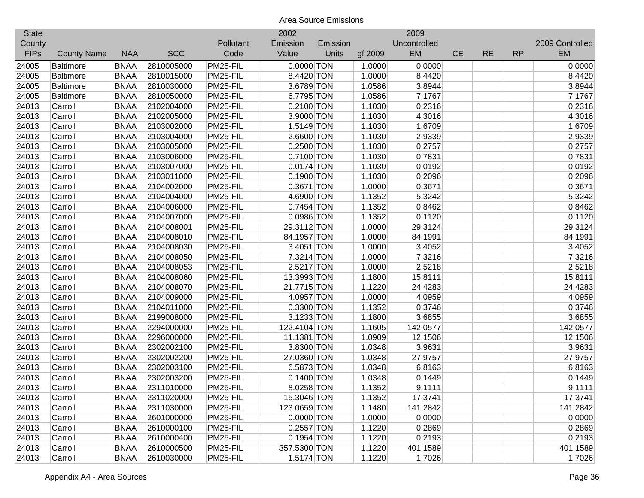| <b>State</b> |                    |             |            |           | 2002         |          |         | 2009         |           |           |           |                 |
|--------------|--------------------|-------------|------------|-----------|--------------|----------|---------|--------------|-----------|-----------|-----------|-----------------|
| County       |                    |             |            | Pollutant | Emission     | Emission |         | Uncontrolled |           |           |           | 2009 Controlled |
| <b>FIPs</b>  | <b>County Name</b> | <b>NAA</b>  | <b>SCC</b> | Code      | Value        | Units    | gf 2009 | <b>EM</b>    | <b>CE</b> | <b>RE</b> | <b>RP</b> | <b>EM</b>       |
| 24005        | <b>Baltimore</b>   | <b>BNAA</b> | 2810005000 | PM25-FIL  | $0.0000$ TON |          | 1.0000  | 0.0000       |           |           |           | 0.0000          |
| 24005        | <b>Baltimore</b>   | <b>BNAA</b> | 2810015000 | PM25-FIL  | 8.4420 TON   |          | 1.0000  | 8.4420       |           |           |           | 8.4420          |
| 24005        | <b>Baltimore</b>   | <b>BNAA</b> | 2810030000 | PM25-FIL  | 3.6789 TON   |          | 1.0586  | 3.8944       |           |           |           | 3.8944          |
| 24005        | <b>Baltimore</b>   | <b>BNAA</b> | 2810050000 | PM25-FIL  | 6.7795 TON   |          | 1.0586  | 7.1767       |           |           |           | 7.1767          |
| 24013        | Carroll            | <b>BNAA</b> | 2102004000 | PM25-FIL  | 0.2100 TON   |          | 1.1030  | 0.2316       |           |           |           | 0.2316          |
| 24013        | Carroll            | <b>BNAA</b> | 2102005000 | PM25-FIL  | 3.9000 TON   |          | 1.1030  | 4.3016       |           |           |           | 4.3016          |
| 24013        | Carroll            | <b>BNAA</b> | 2103002000 | PM25-FIL  | 1.5149 TON   |          | 1.1030  | 1.6709       |           |           |           | 1.6709          |
| 24013        | Carroll            | <b>BNAA</b> | 2103004000 | PM25-FIL  | 2.6600 TON   |          | 1.1030  | 2.9339       |           |           |           | 2.9339          |
| 24013        | Carroll            | <b>BNAA</b> | 2103005000 | PM25-FIL  | 0.2500 TON   |          | 1.1030  | 0.2757       |           |           |           | 0.2757          |
| 24013        | Carroll            | <b>BNAA</b> | 2103006000 | PM25-FIL  | 0.7100 TON   |          | 1.1030  | 0.7831       |           |           |           | 0.7831          |
| 24013        | Carroll            | <b>BNAA</b> | 2103007000 | PM25-FIL  | $0.0174$ TON |          | 1.1030  | 0.0192       |           |           |           | 0.0192          |
| 24013        | Carroll            | <b>BNAA</b> | 2103011000 | PM25-FIL  | 0.1900 TON   |          | 1.1030  | 0.2096       |           |           |           | 0.2096          |
| 24013        | Carroll            | <b>BNAA</b> | 2104002000 | PM25-FIL  | 0.3671 TON   |          | 1.0000  | 0.3671       |           |           |           | 0.3671          |
| 24013        | Carroll            | <b>BNAA</b> | 2104004000 | PM25-FIL  | 4.6900 TON   |          | 1.1352  | 5.3242       |           |           |           | 5.3242          |
| 24013        | Carroll            | <b>BNAA</b> | 2104006000 | PM25-FIL  | 0.7454 TON   |          | 1.1352  | 0.8462       |           |           |           | 0.8462          |
| 24013        | Carroll            | <b>BNAA</b> | 2104007000 | PM25-FIL  | 0.0986 TON   |          | 1.1352  | 0.1120       |           |           |           | 0.1120          |
| 24013        | Carroll            | <b>BNAA</b> | 2104008001 | PM25-FIL  | 29.3112 TON  |          | 1.0000  | 29.3124      |           |           |           | 29.3124         |
| 24013        | Carroll            | <b>BNAA</b> | 2104008010 | PM25-FIL  | 84.1957 TON  |          | 1.0000  | 84.1991      |           |           |           | 84.1991         |
| 24013        | Carroll            | <b>BNAA</b> | 2104008030 | PM25-FIL  | 3.4051 TON   |          | 1.0000  | 3.4052       |           |           |           | 3.4052          |
| 24013        | Carroll            | <b>BNAA</b> | 2104008050 | PM25-FIL  | 7.3214 TON   |          | 1.0000  | 7.3216       |           |           |           | 7.3216          |
| 24013        | Carroll            | <b>BNAA</b> | 2104008053 | PM25-FIL  | $2.5217$ TON |          | 1.0000  | 2.5218       |           |           |           | 2.5218          |
| 24013        | Carroll            | <b>BNAA</b> | 2104008060 | PM25-FIL  | 13.3993 TON  |          | 1.1800  | 15.8111      |           |           |           | 15.8111         |
| 24013        | Carroll            | <b>BNAA</b> | 2104008070 | PM25-FIL  | 21.7715 TON  |          | 1.1220  | 24.4283      |           |           |           | 24.4283         |
| 24013        | Carroll            | <b>BNAA</b> | 2104009000 | PM25-FIL  | 4.0957 TON   |          | 1.0000  | 4.0959       |           |           |           | 4.0959          |
| 24013        | Carroll            | <b>BNAA</b> | 2104011000 | PM25-FIL  | 0.3300 TON   |          | 1.1352  | 0.3746       |           |           |           | 0.3746          |
| 24013        | Carroll            | <b>BNAA</b> | 2199008000 | PM25-FIL  | 3.1233 TON   |          | 1.1800  | 3.6855       |           |           |           | 3.6855          |
| 24013        | Carroll            | <b>BNAA</b> | 2294000000 | PM25-FIL  | 122.4104 TON |          | 1.1605  | 142.0577     |           |           |           | 142.0577        |
| 24013        | Carroll            | <b>BNAA</b> | 2296000000 | PM25-FIL  | 11.1381 TON  |          | 1.0909  | 12.1506      |           |           |           | 12.1506         |
| 24013        | Carroll            | <b>BNAA</b> | 2302002100 | PM25-FIL  | 3.8300 TON   |          | 1.0348  | 3.9631       |           |           |           | 3.9631          |
| 24013        | Carroll            | <b>BNAA</b> | 2302002200 | PM25-FIL  | 27.0360 TON  |          | 1.0348  | 27.9757      |           |           |           | 27.9757         |
| 24013        | Carroll            | <b>BNAA</b> | 2302003100 | PM25-FIL  | 6.5873 TON   |          | 1.0348  | 6.8163       |           |           |           | 6.8163          |
| 24013        | Carroll            | <b>BNAA</b> | 2302003200 | PM25-FIL  | $0.1400$ TON |          | 1.0348  | 0.1449       |           |           |           | 0.1449          |
| 24013        | Carroll            | <b>BNAA</b> | 2311010000 | PM25-FIL  | 8.0258 TON   |          | 1.1352  | 9.1111       |           |           |           | 9.1111          |
| 24013        | Carroll            | <b>BNAA</b> | 2311020000 | PM25-FIL  | 15.3046 TON  |          | 1.1352  | 17.3741      |           |           |           | 17.3741         |
| 24013        | Carroll            | <b>BNAA</b> | 2311030000 | PM25-FIL  | 123.0659 TON |          | 1.1480  | 141.2842     |           |           |           | 141.2842        |
| 24013        | Carroll            | <b>BNAA</b> | 2601000000 | PM25-FIL  | $0.0000$ TON |          | 1.0000  | 0.0000       |           |           |           | 0.0000          |
| 24013        | Carroll            | <b>BNAA</b> | 2610000100 | PM25-FIL  | $0.2557$ TON |          | 1.1220  | 0.2869       |           |           |           | 0.2869          |
| 24013        | Carroll            | <b>BNAA</b> | 2610000400 | PM25-FIL  | $0.1954$ TON |          | 1.1220  | 0.2193       |           |           |           | 0.2193          |
| 24013        | Carroll            | <b>BNAA</b> | 2610000500 | PM25-FIL  | 357.5300 TON |          | 1.1220  | 401.1589     |           |           |           | 401.1589        |
| 24013        | Carroll            | <b>BNAA</b> | 2610030000 | PM25-FIL  | 1.5174 TON   |          | 1.1220  | 1.7026       |           |           |           | 1.7026          |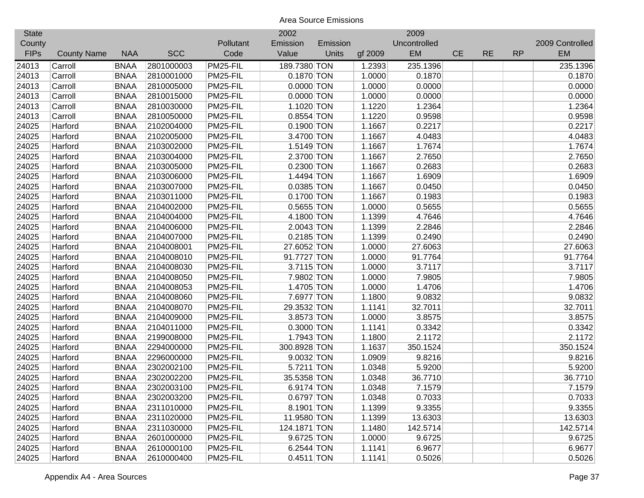| <b>State</b> |                    |             |            |           | 2002         |          |         | 2009         |           |           |           |                 |
|--------------|--------------------|-------------|------------|-----------|--------------|----------|---------|--------------|-----------|-----------|-----------|-----------------|
| County       |                    |             |            | Pollutant | Emission     | Emission |         | Uncontrolled |           |           |           | 2009 Controlled |
| <b>FIPs</b>  | <b>County Name</b> | <b>NAA</b>  | <b>SCC</b> | Code      | Value        | Units    | gf 2009 | EM           | <b>CE</b> | <b>RE</b> | <b>RP</b> | <b>EM</b>       |
| 24013        | Carroll            | <b>BNAA</b> | 2801000003 | PM25-FIL  | 189.7380 TON |          | 1.2393  | 235.1396     |           |           |           | 235.1396        |
| 24013        | Carroll            | <b>BNAA</b> | 2810001000 | PM25-FIL  | 0.1870 TON   |          | 1.0000  | 0.1870       |           |           |           | 0.1870          |
| 24013        | Carroll            | <b>BNAA</b> | 2810005000 | PM25-FIL  | $0.0000$ TON |          | 1.0000  | 0.0000       |           |           |           | 0.0000          |
| 24013        | Carroll            | <b>BNAA</b> | 2810015000 | PM25-FIL  | $0.0000$ TON |          | 1.0000  | 0.0000       |           |           |           | 0.0000          |
| 24013        | Carroll            | <b>BNAA</b> | 2810030000 | PM25-FIL  | 1.1020 TON   |          | 1.1220  | 1.2364       |           |           |           | 1.2364          |
| 24013        | Carroll            | <b>BNAA</b> | 2810050000 | PM25-FIL  | 0.8554 TON   |          | 1.1220  | 0.9598       |           |           |           | 0.9598          |
| 24025        | Harford            | <b>BNAA</b> | 2102004000 | PM25-FIL  | 0.1900 TON   |          | 1.1667  | 0.2217       |           |           |           | 0.2217          |
| 24025        | Harford            | <b>BNAA</b> | 2102005000 | PM25-FIL  | 3.4700 TON   |          | 1.1667  | 4.0483       |           |           |           | 4.0483          |
| 24025        | Harford            | <b>BNAA</b> | 2103002000 | PM25-FIL  | $1.5149$ TON |          | 1.1667  | 1.7674       |           |           |           | 1.7674          |
| 24025        | Harford            | <b>BNAA</b> | 2103004000 | PM25-FIL  | 2.3700 TON   |          | 1.1667  | 2.7650       |           |           |           | 2.7650          |
| 24025        | Harford            | <b>BNAA</b> | 2103005000 | PM25-FIL  | 0.2300 TON   |          | 1.1667  | 0.2683       |           |           |           | 0.2683          |
| 24025        | Harford            | <b>BNAA</b> | 2103006000 | PM25-FIL  | 1.4494 TON   |          | 1.1667  | 1.6909       |           |           |           | 1.6909          |
| 24025        | Harford            | <b>BNAA</b> | 2103007000 | PM25-FIL  | 0.0385 TON   |          | 1.1667  | 0.0450       |           |           |           | 0.0450          |
| 24025        | Harford            | <b>BNAA</b> | 2103011000 | PM25-FIL  | 0.1700 TON   |          | 1.1667  | 0.1983       |           |           |           | 0.1983          |
| 24025        | Harford            | <b>BNAA</b> | 2104002000 | PM25-FIL  | $0.5655$ TON |          | 1.0000  | 0.5655       |           |           |           | 0.5655          |
| 24025        | Harford            | <b>BNAA</b> | 2104004000 | PM25-FIL  | 4.1800 TON   |          | 1.1399  | 4.7646       |           |           |           | 4.7646          |
| 24025        | Harford            | <b>BNAA</b> | 2104006000 | PM25-FIL  | 2.0043 TON   |          | 1.1399  | 2.2846       |           |           |           | 2.2846          |
| 24025        | Harford            | <b>BNAA</b> | 2104007000 | PM25-FIL  | $0.2185$ TON |          | 1.1399  | 0.2490       |           |           |           | 0.2490          |
| 24025        | Harford            | <b>BNAA</b> | 2104008001 | PM25-FIL  | 27.6052 TON  |          | 1.0000  | 27.6063      |           |           |           | 27.6063         |
| 24025        | Harford            | <b>BNAA</b> | 2104008010 | PM25-FIL  | 91.7727 TON  |          | 1.0000  | 91.7764      |           |           |           | 91.7764         |
| 24025        | Harford            | <b>BNAA</b> | 2104008030 | PM25-FIL  | 3.7115 TON   |          | 1.0000  | 3.7117       |           |           |           | 3.7117          |
| 24025        | Harford            | <b>BNAA</b> | 2104008050 | PM25-FIL  | 7.9802 TON   |          | 1.0000  | 7.9805       |           |           |           | 7.9805          |
| 24025        | Harford            | <b>BNAA</b> | 2104008053 | PM25-FIL  | 1.4705 TON   |          | 1.0000  | 1.4706       |           |           |           | 1.4706          |
| 24025        | Harford            | <b>BNAA</b> | 2104008060 | PM25-FIL  | 7.6977 TON   |          | 1.1800  | 9.0832       |           |           |           | 9.0832          |
| 24025        | Harford            | <b>BNAA</b> | 2104008070 | PM25-FIL  | 29.3532 TON  |          | 1.1141  | 32.7011      |           |           |           | 32.7011         |
| 24025        | Harford            | <b>BNAA</b> | 2104009000 | PM25-FIL  | 3.8573 TON   |          | 1.0000  | 3.8575       |           |           |           | 3.8575          |
| 24025        | Harford            | <b>BNAA</b> | 2104011000 | PM25-FIL  | 0.3000 TON   |          | 1.1141  | 0.3342       |           |           |           | 0.3342          |
| 24025        | Harford            | <b>BNAA</b> | 2199008000 | PM25-FIL  | 1.7943 TON   |          | 1.1800  | 2.1172       |           |           |           | 2.1172          |
| 24025        | Harford            | <b>BNAA</b> | 2294000000 | PM25-FIL  | 300.8928 TON |          | 1.1637  | 350.1524     |           |           |           | 350.1524        |
| 24025        | Harford            | <b>BNAA</b> | 2296000000 | PM25-FIL  | 9.0032 TON   |          | 1.0909  | 9.8216       |           |           |           | 9.8216          |
| 24025        | Harford            | <b>BNAA</b> | 2302002100 | PM25-FIL  | 5.7211 TON   |          | 1.0348  | 5.9200       |           |           |           | 5.9200          |
| 24025        | Harford            | <b>BNAA</b> | 2302002200 | PM25-FIL  | 35.5358 TON  |          | 1.0348  | 36.7710      |           |           |           | 36.7710         |
| 24025        | Harford            | <b>BNAA</b> | 2302003100 | PM25-FIL  | 6.9174 TON   |          | 1.0348  | 7.1579       |           |           |           | 7.1579          |
| 24025        | Harford            | <b>BNAA</b> | 2302003200 | PM25-FIL  | $0.6797$ TON |          | 1.0348  | 0.7033       |           |           |           | 0.7033          |
| 24025        | Harford            | <b>BNAA</b> | 2311010000 | PM25-FIL  | 8.1901 TON   |          | 1.1399  | 9.3355       |           |           |           | 9.3355          |
| 24025        | Harford            | <b>BNAA</b> | 2311020000 | PM25-FIL  | 11.9580 TON  |          | 1.1399  | 13.6303      |           |           |           | 13.6303         |
| 24025        | Harford            | <b>BNAA</b> | 2311030000 | PM25-FIL  | 124.1871 TON |          | 1.1480  | 142.5714     |           |           |           | 142.5714        |
| 24025        | Harford            | <b>BNAA</b> | 2601000000 | PM25-FIL  | 9.6725 TON   |          | 1.0000  | 9.6725       |           |           |           | 9.6725          |
| 24025        | Harford            | <b>BNAA</b> | 2610000100 | PM25-FIL  | 6.2544 TON   |          | 1.1141  | 6.9677       |           |           |           | 6.9677          |
| 24025        | Harford            | <b>BNAA</b> | 2610000400 | PM25-FIL  | 0.4511 TON   |          | 1.1141  | 0.5026       |           |           |           | 0.5026          |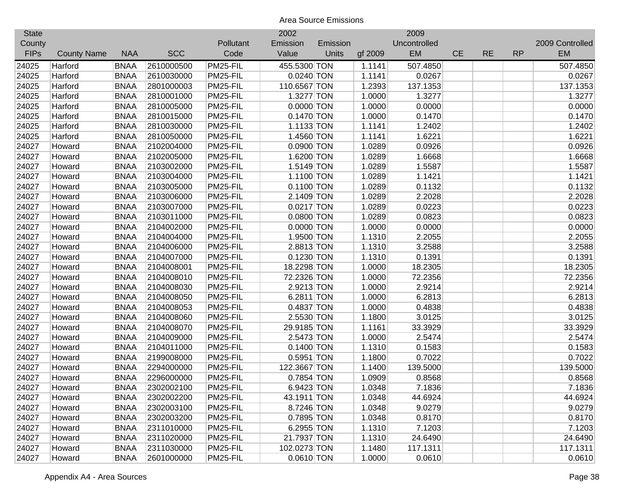| <b>State</b> |                    |             |            |           | 2002         |          |         | 2009         |           |           |           |                 |
|--------------|--------------------|-------------|------------|-----------|--------------|----------|---------|--------------|-----------|-----------|-----------|-----------------|
| County       |                    |             |            | Pollutant | Emission     | Emission |         | Uncontrolled |           |           |           | 2009 Controlled |
| <b>FIPs</b>  | <b>County Name</b> | <b>NAA</b>  | <b>SCC</b> | Code      | Value        | Units    | gf 2009 | <b>EM</b>    | <b>CE</b> | <b>RE</b> | <b>RP</b> | <b>EM</b>       |
| 24025        | Harford            | <b>BNAA</b> | 2610000500 | PM25-FIL  | 455.5300 TON |          | 1.1141  | 507.4850     |           |           |           | 507.4850        |
| 24025        | Harford            | <b>BNAA</b> | 2610030000 | PM25-FIL  | $0.0240$ TON |          | 1.1141  | 0.0267       |           |           |           | 0.0267          |
| 24025        | Harford            | <b>BNAA</b> | 2801000003 | PM25-FIL  | 110.6567 TON |          | 1.2393  | 137.1353     |           |           |           | 137.1353        |
| 24025        | Harford            | <b>BNAA</b> | 2810001000 | PM25-FIL  | 1.3277 TON   |          | 1.0000  | 1.3277       |           |           |           | 1.3277          |
| 24025        | Harford            | <b>BNAA</b> | 2810005000 | PM25-FIL  | $0.0000$ TON |          | 1.0000  | 0.0000       |           |           |           | 0.0000          |
| 24025        | Harford            | <b>BNAA</b> | 2810015000 | PM25-FIL  | $0.1470$ TON |          | 1.0000  | 0.1470       |           |           |           | 0.1470          |
| 24025        | Harford            | <b>BNAA</b> | 2810030000 | PM25-FIL  | 1.1133 TON   |          | 1.1141  | 1.2402       |           |           |           | 1.2402          |
| 24025        | Harford            | <b>BNAA</b> | 2810050000 | PM25-FIL  | 1.4560 TON   |          | 1.1141  | 1.6221       |           |           |           | 1.6221          |
| 24027        | Howard             | <b>BNAA</b> | 2102004000 | PM25-FIL  | 0.0900 TON   |          | 1.0289  | 0.0926       |           |           |           | 0.0926          |
| 24027        | Howard             | <b>BNAA</b> | 2102005000 | PM25-FIL  | 1.6200 TON   |          | 1.0289  | 1.6668       |           |           |           | 1.6668          |
| 24027        | Howard             | <b>BNAA</b> | 2103002000 | PM25-FIL  | 1.5149 TON   |          | 1.0289  | 1.5587       |           |           |           | 1.5587          |
| 24027        | Howard             | <b>BNAA</b> | 2103004000 | PM25-FIL  | 1.1100 TON   |          | 1.0289  | 1.1421       |           |           |           | 1.1421          |
| 24027        | Howard             | <b>BNAA</b> | 2103005000 | PM25-FIL  | $0.1100$ TON |          | 1.0289  | 0.1132       |           |           |           | 0.1132          |
| 24027        | Howard             | <b>BNAA</b> | 2103006000 | PM25-FIL  | 2.1409 TON   |          | 1.0289  | 2.2028       |           |           |           | 2.2028          |
| 24027        | Howard             | <b>BNAA</b> | 2103007000 | PM25-FIL  | $0.0217$ TON |          | 1.0289  | 0.0223       |           |           |           | 0.0223          |
| 24027        | Howard             | <b>BNAA</b> | 2103011000 | PM25-FIL  | 0.0800 TON   |          | 1.0289  | 0.0823       |           |           |           | 0.0823          |
| 24027        | Howard             | <b>BNAA</b> | 2104002000 | PM25-FIL  | $0.0000$ TON |          | 1.0000  | 0.0000       |           |           |           | 0.0000          |
| 24027        | Howard             | <b>BNAA</b> | 2104004000 | PM25-FIL  | 1.9500 TON   |          | 1.1310  | 2.2055       |           |           |           | 2.2055          |
| 24027        | Howard             | <b>BNAA</b> | 2104006000 | PM25-FIL  | 2.8813 TON   |          | 1.1310  | 3.2588       |           |           |           | 3.2588          |
| 24027        | Howard             | <b>BNAA</b> | 2104007000 | PM25-FIL  | $0.1230$ TON |          | 1.1310  | 0.1391       |           |           |           | 0.1391          |
| 24027        | Howard             | <b>BNAA</b> | 2104008001 | PM25-FIL  | 18.2298 TON  |          | 1.0000  | 18.2305      |           |           |           | 18.2305         |
| 24027        | Howard             | <b>BNAA</b> | 2104008010 | PM25-FIL  | 72.2326 TON  |          | 1.0000  | 72.2356      |           |           |           | 72.2356         |
| 24027        | Howard             | <b>BNAA</b> | 2104008030 | PM25-FIL  | 2.9213 TON   |          | 1.0000  | 2.9214       |           |           |           | 2.9214          |
| 24027        | Howard             | <b>BNAA</b> | 2104008050 | PM25-FIL  | 6.2811 TON   |          | 1.0000  | 6.2813       |           |           |           | 6.2813          |
| 24027        | Howard             | <b>BNAA</b> | 2104008053 | PM25-FIL  | 0.4837 TON   |          | 1.0000  | 0.4838       |           |           |           | 0.4838          |
| 24027        | Howard             | <b>BNAA</b> | 2104008060 | PM25-FIL  | 2.5530 TON   |          | 1.1800  | 3.0125       |           |           |           | 3.0125          |
| 24027        | Howard             | <b>BNAA</b> | 2104008070 | PM25-FIL  | 29.9185 TON  |          | 1.1161  | 33.3929      |           |           |           | 33.3929         |
| 24027        | Howard             | <b>BNAA</b> | 2104009000 | PM25-FIL  | 2.5473 TON   |          | 1.0000  | 2.5474       |           |           |           | 2.5474          |
| 24027        | Howard             | <b>BNAA</b> | 2104011000 | PM25-FIL  | $0.1400$ TON |          | 1.1310  | 0.1583       |           |           |           | 0.1583          |
| 24027        | Howard             | <b>BNAA</b> | 2199008000 | PM25-FIL  | 0.5951 TON   |          | 1.1800  | 0.7022       |           |           |           | 0.7022          |
| 24027        | Howard             | <b>BNAA</b> | 2294000000 | PM25-FIL  | 122.3667 TON |          | 1.1400  | 139.5000     |           |           |           | 139.5000        |
| 24027        | Howard             | <b>BNAA</b> | 2296000000 | PM25-FIL  | 0.7854 TON   |          | 1.0909  | 0.8568       |           |           |           | 0.8568          |
| 24027        | Howard             | <b>BNAA</b> | 2302002100 | PM25-FIL  | 6.9423 TON   |          | 1.0348  | 7.1836       |           |           |           | 7.1836          |
| 24027        | Howard             | <b>BNAA</b> | 2302002200 | PM25-FIL  | 43.1911 TON  |          | 1.0348  | 44.6924      |           |           |           | 44.6924         |
| 24027        | Howard             | <b>BNAA</b> | 2302003100 | PM25-FIL  | 8.7246 TON   |          | 1.0348  | 9.0279       |           |           |           | 9.0279          |
| 24027        | Howard             | <b>BNAA</b> | 2302003200 | PM25-FIL  | 0.7895 TON   |          | 1.0348  | 0.8170       |           |           |           | 0.8170          |
| 24027        | Howard             | <b>BNAA</b> | 2311010000 | PM25-FIL  | 6.2955 TON   |          | 1.1310  | 7.1203       |           |           |           | 7.1203          |
| 24027        | Howard             | <b>BNAA</b> | 2311020000 | PM25-FIL  | 21.7937 TON  |          | 1.1310  | 24.6490      |           |           |           | 24.6490         |
| 24027        | Howard             | <b>BNAA</b> | 2311030000 | PM25-FIL  | 102.0273 TON |          | 1.1480  | 117.1311     |           |           |           | 117.1311        |
| 24027        | Howard             | <b>BNAA</b> | 2601000000 | PM25-FIL  | $0.0610$ TON |          | 1.0000  | 0.0610       |           |           |           | 0.0610          |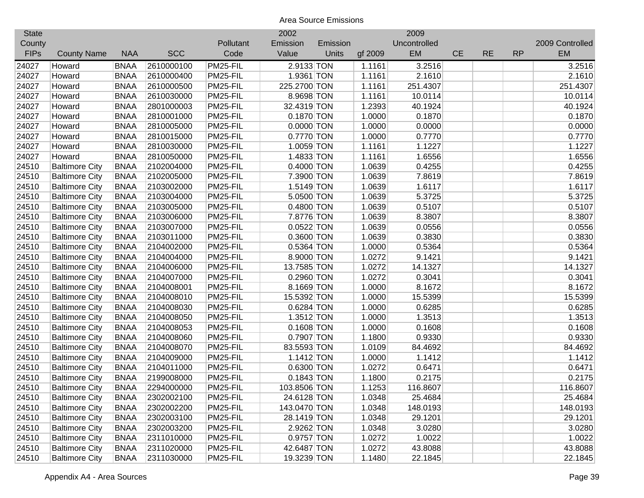| <b>State</b> |                       |             |            |           | 2002         |          |         | 2009         |           |           |           |                 |
|--------------|-----------------------|-------------|------------|-----------|--------------|----------|---------|--------------|-----------|-----------|-----------|-----------------|
| County       |                       |             |            | Pollutant | Emission     | Emission |         | Uncontrolled |           |           |           | 2009 Controlled |
| <b>FIPs</b>  | <b>County Name</b>    | <b>NAA</b>  | <b>SCC</b> | Code      | Value        | Units    | gf 2009 | EM           | <b>CE</b> | <b>RE</b> | <b>RP</b> | <b>EM</b>       |
| 24027        | Howard                | <b>BNAA</b> | 2610000100 | PM25-FIL  | 2.9133 TON   |          | 1.1161  | 3.2516       |           |           |           | 3.2516          |
| 24027        | Howard                | <b>BNAA</b> | 2610000400 | PM25-FIL  | 1.9361 TON   |          | 1.1161  | 2.1610       |           |           |           | 2.1610          |
| 24027        | Howard                | <b>BNAA</b> | 2610000500 | PM25-FIL  | 225.2700 TON |          | 1.1161  | 251.4307     |           |           |           | 251.4307        |
| 24027        | Howard                | <b>BNAA</b> | 2610030000 | PM25-FIL  | 8.9698 TON   |          | 1.1161  | 10.0114      |           |           |           | 10.0114         |
| 24027        | Howard                | <b>BNAA</b> | 2801000003 | PM25-FIL  | 32.4319 TON  |          | 1.2393  | 40.1924      |           |           |           | 40.1924         |
| 24027        | Howard                | <b>BNAA</b> | 2810001000 | PM25-FIL  | 0.1870 TON   |          | 1.0000  | 0.1870       |           |           |           | 0.1870          |
| 24027        | Howard                | <b>BNAA</b> | 2810005000 | PM25-FIL  | $0.0000$ TON |          | 1.0000  | 0.0000       |           |           |           | 0.0000          |
| 24027        | Howard                | <b>BNAA</b> | 2810015000 | PM25-FIL  | 0.7770 TON   |          | 1.0000  | 0.7770       |           |           |           | 0.7770          |
| 24027        | Howard                | <b>BNAA</b> | 2810030000 | PM25-FIL  | 1.0059 TON   |          | 1.1161  | 1.1227       |           |           |           | 1.1227          |
| 24027        | Howard                | <b>BNAA</b> | 2810050000 | PM25-FIL  | 1.4833 TON   |          | 1.1161  | 1.6556       |           |           |           | 1.6556          |
| 24510        | <b>Baltimore City</b> | <b>BNAA</b> | 2102004000 | PM25-FIL  | 0.4000 TON   |          | 1.0639  | 0.4255       |           |           |           | 0.4255          |
| 24510        | <b>Baltimore City</b> | <b>BNAA</b> | 2102005000 | PM25-FIL  | 7.3900 TON   |          | 1.0639  | 7.8619       |           |           |           | 7.8619          |
| 24510        | <b>Baltimore City</b> | <b>BNAA</b> | 2103002000 | PM25-FIL  | 1.5149 TON   |          | 1.0639  | 1.6117       |           |           |           | 1.6117          |
| 24510        | <b>Baltimore City</b> | <b>BNAA</b> | 2103004000 | PM25-FIL  | 5.0500 TON   |          | 1.0639  | 5.3725       |           |           |           | 5.3725          |
| 24510        | <b>Baltimore City</b> | <b>BNAA</b> | 2103005000 | PM25-FIL  | 0.4800 TON   |          | 1.0639  | 0.5107       |           |           |           | 0.5107          |
| 24510        | <b>Baltimore City</b> | <b>BNAA</b> | 2103006000 | PM25-FIL  | 7.8776 TON   |          | 1.0639  | 8.3807       |           |           |           | 8.3807          |
| 24510        | <b>Baltimore City</b> | <b>BNAA</b> | 2103007000 | PM25-FIL  | $0.0522$ TON |          | 1.0639  | 0.0556       |           |           |           | 0.0556          |
| 24510        | <b>Baltimore City</b> | <b>BNAA</b> | 2103011000 | PM25-FIL  | 0.3600 TON   |          | 1.0639  | 0.3830       |           |           |           | 0.3830          |
| 24510        | <b>Baltimore City</b> | <b>BNAA</b> | 2104002000 | PM25-FIL  | 0.5364 TON   |          | 1.0000  | 0.5364       |           |           |           | 0.5364          |
| 24510        | <b>Baltimore City</b> | <b>BNAA</b> | 2104004000 | PM25-FIL  | 8.9000 TON   |          | 1.0272  | 9.1421       |           |           |           | 9.1421          |
| 24510        | <b>Baltimore City</b> | <b>BNAA</b> | 2104006000 | PM25-FIL  | 13.7585 TON  |          | 1.0272  | 14.1327      |           |           |           | 14.1327         |
| 24510        | <b>Baltimore City</b> | <b>BNAA</b> | 2104007000 | PM25-FIL  | 0.2960 TON   |          | 1.0272  | 0.3041       |           |           |           | 0.3041          |
| 24510        | <b>Baltimore City</b> | <b>BNAA</b> | 2104008001 | PM25-FIL  | 8.1669 TON   |          | 1.0000  | 8.1672       |           |           |           | 8.1672          |
| 24510        | <b>Baltimore City</b> | <b>BNAA</b> | 2104008010 | PM25-FIL  | 15.5392 TON  |          | 1.0000  | 15.5399      |           |           |           | 15.5399         |
| 24510        | <b>Baltimore City</b> | <b>BNAA</b> | 2104008030 | PM25-FIL  | 0.6284 TON   |          | 1.0000  | 0.6285       |           |           |           | 0.6285          |
| 24510        | <b>Baltimore City</b> | <b>BNAA</b> | 2104008050 | PM25-FIL  | $1.3512$ TON |          | 1.0000  | 1.3513       |           |           |           | 1.3513          |
| 24510        | <b>Baltimore City</b> | <b>BNAA</b> | 2104008053 | PM25-FIL  | $0.1608$ TON |          | 1.0000  | 0.1608       |           |           |           | 0.1608          |
| 24510        | <b>Baltimore City</b> | <b>BNAA</b> | 2104008060 | PM25-FIL  | 0.7907 TON   |          | 1.1800  | 0.9330       |           |           |           | 0.9330          |
| 24510        | <b>Baltimore City</b> | <b>BNAA</b> | 2104008070 | PM25-FIL  | 83.5593 TON  |          | 1.0109  | 84.4692      |           |           |           | 84.4692         |
| 24510        | <b>Baltimore City</b> | <b>BNAA</b> | 2104009000 | PM25-FIL  | $1.1412$ TON |          | 1.0000  | 1.1412       |           |           |           | 1.1412          |
| 24510        | <b>Baltimore City</b> | <b>BNAA</b> | 2104011000 | PM25-FIL  | 0.6300 TON   |          | 1.0272  | 0.6471       |           |           |           | 0.6471          |
| 24510        | <b>Baltimore City</b> | <b>BNAA</b> | 2199008000 | PM25-FIL  | $0.1843$ TON |          | 1.1800  | 0.2175       |           |           |           | 0.2175          |
| 24510        | <b>Baltimore City</b> | <b>BNAA</b> | 2294000000 | PM25-FIL  | 103.8506 TON |          | 1.1253  | 116.8607     |           |           |           | 116.8607        |
| 24510        | <b>Baltimore City</b> | <b>BNAA</b> | 2302002100 | PM25-FIL  | 24.6128 TON  |          | 1.0348  | 25.4684      |           |           |           | 25.4684         |
| 24510        | <b>Baltimore City</b> | <b>BNAA</b> | 2302002200 | PM25-FIL  | 143.0470 TON |          | 1.0348  | 148.0193     |           |           |           | 148.0193        |
| 24510        | <b>Baltimore City</b> | <b>BNAA</b> | 2302003100 | PM25-FIL  | 28.1419 TON  |          | 1.0348  | 29.1201      |           |           |           | 29.1201         |
| 24510        | <b>Baltimore City</b> | <b>BNAA</b> | 2302003200 | PM25-FIL  | 2.9262 TON   |          | 1.0348  | 3.0280       |           |           |           | 3.0280          |
| 24510        | <b>Baltimore City</b> | <b>BNAA</b> | 2311010000 | PM25-FIL  | 0.9757 TON   |          | 1.0272  | 1.0022       |           |           |           | 1.0022          |
| 24510        | <b>Baltimore City</b> | <b>BNAA</b> | 2311020000 | PM25-FIL  | 42.6487 TON  |          | 1.0272  | 43.8088      |           |           |           | 43.8088         |
| 24510        | <b>Baltimore City</b> | <b>BNAA</b> | 2311030000 | PM25-FIL  | 19.3239 TON  |          | 1.1480  | 22.1845      |           |           |           | 22.1845         |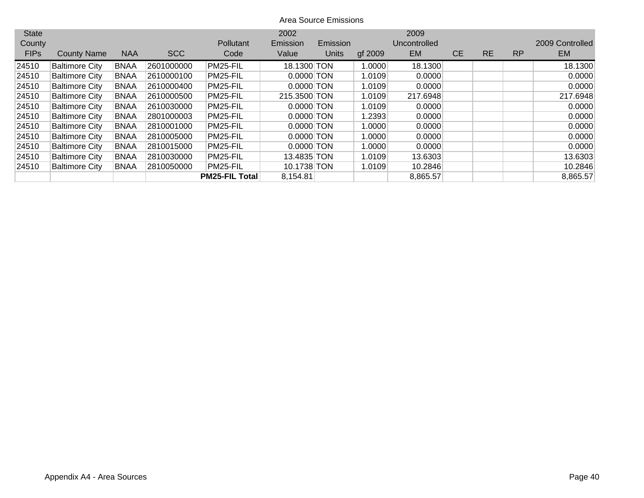| <b>State</b> |                       |             |            |                       | 2002         |          |         | 2009         |           |           |           |                 |
|--------------|-----------------------|-------------|------------|-----------------------|--------------|----------|---------|--------------|-----------|-----------|-----------|-----------------|
| County       |                       |             |            | <b>Pollutant</b>      | Emission     | Emission |         | Uncontrolled |           |           |           | 2009 Controlled |
| <b>FIPs</b>  | <b>County Name</b>    | <b>NAA</b>  | <b>SCC</b> | Code                  | Value        | Units    | gf 2009 | <b>EM</b>    | <b>CE</b> | <b>RE</b> | <b>RP</b> | EM.             |
| 24510        | <b>Baltimore City</b> | <b>BNAA</b> | 2601000000 | PM25-FIL              | 18.1300 TON  |          | 1.0000  | 18.1300      |           |           |           | 18.1300         |
| 24510        | <b>Baltimore City</b> | <b>BNAA</b> | 2610000100 | PM25-FIL              | $0.0000$ TON |          | 1.0109  | 0.0000       |           |           |           | 0.0000          |
| 24510        | <b>Baltimore City</b> | <b>BNAA</b> | 2610000400 | PM25-FIL              | $0.0000$ TON |          | 1.0109  | 0.0000       |           |           |           | 0.0000          |
| 24510        | <b>Baltimore City</b> | <b>BNAA</b> | 2610000500 | PM25-FIL              | 215.3500 TON |          | 1.0109  | 217.6948     |           |           |           | 217.6948        |
| 24510        | <b>Baltimore City</b> | <b>BNAA</b> | 2610030000 | PM25-FIL              | $0.0000$ TON |          | 1.0109  | 0.0000       |           |           |           | 0.0000          |
| 24510        | <b>Baltimore City</b> | <b>BNAA</b> | 2801000003 | PM25-FIL              | $0.0000$ TON |          | 1.2393  | 0.0000       |           |           |           | 0.0000          |
| 24510        | <b>Baltimore City</b> | <b>BNAA</b> | 2810001000 | PM25-FIL              | $0.0000$ TON |          | 1.0000  | 0.0000       |           |           |           | 0.0000          |
| 24510        | <b>Baltimore City</b> | <b>BNAA</b> | 2810005000 | PM25-FIL              | $0.0000$ TON |          | 1.0000  | 0.0000       |           |           |           | 0.0000          |
| 24510        | <b>Baltimore City</b> | <b>BNAA</b> | 2810015000 | PM25-FIL              | $0.0000$ TON |          | 1.0000  | 0.0000       |           |           |           | 0.0000          |
| 24510        | <b>Baltimore City</b> | <b>BNAA</b> | 2810030000 | PM25-FIL              | 13.4835 TON  |          | 1.0109  | 13.6303      |           |           |           | 13.6303         |
| 24510        | <b>Baltimore City</b> | <b>BNAA</b> | 2810050000 | PM25-FIL              | 10.1738 TON  |          | 1.0109  | 10.2846      |           |           |           | 10.2846         |
|              |                       |             |            | <b>PM25-FIL Total</b> | 8,154.81     |          |         | 8,865.57     |           |           |           | 8,865.57        |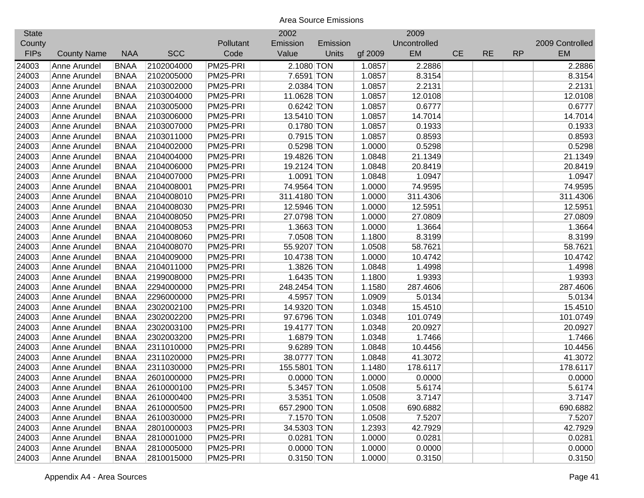| <b>State</b> |                    |             |            |           | 2002         |          |         | 2009         |           |           |           |                 |
|--------------|--------------------|-------------|------------|-----------|--------------|----------|---------|--------------|-----------|-----------|-----------|-----------------|
| County       |                    |             |            | Pollutant | Emission     | Emission |         | Uncontrolled |           |           |           | 2009 Controlled |
| <b>FIPs</b>  | <b>County Name</b> | <b>NAA</b>  | <b>SCC</b> | Code      | Value        | Units    | gf 2009 | EM           | <b>CE</b> | <b>RE</b> | <b>RP</b> | <b>EM</b>       |
| 24003        | Anne Arundel       | <b>BNAA</b> | 2102004000 | PM25-PRI  | 2.1080 TON   |          | 1.0857  | 2.2886       |           |           |           | 2.2886          |
| 24003        | Anne Arundel       | <b>BNAA</b> | 2102005000 | PM25-PRI  | 7.6591 TON   |          | 1.0857  | 8.3154       |           |           |           | 8.3154          |
| 24003        | Anne Arundel       | <b>BNAA</b> | 2103002000 | PM25-PRI  | 2.0384 TON   |          | 1.0857  | 2.2131       |           |           |           | 2.2131          |
| 24003        | Anne Arundel       | <b>BNAA</b> | 2103004000 | PM25-PRI  | 11.0628 TON  |          | 1.0857  | 12.0108      |           |           |           | 12.0108         |
| 24003        | Anne Arundel       | <b>BNAA</b> | 2103005000 | PM25-PRI  | 0.6242 TON   |          | 1.0857  | 0.6777       |           |           |           | 0.6777          |
| 24003        | Anne Arundel       | <b>BNAA</b> | 2103006000 | PM25-PRI  | 13.5410 TON  |          | 1.0857  | 14.7014      |           |           |           | 14.7014         |
| 24003        | Anne Arundel       | <b>BNAA</b> | 2103007000 | PM25-PRI  | 0.1780 TON   |          | 1.0857  | 0.1933       |           |           |           | 0.1933          |
| 24003        | Anne Arundel       | <b>BNAA</b> | 2103011000 | PM25-PRI  | 0.7915 TON   |          | 1.0857  | 0.8593       |           |           |           | 0.8593          |
| 24003        | Anne Arundel       | <b>BNAA</b> | 2104002000 | PM25-PRI  | 0.5298 TON   |          | 1.0000  | 0.5298       |           |           |           | 0.5298          |
| 24003        | Anne Arundel       | <b>BNAA</b> | 2104004000 | PM25-PRI  | 19.4826 TON  |          | 1.0848  | 21.1349      |           |           |           | 21.1349         |
| 24003        | Anne Arundel       | <b>BNAA</b> | 2104006000 | PM25-PRI  | 19.2124 TON  |          | 1.0848  | 20.8419      |           |           |           | 20.8419         |
| 24003        | Anne Arundel       | <b>BNAA</b> | 2104007000 | PM25-PRI  | 1.0091 TON   |          | 1.0848  | 1.0947       |           |           |           | 1.0947          |
| 24003        | Anne Arundel       | <b>BNAA</b> | 2104008001 | PM25-PRI  | 74.9564 TON  |          | 1.0000  | 74.9595      |           |           |           | 74.9595         |
| 24003        | Anne Arundel       | <b>BNAA</b> | 2104008010 | PM25-PRI  | 311.4180 TON |          | 1.0000  | 311.4306     |           |           |           | 311.4306        |
| 24003        | Anne Arundel       | <b>BNAA</b> | 2104008030 | PM25-PRI  | 12.5946 TON  |          | 1.0000  | 12.5951      |           |           |           | 12.5951         |
| 24003        | Anne Arundel       | <b>BNAA</b> | 2104008050 | PM25-PRI  | 27.0798 TON  |          | 1.0000  | 27.0809      |           |           |           | 27.0809         |
| 24003        | Anne Arundel       | <b>BNAA</b> | 2104008053 | PM25-PRI  | 1.3663 TON   |          | 1.0000  | 1.3664       |           |           |           | 1.3664          |
| 24003        | Anne Arundel       | <b>BNAA</b> | 2104008060 | PM25-PRI  | 7.0508 TON   |          | 1.1800  | 8.3199       |           |           |           | 8.3199          |
| 24003        | Anne Arundel       | <b>BNAA</b> | 2104008070 | PM25-PRI  | 55.9207 TON  |          | 1.0508  | 58.7621      |           |           |           | 58.7621         |
| 24003        | Anne Arundel       | <b>BNAA</b> | 2104009000 | PM25-PRI  | 10.4738 TON  |          | 1.0000  | 10.4742      |           |           |           | 10.4742         |
| 24003        | Anne Arundel       | <b>BNAA</b> | 2104011000 | PM25-PRI  | 1.3826 TON   |          | 1.0848  | 1.4998       |           |           |           | 1.4998          |
| 24003        | Anne Arundel       | <b>BNAA</b> | 2199008000 | PM25-PRI  | 1.6435 TON   |          | 1.1800  | 1.9393       |           |           |           | 1.9393          |
| 24003        | Anne Arundel       | <b>BNAA</b> | 2294000000 | PM25-PRI  | 248.2454 TON |          | 1.1580  | 287.4606     |           |           |           | 287.4606        |
| 24003        | Anne Arundel       | <b>BNAA</b> | 2296000000 | PM25-PRI  | 4.5957 TON   |          | 1.0909  | 5.0134       |           |           |           | 5.0134          |
| 24003        | Anne Arundel       | <b>BNAA</b> | 2302002100 | PM25-PRI  | 14.9320 TON  |          | 1.0348  | 15.4510      |           |           |           | 15.4510         |
| 24003        | Anne Arundel       | <b>BNAA</b> | 2302002200 | PM25-PRI  | 97.6796 TON  |          | 1.0348  | 101.0749     |           |           |           | 101.0749        |
| 24003        | Anne Arundel       | <b>BNAA</b> | 2302003100 | PM25-PRI  | 19.4177 TON  |          | 1.0348  | 20.0927      |           |           |           | 20.0927         |
| 24003        | Anne Arundel       | <b>BNAA</b> | 2302003200 | PM25-PRI  | 1.6879 TON   |          | 1.0348  | 1.7466       |           |           |           | 1.7466          |
| 24003        | Anne Arundel       | <b>BNAA</b> | 2311010000 | PM25-PRI  | 9.6289 TON   |          | 1.0848  | 10.4456      |           |           |           | 10.4456         |
| 24003        | Anne Arundel       | <b>BNAA</b> | 2311020000 | PM25-PRI  | 38.0777 TON  |          | 1.0848  | 41.3072      |           |           |           | 41.3072         |
| 24003        | Anne Arundel       | <b>BNAA</b> | 2311030000 | PM25-PRI  | 155.5801 TON |          | 1.1480  | 178.6117     |           |           |           | 178.6117        |
| 24003        | Anne Arundel       | <b>BNAA</b> | 2601000000 | PM25-PRI  | $0.0000$ TON |          | 1.0000  | 0.0000       |           |           |           | 0.0000          |
| 24003        | Anne Arundel       | <b>BNAA</b> | 2610000100 | PM25-PRI  | 5.3457 TON   |          | 1.0508  | 5.6174       |           |           |           | 5.6174          |
| 24003        | Anne Arundel       | <b>BNAA</b> | 2610000400 | PM25-PRI  | 3.5351 TON   |          | 1.0508  | 3.7147       |           |           |           | 3.7147          |
| 24003        | Anne Arundel       | <b>BNAA</b> | 2610000500 | PM25-PRI  | 657.2900 TON |          | 1.0508  | 690.6882     |           |           |           | 690.6882        |
| 24003        | Anne Arundel       | <b>BNAA</b> | 2610030000 | PM25-PRI  | 7.1570 TON   |          | 1.0508  | 7.5207       |           |           |           | 7.5207          |
| 24003        | Anne Arundel       | <b>BNAA</b> | 2801000003 | PM25-PRI  | 34.5303 TON  |          | 1.2393  | 42.7929      |           |           |           | 42.7929         |
| 24003        | Anne Arundel       | <b>BNAA</b> | 2810001000 | PM25-PRI  | 0.0281 TON   |          | 1.0000  | 0.0281       |           |           |           | 0.0281          |
| 24003        | Anne Arundel       | <b>BNAA</b> | 2810005000 | PM25-PRI  | $0.0000$ TON |          | 1.0000  | 0.0000       |           |           |           | 0.0000          |
| 24003        | Anne Arundel       | <b>BNAA</b> | 2810015000 | PM25-PRI  | $0.3150$ TON |          | 1.0000  | 0.3150       |           |           |           | 0.3150          |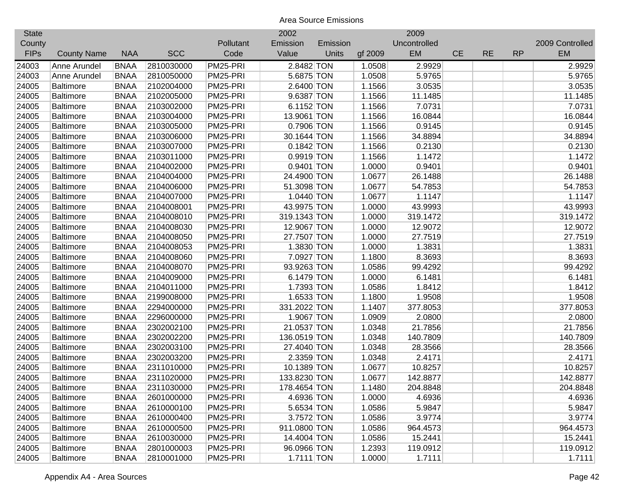| <b>State</b> |                    |             |            |           | 2002         |          |         | 2009         |           |           |           |                 |
|--------------|--------------------|-------------|------------|-----------|--------------|----------|---------|--------------|-----------|-----------|-----------|-----------------|
| County       |                    |             |            | Pollutant | Emission     | Emission |         | Uncontrolled |           |           |           | 2009 Controlled |
| <b>FIPs</b>  | <b>County Name</b> | <b>NAA</b>  | <b>SCC</b> | Code      | Value        | Units    | gf 2009 | EM           | <b>CE</b> | <b>RE</b> | <b>RP</b> | EM              |
| 24003        | Anne Arundel       | <b>BNAA</b> | 2810030000 | PM25-PRI  | 2.8482 TON   |          | 1.0508  | 2.9929       |           |           |           | 2.9929          |
| 24003        | Anne Arundel       | <b>BNAA</b> | 2810050000 | PM25-PRI  | 5.6875 TON   |          | 1.0508  | 5.9765       |           |           |           | 5.9765          |
| 24005        | <b>Baltimore</b>   | <b>BNAA</b> | 2102004000 | PM25-PRI  | 2.6400 TON   |          | 1.1566  | 3.0535       |           |           |           | 3.0535          |
| 24005        | <b>Baltimore</b>   | <b>BNAA</b> | 2102005000 | PM25-PRI  | 9.6387 TON   |          | 1.1566  | 11.1485      |           |           |           | 11.1485         |
| 24005        | <b>Baltimore</b>   | <b>BNAA</b> | 2103002000 | PM25-PRI  | 6.1152 TON   |          | 1.1566  | 7.0731       |           |           |           | 7.0731          |
| 24005        | <b>Baltimore</b>   | <b>BNAA</b> | 2103004000 | PM25-PRI  | 13.9061 TON  |          | 1.1566  | 16.0844      |           |           |           | 16.0844         |
| 24005        | <b>Baltimore</b>   | <b>BNAA</b> | 2103005000 | PM25-PRI  | 0.7906 TON   |          | 1.1566  | 0.9145       |           |           |           | 0.9145          |
| 24005        | <b>Baltimore</b>   | <b>BNAA</b> | 2103006000 | PM25-PRI  | 30.1644 TON  |          | 1.1566  | 34.8894      |           |           |           | 34.8894         |
| 24005        | <b>Baltimore</b>   | <b>BNAA</b> | 2103007000 | PM25-PRI  | $0.1842$ TON |          | 1.1566  | 0.2130       |           |           |           | 0.2130          |
| 24005        | <b>Baltimore</b>   | <b>BNAA</b> | 2103011000 | PM25-PRI  | 0.9919 TON   |          | 1.1566  | 1.1472       |           |           |           | 1.1472          |
| 24005        | <b>Baltimore</b>   | <b>BNAA</b> | 2104002000 | PM25-PRI  | 0.9401 TON   |          | 1.0000  | 0.9401       |           |           |           | 0.9401          |
| 24005        | <b>Baltimore</b>   | <b>BNAA</b> | 2104004000 | PM25-PRI  | 24.4900 TON  |          | 1.0677  | 26.1488      |           |           |           | 26.1488         |
| 24005        | <b>Baltimore</b>   | <b>BNAA</b> | 2104006000 | PM25-PRI  | 51.3098 TON  |          | 1.0677  | 54.7853      |           |           |           | 54.7853         |
| 24005        | <b>Baltimore</b>   | <b>BNAA</b> | 2104007000 | PM25-PRI  | 1.0440 TON   |          | 1.0677  | 1.1147       |           |           |           | 1.1147          |
| 24005        | <b>Baltimore</b>   | <b>BNAA</b> | 2104008001 | PM25-PRI  | 43.9975 TON  |          | 1.0000  | 43.9993      |           |           |           | 43.9993         |
| 24005        | Baltimore          | <b>BNAA</b> | 2104008010 | PM25-PRI  | 319.1343 TON |          | 1.0000  | 319.1472     |           |           |           | 319.1472        |
| 24005        | <b>Baltimore</b>   | <b>BNAA</b> | 2104008030 | PM25-PRI  | 12.9067 TON  |          | 1.0000  | 12.9072      |           |           |           | 12.9072         |
| 24005        | <b>Baltimore</b>   | <b>BNAA</b> | 2104008050 | PM25-PRI  | 27.7507 TON  |          | 1.0000  | 27.7519      |           |           |           | 27.7519         |
| 24005        | <b>Baltimore</b>   | <b>BNAA</b> | 2104008053 | PM25-PRI  | 1.3830 TON   |          | 1.0000  | 1.3831       |           |           |           | 1.3831          |
| 24005        | <b>Baltimore</b>   | <b>BNAA</b> | 2104008060 | PM25-PRI  | 7.0927 TON   |          | 1.1800  | 8.3693       |           |           |           | 8.3693          |
| 24005        | <b>Baltimore</b>   | <b>BNAA</b> | 2104008070 | PM25-PRI  | 93.9263 TON  |          | 1.0586  | 99.4292      |           |           |           | 99.4292         |
| 24005        | <b>Baltimore</b>   | <b>BNAA</b> | 2104009000 | PM25-PRI  | 6.1479 TON   |          | 1.0000  | 6.1481       |           |           |           | 6.1481          |
| 24005        | Baltimore          | <b>BNAA</b> | 2104011000 | PM25-PRI  | 1.7393 TON   |          | 1.0586  | 1.8412       |           |           |           | 1.8412          |
| 24005        | Baltimore          | <b>BNAA</b> | 2199008000 | PM25-PRI  | 1.6533 TON   |          | 1.1800  | 1.9508       |           |           |           | 1.9508          |
| 24005        | <b>Baltimore</b>   | <b>BNAA</b> | 2294000000 | PM25-PRI  | 331.2022 TON |          | 1.1407  | 377.8053     |           |           |           | 377.8053        |
| 24005        | <b>Baltimore</b>   | <b>BNAA</b> | 2296000000 | PM25-PRI  | 1.9067 TON   |          | 1.0909  | 2.0800       |           |           |           | 2.0800          |
| 24005        | <b>Baltimore</b>   | <b>BNAA</b> | 2302002100 | PM25-PRI  | 21.0537 TON  |          | 1.0348  | 21.7856      |           |           |           | 21.7856         |
| 24005        | <b>Baltimore</b>   | <b>BNAA</b> | 2302002200 | PM25-PRI  | 136.0519 TON |          | 1.0348  | 140.7809     |           |           |           | 140.7809        |
| 24005        | <b>Baltimore</b>   | <b>BNAA</b> | 2302003100 | PM25-PRI  | 27.4040 TON  |          | 1.0348  | 28.3566      |           |           |           | 28.3566         |
| 24005        | <b>Baltimore</b>   | <b>BNAA</b> | 2302003200 | PM25-PRI  | 2.3359 TON   |          | 1.0348  | 2.4171       |           |           |           | 2.4171          |
| 24005        | <b>Baltimore</b>   | <b>BNAA</b> | 2311010000 | PM25-PRI  | 10.1389 TON  |          | 1.0677  | 10.8257      |           |           |           | 10.8257         |
| 24005        | Baltimore          | <b>BNAA</b> | 2311020000 | PM25-PRI  | 133.8230 TON |          | 1.0677  | 142.8877     |           |           |           | 142.8877        |
| 24005        | <b>Baltimore</b>   | <b>BNAA</b> | 2311030000 | PM25-PRI  | 178.4654 TON |          | 1.1480  | 204.8848     |           |           |           | 204.8848        |
| 24005        | <b>Baltimore</b>   | <b>BNAA</b> | 2601000000 | PM25-PRI  | 4.6936 TON   |          | 1.0000  | 4.6936       |           |           |           | 4.6936          |
| 24005        | <b>Baltimore</b>   | <b>BNAA</b> | 2610000100 | PM25-PRI  | 5.6534 TON   |          | 1.0586  | 5.9847       |           |           |           | 5.9847          |
| 24005        | <b>Baltimore</b>   | <b>BNAA</b> | 2610000400 | PM25-PRI  | 3.7572 TON   |          | 1.0586  | 3.9774       |           |           |           | 3.9774          |
| 24005        | <b>Baltimore</b>   | <b>BNAA</b> | 2610000500 | PM25-PRI  | 911.0800 TON |          | 1.0586  | 964.4573     |           |           |           | 964.4573        |
| 24005        | <b>Baltimore</b>   | <b>BNAA</b> | 2610030000 | PM25-PRI  | 14.4004 TON  |          | 1.0586  | 15.2441      |           |           |           | 15.2441         |
| 24005        | <b>Baltimore</b>   | <b>BNAA</b> | 2801000003 | PM25-PRI  | 96.0966 TON  |          | 1.2393  | 119.0912     |           |           |           | 119.0912        |
| 24005        | Baltimore          | <b>BNAA</b> | 2810001000 | PM25-PRI  | 1.7111 TON   |          | 1.0000  | 1.7111       |           |           |           | 1.7111          |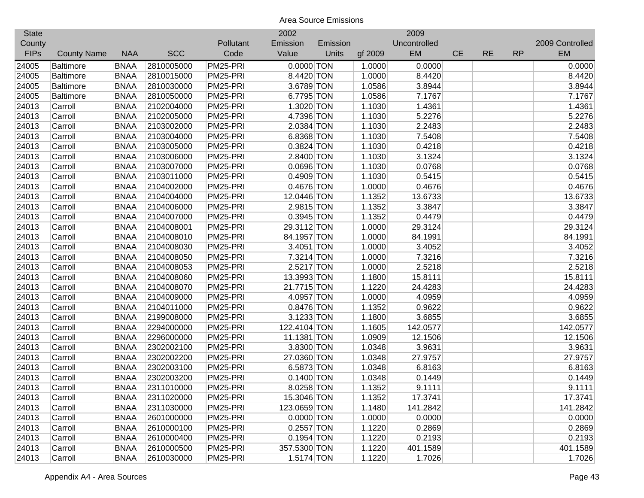| <b>State</b> |                    |             |            |           | 2002         |          |         | 2009         |           |           |           |                 |
|--------------|--------------------|-------------|------------|-----------|--------------|----------|---------|--------------|-----------|-----------|-----------|-----------------|
| County       |                    |             |            | Pollutant | Emission     | Emission |         | Uncontrolled |           |           |           | 2009 Controlled |
| <b>FIPs</b>  | <b>County Name</b> | <b>NAA</b>  | <b>SCC</b> | Code      | Value        | Units    | gf 2009 | <b>EM</b>    | <b>CE</b> | <b>RE</b> | <b>RP</b> | <b>EM</b>       |
| 24005        | <b>Baltimore</b>   | <b>BNAA</b> | 2810005000 | PM25-PRI  | $0.0000$ TON |          | 1.0000  | 0.0000       |           |           |           | 0.0000          |
| 24005        | <b>Baltimore</b>   | <b>BNAA</b> | 2810015000 | PM25-PRI  | 8.4420 TON   |          | 1.0000  | 8.4420       |           |           |           | 8.4420          |
| 24005        | <b>Baltimore</b>   | <b>BNAA</b> | 2810030000 | PM25-PRI  | 3.6789 TON   |          | 1.0586  | 3.8944       |           |           |           | 3.8944          |
| 24005        | <b>Baltimore</b>   | <b>BNAA</b> | 2810050000 | PM25-PRI  | 6.7795 TON   |          | 1.0586  | 7.1767       |           |           |           | 7.1767          |
| 24013        | Carroll            | <b>BNAA</b> | 2102004000 | PM25-PRI  | 1.3020 TON   |          | 1.1030  | 1.4361       |           |           |           | 1.4361          |
| 24013        | Carroll            | <b>BNAA</b> | 2102005000 | PM25-PRI  | 4.7396 TON   |          | 1.1030  | 5.2276       |           |           |           | 5.2276          |
| 24013        | Carroll            | <b>BNAA</b> | 2103002000 | PM25-PRI  | 2.0384 TON   |          | 1.1030  | 2.2483       |           |           |           | 2.2483          |
| 24013        | Carroll            | <b>BNAA</b> | 2103004000 | PM25-PRI  | 6.8368 TON   |          | 1.1030  | 7.5408       |           |           |           | 7.5408          |
| 24013        | Carroll            | <b>BNAA</b> | 2103005000 | PM25-PRI  | 0.3824 TON   |          | 1.1030  | 0.4218       |           |           |           | 0.4218          |
| 24013        | Carroll            | <b>BNAA</b> | 2103006000 | PM25-PRI  | 2.8400 TON   |          | 1.1030  | 3.1324       |           |           |           | 3.1324          |
| 24013        | Carroll            | <b>BNAA</b> | 2103007000 | PM25-PRI  | 0.0696 TON   |          | 1.1030  | 0.0768       |           |           |           | 0.0768          |
| 24013        | Carroll            | <b>BNAA</b> | 2103011000 | PM25-PRI  | 0.4909 TON   |          | 1.1030  | 0.5415       |           |           |           | 0.5415          |
| 24013        | Carroll            | <b>BNAA</b> | 2104002000 | PM25-PRI  | 0.4676 TON   |          | 1.0000  | 0.4676       |           |           |           | 0.4676          |
| 24013        | Carroll            | <b>BNAA</b> | 2104004000 | PM25-PRI  | 12.0446 TON  |          | 1.1352  | 13.6733      |           |           |           | 13.6733         |
| 24013        | Carroll            | <b>BNAA</b> | 2104006000 | PM25-PRI  | 2.9815 TON   |          | 1.1352  | 3.3847       |           |           |           | 3.3847          |
| 24013        | Carroll            | <b>BNAA</b> | 2104007000 | PM25-PRI  | 0.3945 TON   |          | 1.1352  | 0.4479       |           |           |           | 0.4479          |
| 24013        | Carroll            | <b>BNAA</b> | 2104008001 | PM25-PRI  | 29.3112 TON  |          | 1.0000  | 29.3124      |           |           |           | 29.3124         |
| 24013        | Carroll            | <b>BNAA</b> | 2104008010 | PM25-PRI  | 84.1957 TON  |          | 1.0000  | 84.1991      |           |           |           | 84.1991         |
| 24013        | Carroll            | <b>BNAA</b> | 2104008030 | PM25-PRI  | 3.4051 TON   |          | 1.0000  | 3.4052       |           |           |           | 3.4052          |
| 24013        | Carroll            | <b>BNAA</b> | 2104008050 | PM25-PRI  | 7.3214 TON   |          | 1.0000  | 7.3216       |           |           |           | 7.3216          |
| 24013        | Carroll            | <b>BNAA</b> | 2104008053 | PM25-PRI  | $2.5217$ TON |          | 1.0000  | 2.5218       |           |           |           | 2.5218          |
| 24013        | Carroll            | <b>BNAA</b> | 2104008060 | PM25-PRI  | 13.3993 TON  |          | 1.1800  | 15.8111      |           |           |           | 15.8111         |
| 24013        | Carroll            | <b>BNAA</b> | 2104008070 | PM25-PRI  | 21.7715 TON  |          | 1.1220  | 24.4283      |           |           |           | 24.4283         |
| 24013        | Carroll            | <b>BNAA</b> | 2104009000 | PM25-PRI  | 4.0957 TON   |          | 1.0000  | 4.0959       |           |           |           | 4.0959          |
| 24013        | Carroll            | <b>BNAA</b> | 2104011000 | PM25-PRI  | 0.8476 TON   |          | 1.1352  | 0.9622       |           |           |           | 0.9622          |
| 24013        | Carroll            | <b>BNAA</b> | 2199008000 | PM25-PRI  | 3.1233 TON   |          | 1.1800  | 3.6855       |           |           |           | 3.6855          |
| 24013        | Carroll            | <b>BNAA</b> | 2294000000 | PM25-PRI  | 122.4104 TON |          | 1.1605  | 142.0577     |           |           |           | 142.0577        |
| 24013        | Carroll            | <b>BNAA</b> | 2296000000 | PM25-PRI  | 11.1381 TON  |          | 1.0909  | 12.1506      |           |           |           | 12.1506         |
| 24013        | Carroll            | <b>BNAA</b> | 2302002100 | PM25-PRI  | 3.8300 TON   |          | 1.0348  | 3.9631       |           |           |           | 3.9631          |
| 24013        | Carroll            | <b>BNAA</b> | 2302002200 | PM25-PRI  | 27.0360 TON  |          | 1.0348  | 27.9757      |           |           |           | 27.9757         |
| 24013        | Carroll            | <b>BNAA</b> | 2302003100 | PM25-PRI  | 6.5873 TON   |          | 1.0348  | 6.8163       |           |           |           | 6.8163          |
| 24013        | Carroll            | <b>BNAA</b> | 2302003200 | PM25-PRI  | $0.1400$ TON |          | 1.0348  | 0.1449       |           |           |           | 0.1449          |
| 24013        | Carroll            | <b>BNAA</b> | 2311010000 | PM25-PRI  | 8.0258 TON   |          | 1.1352  | 9.1111       |           |           |           | 9.1111          |
| 24013        | Carroll            | <b>BNAA</b> | 2311020000 | PM25-PRI  | 15.3046 TON  |          | 1.1352  | 17.3741      |           |           |           | 17.3741         |
| 24013        | Carroll            | <b>BNAA</b> | 2311030000 | PM25-PRI  | 123.0659 TON |          | 1.1480  | 141.2842     |           |           |           | 141.2842        |
| 24013        | Carroll            | <b>BNAA</b> | 2601000000 | PM25-PRI  | $0.0000$ TON |          | 1.0000  | 0.0000       |           |           |           | 0.0000          |
| 24013        | Carroll            | <b>BNAA</b> | 2610000100 | PM25-PRI  | $0.2557$ TON |          | 1.1220  | 0.2869       |           |           |           | 0.2869          |
| 24013        | Carroll            | <b>BNAA</b> | 2610000400 | PM25-PRI  | $0.1954$ TON |          | 1.1220  | 0.2193       |           |           |           | 0.2193          |
| 24013        | Carroll            | <b>BNAA</b> | 2610000500 | PM25-PRI  | 357.5300 TON |          | 1.1220  | 401.1589     |           |           |           | 401.1589        |
| 24013        | Carroll            | <b>BNAA</b> | 2610030000 | PM25-PRI  | 1.5174 TON   |          | 1.1220  | 1.7026       |           |           |           | 1.7026          |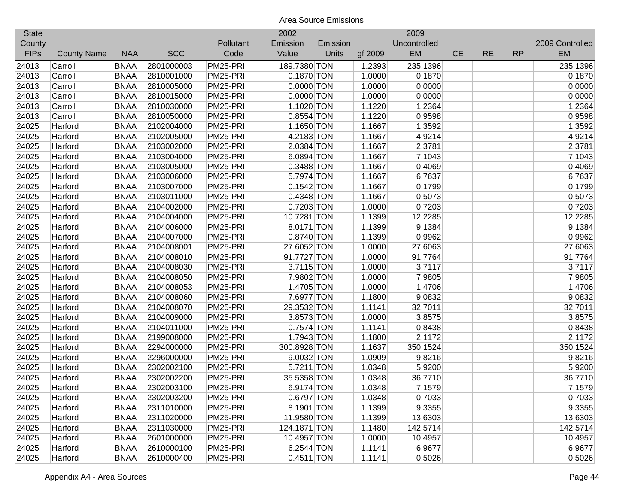| <b>State</b> |                    |             |            |           | 2002         |          |         | 2009         |           |           |           |                 |
|--------------|--------------------|-------------|------------|-----------|--------------|----------|---------|--------------|-----------|-----------|-----------|-----------------|
| County       |                    |             |            | Pollutant | Emission     | Emission |         | Uncontrolled |           |           |           | 2009 Controlled |
| <b>FIPs</b>  | <b>County Name</b> | <b>NAA</b>  | <b>SCC</b> | Code      | Value        | Units    | gf 2009 | EM           | <b>CE</b> | <b>RE</b> | <b>RP</b> | EM              |
| 24013        | Carroll            | <b>BNAA</b> | 2801000003 | PM25-PRI  | 189.7380 TON |          | 1.2393  | 235.1396     |           |           |           | 235.1396        |
| 24013        | Carroll            | <b>BNAA</b> | 2810001000 | PM25-PRI  | $0.1870$ TON |          | 1.0000  | 0.1870       |           |           |           | 0.1870          |
| 24013        | Carroll            | <b>BNAA</b> | 2810005000 | PM25-PRI  | $0.0000$ TON |          | 1.0000  | 0.0000       |           |           |           | 0.0000          |
| 24013        | Carroll            | <b>BNAA</b> | 2810015000 | PM25-PRI  | $0.0000$ TON |          | 1.0000  | 0.0000       |           |           |           | 0.0000          |
| 24013        | Carroll            | <b>BNAA</b> | 2810030000 | PM25-PRI  | 1.1020 TON   |          | 1.1220  | 1.2364       |           |           |           | 1.2364          |
| 24013        | Carroll            | <b>BNAA</b> | 2810050000 | PM25-PRI  | $0.8554$ TON |          | 1.1220  | 0.9598       |           |           |           | 0.9598          |
| 24025        | Harford            | <b>BNAA</b> | 2102004000 | PM25-PRI  | 1.1650 TON   |          | 1.1667  | 1.3592       |           |           |           | 1.3592          |
| 24025        | Harford            | <b>BNAA</b> | 2102005000 | PM25-PRI  | 4.2183 TON   |          | 1.1667  | 4.9214       |           |           |           | 4.9214          |
| 24025        | Harford            | <b>BNAA</b> | 2103002000 | PM25-PRI  | 2.0384 TON   |          | 1.1667  | 2.3781       |           |           |           | 2.3781          |
| 24025        | Harford            | <b>BNAA</b> | 2103004000 | PM25-PRI  | 6.0894 TON   |          | 1.1667  | 7.1043       |           |           |           | 7.1043          |
| 24025        | Harford            | <b>BNAA</b> | 2103005000 | PM25-PRI  | 0.3488 TON   |          | 1.1667  | 0.4069       |           |           |           | 0.4069          |
| 24025        | Harford            | <b>BNAA</b> | 2103006000 | PM25-PRI  | 5.7974 TON   |          | 1.1667  | 6.7637       |           |           |           | 6.7637          |
| 24025        | Harford            | <b>BNAA</b> | 2103007000 | PM25-PRI  | $0.1542$ TON |          | 1.1667  | 0.1799       |           |           |           | 0.1799          |
| 24025        | Harford            | <b>BNAA</b> | 2103011000 | PM25-PRI  | 0.4348 TON   |          | 1.1667  | 0.5073       |           |           |           | 0.5073          |
| 24025        | Harford            | <b>BNAA</b> | 2104002000 | PM25-PRI  | 0.7203 TON   |          | 1.0000  | 0.7203       |           |           |           | 0.7203          |
| 24025        | Harford            | <b>BNAA</b> | 2104004000 | PM25-PRI  | 10.7281 TON  |          | 1.1399  | 12.2285      |           |           |           | 12.2285         |
| 24025        | Harford            | <b>BNAA</b> | 2104006000 | PM25-PRI  | 8.0171 TON   |          | 1.1399  | 9.1384       |           |           |           | 9.1384          |
| 24025        | Harford            | <b>BNAA</b> | 2104007000 | PM25-PRI  | 0.8740 TON   |          | 1.1399  | 0.9962       |           |           |           | 0.9962          |
| 24025        | Harford            | <b>BNAA</b> | 2104008001 | PM25-PRI  | 27.6052 TON  |          | 1.0000  | 27.6063      |           |           |           | 27.6063         |
| 24025        | Harford            | <b>BNAA</b> | 2104008010 | PM25-PRI  | 91.7727 TON  |          | 1.0000  | 91.7764      |           |           |           | 91.7764         |
| 24025        | Harford            | <b>BNAA</b> | 2104008030 | PM25-PRI  | 3.7115 TON   |          | 1.0000  | 3.7117       |           |           |           | 3.7117          |
| 24025        | Harford            | <b>BNAA</b> | 2104008050 | PM25-PRI  | 7.9802 TON   |          | 1.0000  | 7.9805       |           |           |           | 7.9805          |
| 24025        | Harford            | <b>BNAA</b> | 2104008053 | PM25-PRI  | 1.4705 TON   |          | 1.0000  | 1.4706       |           |           |           | 1.4706          |
| 24025        | Harford            | <b>BNAA</b> | 2104008060 | PM25-PRI  | 7.6977 TON   |          | 1.1800  | 9.0832       |           |           |           | 9.0832          |
| 24025        | Harford            | <b>BNAA</b> | 2104008070 | PM25-PRI  | 29.3532 TON  |          | 1.1141  | 32.7011      |           |           |           | 32.7011         |
| 24025        | Harford            | <b>BNAA</b> | 2104009000 | PM25-PRI  | 3.8573 TON   |          | 1.0000  | 3.8575       |           |           |           | 3.8575          |
| 24025        | Harford            | <b>BNAA</b> | 2104011000 | PM25-PRI  | 0.7574 TON   |          | 1.1141  | 0.8438       |           |           |           | 0.8438          |
| 24025        | Harford            | <b>BNAA</b> | 2199008000 | PM25-PRI  | 1.7943 TON   |          | 1.1800  | 2.1172       |           |           |           | 2.1172          |
| 24025        | Harford            | <b>BNAA</b> | 2294000000 | PM25-PRI  | 300.8928 TON |          | 1.1637  | 350.1524     |           |           |           | 350.1524        |
| 24025        | Harford            | <b>BNAA</b> | 2296000000 | PM25-PRI  | 9.0032 TON   |          | 1.0909  | 9.8216       |           |           |           | 9.8216          |
| 24025        | Harford            | <b>BNAA</b> | 2302002100 | PM25-PRI  | 5.7211 TON   |          | 1.0348  | 5.9200       |           |           |           | 5.9200          |
| 24025        | Harford            | <b>BNAA</b> | 2302002200 | PM25-PRI  | 35.5358 TON  |          | 1.0348  | 36.7710      |           |           |           | 36.7710         |
| 24025        | Harford            | <b>BNAA</b> | 2302003100 | PM25-PRI  | 6.9174 TON   |          | 1.0348  | 7.1579       |           |           |           | 7.1579          |
| 24025        | Harford            | <b>BNAA</b> | 2302003200 | PM25-PRI  | $0.6797$ TON |          | 1.0348  | 0.7033       |           |           |           | 0.7033          |
| 24025        | Harford            | <b>BNAA</b> | 2311010000 | PM25-PRI  | 8.1901 TON   |          | 1.1399  | 9.3355       |           |           |           | 9.3355          |
| 24025        | Harford            | <b>BNAA</b> | 2311020000 | PM25-PRI  | 11.9580 TON  |          | 1.1399  | 13.6303      |           |           |           | 13.6303         |
| 24025        | Harford            | <b>BNAA</b> | 2311030000 | PM25-PRI  | 124.1871 TON |          | 1.1480  | 142.5714     |           |           |           | 142.5714        |
| 24025        | Harford            | <b>BNAA</b> | 2601000000 | PM25-PRI  | 10.4957 TON  |          | 1.0000  | 10.4957      |           |           |           | 10.4957         |
| 24025        | Harford            | <b>BNAA</b> | 2610000100 | PM25-PRI  | 6.2544 TON   |          | 1.1141  | 6.9677       |           |           |           | 6.9677          |
| 24025        | Harford            | <b>BNAA</b> | 2610000400 | PM25-PRI  | 0.4511 TON   |          | 1.1141  | 0.5026       |           |           |           | 0.5026          |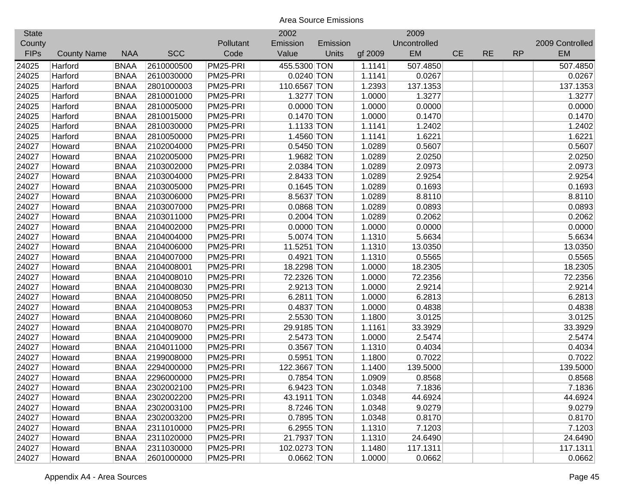| <b>State</b> |                    |             |            |           | 2002         |          |         | 2009         |           |           |           |                 |
|--------------|--------------------|-------------|------------|-----------|--------------|----------|---------|--------------|-----------|-----------|-----------|-----------------|
| County       |                    |             |            | Pollutant | Emission     | Emission |         | Uncontrolled |           |           |           | 2009 Controlled |
| <b>FIPs</b>  | <b>County Name</b> | <b>NAA</b>  | <b>SCC</b> | Code      | Value        | Units    | gf 2009 | <b>EM</b>    | <b>CE</b> | <b>RE</b> | <b>RP</b> | <b>EM</b>       |
| 24025        | Harford            | <b>BNAA</b> | 2610000500 | PM25-PRI  | 455.5300 TON |          | 1.1141  | 507.4850     |           |           |           | 507.4850        |
| 24025        | Harford            | <b>BNAA</b> | 2610030000 | PM25-PRI  | $0.0240$ TON |          | 1.1141  | 0.0267       |           |           |           | 0.0267          |
| 24025        | Harford            | <b>BNAA</b> | 2801000003 | PM25-PRI  | 110.6567 TON |          | 1.2393  | 137.1353     |           |           |           | 137.1353        |
| 24025        | Harford            | <b>BNAA</b> | 2810001000 | PM25-PRI  | 1.3277 TON   |          | 1.0000  | 1.3277       |           |           |           | 1.3277          |
| 24025        | Harford            | <b>BNAA</b> | 2810005000 | PM25-PRI  | $0.0000$ TON |          | 1.0000  | 0.0000       |           |           |           | 0.0000          |
| 24025        | Harford            | <b>BNAA</b> | 2810015000 | PM25-PRI  | $0.1470$ TON |          | 1.0000  | 0.1470       |           |           |           | 0.1470          |
| 24025        | Harford            | <b>BNAA</b> | 2810030000 | PM25-PRI  | 1.1133 TON   |          | 1.1141  | 1.2402       |           |           |           | 1.2402          |
| 24025        | Harford            | <b>BNAA</b> | 2810050000 | PM25-PRI  | 1.4560 TON   |          | 1.1141  | 1.6221       |           |           |           | 1.6221          |
| 24027        | Howard             | <b>BNAA</b> | 2102004000 | PM25-PRI  | $0.5450$ TON |          | 1.0289  | 0.5607       |           |           |           | 0.5607          |
| 24027        | Howard             | <b>BNAA</b> | 2102005000 | PM25-PRI  | 1.9682 TON   |          | 1.0289  | 2.0250       |           |           |           | 2.0250          |
| 24027        | Howard             | <b>BNAA</b> | 2103002000 | PM25-PRI  | 2.0384 TON   |          | 1.0289  | 2.0973       |           |           |           | 2.0973          |
| 24027        | Howard             | <b>BNAA</b> | 2103004000 | PM25-PRI  | 2.8433 TON   |          | 1.0289  | 2.9254       |           |           |           | 2.9254          |
| 24027        | Howard             | <b>BNAA</b> | 2103005000 | PM25-PRI  | $0.1645$ TON |          | 1.0289  | 0.1693       |           |           |           | 0.1693          |
| 24027        | Howard             | <b>BNAA</b> | 2103006000 | PM25-PRI  | 8.5637 TON   |          | 1.0289  | 8.8110       |           |           |           | 8.8110          |
| 24027        | Howard             | <b>BNAA</b> | 2103007000 | PM25-PRI  | 0.0868 TON   |          | 1.0289  | 0.0893       |           |           |           | 0.0893          |
| 24027        | Howard             | <b>BNAA</b> | 2103011000 | PM25-PRI  | 0.2004 TON   |          | 1.0289  | 0.2062       |           |           |           | 0.2062          |
| 24027        | Howard             | <b>BNAA</b> | 2104002000 | PM25-PRI  | $0.0000$ TON |          | 1.0000  | 0.0000       |           |           |           | 0.0000          |
| 24027        | Howard             | <b>BNAA</b> | 2104004000 | PM25-PRI  | 5.0074 TON   |          | 1.1310  | 5.6634       |           |           |           | 5.6634          |
| 24027        | Howard             | <b>BNAA</b> | 2104006000 | PM25-PRI  | 11.5251 TON  |          | 1.1310  | 13.0350      |           |           |           | 13.0350         |
| 24027        | Howard             | <b>BNAA</b> | 2104007000 | PM25-PRI  | 0.4921 TON   |          | 1.1310  | 0.5565       |           |           |           | 0.5565          |
| 24027        | Howard             | <b>BNAA</b> | 2104008001 | PM25-PRI  | 18.2298 TON  |          | 1.0000  | 18.2305      |           |           |           | 18.2305         |
| 24027        | Howard             | <b>BNAA</b> | 2104008010 | PM25-PRI  | 72.2326 TON  |          | 1.0000  | 72.2356      |           |           |           | 72.2356         |
| 24027        | Howard             | <b>BNAA</b> | 2104008030 | PM25-PRI  | 2.9213 TON   |          | 1.0000  | 2.9214       |           |           |           | 2.9214          |
| 24027        | Howard             | <b>BNAA</b> | 2104008050 | PM25-PRI  | 6.2811 TON   |          | 1.0000  | 6.2813       |           |           |           | 6.2813          |
| 24027        | Howard             | <b>BNAA</b> | 2104008053 | PM25-PRI  | 0.4837 TON   |          | 1.0000  | 0.4838       |           |           |           | 0.4838          |
| 24027        | Howard             | <b>BNAA</b> | 2104008060 | PM25-PRI  | 2.5530 TON   |          | 1.1800  | 3.0125       |           |           |           | 3.0125          |
| 24027        | Howard             | <b>BNAA</b> | 2104008070 | PM25-PRI  | 29.9185 TON  |          | 1.1161  | 33.3929      |           |           |           | 33.3929         |
| 24027        | Howard             | <b>BNAA</b> | 2104009000 | PM25-PRI  | 2.5473 TON   |          | 1.0000  | 2.5474       |           |           |           | 2.5474          |
| 24027        | Howard             | <b>BNAA</b> | 2104011000 | PM25-PRI  | 0.3567 TON   |          | 1.1310  | 0.4034       |           |           |           | 0.4034          |
| 24027        | Howard             | <b>BNAA</b> | 2199008000 | PM25-PRI  | 0.5951 TON   |          | 1.1800  | 0.7022       |           |           |           | 0.7022          |
| 24027        | Howard             | <b>BNAA</b> | 2294000000 | PM25-PRI  | 122.3667 TON |          | 1.1400  | 139.5000     |           |           |           | 139.5000        |
| 24027        | Howard             | <b>BNAA</b> | 2296000000 | PM25-PRI  | 0.7854 TON   |          | 1.0909  | 0.8568       |           |           |           | 0.8568          |
| 24027        | Howard             | <b>BNAA</b> | 2302002100 | PM25-PRI  | 6.9423 TON   |          | 1.0348  | 7.1836       |           |           |           | 7.1836          |
| 24027        | Howard             | <b>BNAA</b> | 2302002200 | PM25-PRI  | 43.1911 TON  |          | 1.0348  | 44.6924      |           |           |           | 44.6924         |
| 24027        | Howard             | <b>BNAA</b> | 2302003100 | PM25-PRI  | 8.7246 TON   |          | 1.0348  | 9.0279       |           |           |           | 9.0279          |
| 24027        | Howard             | <b>BNAA</b> | 2302003200 | PM25-PRI  | 0.7895 TON   |          | 1.0348  | 0.8170       |           |           |           | 0.8170          |
| 24027        | Howard             | <b>BNAA</b> | 2311010000 | PM25-PRI  | 6.2955 TON   |          | 1.1310  | 7.1203       |           |           |           | 7.1203          |
| 24027        | Howard             | <b>BNAA</b> | 2311020000 | PM25-PRI  | 21.7937 TON  |          | 1.1310  | 24.6490      |           |           |           | 24.6490         |
| 24027        | Howard             | <b>BNAA</b> | 2311030000 | PM25-PRI  | 102.0273 TON |          | 1.1480  | 117.1311     |           |           |           | 117.1311        |
| 24027        | Howard             | <b>BNAA</b> | 2601000000 | PM25-PRI  | $0.0662$ TON |          | 1.0000  | 0.0662       |           |           |           | 0.0662          |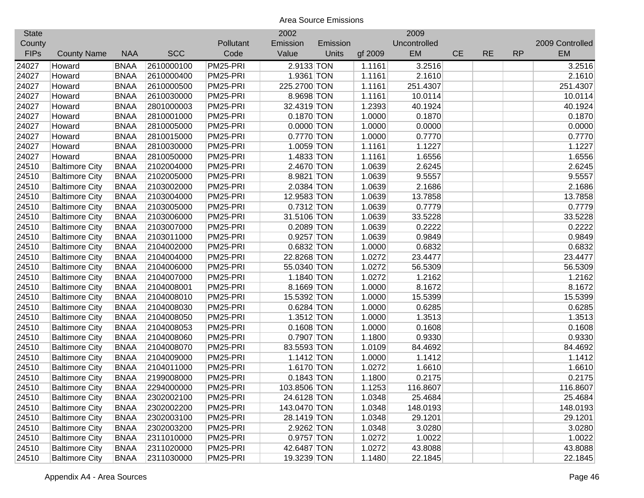| <b>State</b> |                       |             |            |           | 2002         |          |         | 2009         |           |           |           |                 |
|--------------|-----------------------|-------------|------------|-----------|--------------|----------|---------|--------------|-----------|-----------|-----------|-----------------|
| County       |                       |             |            | Pollutant | Emission     | Emission |         | Uncontrolled |           |           |           | 2009 Controlled |
| <b>FIPs</b>  | <b>County Name</b>    | <b>NAA</b>  | <b>SCC</b> | Code      | Value        | Units    | gf 2009 | EM           | <b>CE</b> | <b>RE</b> | <b>RP</b> | <b>EM</b>       |
| 24027        | Howard                | <b>BNAA</b> | 2610000100 | PM25-PRI  | 2.9133 TON   |          | 1.1161  | 3.2516       |           |           |           | 3.2516          |
| 24027        | Howard                | <b>BNAA</b> | 2610000400 | PM25-PRI  | 1.9361 TON   |          | 1.1161  | 2.1610       |           |           |           | 2.1610          |
| 24027        | Howard                | <b>BNAA</b> | 2610000500 | PM25-PRI  | 225.2700 TON |          | 1.1161  | 251.4307     |           |           |           | 251.4307        |
| 24027        | Howard                | <b>BNAA</b> | 2610030000 | PM25-PRI  | 8.9698 TON   |          | 1.1161  | 10.0114      |           |           |           | 10.0114         |
| 24027        | Howard                | <b>BNAA</b> | 2801000003 | PM25-PRI  | 32.4319 TON  |          | 1.2393  | 40.1924      |           |           |           | 40.1924         |
| 24027        | Howard                | <b>BNAA</b> | 2810001000 | PM25-PRI  | 0.1870 TON   |          | 1.0000  | 0.1870       |           |           |           | 0.1870          |
| 24027        | Howard                | <b>BNAA</b> | 2810005000 | PM25-PRI  | $0.0000$ TON |          | 1.0000  | 0.0000       |           |           |           | 0.0000          |
| 24027        | Howard                | <b>BNAA</b> | 2810015000 | PM25-PRI  | 0.7770 TON   |          | 1.0000  | 0.7770       |           |           |           | 0.7770          |
| 24027        | Howard                | <b>BNAA</b> | 2810030000 | PM25-PRI  | 1.0059 TON   |          | 1.1161  | 1.1227       |           |           |           | 1.1227          |
| 24027        | Howard                | <b>BNAA</b> | 2810050000 | PM25-PRI  | 1.4833 TON   |          | 1.1161  | 1.6556       |           |           |           | 1.6556          |
| 24510        | <b>Baltimore City</b> | <b>BNAA</b> | 2102004000 | PM25-PRI  | 2.4670 TON   |          | 1.0639  | 2.6245       |           |           |           | 2.6245          |
| 24510        | <b>Baltimore City</b> | <b>BNAA</b> | 2102005000 | PM25-PRI  | 8.9821 TON   |          | 1.0639  | 9.5557       |           |           |           | 9.5557          |
| 24510        | <b>Baltimore City</b> | <b>BNAA</b> | 2103002000 | PM25-PRI  | 2.0384 TON   |          | 1.0639  | 2.1686       |           |           |           | 2.1686          |
| 24510        | <b>Baltimore City</b> | <b>BNAA</b> | 2103004000 | PM25-PRI  | 12.9583 TON  |          | 1.0639  | 13.7858      |           |           |           | 13.7858         |
| 24510        | <b>Baltimore City</b> | <b>BNAA</b> | 2103005000 | PM25-PRI  | 0.7312 TON   |          | 1.0639  | 0.7779       |           |           |           | 0.7779          |
| 24510        | <b>Baltimore City</b> | <b>BNAA</b> | 2103006000 | PM25-PRI  | 31.5106 TON  |          | 1.0639  | 33.5228      |           |           |           | 33.5228         |
| 24510        | <b>Baltimore City</b> | <b>BNAA</b> | 2103007000 | PM25-PRI  | 0.2089 TON   |          | 1.0639  | 0.2222       |           |           |           | 0.2222          |
| 24510        | <b>Baltimore City</b> | <b>BNAA</b> | 2103011000 | PM25-PRI  | 0.9257 TON   |          | 1.0639  | 0.9849       |           |           |           | 0.9849          |
| 24510        | <b>Baltimore City</b> | <b>BNAA</b> | 2104002000 | PM25-PRI  | 0.6832 TON   |          | 1.0000  | 0.6832       |           |           |           | 0.6832          |
| 24510        | <b>Baltimore City</b> | <b>BNAA</b> | 2104004000 | PM25-PRI  | 22.8268 TON  |          | 1.0272  | 23.4477      |           |           |           | 23.4477         |
| 24510        | <b>Baltimore City</b> | <b>BNAA</b> | 2104006000 | PM25-PRI  | 55.0340 TON  |          | 1.0272  | 56.5309      |           |           |           | 56.5309         |
| 24510        | <b>Baltimore City</b> | <b>BNAA</b> | 2104007000 | PM25-PRI  | 1.1840 TON   |          | 1.0272  | 1.2162       |           |           |           | 1.2162          |
| 24510        | <b>Baltimore City</b> | <b>BNAA</b> | 2104008001 | PM25-PRI  | 8.1669 TON   |          | 1.0000  | 8.1672       |           |           |           | 8.1672          |
| 24510        | <b>Baltimore City</b> | <b>BNAA</b> | 2104008010 | PM25-PRI  | 15.5392 TON  |          | 1.0000  | 15.5399      |           |           |           | 15.5399         |
| 24510        | <b>Baltimore City</b> | <b>BNAA</b> | 2104008030 | PM25-PRI  | 0.6284 TON   |          | 1.0000  | 0.6285       |           |           |           | 0.6285          |
| 24510        | <b>Baltimore City</b> | <b>BNAA</b> | 2104008050 | PM25-PRI  | $1.3512$ TON |          | 1.0000  | 1.3513       |           |           |           | 1.3513          |
| 24510        | <b>Baltimore City</b> | <b>BNAA</b> | 2104008053 | PM25-PRI  | $0.1608$ TON |          | 1.0000  | 0.1608       |           |           |           | 0.1608          |
| 24510        | <b>Baltimore City</b> | <b>BNAA</b> | 2104008060 | PM25-PRI  | 0.7907 TON   |          | 1.1800  | 0.9330       |           |           |           | 0.9330          |
| 24510        | <b>Baltimore City</b> | <b>BNAA</b> | 2104008070 | PM25-PRI  | 83.5593 TON  |          | 1.0109  | 84.4692      |           |           |           | 84.4692         |
| 24510        | <b>Baltimore City</b> | <b>BNAA</b> | 2104009000 | PM25-PRI  | $1.1412$ TON |          | 1.0000  | 1.1412       |           |           |           | 1.1412          |
| 24510        | <b>Baltimore City</b> | <b>BNAA</b> | 2104011000 | PM25-PRI  | 1.6170 TON   |          | 1.0272  | 1.6610       |           |           |           | 1.6610          |
| 24510        | <b>Baltimore City</b> | <b>BNAA</b> | 2199008000 | PM25-PRI  | $0.1843$ TON |          | 1.1800  | 0.2175       |           |           |           | 0.2175          |
| 24510        | <b>Baltimore City</b> | <b>BNAA</b> | 2294000000 | PM25-PRI  | 103.8506 TON |          | 1.1253  | 116.8607     |           |           |           | 116.8607        |
| 24510        | <b>Baltimore City</b> | <b>BNAA</b> | 2302002100 | PM25-PRI  | 24.6128 TON  |          | 1.0348  | 25.4684      |           |           |           | 25.4684         |
| 24510        | <b>Baltimore City</b> | <b>BNAA</b> | 2302002200 | PM25-PRI  | 143.0470 TON |          | 1.0348  | 148.0193     |           |           |           | 148.0193        |
| 24510        | <b>Baltimore City</b> | <b>BNAA</b> | 2302003100 | PM25-PRI  | 28.1419 TON  |          | 1.0348  | 29.1201      |           |           |           | 29.1201         |
| 24510        | <b>Baltimore City</b> | <b>BNAA</b> | 2302003200 | PM25-PRI  | 2.9262 TON   |          | 1.0348  | 3.0280       |           |           |           | 3.0280          |
| 24510        | <b>Baltimore City</b> | <b>BNAA</b> | 2311010000 | PM25-PRI  | 0.9757 TON   |          | 1.0272  | 1.0022       |           |           |           | 1.0022          |
| 24510        | <b>Baltimore City</b> | <b>BNAA</b> | 2311020000 | PM25-PRI  | 42.6487 TON  |          | 1.0272  | 43.8088      |           |           |           | 43.8088         |
| 24510        | <b>Baltimore City</b> | <b>BNAA</b> | 2311030000 | PM25-PRI  | 19.3239 TON  |          | 1.1480  | 22.1845      |           |           |           | 22.1845         |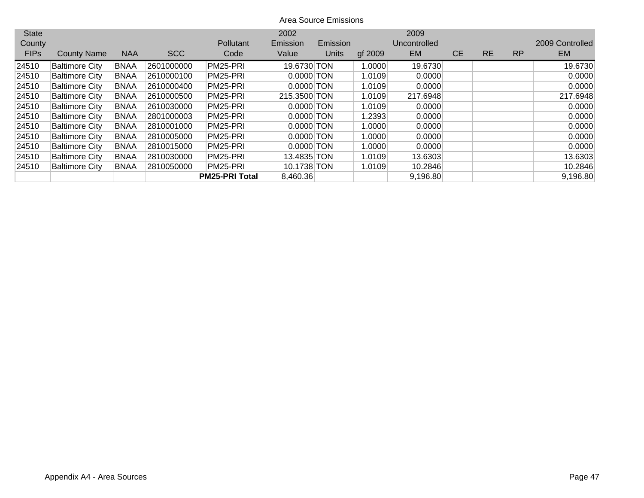| <b>State</b> |                       |             |            |                       | 2002         |          |         | 2009         |           |           |           |                 |
|--------------|-----------------------|-------------|------------|-----------------------|--------------|----------|---------|--------------|-----------|-----------|-----------|-----------------|
| County       |                       |             |            | <b>Pollutant</b>      | Emission     | Emission |         | Uncontrolled |           |           |           | 2009 Controlled |
| <b>FIPs</b>  | <b>County Name</b>    | <b>NAA</b>  | <b>SCC</b> | Code                  | Value        | Units    | gf 2009 | <b>EM</b>    | <b>CE</b> | <b>RE</b> | <b>RP</b> | EM.             |
| 24510        | <b>Baltimore City</b> | <b>BNAA</b> | 2601000000 | PM25-PRI              | 19.6730 TON  |          | 1.0000  | 19.6730      |           |           |           | 19.6730         |
| 24510        | <b>Baltimore City</b> | <b>BNAA</b> | 2610000100 | PM25-PRI              | $0.0000$ TON |          | 1.0109  | 0.0000       |           |           |           | 0.0000          |
| 24510        | <b>Baltimore City</b> | <b>BNAA</b> | 2610000400 | PM25-PRI              | $0.0000$ TON |          | 1.0109  | 0.0000       |           |           |           | 0.0000          |
| 24510        | <b>Baltimore City</b> | <b>BNAA</b> | 2610000500 | PM25-PRI              | 215.3500 TON |          | 1.0109  | 217.6948     |           |           |           | 217.6948        |
| 24510        | <b>Baltimore City</b> | <b>BNAA</b> | 2610030000 | PM25-PRI              | $0.0000$ TON |          | 1.0109  | 0.0000       |           |           |           | 0.0000          |
| 24510        | <b>Baltimore City</b> | <b>BNAA</b> | 2801000003 | PM25-PRI              | $0.0000$ TON |          | 1.2393  | 0.0000       |           |           |           | 0.0000          |
| 24510        | <b>Baltimore City</b> | <b>BNAA</b> | 2810001000 | PM25-PRI              | $0.0000$ TON |          | 1.0000  | 0.0000       |           |           |           | 0.0000          |
| 24510        | <b>Baltimore City</b> | <b>BNAA</b> | 2810005000 | PM25-PRI              | $0.0000$ TON |          | 1.0000  | 0.0000       |           |           |           | 0.0000          |
| 24510        | <b>Baltimore City</b> | <b>BNAA</b> | 2810015000 | PM25-PRI              | $0.0000$ TON |          | 1.0000  | 0.0000       |           |           |           | 0.0000          |
| 24510        | <b>Baltimore City</b> | <b>BNAA</b> | 2810030000 | PM25-PRI              | 13.4835 TON  |          | 1.0109  | 13.6303      |           |           |           | 13.6303         |
| 24510        | <b>Baltimore City</b> | <b>BNAA</b> | 2810050000 | PM25-PRI              | 10.1738 TON  |          | 1.0109  | 10.2846      |           |           |           | 10.2846         |
|              |                       |             |            | <b>PM25-PRI Total</b> | 8,460.36     |          |         | 9,196.80     |           |           |           | 9,196.80        |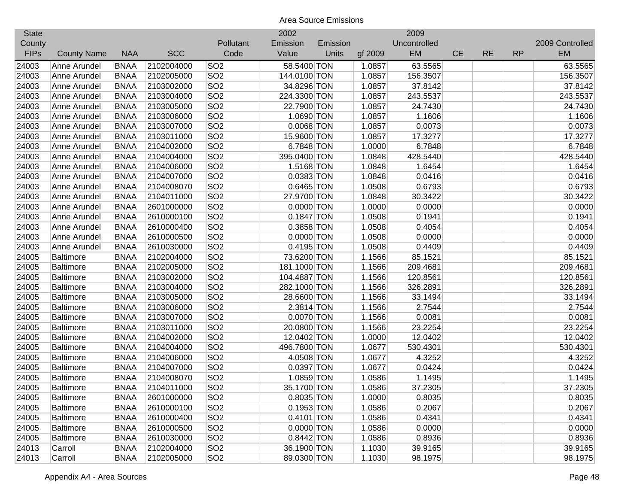| <b>State</b> |                    |             |            |                 | 2002         |          |         | 2009         |           |           |           |                 |
|--------------|--------------------|-------------|------------|-----------------|--------------|----------|---------|--------------|-----------|-----------|-----------|-----------------|
| County       |                    |             |            | Pollutant       | Emission     | Emission |         | Uncontrolled |           |           |           | 2009 Controlled |
| <b>FIPs</b>  | <b>County Name</b> | <b>NAA</b>  | <b>SCC</b> | Code            | Value        | Units    | gf 2009 | EM           | <b>CE</b> | <b>RE</b> | <b>RP</b> | <b>EM</b>       |
| 24003        | Anne Arundel       | <b>BNAA</b> | 2102004000 | SO <sub>2</sub> | 58.5400 TON  |          | 1.0857  | 63.5565      |           |           |           | 63.5565         |
| 24003        | Anne Arundel       | <b>BNAA</b> | 2102005000 | SO <sub>2</sub> | 144.0100 TON |          | 1.0857  | 156.3507     |           |           |           | 156.3507        |
| 24003        | Anne Arundel       | <b>BNAA</b> | 2103002000 | SO <sub>2</sub> | 34.8296 TON  |          | 1.0857  | 37.8142      |           |           |           | 37.8142         |
| 24003        | Anne Arundel       | <b>BNAA</b> | 2103004000 | SO <sub>2</sub> | 224.3300 TON |          | 1.0857  | 243.5537     |           |           |           | 243.5537        |
| 24003        | Anne Arundel       | <b>BNAA</b> | 2103005000 | SO <sub>2</sub> | 22.7900 TON  |          | 1.0857  | 24.7430      |           |           |           | 24.7430         |
| 24003        | Anne Arundel       | <b>BNAA</b> | 2103006000 | SO <sub>2</sub> | 1.0690 TON   |          | 1.0857  | 1.1606       |           |           |           | 1.1606          |
| 24003        | Anne Arundel       | <b>BNAA</b> | 2103007000 | SO <sub>2</sub> | $0.0068$ TON |          | 1.0857  | 0.0073       |           |           |           | 0.0073          |
| 24003        | Anne Arundel       | <b>BNAA</b> | 2103011000 | SO <sub>2</sub> | 15.9600 TON  |          | 1.0857  | 17.3277      |           |           |           | 17.3277         |
| 24003        | Anne Arundel       | <b>BNAA</b> | 2104002000 | SO <sub>2</sub> | 6.7848 TON   |          | 1.0000  | 6.7848       |           |           |           | 6.7848          |
| 24003        | Anne Arundel       | <b>BNAA</b> | 2104004000 | SO <sub>2</sub> | 395.0400 TON |          | 1.0848  | 428.5440     |           |           |           | 428.5440        |
| 24003        | Anne Arundel       | <b>BNAA</b> | 2104006000 | SO <sub>2</sub> | 1.5168 TON   |          | 1.0848  | 1.6454       |           |           |           | 1.6454          |
| 24003        | Anne Arundel       | <b>BNAA</b> | 2104007000 | SO <sub>2</sub> | 0.0383 TON   |          | 1.0848  | 0.0416       |           |           |           | 0.0416          |
| 24003        | Anne Arundel       | <b>BNAA</b> | 2104008070 | SO <sub>2</sub> | 0.6465 TON   |          | 1.0508  | 0.6793       |           |           |           | 0.6793          |
| 24003        | Anne Arundel       | <b>BNAA</b> | 2104011000 | SO <sub>2</sub> | 27.9700 TON  |          | 1.0848  | 30.3422      |           |           |           | 30.3422         |
| 24003        | Anne Arundel       | <b>BNAA</b> | 2601000000 | SO <sub>2</sub> | $0.0000$ TON |          | 1.0000  | 0.0000       |           |           |           | 0.0000          |
| 24003        | Anne Arundel       | <b>BNAA</b> | 2610000100 | SO <sub>2</sub> | 0.1847 TON   |          | 1.0508  | 0.1941       |           |           |           | 0.1941          |
| 24003        | Anne Arundel       | <b>BNAA</b> | 2610000400 | SO <sub>2</sub> | 0.3858 TON   |          | 1.0508  | 0.4054       |           |           |           | 0.4054          |
| 24003        | Anne Arundel       | <b>BNAA</b> | 2610000500 | SO <sub>2</sub> | $0.0000$ TON |          | 1.0508  | 0.0000       |           |           |           | 0.0000          |
| 24003        | Anne Arundel       | <b>BNAA</b> | 2610030000 | SO <sub>2</sub> | 0.4195 TON   |          | 1.0508  | 0.4409       |           |           |           | 0.4409          |
| 24005        | <b>Baltimore</b>   | <b>BNAA</b> | 2102004000 | SO <sub>2</sub> | 73.6200 TON  |          | 1.1566  | 85.1521      |           |           |           | 85.1521         |
| 24005        | <b>Baltimore</b>   | <b>BNAA</b> | 2102005000 | SO <sub>2</sub> | 181.1000 TON |          | 1.1566  | 209.4681     |           |           |           | 209.4681        |
| 24005        | <b>Baltimore</b>   | <b>BNAA</b> | 2103002000 | SO <sub>2</sub> | 104.4887 TON |          | 1.1566  | 120.8561     |           |           |           | 120.8561        |
| 24005        | <b>Baltimore</b>   | <b>BNAA</b> | 2103004000 | SO <sub>2</sub> | 282.1000 TON |          | 1.1566  | 326.2891     |           |           |           | 326.2891        |
| 24005        | <b>Baltimore</b>   | <b>BNAA</b> | 2103005000 | SO <sub>2</sub> | 28.6600 TON  |          | 1.1566  | 33.1494      |           |           |           | 33.1494         |
| 24005        | <b>Baltimore</b>   | <b>BNAA</b> | 2103006000 | SO <sub>2</sub> | 2.3814 TON   |          | 1.1566  | 2.7544       |           |           |           | 2.7544          |
| 24005        | <b>Baltimore</b>   | <b>BNAA</b> | 2103007000 | SO <sub>2</sub> | $0.0070$ TON |          | 1.1566  | 0.0081       |           |           |           | 0.0081          |
| 24005        | <b>Baltimore</b>   | <b>BNAA</b> | 2103011000 | SO <sub>2</sub> | 20.0800 TON  |          | 1.1566  | 23.2254      |           |           |           | 23.2254         |
| 24005        | <b>Baltimore</b>   | <b>BNAA</b> | 2104002000 | SO <sub>2</sub> | 12.0402 TON  |          | 1.0000  | 12.0402      |           |           |           | 12.0402         |
| 24005        | <b>Baltimore</b>   | <b>BNAA</b> | 2104004000 | SO <sub>2</sub> | 496.7800 TON |          | 1.0677  | 530.4301     |           |           |           | 530.4301        |
| 24005        | <b>Baltimore</b>   | <b>BNAA</b> | 2104006000 | SO <sub>2</sub> | 4.0508 TON   |          | 1.0677  | 4.3252       |           |           |           | 4.3252          |
| 24005        | <b>Baltimore</b>   | <b>BNAA</b> | 2104007000 | SO <sub>2</sub> | 0.0397 TON   |          | 1.0677  | 0.0424       |           |           |           | 0.0424          |
| 24005        | <b>Baltimore</b>   | <b>BNAA</b> | 2104008070 | SO <sub>2</sub> | 1.0859 TON   |          | 1.0586  | 1.1495       |           |           |           | 1.1495          |
| 24005        | <b>Baltimore</b>   | <b>BNAA</b> | 2104011000 | SO <sub>2</sub> | 35.1700 TON  |          | 1.0586  | 37.2305      |           |           |           | 37.2305         |
| 24005        | <b>Baltimore</b>   | <b>BNAA</b> | 2601000000 | SO <sub>2</sub> | 0.8035 TON   |          | 1.0000  | 0.8035       |           |           |           | 0.8035          |
| 24005        | Baltimore          | <b>BNAA</b> | 2610000100 | SO <sub>2</sub> | $0.1953$ TON |          | 1.0586  | 0.2067       |           |           |           | 0.2067          |
| 24005        | Baltimore          | <b>BNAA</b> | 2610000400 | SO <sub>2</sub> | $0.4101$ TON |          | 1.0586  | 0.4341       |           |           |           | 0.4341          |
| 24005        | <b>Baltimore</b>   | <b>BNAA</b> | 2610000500 | SO <sub>2</sub> | $0.0000$ TON |          | 1.0586  | 0.0000       |           |           |           | 0.0000          |
| 24005        | <b>Baltimore</b>   | <b>BNAA</b> | 2610030000 | SO <sub>2</sub> | 0.8442 TON   |          | 1.0586  | 0.8936       |           |           |           | 0.8936          |
| 24013        | Carroll            | <b>BNAA</b> | 2102004000 | SO <sub>2</sub> | 36.1900 TON  |          | 1.1030  | 39.9165      |           |           |           | 39.9165         |
| 24013        | Carroll            | <b>BNAA</b> | 2102005000 | SO <sub>2</sub> | 89.0300 TON  |          | 1.1030  | 98.1975      |           |           |           | 98.1975         |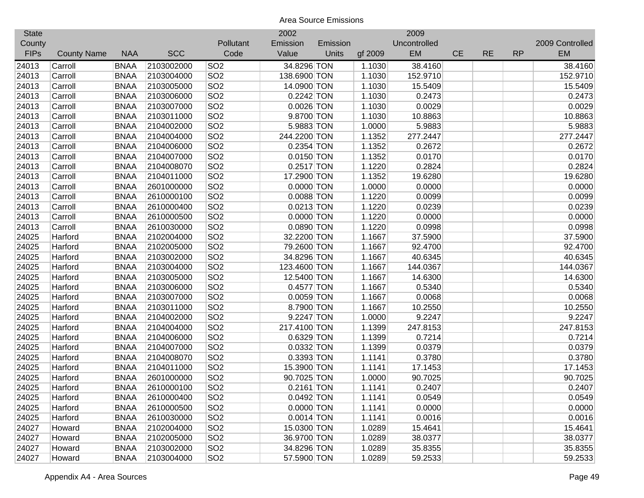| <b>State</b> |                    |             |            |                 | 2002         |          |         | 2009         |           |           |           |                 |
|--------------|--------------------|-------------|------------|-----------------|--------------|----------|---------|--------------|-----------|-----------|-----------|-----------------|
| County       |                    |             |            | Pollutant       | Emission     | Emission |         | Uncontrolled |           |           |           | 2009 Controlled |
| <b>FIPs</b>  | <b>County Name</b> | <b>NAA</b>  | <b>SCC</b> | Code            | Value        | Units    | gf 2009 | <b>EM</b>    | <b>CE</b> | <b>RE</b> | <b>RP</b> | <b>EM</b>       |
| 24013        | Carroll            | <b>BNAA</b> | 2103002000 | SO <sub>2</sub> | 34.8296 TON  |          | 1.1030  | 38.4160      |           |           |           | 38.4160         |
| 24013        | Carroll            | <b>BNAA</b> | 2103004000 | SO <sub>2</sub> | 138.6900 TON |          | 1.1030  | 152.9710     |           |           |           | 152.9710        |
| 24013        | Carroll            | <b>BNAA</b> | 2103005000 | SO <sub>2</sub> | 14.0900 TON  |          | 1.1030  | 15.5409      |           |           |           | 15.5409         |
| 24013        | Carroll            | <b>BNAA</b> | 2103006000 | SO <sub>2</sub> | 0.2242 TON   |          | 1.1030  | 0.2473       |           |           |           | 0.2473          |
| 24013        | Carroll            | <b>BNAA</b> | 2103007000 | SO <sub>2</sub> | $0.0026$ TON |          | 1.1030  | 0.0029       |           |           |           | 0.0029          |
| 24013        | Carroll            | <b>BNAA</b> | 2103011000 | SO <sub>2</sub> | 9.8700 TON   |          | 1.1030  | 10.8863      |           |           |           | 10.8863         |
| 24013        | Carroll            | <b>BNAA</b> | 2104002000 | SO <sub>2</sub> | 5.9883 TON   |          | 1.0000  | 5.9883       |           |           |           | 5.9883          |
| 24013        | Carroll            | <b>BNAA</b> | 2104004000 | SO <sub>2</sub> | 244.2200 TON |          | 1.1352  | 277.2447     |           |           |           | 277.2447        |
| 24013        | Carroll            | <b>BNAA</b> | 2104006000 | SO <sub>2</sub> | 0.2354 TON   |          | 1.1352  | 0.2672       |           |           |           | 0.2672          |
| 24013        | Carroll            | <b>BNAA</b> | 2104007000 | SO <sub>2</sub> | $0.0150$ TON |          | 1.1352  | 0.0170       |           |           |           | 0.0170          |
| 24013        | Carroll            | <b>BNAA</b> | 2104008070 | SO <sub>2</sub> | $0.2517$ TON |          | 1.1220  | 0.2824       |           |           |           | 0.2824          |
| 24013        | Carroll            | <b>BNAA</b> | 2104011000 | SO <sub>2</sub> | 17.2900 TON  |          | 1.1352  | 19.6280      |           |           |           | 19.6280         |
| 24013        | Carroll            | <b>BNAA</b> | 2601000000 | SO <sub>2</sub> | $0.0000$ TON |          | 1.0000  | 0.0000       |           |           |           | 0.0000          |
| 24013        | Carroll            | <b>BNAA</b> | 2610000100 | SO <sub>2</sub> | $0.0088$ TON |          | 1.1220  | 0.0099       |           |           |           | 0.0099          |
| 24013        | Carroll            | <b>BNAA</b> | 2610000400 | SO <sub>2</sub> | $0.0213$ TON |          | 1.1220  | 0.0239       |           |           |           | 0.0239          |
| 24013        | Carroll            | <b>BNAA</b> | 2610000500 | SO <sub>2</sub> | 0.0000 TON   |          | 1.1220  | 0.0000       |           |           |           | 0.0000          |
| 24013        | Carroll            | <b>BNAA</b> | 2610030000 | SO <sub>2</sub> | $0.0890$ TON |          | 1.1220  | 0.0998       |           |           |           | 0.0998          |
| 24025        | Harford            | <b>BNAA</b> | 2102004000 | SO <sub>2</sub> | 32.2200 TON  |          | 1.1667  | 37.5900      |           |           |           | 37.5900         |
| 24025        | Harford            | <b>BNAA</b> | 2102005000 | SO <sub>2</sub> | 79.2600 TON  |          | 1.1667  | 92.4700      |           |           |           | 92.4700         |
| 24025        | Harford            | <b>BNAA</b> | 2103002000 | SO <sub>2</sub> | 34.8296 TON  |          | 1.1667  | 40.6345      |           |           |           | 40.6345         |
| 24025        | Harford            | <b>BNAA</b> | 2103004000 | SO <sub>2</sub> | 123.4600 TON |          | 1.1667  | 144.0367     |           |           |           | 144.0367        |
| 24025        | Harford            | <b>BNAA</b> | 2103005000 | SO <sub>2</sub> | 12.5400 TON  |          | 1.1667  | 14.6300      |           |           |           | 14.6300         |
| 24025        | Harford            | <b>BNAA</b> | 2103006000 | SO <sub>2</sub> | $0.4577$ TON |          | 1.1667  | 0.5340       |           |           |           | 0.5340          |
| 24025        | Harford            | <b>BNAA</b> | 2103007000 | SO <sub>2</sub> | $0.0059$ TON |          | 1.1667  | 0.0068       |           |           |           | 0.0068          |
| 24025        | Harford            | <b>BNAA</b> | 2103011000 | SO <sub>2</sub> | 8.7900 TON   |          | 1.1667  | 10.2550      |           |           |           | 10.2550         |
| 24025        | Harford            | <b>BNAA</b> | 2104002000 | SO <sub>2</sub> | 9.2247 TON   |          | 1.0000  | 9.2247       |           |           |           | 9.2247          |
| 24025        | Harford            | <b>BNAA</b> | 2104004000 | SO <sub>2</sub> | 217.4100 TON |          | 1.1399  | 247.8153     |           |           |           | 247.8153        |
| 24025        | Harford            | <b>BNAA</b> | 2104006000 | SO <sub>2</sub> | 0.6329 TON   |          | 1.1399  | 0.7214       |           |           |           | 0.7214          |
| 24025        | Harford            | <b>BNAA</b> | 2104007000 | SO <sub>2</sub> | 0.0332 TON   |          | 1.1399  | 0.0379       |           |           |           | 0.0379          |
| 24025        | Harford            | <b>BNAA</b> | 2104008070 | SO <sub>2</sub> | 0.3393 TON   |          | 1.1141  | 0.3780       |           |           |           | 0.3780          |
| 24025        | Harford            | <b>BNAA</b> | 2104011000 | SO <sub>2</sub> | 15.3900 TON  |          | 1.1141  | 17.1453      |           |           |           | 17.1453         |
| 24025        | Harford            | <b>BNAA</b> | 2601000000 | SO <sub>2</sub> | 90.7025 TON  |          | 1.0000  | 90.7025      |           |           |           | 90.7025         |
| 24025        | Harford            | <b>BNAA</b> | 2610000100 | SO <sub>2</sub> | 0.2161 TON   |          | 1.1141  | 0.2407       |           |           |           | 0.2407          |
| 24025        | Harford            | <b>BNAA</b> | 2610000400 | SO <sub>2</sub> | $0.0492$ TON |          | 1.1141  | 0.0549       |           |           |           | 0.0549          |
| 24025        | Harford            | <b>BNAA</b> | 2610000500 | SO <sub>2</sub> | $0.0000$ TON |          | 1.1141  | 0.0000       |           |           |           | 0.0000          |
| 24025        | Harford            | <b>BNAA</b> | 2610030000 | SO <sub>2</sub> | $0.0014$ TON |          | 1.1141  | 0.0016       |           |           |           | 0.0016          |
| 24027        | Howard             | <b>BNAA</b> | 2102004000 | SO <sub>2</sub> | 15.0300 TON  |          | 1.0289  | 15.4641      |           |           |           | 15.4641         |
| 24027        | Howard             | <b>BNAA</b> | 2102005000 | SO <sub>2</sub> | 36.9700 TON  |          | 1.0289  | 38.0377      |           |           |           | 38.0377         |
| 24027        | Howard             | <b>BNAA</b> | 2103002000 | SO <sub>2</sub> | 34.8296 TON  |          | 1.0289  | 35.8355      |           |           |           | 35.8355         |
| 24027        | Howard             | <b>BNAA</b> | 2103004000 | SO <sub>2</sub> | 57.5900 TON  |          | 1.0289  | 59.2533      |           |           |           | 59.2533         |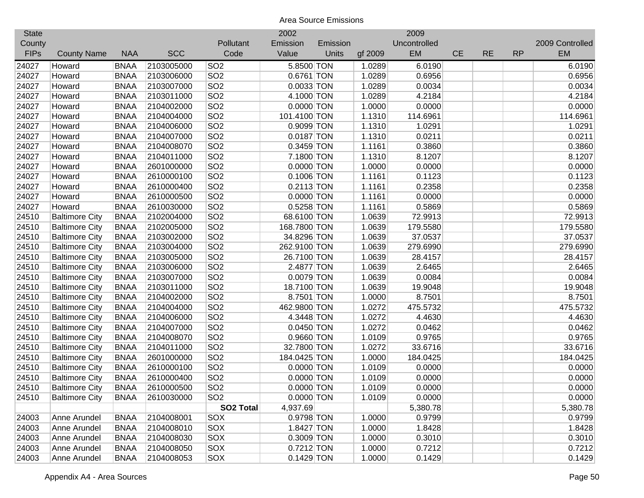| <b>State</b> |                       |             |            |                  | 2002         |          |         | 2009         |           |           |           |                 |
|--------------|-----------------------|-------------|------------|------------------|--------------|----------|---------|--------------|-----------|-----------|-----------|-----------------|
| County       |                       |             |            | Pollutant        | Emission     | Emission |         | Uncontrolled |           |           |           | 2009 Controlled |
| <b>FIPs</b>  | <b>County Name</b>    | <b>NAA</b>  | <b>SCC</b> | Code             | Value        | Units    | gf 2009 | EM           | <b>CE</b> | <b>RE</b> | <b>RP</b> | <b>EM</b>       |
| 24027        | Howard                | <b>BNAA</b> | 2103005000 | SO <sub>2</sub>  | 5.8500 TON   |          | 1.0289  | 6.0190       |           |           |           | 6.0190          |
| 24027        | Howard                | <b>BNAA</b> | 2103006000 | SO <sub>2</sub>  | 0.6761 TON   |          | 1.0289  | 0.6956       |           |           |           | 0.6956          |
| 24027        | Howard                | <b>BNAA</b> | 2103007000 | SO <sub>2</sub>  | 0.0033 TON   |          | 1.0289  | 0.0034       |           |           |           | 0.0034          |
| 24027        | Howard                | <b>BNAA</b> | 2103011000 | SO <sub>2</sub>  | 4.1000 TON   |          | 1.0289  | 4.2184       |           |           |           | 4.2184          |
| 24027        | Howard                | <b>BNAA</b> | 2104002000 | SO <sub>2</sub>  | $0.0000$ TON |          | 1.0000  | 0.0000       |           |           |           | 0.0000          |
| 24027        | Howard                | <b>BNAA</b> | 2104004000 | SO <sub>2</sub>  | 101.4100 TON |          | 1.1310  | 114.6961     |           |           |           | 114.6961        |
| 24027        | Howard                | <b>BNAA</b> | 2104006000 | SO <sub>2</sub>  | 0.9099 TON   |          | 1.1310  | 1.0291       |           |           |           | 1.0291          |
| 24027        | Howard                | <b>BNAA</b> | 2104007000 | SO <sub>2</sub>  | $0.0187$ TON |          | 1.1310  | 0.0211       |           |           |           | 0.0211          |
| 24027        | Howard                | <b>BNAA</b> | 2104008070 | SO <sub>2</sub>  | $0.3459$ TON |          | 1.1161  | 0.3860       |           |           |           | 0.3860          |
| 24027        | Howard                | <b>BNAA</b> | 2104011000 | SO <sub>2</sub>  | 7.1800 TON   |          | 1.1310  | 8.1207       |           |           |           | 8.1207          |
| 24027        | Howard                | <b>BNAA</b> | 2601000000 | SO <sub>2</sub>  | $0.0000$ TON |          | 1.0000  | 0.0000       |           |           |           | 0.0000          |
| 24027        | Howard                | <b>BNAA</b> | 2610000100 | SO <sub>2</sub>  | 0.1006 TON   |          | 1.1161  | 0.1123       |           |           |           | 0.1123          |
| 24027        | Howard                | <b>BNAA</b> | 2610000400 | SO <sub>2</sub>  | $0.2113$ TON |          | 1.1161  | 0.2358       |           |           |           | 0.2358          |
| 24027        | Howard                | <b>BNAA</b> | 2610000500 | SO <sub>2</sub>  | $0.0000$ TON |          | 1.1161  | 0.0000       |           |           |           | 0.0000          |
| 24027        | Howard                | <b>BNAA</b> | 2610030000 | SO <sub>2</sub>  | 0.5258 TON   |          | 1.1161  | 0.5869       |           |           |           | 0.5869          |
| 24510        | <b>Baltimore City</b> | <b>BNAA</b> | 2102004000 | SO <sub>2</sub>  | 68.6100 TON  |          | 1.0639  | 72.9913      |           |           |           | 72.9913         |
| 24510        | <b>Baltimore City</b> | <b>BNAA</b> | 2102005000 | SO <sub>2</sub>  | 168.7800 TON |          | 1.0639  | 179.5580     |           |           |           | 179.5580        |
| 24510        | <b>Baltimore City</b> | <b>BNAA</b> | 2103002000 | SO <sub>2</sub>  | 34.8296 TON  |          | 1.0639  | 37.0537      |           |           |           | 37.0537         |
| 24510        | <b>Baltimore City</b> | <b>BNAA</b> | 2103004000 | SO <sub>2</sub>  | 262.9100 TON |          | 1.0639  | 279.6990     |           |           |           | 279.6990        |
| 24510        | <b>Baltimore City</b> | <b>BNAA</b> | 2103005000 | SO <sub>2</sub>  | 26.7100 TON  |          | 1.0639  | 28.4157      |           |           |           | 28.4157         |
| 24510        | <b>Baltimore City</b> | <b>BNAA</b> | 2103006000 | SO <sub>2</sub>  | 2.4877 TON   |          | 1.0639  | 2.6465       |           |           |           | 2.6465          |
| 24510        | <b>Baltimore City</b> | <b>BNAA</b> | 2103007000 | SO <sub>2</sub>  | $0.0079$ TON |          | 1.0639  | 0.0084       |           |           |           | 0.0084          |
| 24510        | <b>Baltimore City</b> | <b>BNAA</b> | 2103011000 | SO <sub>2</sub>  | 18.7100 TON  |          | 1.0639  | 19.9048      |           |           |           | 19.9048         |
| 24510        | <b>Baltimore City</b> | <b>BNAA</b> | 2104002000 | SO <sub>2</sub>  | 8.7501 TON   |          | 1.0000  | 8.7501       |           |           |           | 8.7501          |
| 24510        | <b>Baltimore City</b> | <b>BNAA</b> | 2104004000 | SO <sub>2</sub>  | 462.9800 TON |          | 1.0272  | 475.5732     |           |           |           | 475.5732        |
| 24510        | <b>Baltimore City</b> | <b>BNAA</b> | 2104006000 | SO <sub>2</sub>  | 4.3448 TON   |          | 1.0272  | 4.4630       |           |           |           | 4.4630          |
| 24510        | <b>Baltimore City</b> | <b>BNAA</b> | 2104007000 | SO <sub>2</sub>  | $0.0450$ TON |          | 1.0272  | 0.0462       |           |           |           | 0.0462          |
| 24510        | <b>Baltimore City</b> | <b>BNAA</b> | 2104008070 | SO <sub>2</sub>  | 0.9660 TON   |          | 1.0109  | 0.9765       |           |           |           | 0.9765          |
| 24510        | <b>Baltimore City</b> | <b>BNAA</b> | 2104011000 | SO <sub>2</sub>  | 32.7800 TON  |          | 1.0272  | 33.6716      |           |           |           | 33.6716         |
| 24510        | <b>Baltimore City</b> | <b>BNAA</b> | 2601000000 | SO <sub>2</sub>  | 184.0425 TON |          | 1.0000  | 184.0425     |           |           |           | 184.0425        |
| 24510        | <b>Baltimore City</b> | <b>BNAA</b> | 2610000100 | SO <sub>2</sub>  | $0.0000$ TON |          | 1.0109  | 0.0000       |           |           |           | 0.0000          |
| 24510        | <b>Baltimore City</b> | <b>BNAA</b> | 2610000400 | SO <sub>2</sub>  | $0.0000$ TON |          | 1.0109  | 0.0000       |           |           |           | 0.0000          |
| 24510        | <b>Baltimore City</b> | <b>BNAA</b> | 2610000500 | SO <sub>2</sub>  | $0.0000$ TON |          | 1.0109  | 0.0000       |           |           |           | 0.0000          |
| 24510        | <b>Baltimore City</b> | <b>BNAA</b> | 2610030000 | SO <sub>2</sub>  | $0.0000$ TON |          | 1.0109  | 0.0000       |           |           |           | 0.0000          |
|              |                       |             |            | <b>SO2 Total</b> | 4,937.69     |          |         | 5,380.78     |           |           |           | 5,380.78        |
| 24003        | Anne Arundel          | <b>BNAA</b> | 2104008001 | <b>SOX</b>       | 0.9798 TON   |          | 1.0000  | 0.9799       |           |           |           | 0.9799          |
| 24003        | Anne Arundel          | <b>BNAA</b> | 2104008010 | <b>SOX</b>       | 1.8427 TON   |          | 1.0000  | 1.8428       |           |           |           | 1.8428          |
| 24003        | Anne Arundel          | <b>BNAA</b> | 2104008030 | <b>SOX</b>       | 0.3009 TON   |          | 1.0000  | 0.3010       |           |           |           | 0.3010          |
| 24003        | Anne Arundel          | <b>BNAA</b> | 2104008050 | <b>SOX</b>       | $0.7212$ TON |          | 1.0000  | 0.7212       |           |           |           | 0.7212          |
| 24003        | Anne Arundel          | <b>BNAA</b> | 2104008053 | SOX              | $0.1429$ TON |          | 1.0000  | 0.1429       |           |           |           | 0.1429          |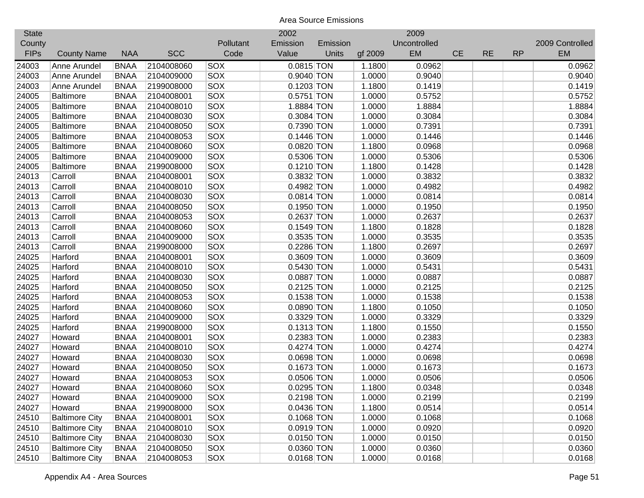| <b>State</b> |                       |             |            |            | 2002         |          |         | 2009         |           |           |           |                 |
|--------------|-----------------------|-------------|------------|------------|--------------|----------|---------|--------------|-----------|-----------|-----------|-----------------|
| County       |                       |             |            | Pollutant  | Emission     | Emission |         | Uncontrolled |           |           |           | 2009 Controlled |
| <b>FIPs</b>  | <b>County Name</b>    | <b>NAA</b>  | <b>SCC</b> | Code       | Value        | Units    | gf 2009 | EM           | <b>CE</b> | <b>RE</b> | <b>RP</b> | <b>EM</b>       |
| 24003        | Anne Arundel          | <b>BNAA</b> | 2104008060 | SOX        | $0.0815$ TON |          | 1.1800  | 0.0962       |           |           |           | 0.0962          |
| 24003        | Anne Arundel          | <b>BNAA</b> | 2104009000 | SOX        | 0.9040 TON   |          | 1.0000  | 0.9040       |           |           |           | 0.9040          |
| 24003        | Anne Arundel          | <b>BNAA</b> | 2199008000 | SOX        | $0.1203$ TON |          | 1.1800  | 0.1419       |           |           |           | 0.1419          |
| 24005        | <b>Baltimore</b>      | <b>BNAA</b> | 2104008001 | <b>SOX</b> | $0.5751$ TON |          | 1.0000  | 0.5752       |           |           |           | 0.5752          |
| 24005        | <b>Baltimore</b>      | <b>BNAA</b> | 2104008010 | <b>SOX</b> | 1.8884 TON   |          | 1.0000  | 1.8884       |           |           |           | 1.8884          |
| 24005        | <b>Baltimore</b>      | <b>BNAA</b> | 2104008030 | SOX        | 0.3084 TON   |          | 1.0000  | 0.3084       |           |           |           | 0.3084          |
| 24005        | <b>Baltimore</b>      | <b>BNAA</b> | 2104008050 | SOX        | 0.7390 TON   |          | 1.0000  | 0.7391       |           |           |           | 0.7391          |
| 24005        | <b>Baltimore</b>      | <b>BNAA</b> | 2104008053 | SOX        | $0.1446$ TON |          | 1.0000  | 0.1446       |           |           |           | 0.1446          |
| 24005        | <b>Baltimore</b>      | <b>BNAA</b> | 2104008060 | SOX        | 0.0820 TON   |          | 1.1800  | 0.0968       |           |           |           | 0.0968          |
| 24005        | <b>Baltimore</b>      | <b>BNAA</b> | 2104009000 | SOX        | 0.5306 TON   |          | 1.0000  | 0.5306       |           |           |           | 0.5306          |
| 24005        | <b>Baltimore</b>      | <b>BNAA</b> | 2199008000 | <b>SOX</b> | $0.1210$ TON |          | 1.1800  | 0.1428       |           |           |           | 0.1428          |
| 24013        | Carroll               | <b>BNAA</b> | 2104008001 | <b>SOX</b> | 0.3832 TON   |          | 1.0000  | 0.3832       |           |           |           | 0.3832          |
| 24013        | Carroll               | <b>BNAA</b> | 2104008010 | SOX        | 0.4982 TON   |          | 1.0000  | 0.4982       |           |           |           | 0.4982          |
| 24013        | Carroll               | <b>BNAA</b> | 2104008030 | SOX        | $0.0814$ TON |          | 1.0000  | 0.0814       |           |           |           | 0.0814          |
| 24013        | Carroll               | <b>BNAA</b> | 2104008050 | <b>SOX</b> | $0.1950$ TON |          | 1.0000  | 0.1950       |           |           |           | 0.1950          |
| 24013        | Carroll               | <b>BNAA</b> | 2104008053 | <b>SOX</b> | 0.2637 TON   |          | 1.0000  | 0.2637       |           |           |           | 0.2637          |
| 24013        | Carroll               | <b>BNAA</b> | 2104008060 | SOX        | $0.1549$ TON |          | 1.1800  | 0.1828       |           |           |           | 0.1828          |
| 24013        | Carroll               | <b>BNAA</b> | 2104009000 | SOX        | 0.3535 TON   |          | 1.0000  | 0.3535       |           |           |           | 0.3535          |
| 24013        | Carroll               | <b>BNAA</b> | 2199008000 | <b>SOX</b> | 0.2286 TON   |          | 1.1800  | 0.2697       |           |           |           | 0.2697          |
| 24025        | Harford               | <b>BNAA</b> | 2104008001 | <b>SOX</b> | 0.3609 TON   |          | 1.0000  | 0.3609       |           |           |           | 0.3609          |
| 24025        | Harford               | <b>BNAA</b> | 2104008010 | <b>SOX</b> | $0.5430$ TON |          | 1.0000  | 0.5431       |           |           |           | 0.5431          |
| 24025        | Harford               | <b>BNAA</b> | 2104008030 | <b>SOX</b> | 0.0887 TON   |          | 1.0000  | 0.0887       |           |           |           | 0.0887          |
| 24025        | Harford               | <b>BNAA</b> | 2104008050 | <b>SOX</b> | $0.2125$ TON |          | 1.0000  | 0.2125       |           |           |           | 0.2125          |
| 24025        | Harford               | <b>BNAA</b> | 2104008053 | SOX        | $0.1538$ TON |          | 1.0000  | 0.1538       |           |           |           | 0.1538          |
| 24025        | Harford               | <b>BNAA</b> | 2104008060 | SOX        | $0.0890$ TON |          | 1.1800  | 0.1050       |           |           |           | 0.1050          |
| 24025        | Harford               | <b>BNAA</b> | 2104009000 | SOX        | 0.3329 TON   |          | 1.0000  | 0.3329       |           |           |           | 0.3329          |
| 24025        | Harford               | <b>BNAA</b> | 2199008000 | SOX        | $0.1313$ TON |          | 1.1800  | 0.1550       |           |           |           | 0.1550          |
| 24027        | Howard                | <b>BNAA</b> | 2104008001 | SOX        | 0.2383 TON   |          | 1.0000  | 0.2383       |           |           |           | 0.2383          |
| 24027        | Howard                | <b>BNAA</b> | 2104008010 | SOX        | 0.4274 TON   |          | 1.0000  | 0.4274       |           |           |           | 0.4274          |
| 24027        | Howard                | <b>BNAA</b> | 2104008030 | SOX        | 0.0698 TON   |          | 1.0000  | 0.0698       |           |           |           | 0.0698          |
| 24027        | Howard                | <b>BNAA</b> | 2104008050 | SOX        | $0.1673$ TON |          | 1.0000  | 0.1673       |           |           |           | 0.1673          |
| 24027        | Howard                | <b>BNAA</b> | 2104008053 | SOX        | 0.0506 TON   |          | 1.0000  | 0.0506       |           |           |           | 0.0506          |
| 24027        | Howard                | <b>BNAA</b> | 2104008060 | SOX        | 0.0295 TON   |          | 1.1800  | 0.0348       |           |           |           | 0.0348          |
| 24027        | Howard                | <b>BNAA</b> | 2104009000 | SOX        | $0.2198$ TON |          | 1.0000  | 0.2199       |           |           |           | 0.2199          |
| 24027        | Howard                | <b>BNAA</b> | 2199008000 | <b>SOX</b> | 0.0436 TON   |          | 1.1800  | 0.0514       |           |           |           | 0.0514          |
| 24510        | <b>Baltimore City</b> | <b>BNAA</b> | 2104008001 | <b>SOX</b> | $0.1068$ TON |          | 1.0000  | 0.1068       |           |           |           | 0.1068          |
| 24510        | <b>Baltimore City</b> | <b>BNAA</b> | 2104008010 | <b>SOX</b> | $0.0919$ TON |          | 1.0000  | 0.0920       |           |           |           | 0.0920          |
| 24510        | <b>Baltimore City</b> | <b>BNAA</b> | 2104008030 | <b>SOX</b> | $0.0150$ TON |          | 1.0000  | 0.0150       |           |           |           | 0.0150          |
| 24510        | <b>Baltimore City</b> | <b>BNAA</b> | 2104008050 | SOX        | 0.0360 TON   |          | 1.0000  | 0.0360       |           |           |           | 0.0360          |
| 24510        | <b>Baltimore City</b> | <b>BNAA</b> | 2104008053 | SOX        | 0.0168 TON   |          | 1.0000  | 0.0168       |           |           |           | 0.0168          |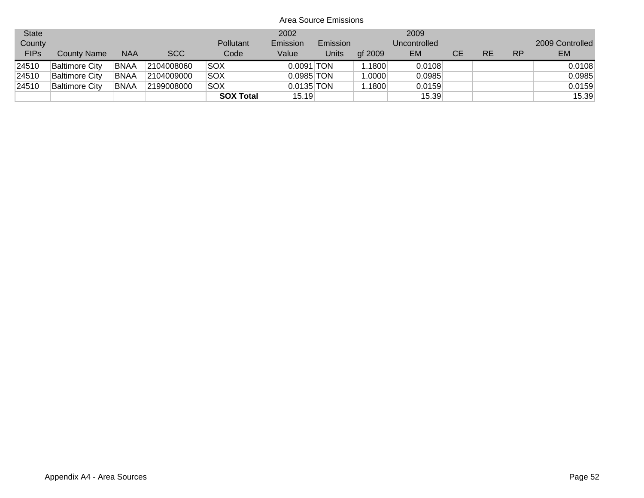| <b>State</b> |                       |             |            |                  | 2002         |              |         | 2009         |    |    |           |                 |
|--------------|-----------------------|-------------|------------|------------------|--------------|--------------|---------|--------------|----|----|-----------|-----------------|
| County       |                       |             |            | Pollutant        | Emission     | Emission     |         | Uncontrolled |    |    |           | 2009 Controlled |
| <b>FIPs</b>  | <b>County Name</b>    | <b>NAA</b>  | <b>SCC</b> | Code             | Value        | <b>Units</b> | af 2009 | <b>EM</b>    | CЕ | RE | <b>RP</b> | EM.             |
| 24510        | <b>Baltimore City</b> | <b>BNAA</b> | 2104008060 | SOX              | $0.0091$ TON |              | 1.1800  | 0.0108       |    |    |           | 0.0108          |
| 24510        | <b>Baltimore City</b> | <b>BNAA</b> | 2104009000 | SOX              | $0.0985$ TON |              | 1.0000  | 0.0985       |    |    |           | 0.0985          |
| 24510        | <b>Baltimore City</b> | <b>BNAA</b> | 2199008000 | SOX              | $0.0135$ TON |              | 1.1800  | 0.0159       |    |    |           | 0.0159          |
|              |                       |             |            | <b>SOX Total</b> | 15.19        |              |         | 15.39        |    |    |           | 15.39           |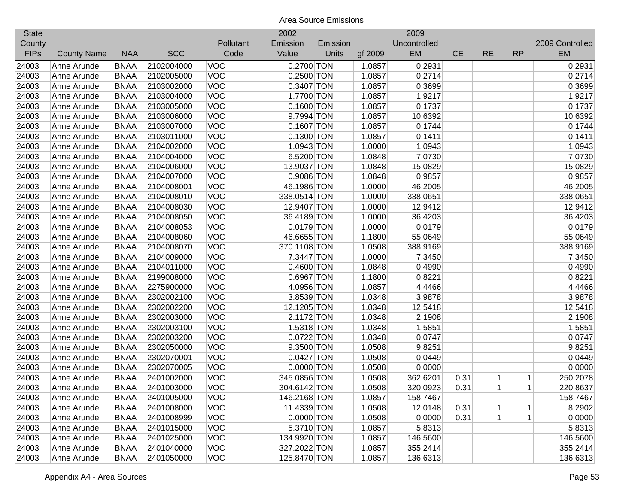| <b>State</b> |                    |             |            |            | 2002         |          |         | 2009         |           |           |             |                 |
|--------------|--------------------|-------------|------------|------------|--------------|----------|---------|--------------|-----------|-----------|-------------|-----------------|
| County       |                    |             |            | Pollutant  | Emission     | Emission |         | Uncontrolled |           |           |             | 2009 Controlled |
| <b>FIPs</b>  | <b>County Name</b> | <b>NAA</b>  | <b>SCC</b> | Code       | Value        | Units    | gf 2009 | EM           | <b>CE</b> | <b>RE</b> | <b>RP</b>   | <b>EM</b>       |
| 24003        | Anne Arundel       | <b>BNAA</b> | 2102004000 | <b>VOC</b> | 0.2700 TON   |          | 1.0857  | 0.2931       |           |           |             | 0.2931          |
| 24003        | Anne Arundel       | <b>BNAA</b> | 2102005000 | <b>VOC</b> | $0.2500$ TON |          | 1.0857  | 0.2714       |           |           |             | 0.2714          |
| 24003        | Anne Arundel       | <b>BNAA</b> | 2103002000 | <b>VOC</b> | 0.3407 TON   |          | 1.0857  | 0.3699       |           |           |             | 0.3699          |
| 24003        | Anne Arundel       | <b>BNAA</b> | 2103004000 | VOC        | 1.7700 TON   |          | 1.0857  | 1.9217       |           |           |             | 1.9217          |
| 24003        | Anne Arundel       | <b>BNAA</b> | 2103005000 | <b>VOC</b> | $0.1600$ TON |          | 1.0857  | 0.1737       |           |           |             | 0.1737          |
| 24003        | Anne Arundel       | <b>BNAA</b> | 2103006000 | <b>VOC</b> | 9.7994 TON   |          | 1.0857  | 10.6392      |           |           |             | 10.6392         |
| 24003        | Anne Arundel       | <b>BNAA</b> | 2103007000 | <b>VOC</b> | $0.1607$ TON |          | 1.0857  | 0.1744       |           |           |             | 0.1744          |
| 24003        | Anne Arundel       | <b>BNAA</b> | 2103011000 | <b>VOC</b> | 0.1300 TON   |          | 1.0857  | 0.1411       |           |           |             | 0.1411          |
| 24003        | Anne Arundel       | <b>BNAA</b> | 2104002000 | <b>VOC</b> | 1.0943 TON   |          | 1.0000  | 1.0943       |           |           |             | 1.0943          |
| 24003        | Anne Arundel       | <b>BNAA</b> | 2104004000 | <b>VOC</b> | 6.5200 TON   |          | 1.0848  | 7.0730       |           |           |             | 7.0730          |
| 24003        | Anne Arundel       | <b>BNAA</b> | 2104006000 | <b>VOC</b> | 13.9037 TON  |          | 1.0848  | 15.0829      |           |           |             | 15.0829         |
| 24003        | Anne Arundel       | <b>BNAA</b> | 2104007000 | <b>VOC</b> | 0.9086 TON   |          | 1.0848  | 0.9857       |           |           |             | 0.9857          |
| 24003        | Anne Arundel       | <b>BNAA</b> | 2104008001 | <b>VOC</b> | 46.1986 TON  |          | 1.0000  | 46.2005      |           |           |             | 46.2005         |
| 24003        | Anne Arundel       | <b>BNAA</b> | 2104008010 | <b>VOC</b> | 338.0514 TON |          | 1.0000  | 338.0651     |           |           |             | 338.0651        |
| 24003        | Anne Arundel       | <b>BNAA</b> | 2104008030 | <b>VOC</b> | 12.9407 TON  |          | 1.0000  | 12.9412      |           |           |             | 12.9412         |
| 24003        | Anne Arundel       | <b>BNAA</b> | 2104008050 | <b>VOC</b> | 36.4189 TON  |          | 1.0000  | 36.4203      |           |           |             | 36.4203         |
| 24003        | Anne Arundel       | <b>BNAA</b> | 2104008053 | <b>VOC</b> | $0.0179$ TON |          | 1.0000  | 0.0179       |           |           |             | 0.0179          |
| 24003        | Anne Arundel       | <b>BNAA</b> | 2104008060 | <b>VOC</b> | 46.6655 TON  |          | 1.1800  | 55.0649      |           |           |             | 55.0649         |
| 24003        | Anne Arundel       | <b>BNAA</b> | 2104008070 | <b>VOC</b> | 370.1108 TON |          | 1.0508  | 388.9169     |           |           |             | 388.9169        |
| 24003        | Anne Arundel       | <b>BNAA</b> | 2104009000 | <b>VOC</b> | 7.3447 TON   |          | 1.0000  | 7.3450       |           |           |             | 7.3450          |
| 24003        | Anne Arundel       | <b>BNAA</b> | 2104011000 | <b>VOC</b> | 0.4600 TON   |          | 1.0848  | 0.4990       |           |           |             | 0.4990          |
| 24003        | Anne Arundel       | <b>BNAA</b> | 2199008000 | <b>VOC</b> | 0.6967 TON   |          | 1.1800  | 0.8221       |           |           |             | 0.8221          |
| 24003        | Anne Arundel       | <b>BNAA</b> | 2275900000 | <b>VOC</b> | 4.0956 TON   |          | 1.0857  | 4.4466       |           |           |             | 4.4466          |
| 24003        | Anne Arundel       | <b>BNAA</b> | 2302002100 | <b>VOC</b> | 3.8539 TON   |          | 1.0348  | 3.9878       |           |           |             | 3.9878          |
| 24003        | Anne Arundel       | <b>BNAA</b> | 2302002200 | <b>VOC</b> | 12.1205 TON  |          | 1.0348  | 12.5418      |           |           |             | 12.5418         |
| 24003        | Anne Arundel       | <b>BNAA</b> | 2302003000 | <b>VOC</b> | 2.1172 TON   |          | 1.0348  | 2.1908       |           |           |             | 2.1908          |
| 24003        | Anne Arundel       | <b>BNAA</b> | 2302003100 | <b>VOC</b> | 1.5318 TON   |          | 1.0348  | 1.5851       |           |           |             | 1.5851          |
| 24003        | Anne Arundel       | <b>BNAA</b> | 2302003200 | <b>VOC</b> | 0.0722 TON   |          | 1.0348  | 0.0747       |           |           |             | 0.0747          |
| 24003        | Anne Arundel       | <b>BNAA</b> | 2302050000 | <b>VOC</b> | 9.3500 TON   |          | 1.0508  | 9.8251       |           |           |             | 9.8251          |
| 24003        | Anne Arundel       | <b>BNAA</b> | 2302070001 | <b>VOC</b> | $0.0427$ TON |          | 1.0508  | 0.0449       |           |           |             | 0.0449          |
| 24003        | Anne Arundel       | <b>BNAA</b> | 2302070005 | <b>VOC</b> | $0.0000$ TON |          | 1.0508  | 0.0000       |           |           |             | 0.0000          |
| 24003        | Anne Arundel       | <b>BNAA</b> | 2401002000 | <b>VOC</b> | 345.0856 TON |          | 1.0508  | 362.6201     | 0.31      | 1         | 1           | 250.2078        |
| 24003        | Anne Arundel       | <b>BNAA</b> | 2401003000 | <b>VOC</b> | 304.6142 TON |          | 1.0508  | 320.0923     | 0.31      | 1         | $\vert$ 1   | 220.8637        |
| 24003        | Anne Arundel       | <b>BNAA</b> | 2401005000 | <b>VOC</b> | 146.2168 TON |          | 1.0857  | 158.7467     |           |           |             | 158.7467        |
| 24003        | Anne Arundel       | <b>BNAA</b> | 2401008000 | <b>VOC</b> | 11.4339 TON  |          | 1.0508  | 12.0148      | 0.31      | 1         | $\mathbf 1$ | 8.2902          |
| 24003        | Anne Arundel       | <b>BNAA</b> | 2401008999 | <b>VOC</b> | $0.0000$ TON |          | 1.0508  | 0.0000       | 0.31      | 1         | 1           | 0.0000          |
| 24003        | Anne Arundel       | <b>BNAA</b> | 2401015000 | <b>VOC</b> | 5.3710 TON   |          | 1.0857  | 5.8313       |           |           |             | 5.8313          |
| 24003        | Anne Arundel       | <b>BNAA</b> | 2401025000 | <b>VOC</b> | 134.9920 TON |          | 1.0857  | 146.5600     |           |           |             | 146.5600        |
| 24003        | Anne Arundel       | <b>BNAA</b> | 2401040000 | <b>VOC</b> | 327.2022 TON |          | 1.0857  | 355.2414     |           |           |             | 355.2414        |
| 24003        | Anne Arundel       | <b>BNAA</b> | 2401050000 | <b>VOC</b> | 125.8470 TON |          | 1.0857  | 136.6313     |           |           |             | 136.6313        |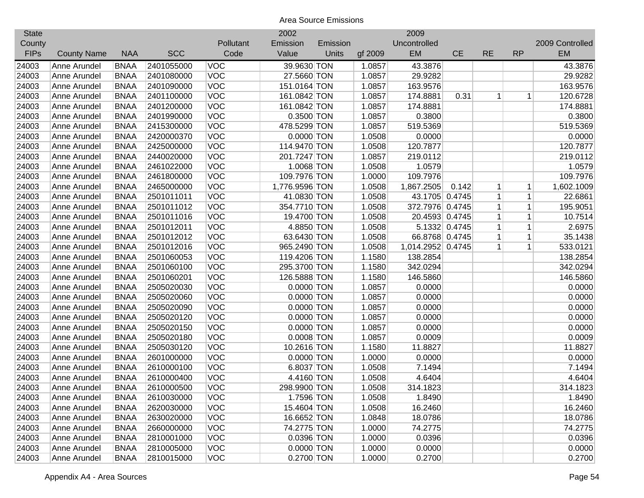| <b>State</b> |                    |             |            |            | 2002           |          |         | 2009              |               |             |             |                 |
|--------------|--------------------|-------------|------------|------------|----------------|----------|---------|-------------------|---------------|-------------|-------------|-----------------|
| County       |                    |             |            | Pollutant  | Emission       | Emission |         | Uncontrolled      |               |             |             | 2009 Controlled |
| <b>FIPs</b>  | <b>County Name</b> | <b>NAA</b>  | <b>SCC</b> | Code       | Value          | Units    | gf 2009 | <b>EM</b>         | <b>CE</b>     | <b>RE</b>   | <b>RP</b>   | <b>EM</b>       |
| 24003        | Anne Arundel       | <b>BNAA</b> | 2401055000 | <b>VOC</b> | 39.9630 TON    |          | 1.0857  | 43.3876           |               |             |             | 43.3876         |
| 24003        | Anne Arundel       | <b>BNAA</b> | 2401080000 | <b>VOC</b> | 27.5660 TON    |          | 1.0857  | 29.9282           |               |             |             | 29.9282         |
| 24003        | Anne Arundel       | <b>BNAA</b> | 2401090000 | <b>VOC</b> | 151.0164 TON   |          | 1.0857  | 163.9576          |               |             |             | 163.9576        |
| 24003        | Anne Arundel       | <b>BNAA</b> | 2401100000 | VOC        | 161.0842 TON   |          | 1.0857  | 174.8881          | 0.31          | 1           | 1           | 120.6728        |
| 24003        | Anne Arundel       | <b>BNAA</b> | 2401200000 | <b>VOC</b> | 161.0842 TON   |          | 1.0857  | 174.8881          |               |             |             | 174.8881        |
| 24003        | Anne Arundel       | <b>BNAA</b> | 2401990000 | <b>VOC</b> | 0.3500 TON     |          | 1.0857  | 0.3800            |               |             |             | 0.3800          |
| 24003        | Anne Arundel       | <b>BNAA</b> | 2415300000 | <b>VOC</b> | 478.5299 TON   |          | 1.0857  | 519.5369          |               |             |             | 519.5369        |
| 24003        | Anne Arundel       | <b>BNAA</b> | 2420000370 | <b>VOC</b> | $0.0000$ TON   |          | 1.0508  | 0.0000            |               |             |             | 0.0000          |
| 24003        | Anne Arundel       | <b>BNAA</b> | 2425000000 | <b>VOC</b> | 114.9470 TON   |          | 1.0508  | 120.7877          |               |             |             | 120.7877        |
| 24003        | Anne Arundel       | <b>BNAA</b> | 2440020000 | <b>VOC</b> | 201.7247 TON   |          | 1.0857  | 219.0112          |               |             |             | 219.0112        |
| 24003        | Anne Arundel       | <b>BNAA</b> | 2461022000 | <b>VOC</b> | 1.0068 TON     |          | 1.0508  | 1.0579            |               |             |             | 1.0579          |
| 24003        | Anne Arundel       | <b>BNAA</b> | 2461800000 | VOC        | 109.7976 TON   |          | 1.0000  | 109.7976          |               |             |             | 109.7976        |
| 24003        | Anne Arundel       | <b>BNAA</b> | 2465000000 | VOC        | 1,776.9596 TON |          | 1.0508  | 1,867.2505        | 0.142         | 1           | 1           | 1,602.1009      |
| 24003        | Anne Arundel       | <b>BNAA</b> | 2501011011 | <b>VOC</b> | 41.0830 TON    |          | 1.0508  | 43.1705 0.4745    |               | 1           | 1           | 22.6861         |
| 24003        | Anne Arundel       | <b>BNAA</b> | 2501011012 | <b>VOC</b> | 354.7710 TON   |          | 1.0508  | 372.7976 0.4745   |               | 1           | $\mathbf 1$ | 195.9051        |
| 24003        | Anne Arundel       | <b>BNAA</b> | 2501011016 | <b>VOC</b> | 19.4700 TON    |          | 1.0508  | 20.4593 0.4745    |               | 1           | 1           | 10.7514         |
| 24003        | Anne Arundel       | <b>BNAA</b> | 2501012011 | <b>VOC</b> | 4.8850 TON     |          | 1.0508  |                   | 5.1332 0.4745 | 1           | 1           | 2.6975          |
| 24003        | Anne Arundel       | <b>BNAA</b> | 2501012012 | <b>VOC</b> | 63.6430 TON    |          | 1.0508  | 66.8768 0.4745    |               | 1           | $\mathbf 1$ | 35.1438         |
| 24003        | Anne Arundel       | <b>BNAA</b> | 2501012016 | <b>VOC</b> | 965.2490 TON   |          | 1.0508  | 1,014.2952 0.4745 |               | $\mathbf 1$ | 1'          | 533.0121        |
| 24003        | Anne Arundel       | <b>BNAA</b> | 2501060053 | <b>VOC</b> | 119.4206 TON   |          | 1.1580  | 138.2854          |               |             |             | 138.2854        |
| 24003        | Anne Arundel       | <b>BNAA</b> | 2501060100 | <b>VOC</b> | 295.3700 TON   |          | 1.1580  | 342.0294          |               |             |             | 342.0294        |
| 24003        | Anne Arundel       | <b>BNAA</b> | 2501060201 | <b>VOC</b> | 126.5888 TON   |          | 1.1580  | 146.5860          |               |             |             | 146.5860        |
| 24003        | Anne Arundel       | <b>BNAA</b> | 2505020030 | VOC        | $0.0000$ TON   |          | 1.0857  | 0.0000            |               |             |             | 0.0000          |
| 24003        | Anne Arundel       | <b>BNAA</b> | 2505020060 | VOC        | $0.0000$ TON   |          | 1.0857  | 0.0000            |               |             |             | 0.0000          |
| 24003        | Anne Arundel       | <b>BNAA</b> | 2505020090 | VOC        | $0.0000$ TON   |          | 1.0857  | 0.0000            |               |             |             | 0.0000          |
| 24003        | Anne Arundel       | <b>BNAA</b> | 2505020120 | <b>VOC</b> | $0.0000$ TON   |          | 1.0857  | 0.0000            |               |             |             | 0.0000          |
| 24003        | Anne Arundel       | <b>BNAA</b> | 2505020150 | <b>VOC</b> | $0.0000$ TON   |          | 1.0857  | 0.0000            |               |             |             | 0.0000          |
| 24003        | Anne Arundel       | <b>BNAA</b> | 2505020180 | <b>VOC</b> | $0.0008$ TON   |          | 1.0857  | 0.0009            |               |             |             | 0.0009          |
| 24003        | Anne Arundel       | <b>BNAA</b> | 2505030120 | <b>VOC</b> | 10.2616 TON    |          | 1.1580  | 11.8827           |               |             |             | 11.8827         |
| 24003        | Anne Arundel       | <b>BNAA</b> | 2601000000 | <b>VOC</b> | $0.0000$ TON   |          | 1.0000  | 0.0000            |               |             |             | 0.0000          |
| 24003        | Anne Arundel       | <b>BNAA</b> | 2610000100 | <b>VOC</b> | 6.8037 TON     |          | 1.0508  | 7.1494            |               |             |             | 7.1494          |
| 24003        | Anne Arundel       | <b>BNAA</b> | 2610000400 | <b>VOC</b> | 4.4160 TON     |          | 1.0508  | 4.6404            |               |             |             | 4.6404          |
| 24003        | Anne Arundel       | <b>BNAA</b> | 2610000500 | <b>VOC</b> | 298.9900 TON   |          | 1.0508  | 314.1823          |               |             |             | 314.1823        |
| 24003        | Anne Arundel       | <b>BNAA</b> | 2610030000 | <b>VOC</b> | 1.7596 TON     |          | 1.0508  | 1.8490            |               |             |             | 1.8490          |
| 24003        | Anne Arundel       | <b>BNAA</b> | 2620030000 | <b>VOC</b> | 15.4604 TON    |          | 1.0508  | 16.2460           |               |             |             | 16.2460         |
| 24003        | Anne Arundel       | <b>BNAA</b> | 2630020000 | <b>VOC</b> | 16.6652 TON    |          | 1.0848  | 18.0786           |               |             |             | 18.0786         |
| 24003        | Anne Arundel       | <b>BNAA</b> | 2660000000 | <b>VOC</b> | 74.2775 TON    |          | 1.0000  | 74.2775           |               |             |             | 74.2775         |
| 24003        | Anne Arundel       | <b>BNAA</b> | 2810001000 | <b>VOC</b> | 0.0396 TON     |          | 1.0000  | 0.0396            |               |             |             | 0.0396          |
| 24003        | Anne Arundel       | <b>BNAA</b> | 2810005000 | <b>VOC</b> | $0.0000$ TON   |          | 1.0000  | 0.0000            |               |             |             | 0.0000          |
| 24003        | Anne Arundel       | <b>BNAA</b> | 2810015000 | <b>VOC</b> | 0.2700 TON     |          | 1.0000  | 0.2700            |               |             |             | 0.2700          |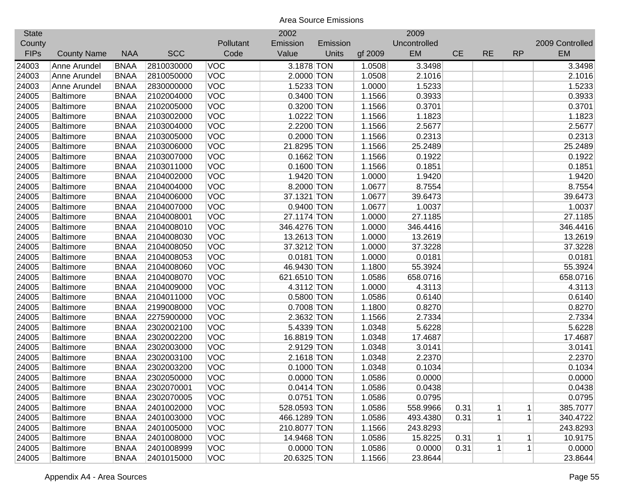| <b>State</b> |                    |             |            |            | 2002         |          |         | 2009         |           |           |              |                 |
|--------------|--------------------|-------------|------------|------------|--------------|----------|---------|--------------|-----------|-----------|--------------|-----------------|
| County       |                    |             |            | Pollutant  | Emission     | Emission |         | Uncontrolled |           |           |              | 2009 Controlled |
| <b>FIPs</b>  | <b>County Name</b> | <b>NAA</b>  | <b>SCC</b> | Code       | Value        | Units    | gf 2009 | EM           | <b>CE</b> | <b>RE</b> | <b>RP</b>    | <b>EM</b>       |
| 24003        | Anne Arundel       | <b>BNAA</b> | 2810030000 | <b>VOC</b> | 3.1878 TON   |          | 1.0508  | 3.3498       |           |           |              | 3.3498          |
| 24003        | Anne Arundel       | <b>BNAA</b> | 2810050000 | <b>VOC</b> | 2.0000 TON   |          | 1.0508  | 2.1016       |           |           |              | 2.1016          |
| 24003        | Anne Arundel       | <b>BNAA</b> | 2830000000 | VOC        | 1.5233 TON   |          | 1.0000  | 1.5233       |           |           |              | 1.5233          |
| 24005        | <b>Baltimore</b>   | <b>BNAA</b> | 2102004000 | <b>VOC</b> | 0.3400 TON   |          | 1.1566  | 0.3933       |           |           |              | 0.3933          |
| 24005        | <b>Baltimore</b>   | <b>BNAA</b> | 2102005000 | <b>VOC</b> | 0.3200 TON   |          | 1.1566  | 0.3701       |           |           |              | 0.3701          |
| 24005        | <b>Baltimore</b>   | <b>BNAA</b> | 2103002000 | <b>VOC</b> | 1.0222 TON   |          | 1.1566  | 1.1823       |           |           |              | 1.1823          |
| 24005        | <b>Baltimore</b>   | <b>BNAA</b> | 2103004000 | <b>VOC</b> | 2.2200 TON   |          | 1.1566  | 2.5677       |           |           |              | 2.5677          |
| 24005        | <b>Baltimore</b>   | <b>BNAA</b> | 2103005000 | VOC        | 0.2000 TON   |          | 1.1566  | 0.2313       |           |           |              | 0.2313          |
| 24005        | <b>Baltimore</b>   | <b>BNAA</b> | 2103006000 | <b>VOC</b> | 21.8295 TON  |          | 1.1566  | 25.2489      |           |           |              | 25.2489         |
| 24005        | <b>Baltimore</b>   | <b>BNAA</b> | 2103007000 | <b>VOC</b> | $0.1662$ TON |          | 1.1566  | 0.1922       |           |           |              | 0.1922          |
| 24005        | <b>Baltimore</b>   | <b>BNAA</b> | 2103011000 | <b>VOC</b> | $0.1600$ TON |          | 1.1566  | 0.1851       |           |           |              | 0.1851          |
| 24005        | <b>Baltimore</b>   | <b>BNAA</b> | 2104002000 | <b>VOC</b> | 1.9420 TON   |          | 1.0000  | 1.9420       |           |           |              | 1.9420          |
| 24005        | <b>Baltimore</b>   | <b>BNAA</b> | 2104004000 | <b>VOC</b> | 8.2000 TON   |          | 1.0677  | 8.7554       |           |           |              | 8.7554          |
| 24005        | <b>Baltimore</b>   | <b>BNAA</b> | 2104006000 | <b>VOC</b> | 37.1321 TON  |          | 1.0677  | 39.6473      |           |           |              | 39.6473         |
| 24005        | <b>Baltimore</b>   | <b>BNAA</b> | 2104007000 | <b>VOC</b> | 0.9400 TON   |          | 1.0677  | 1.0037       |           |           |              | 1.0037          |
| 24005        | <b>Baltimore</b>   | <b>BNAA</b> | 2104008001 | <b>VOC</b> | 27.1174 TON  |          | 1.0000  | 27.1185      |           |           |              | 27.1185         |
| 24005        | <b>Baltimore</b>   | <b>BNAA</b> | 2104008010 | <b>VOC</b> | 346.4276 TON |          | 1.0000  | 346.4416     |           |           |              | 346.4416        |
| 24005        | <b>Baltimore</b>   | <b>BNAA</b> | 2104008030 | <b>VOC</b> | 13.2613 TON  |          | 1.0000  | 13.2619      |           |           |              | 13.2619         |
| 24005        | <b>Baltimore</b>   | <b>BNAA</b> | 2104008050 | <b>VOC</b> | 37.3212 TON  |          | 1.0000  | 37.3228      |           |           |              | 37.3228         |
| 24005        | <b>Baltimore</b>   | <b>BNAA</b> | 2104008053 | <b>VOC</b> | $0.0181$ TON |          | 1.0000  | 0.0181       |           |           |              | 0.0181          |
| 24005        | <b>Baltimore</b>   | <b>BNAA</b> | 2104008060 | <b>VOC</b> | 46.9430 TON  |          | 1.1800  | 55.3924      |           |           |              | 55.3924         |
| 24005        | <b>Baltimore</b>   | <b>BNAA</b> | 2104008070 | <b>VOC</b> | 621.6510 TON |          | 1.0586  | 658.0716     |           |           |              | 658.0716        |
| 24005        | <b>Baltimore</b>   | <b>BNAA</b> | 2104009000 | <b>VOC</b> | 4.3112 TON   |          | 1.0000  | 4.3113       |           |           |              | 4.3113          |
| 24005        | <b>Baltimore</b>   | <b>BNAA</b> | 2104011000 | VOC        | 0.5800 TON   |          | 1.0586  | 0.6140       |           |           |              | 0.6140          |
| 24005        | <b>Baltimore</b>   | <b>BNAA</b> | 2199008000 | VOC        | 0.7008 TON   |          | 1.1800  | 0.8270       |           |           |              | 0.8270          |
| 24005        | <b>Baltimore</b>   | <b>BNAA</b> | 2275900000 | <b>VOC</b> | 2.3632 TON   |          | 1.1566  | 2.7334       |           |           |              | 2.7334          |
| 24005        | <b>Baltimore</b>   | <b>BNAA</b> | 2302002100 | <b>VOC</b> | 5.4339 TON   |          | 1.0348  | 5.6228       |           |           |              | 5.6228          |
| 24005        | <b>Baltimore</b>   | <b>BNAA</b> | 2302002200 | <b>VOC</b> | 16.8819 TON  |          | 1.0348  | 17.4687      |           |           |              | 17.4687         |
| 24005        | <b>Baltimore</b>   | <b>BNAA</b> | 2302003000 | <b>VOC</b> | 2.9129 TON   |          | 1.0348  | 3.0141       |           |           |              | 3.0141          |
| 24005        | <b>Baltimore</b>   | <b>BNAA</b> | 2302003100 | <b>VOC</b> | 2.1618 TON   |          | 1.0348  | 2.2370       |           |           |              | 2.2370          |
| 24005        | <b>Baltimore</b>   | <b>BNAA</b> | 2302003200 | <b>VOC</b> | $0.1000$ TON |          | 1.0348  | 0.1034       |           |           |              | 0.1034          |
| 24005        | <b>Baltimore</b>   | <b>BNAA</b> | 2302050000 | <b>VOC</b> | $0.0000$ TON |          | 1.0586  | 0.0000       |           |           |              | 0.0000          |
| 24005        | <b>Baltimore</b>   | <b>BNAA</b> | 2302070001 | <b>VOC</b> | $0.0414$ TON |          | 1.0586  | 0.0438       |           |           |              | 0.0438          |
| 24005        | <b>Baltimore</b>   | <b>BNAA</b> | 2302070005 | <b>VOC</b> | 0.0751 TON   |          | 1.0586  | 0.0795       |           |           |              | 0.0795          |
| 24005        | Baltimore          | <b>BNAA</b> | 2401002000 | <b>VOC</b> | 528.0593 TON |          | 1.0586  | 558.9966     | 0.31      | 1         | 1            | 385.7077        |
| 24005        | <b>Baltimore</b>   | <b>BNAA</b> | 2401003000 | <b>VOC</b> | 466.1289 TON |          | 1.0586  | 493.4380     | 0.31      | 1         | $\mathbf{1}$ | 340.4722        |
| 24005        | <b>Baltimore</b>   | <b>BNAA</b> | 2401005000 | <b>VOC</b> | 210.8077 TON |          | 1.1566  | 243.8293     |           |           |              | 243.8293        |
| 24005        | <b>Baltimore</b>   | <b>BNAA</b> | 2401008000 | <b>VOC</b> | 14.9468 TON  |          | 1.0586  | 15.8225      | 0.31      | 1         | $\mathbf 1$  | 10.9175         |
| 24005        | <b>Baltimore</b>   | <b>BNAA</b> | 2401008999 | <b>VOC</b> | 0.0000 TON   |          | 1.0586  | 0.0000       | 0.31      | 1         | $\vert$      | 0.0000          |
| 24005        | <b>Baltimore</b>   | <b>BNAA</b> | 2401015000 | <b>VOC</b> | 20.6325 TON  |          | 1.1566  | 23.8644      |           |           |              | 23.8644         |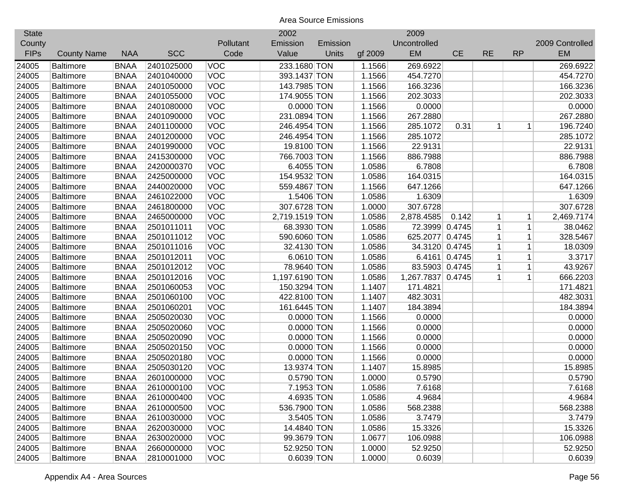| <b>State</b> |                    |             |            |            | 2002           |          |         | 2009              |               |              |              |                 |
|--------------|--------------------|-------------|------------|------------|----------------|----------|---------|-------------------|---------------|--------------|--------------|-----------------|
| County       |                    |             |            | Pollutant  | Emission       | Emission |         | Uncontrolled      |               |              |              | 2009 Controlled |
| <b>FIPs</b>  | <b>County Name</b> | <b>NAA</b>  | <b>SCC</b> | Code       | Value          | Units    | gf 2009 | EM                | <b>CE</b>     | <b>RE</b>    | <b>RP</b>    | <b>EM</b>       |
| 24005        | <b>Baltimore</b>   | <b>BNAA</b> | 2401025000 | <b>VOC</b> | 233.1680 TON   |          | 1.1566  | 269.6922          |               |              |              | 269.6922        |
| 24005        | <b>Baltimore</b>   | <b>BNAA</b> | 2401040000 | <b>VOC</b> | 393.1437 TON   |          | 1.1566  | 454.7270          |               |              |              | 454.7270        |
| 24005        | <b>Baltimore</b>   | <b>BNAA</b> | 2401050000 | VOC        | 143.7985 TON   |          | 1.1566  | 166.3236          |               |              |              | 166.3236        |
| 24005        | <b>Baltimore</b>   | <b>BNAA</b> | 2401055000 | VOC        | 174.9055 TON   |          | 1.1566  | 202.3033          |               |              |              | 202.3033        |
| 24005        | <b>Baltimore</b>   | <b>BNAA</b> | 2401080000 | VOC        | $0.0000$ TON   |          | 1.1566  | 0.0000            |               |              |              | 0.0000          |
| 24005        | <b>Baltimore</b>   | <b>BNAA</b> | 2401090000 | <b>VOC</b> | 231.0894 TON   |          | 1.1566  | 267.2880          |               |              |              | 267.2880        |
| 24005        | <b>Baltimore</b>   | <b>BNAA</b> | 2401100000 | VOC        | 246.4954 TON   |          | 1.1566  | 285.1072          | 0.31          | 1            | 1            | 196.7240        |
| 24005        | <b>Baltimore</b>   | <b>BNAA</b> | 2401200000 | VOC        | 246.4954 TON   |          | 1.1566  | 285.1072          |               |              |              | 285.1072        |
| 24005        | <b>Baltimore</b>   | <b>BNAA</b> | 2401990000 | VOC        | 19.8100 TON    |          | 1.1566  | 22.9131           |               |              |              | 22.9131         |
| 24005        | <b>Baltimore</b>   | <b>BNAA</b> | 2415300000 | <b>VOC</b> | 766.7003 TON   |          | 1.1566  | 886.7988          |               |              |              | 886.7988        |
| 24005        | <b>Baltimore</b>   | <b>BNAA</b> | 2420000370 | <b>VOC</b> | 6.4055 TON     |          | 1.0586  | 6.7808            |               |              |              | 6.7808          |
| 24005        | <b>Baltimore</b>   | <b>BNAA</b> | 2425000000 | VOC        | 154.9532 TON   |          | 1.0586  | 164.0315          |               |              |              | 164.0315        |
| 24005        | <b>Baltimore</b>   | <b>BNAA</b> | 2440020000 | VOC        | 559.4867 TON   |          | 1.1566  | 647.1266          |               |              |              | 647.1266        |
| 24005        | <b>Baltimore</b>   | <b>BNAA</b> | 2461022000 | VOC        | 1.5406 TON     |          | 1.0586  | 1.6309            |               |              |              | 1.6309          |
| 24005        | <b>Baltimore</b>   | <b>BNAA</b> | 2461800000 | VOC        | 307.6728 TON   |          | 1.0000  | 307.6728          |               |              |              | 307.6728        |
| 24005        | <b>Baltimore</b>   | <b>BNAA</b> | 2465000000 | VOC        | 2,719.1519 TON |          | 1.0586  | 2,878.4585        | 0.142         | 1            | 1            | 2,469.7174      |
| 24005        | <b>Baltimore</b>   | <b>BNAA</b> | 2501011011 | <b>VOC</b> | 68.3930 TON    |          | 1.0586  | 72.3999           | 0.4745        | 1            | $\mathbf 1$  | 38.0462         |
| 24005        | <b>Baltimore</b>   | <b>BNAA</b> | 2501011012 | <b>VOC</b> | 590.6060 TON   |          | 1.0586  | 625.2077          | 0.4745        | 1            | $\mathbf{1}$ | 328.5467        |
| 24005        | <b>Baltimore</b>   | <b>BNAA</b> | 2501011016 | <b>VOC</b> | 32.4130 TON    |          | 1.0586  | 34.3120 0.4745    |               | 1            | $\mathbf{1}$ | 18.0309         |
| 24005        | <b>Baltimore</b>   | <b>BNAA</b> | 2501012011 | VOC        | 6.0610 TON     |          | 1.0586  |                   | 6.4161 0.4745 | $\mathbf{1}$ | $\mathbf 1$  | 3.3717          |
| 24005        | <b>Baltimore</b>   | <b>BNAA</b> | 2501012012 | VOC        | 78.9640 TON    |          | 1.0586  | 83.5903 0.4745    |               | 1            | $\mathbf{1}$ | 43.9267         |
| 24005        | <b>Baltimore</b>   | <b>BNAA</b> | 2501012016 | VOC        | 1,197.6190 TON |          | 1.0586  | 1,267.7837 0.4745 |               | 1            | $\mathbf{1}$ | 666.2203        |
| 24005        | <b>Baltimore</b>   | <b>BNAA</b> | 2501060053 | <b>VOC</b> | 150.3294 TON   |          | 1.1407  | 171.4821          |               |              |              | 171.4821        |
| 24005        | <b>Baltimore</b>   | <b>BNAA</b> | 2501060100 | VOC        | 422.8100 TON   |          | 1.1407  | 482.3031          |               |              |              | 482.3031        |
| 24005        | <b>Baltimore</b>   | <b>BNAA</b> | 2501060201 | VOC        | 161.6445 TON   |          | 1.1407  | 184.3894          |               |              |              | 184.3894        |
| 24005        | <b>Baltimore</b>   | <b>BNAA</b> | 2505020030 | VOC        | $0.0000$ TON   |          | 1.1566  | 0.0000            |               |              |              | 0.0000          |
| 24005        | <b>Baltimore</b>   | <b>BNAA</b> | 2505020060 | <b>VOC</b> | $0.0000$ TON   |          | 1.1566  | 0.0000            |               |              |              | 0.0000          |
| 24005        | <b>Baltimore</b>   | <b>BNAA</b> | 2505020090 | <b>VOC</b> | $0.0000$ TON   |          | 1.1566  | 0.0000            |               |              |              | 0.0000          |
| 24005        | <b>Baltimore</b>   | <b>BNAA</b> | 2505020150 | <b>VOC</b> | $0.0000$ TON   |          | 1.1566  | 0.0000            |               |              |              | 0.0000          |
| 24005        | <b>Baltimore</b>   | <b>BNAA</b> | 2505020180 | <b>VOC</b> | $0.0000$ TON   |          | 1.1566  | 0.0000            |               |              |              | 0.0000          |
| 24005        | <b>Baltimore</b>   | <b>BNAA</b> | 2505030120 | <b>VOC</b> | 13.9374 TON    |          | 1.1407  | 15.8985           |               |              |              | 15.8985         |
| 24005        | <b>Baltimore</b>   | <b>BNAA</b> | 2601000000 | <b>VOC</b> | 0.5790 TON     |          | 1.0000  | 0.5790            |               |              |              | 0.5790          |
| 24005        | <b>Baltimore</b>   | <b>BNAA</b> | 2610000100 | <b>VOC</b> | 7.1953 TON     |          | 1.0586  | 7.6168            |               |              |              | 7.6168          |
| 24005        | <b>Baltimore</b>   | <b>BNAA</b> | 2610000400 | <b>VOC</b> | 4.6935 TON     |          | 1.0586  | 4.9684            |               |              |              | 4.9684          |
| 24005        | Baltimore          | <b>BNAA</b> | 2610000500 | <b>VOC</b> | 536.7900 TON   |          | 1.0586  | 568.2388          |               |              |              | 568.2388        |
| 24005        | <b>Baltimore</b>   | <b>BNAA</b> | 2610030000 | <b>VOC</b> | 3.5405 TON     |          | 1.0586  | 3.7479            |               |              |              | 3.7479          |
| 24005        | <b>Baltimore</b>   | <b>BNAA</b> | 2620030000 | <b>VOC</b> | 14.4840 TON    |          | 1.0586  | 15.3326           |               |              |              | 15.3326         |
| 24005        | <b>Baltimore</b>   | <b>BNAA</b> | 2630020000 | <b>VOC</b> | 99.3679 TON    |          | 1.0677  | 106.0988          |               |              |              | 106.0988        |
| 24005        | <b>Baltimore</b>   | <b>BNAA</b> | 2660000000 | <b>VOC</b> | 52.9250 TON    |          | 1.0000  | 52.9250           |               |              |              | 52.9250         |
| 24005        | <b>Baltimore</b>   | <b>BNAA</b> | 2810001000 | <b>VOC</b> | 0.6039 TON     |          | 1.0000  | 0.6039            |               |              |              | 0.6039          |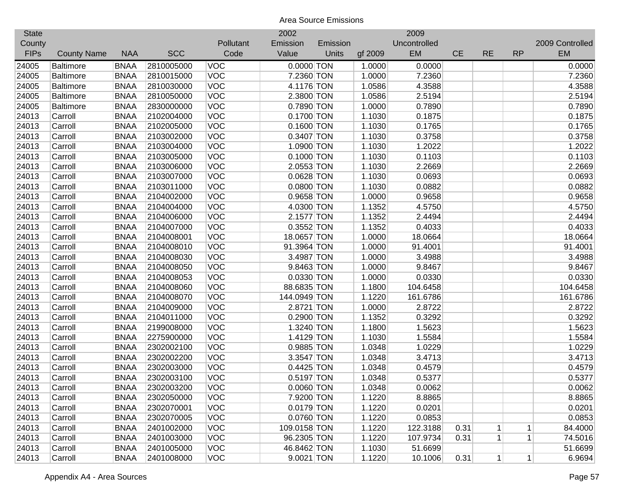| <b>State</b> |                    |             |            |            | 2002         |              |         | 2009         |           |           |             |                 |
|--------------|--------------------|-------------|------------|------------|--------------|--------------|---------|--------------|-----------|-----------|-------------|-----------------|
| County       |                    |             |            | Pollutant  | Emission     | Emission     |         | Uncontrolled |           |           |             | 2009 Controlled |
| <b>FIPs</b>  | <b>County Name</b> | <b>NAA</b>  | <b>SCC</b> | Code       | Value        | <b>Units</b> | gf 2009 | EM           | <b>CE</b> | <b>RE</b> | <b>RP</b>   | <b>EM</b>       |
| 24005        | <b>Baltimore</b>   | <b>BNAA</b> | 2810005000 | <b>VOC</b> | $0.0000$ TON |              | 1.0000  | 0.0000       |           |           |             | 0.0000          |
| 24005        | <b>Baltimore</b>   | <b>BNAA</b> | 2810015000 | <b>VOC</b> | 7.2360 TON   |              | 1.0000  | 7.2360       |           |           |             | 7.2360          |
| 24005        | <b>Baltimore</b>   | <b>BNAA</b> | 2810030000 | VOC        | 4.1176 TON   |              | 1.0586  | 4.3588       |           |           |             | 4.3588          |
| 24005        | <b>Baltimore</b>   | <b>BNAA</b> | 2810050000 | <b>VOC</b> | 2.3800 TON   |              | 1.0586  | 2.5194       |           |           |             | 2.5194          |
| 24005        | <b>Baltimore</b>   | <b>BNAA</b> | 2830000000 | <b>VOC</b> | 0.7890 TON   |              | 1.0000  | 0.7890       |           |           |             | 0.7890          |
| 24013        | Carroll            | <b>BNAA</b> | 2102004000 | <b>VOC</b> | 0.1700 TON   |              | 1.1030  | 0.1875       |           |           |             | 0.1875          |
| 24013        | Carroll            | <b>BNAA</b> | 2102005000 | <b>VOC</b> | $0.1600$ TON |              | 1.1030  | 0.1765       |           |           |             | 0.1765          |
| 24013        | Carroll            | <b>BNAA</b> | 2103002000 | VOC        | 0.3407 TON   |              | 1.1030  | 0.3758       |           |           |             | 0.3758          |
| 24013        | Carroll            | <b>BNAA</b> | 2103004000 | <b>VOC</b> | 1.0900 TON   |              | 1.1030  | 1.2022       |           |           |             | 1.2022          |
| 24013        | Carroll            | <b>BNAA</b> | 2103005000 | <b>VOC</b> | $0.1000$ TON |              | 1.1030  | 0.1103       |           |           |             | 0.1103          |
| 24013        | Carroll            | <b>BNAA</b> | 2103006000 | <b>VOC</b> | 2.0553 TON   |              | 1.1030  | 2.2669       |           |           |             | 2.2669          |
| 24013        | Carroll            | <b>BNAA</b> | 2103007000 | <b>VOC</b> | $0.0628$ TON |              | 1.1030  | 0.0693       |           |           |             | 0.0693          |
| 24013        | Carroll            | <b>BNAA</b> | 2103011000 | VOC        | 0.0800 TON   |              | 1.1030  | 0.0882       |           |           |             | 0.0882          |
| 24013        | Carroll            | <b>BNAA</b> | 2104002000 | <b>VOC</b> | 0.9658 TON   |              | 1.0000  | 0.9658       |           |           |             | 0.9658          |
| 24013        | Carroll            | <b>BNAA</b> | 2104004000 | <b>VOC</b> | 4.0300 TON   |              | 1.1352  | 4.5750       |           |           |             | 4.5750          |
| 24013        | Carroll            | <b>BNAA</b> | 2104006000 | <b>VOC</b> | 2.1577 TON   |              | 1.1352  | 2.4494       |           |           |             | 2.4494          |
| 24013        | Carroll            | <b>BNAA</b> | 2104007000 | <b>VOC</b> | $0.3552$ TON |              | 1.1352  | 0.4033       |           |           |             | 0.4033          |
| 24013        | Carroll            | <b>BNAA</b> | 2104008001 | <b>VOC</b> | 18.0657 TON  |              | 1.0000  | 18.0664      |           |           |             | 18.0664         |
| 24013        | Carroll            | <b>BNAA</b> | 2104008010 | <b>VOC</b> | 91.3964 TON  |              | 1.0000  | 91.4001      |           |           |             | 91.4001         |
| 24013        | Carroll            | <b>BNAA</b> | 2104008030 | <b>VOC</b> | 3.4987 TON   |              | 1.0000  | 3.4988       |           |           |             | 3.4988          |
| 24013        | Carroll            | <b>BNAA</b> | 2104008050 | <b>VOC</b> | 9.8463 TON   |              | 1.0000  | 9.8467       |           |           |             | 9.8467          |
| 24013        | Carroll            | <b>BNAA</b> | 2104008053 | <b>VOC</b> | 0.0330 TON   |              | 1.0000  | 0.0330       |           |           |             | 0.0330          |
| 24013        | Carroll            | <b>BNAA</b> | 2104008060 | <b>VOC</b> | 88.6835 TON  |              | 1.1800  | 104.6458     |           |           |             | 104.6458        |
| 24013        | Carroll            | <b>BNAA</b> | 2104008070 | <b>VOC</b> | 144.0949 TON |              | 1.1220  | 161.6786     |           |           |             | 161.6786        |
| 24013        | Carroll            | <b>BNAA</b> | 2104009000 | VOC        | 2.8721 TON   |              | 1.0000  | 2.8722       |           |           |             | 2.8722          |
| 24013        | Carroll            | <b>BNAA</b> | 2104011000 | VOC        | $0.2900$ TON |              | 1.1352  | 0.3292       |           |           |             | 0.3292          |
| 24013        | Carroll            | <b>BNAA</b> | 2199008000 | <b>VOC</b> | 1.3240 TON   |              | 1.1800  | 1.5623       |           |           |             | 1.5623          |
| 24013        | Carroll            | <b>BNAA</b> | 2275900000 | <b>VOC</b> | 1.4129 TON   |              | 1.1030  | 1.5584       |           |           |             | 1.5584          |
| 24013        | Carroll            | <b>BNAA</b> | 2302002100 | <b>VOC</b> | 0.9885 TON   |              | 1.0348  | 1.0229       |           |           |             | 1.0229          |
| 24013        | Carroll            | <b>BNAA</b> | 2302002200 | <b>VOC</b> | 3.3547 TON   |              | 1.0348  | 3.4713       |           |           |             | 3.4713          |
| 24013        | Carroll            | <b>BNAA</b> | 2302003000 | <b>VOC</b> | $0.4425$ TON |              | 1.0348  | 0.4579       |           |           |             | 0.4579          |
| 24013        | Carroll            | <b>BNAA</b> | 2302003100 | <b>VOC</b> | $0.5197$ TON |              | 1.0348  | 0.5377       |           |           |             | 0.5377          |
| 24013        | Carroll            | <b>BNAA</b> | 2302003200 | <b>VOC</b> | $0.0060$ TON |              | 1.0348  | 0.0062       |           |           |             | 0.0062          |
| 24013        | Carroll            | <b>BNAA</b> | 2302050000 | <b>VOC</b> | 7.9200 TON   |              | 1.1220  | 8.8865       |           |           |             | 8.8865          |
| 24013        | Carroll            | <b>BNAA</b> | 2302070001 | <b>VOC</b> | $0.0179$ TON |              | 1.1220  | 0.0201       |           |           |             | 0.0201          |
| 24013        | Carroll            | <b>BNAA</b> | 2302070005 | <b>VOC</b> | 0.0760 TON   |              | 1.1220  | 0.0853       |           |           |             | 0.0853          |
| 24013        | Carroll            | <b>BNAA</b> | 2401002000 | <b>VOC</b> | 109.0158 TON |              | 1.1220  | 122.3188     | 0.31      | 1         | 1           | 84.4000         |
| 24013        | Carroll            | <b>BNAA</b> | 2401003000 | <b>VOC</b> | 96.2305 TON  |              | 1.1220  | 107.9734     | 0.31      | 1         | $\mathbf 1$ | 74.5016         |
| 24013        | Carroll            | <b>BNAA</b> | 2401005000 | <b>VOC</b> | 46.8462 TON  |              | 1.1030  | 51.6699      |           |           |             | 51.6699         |
| 24013        | Carroll            | <b>BNAA</b> | 2401008000 | <b>VOC</b> | 9.0021 TON   |              | 1.1220  | 10.1006      | 0.31      | 1         | 1           | 6.9694          |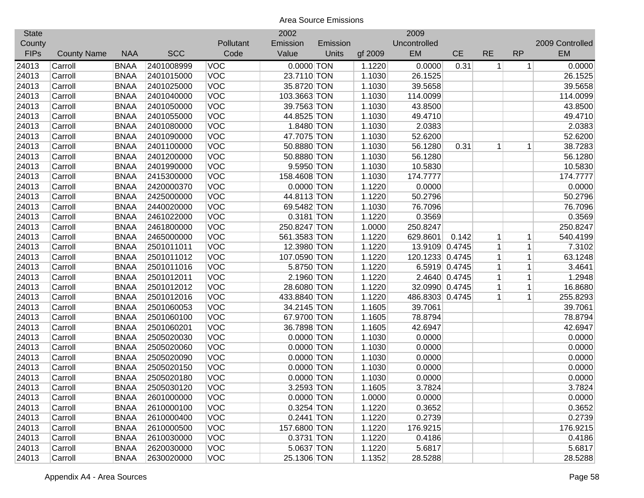| <b>State</b> |                    |             |            |            | 2002         |          |         | 2009            |               |                |              |                 |
|--------------|--------------------|-------------|------------|------------|--------------|----------|---------|-----------------|---------------|----------------|--------------|-----------------|
| County       |                    |             |            | Pollutant  | Emission     | Emission |         | Uncontrolled    |               |                |              | 2009 Controlled |
| <b>FIPs</b>  | <b>County Name</b> | <b>NAA</b>  | <b>SCC</b> | Code       | Value        | Units    | gf 2009 | EM              | <b>CE</b>     | <b>RE</b>      | <b>RP</b>    | <b>EM</b>       |
| 24013        | Carroll            | <b>BNAA</b> | 2401008999 | <b>VOC</b> | $0.0000$ TON |          | 1.1220  | 0.0000          | 0.31          | 1 <sup>1</sup> | $\mathbf{1}$ | 0.0000          |
| 24013        | Carroll            | <b>BNAA</b> | 2401015000 | <b>VOC</b> | 23.7110 TON  |          | 1.1030  | 26.1525         |               |                |              | 26.1525         |
| 24013        | Carroll            | <b>BNAA</b> | 2401025000 | VOC        | 35.8720 TON  |          | 1.1030  | 39.5658         |               |                |              | 39.5658         |
| 24013        | Carroll            | <b>BNAA</b> | 2401040000 | VOC        | 103.3663 TON |          | 1.1030  | 114.0099        |               |                |              | 114.0099        |
| 24013        | Carroll            | <b>BNAA</b> | 2401050000 | VOC        | 39.7563 TON  |          | 1.1030  | 43.8500         |               |                |              | 43.8500         |
| 24013        | Carroll            | <b>BNAA</b> | 2401055000 | <b>VOC</b> | 44.8525 TON  |          | 1.1030  | 49.4710         |               |                |              | 49.4710         |
| 24013        | Carroll            | <b>BNAA</b> | 2401080000 | VOC        | 1.8480 TON   |          | 1.1030  | 2.0383          |               |                |              | 2.0383          |
| 24013        | Carroll            | <b>BNAA</b> | 2401090000 | VOC        | 47.7075 TON  |          | 1.1030  | 52.6200         |               |                |              | 52.6200         |
| 24013        | Carroll            | <b>BNAA</b> | 2401100000 | VOC        | 50.8880 TON  |          | 1.1030  | 56.1280         | 0.31          | 1              | 1            | 38.7283         |
| 24013        | Carroll            | <b>BNAA</b> | 2401200000 | <b>VOC</b> | 50.8880 TON  |          | 1.1030  | 56.1280         |               |                |              | 56.1280         |
| 24013        | Carroll            | <b>BNAA</b> | 2401990000 | <b>VOC</b> | 9.5950 TON   |          | 1.1030  | 10.5830         |               |                |              | 10.5830         |
| 24013        | Carroll            | <b>BNAA</b> | 2415300000 | VOC        | 158.4608 TON |          | 1.1030  | 174.7777        |               |                |              | 174.7777        |
| 24013        | Carroll            | <b>BNAA</b> | 2420000370 | VOC        | 0.0000 TON   |          | 1.1220  | 0.0000          |               |                |              | 0.0000          |
| 24013        | Carroll            | <b>BNAA</b> | 2425000000 | VOC        | 44.8113 TON  |          | 1.1220  | 50.2796         |               |                |              | 50.2796         |
| 24013        | Carroll            | <b>BNAA</b> | 2440020000 | VOC        | 69.5482 TON  |          | 1.1030  | 76.7096         |               |                |              | 76.7096         |
| 24013        | Carroll            | <b>BNAA</b> | 2461022000 | VOC        | 0.3181 TON   |          | 1.1220  | 0.3569          |               |                |              | 0.3569          |
| 24013        | Carroll            | <b>BNAA</b> | 2461800000 | <b>VOC</b> | 250.8247 TON |          | 1.0000  | 250.8247        |               |                |              | 250.8247        |
| 24013        | Carroll            | <b>BNAA</b> | 2465000000 | <b>VOC</b> | 561.3583 TON |          | 1.1220  | 629.8601        | 0.142         | 1 <sup>1</sup> | 1            | 540.4199        |
| 24013        | Carroll            | <b>BNAA</b> | 2501011011 | <b>VOC</b> | 12.3980 TON  |          | 1.1220  | 13.9109         | 0.4745        | 1              | $\mathbf{1}$ | 7.3102          |
| 24013        | Carroll            | <b>BNAA</b> | 2501011012 | VOC        | 107.0590 TON |          | 1.1220  | 120.1233 0.4745 |               | $\mathbf{1}$   | $\mathbf 1$  | 63.1248         |
| 24013        | Carroll            | <b>BNAA</b> | 2501011016 | VOC        | 5.8750 TON   |          | 1.1220  |                 | 6.5919 0.4745 | 1              | $\mathbf 1$  | 3.4641          |
| 24013        | Carroll            | <b>BNAA</b> | 2501012011 | <b>VOC</b> | 2.1960 TON   |          | 1.1220  |                 | 2.4640 0.4745 | 1              | $\mathbf{1}$ | 1.2948          |
| 24013        | Carroll            | <b>BNAA</b> | 2501012012 | VOC        | 28.6080 TON  |          | 1.1220  | 32.0990 0.4745  |               | $\mathbf{1}$   | $\mathbf 1$  | 16.8680         |
| 24013        | Carroll            | <b>BNAA</b> | 2501012016 | VOC        | 433.8840 TON |          | 1.1220  | 486.8303 0.4745 |               | $\mathbf{1}$   | $\mathbf{1}$ | 255.8293        |
| 24013        | Carroll            | <b>BNAA</b> | 2501060053 | VOC        | 34.2145 TON  |          | 1.1605  | 39.7061         |               |                |              | 39.7061         |
| 24013        | Carroll            | <b>BNAA</b> | 2501060100 | VOC        | 67.9700 TON  |          | 1.1605  | 78.8794         |               |                |              | 78.8794         |
| 24013        | Carroll            | <b>BNAA</b> | 2501060201 | <b>VOC</b> | 36.7898 TON  |          | 1.1605  | 42.6947         |               |                |              | 42.6947         |
| 24013        | Carroll            | <b>BNAA</b> | 2505020030 | <b>VOC</b> | $0.0000$ TON |          | 1.1030  | 0.0000          |               |                |              | 0.0000          |
| 24013        | Carroll            | <b>BNAA</b> | 2505020060 | <b>VOC</b> | $0.0000$ TON |          | 1.1030  | 0.0000          |               |                |              | 0.0000          |
| 24013        | Carroll            | <b>BNAA</b> | 2505020090 | <b>VOC</b> | 0.0000 TON   |          | 1.1030  | 0.0000          |               |                |              | 0.0000          |
| 24013        | Carroll            | <b>BNAA</b> | 2505020150 | <b>VOC</b> | 0.0000 TON   |          | 1.1030  | 0.0000          |               |                |              | 0.0000          |
| 24013        | Carroll            | <b>BNAA</b> | 2505020180 | <b>VOC</b> | $0.0000$ TON |          | 1.1030  | 0.0000          |               |                |              | 0.0000          |
| 24013        | Carroll            | <b>BNAA</b> | 2505030120 | <b>VOC</b> | 3.2593 TON   |          | 1.1605  | 3.7824          |               |                |              | 3.7824          |
| 24013        | Carroll            | <b>BNAA</b> | 2601000000 | <b>VOC</b> | $0.0000$ TON |          | 1.0000  | 0.0000          |               |                |              | 0.0000          |
| 24013        | Carroll            | <b>BNAA</b> | 2610000100 | <b>VOC</b> | 0.3254 TON   |          | 1.1220  | 0.3652          |               |                |              | 0.3652          |
| 24013        | Carroll            | <b>BNAA</b> | 2610000400 | <b>VOC</b> | $0.2441$ TON |          | 1.1220  | 0.2739          |               |                |              | 0.2739          |
| 24013        | Carroll            | <b>BNAA</b> | 2610000500 | <b>VOC</b> | 157.6800 TON |          | 1.1220  | 176.9215        |               |                |              | 176.9215        |
| 24013        | Carroll            | <b>BNAA</b> | 2610030000 | <b>VOC</b> | 0.3731 TON   |          | 1.1220  | 0.4186          |               |                |              | 0.4186          |
| 24013        | Carroll            | <b>BNAA</b> | 2620030000 | <b>VOC</b> | 5.0637 TON   |          | 1.1220  | 5.6817          |               |                |              | 5.6817          |
| 24013        | Carroll            | <b>BNAA</b> | 2630020000 | <b>VOC</b> | 25.1306 TON  |          | 1.1352  | 28.5288         |               |                |              | 28.5288         |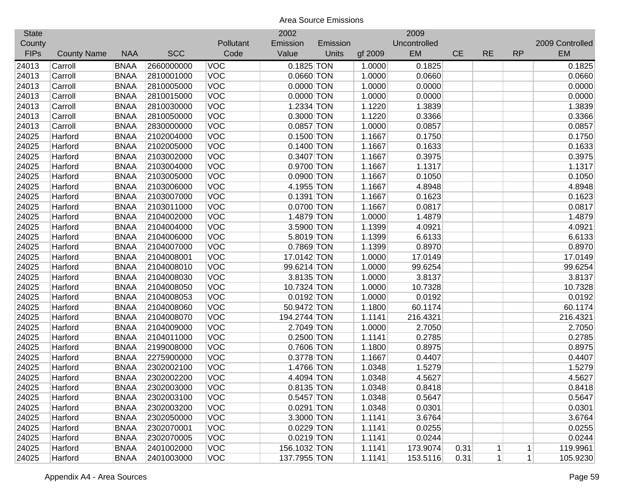| <b>State</b> |                    |             |            |            | 2002         |          |         | 2009         |           |           |           |                 |
|--------------|--------------------|-------------|------------|------------|--------------|----------|---------|--------------|-----------|-----------|-----------|-----------------|
| County       |                    |             |            | Pollutant  | Emission     | Emission |         | Uncontrolled |           |           |           | 2009 Controlled |
| <b>FIPs</b>  | <b>County Name</b> | <b>NAA</b>  | <b>SCC</b> | Code       | Value        | Units    | gf 2009 | EM           | <b>CE</b> | <b>RE</b> | <b>RP</b> | <b>EM</b>       |
| 24013        | Carroll            | <b>BNAA</b> | 2660000000 | <b>VOC</b> | $0.1825$ TON |          | 1.0000  | 0.1825       |           |           |           | 0.1825          |
| 24013        | Carroll            | <b>BNAA</b> | 2810001000 | <b>VOC</b> | $0.0660$ TON |          | 1.0000  | 0.0660       |           |           |           | 0.0660          |
| 24013        | Carroll            | <b>BNAA</b> | 2810005000 | <b>VOC</b> | $0.0000$ TON |          | 1.0000  | 0.0000       |           |           |           | 0.0000          |
| 24013        | Carroll            | <b>BNAA</b> | 2810015000 | <b>VOC</b> | $0.0000$ TON |          | 1.0000  | 0.0000       |           |           |           | 0.0000          |
| 24013        | Carroll            | <b>BNAA</b> | 2810030000 | <b>VOC</b> | 1.2334 TON   |          | 1.1220  | 1.3839       |           |           |           | 1.3839          |
| 24013        | Carroll            | <b>BNAA</b> | 2810050000 | <b>VOC</b> | 0.3000 TON   |          | 1.1220  | 0.3366       |           |           |           | 0.3366          |
| 24013        | Carroll            | <b>BNAA</b> | 2830000000 | <b>VOC</b> | 0.0857 TON   |          | 1.0000  | 0.0857       |           |           |           | 0.0857          |
| 24025        | Harford            | <b>BNAA</b> | 2102004000 | <b>VOC</b> | $0.1500$ TON |          | 1.1667  | 0.1750       |           |           |           | 0.1750          |
| 24025        | Harford            | <b>BNAA</b> | 2102005000 | <b>VOC</b> | $0.1400$ TON |          | 1.1667  | 0.1633       |           |           |           | 0.1633          |
| 24025        | Harford            | <b>BNAA</b> | 2103002000 | <b>VOC</b> | 0.3407 TON   |          | 1.1667  | 0.3975       |           |           |           | 0.3975          |
| 24025        | Harford            | <b>BNAA</b> | 2103004000 | <b>VOC</b> | 0.9700 TON   |          | 1.1667  | 1.1317       |           |           |           | 1.1317          |
| 24025        | Harford            | <b>BNAA</b> | 2103005000 | <b>VOC</b> | 0.0900 TON   |          | 1.1667  | 0.1050       |           |           |           | 0.1050          |
| 24025        | Harford            | <b>BNAA</b> | 2103006000 | <b>VOC</b> | 4.1955 TON   |          | 1.1667  | 4.8948       |           |           |           | 4.8948          |
| 24025        | Harford            | <b>BNAA</b> | 2103007000 | <b>VOC</b> | 0.1391 TON   |          | 1.1667  | 0.1623       |           |           |           | 0.1623          |
| 24025        | Harford            | <b>BNAA</b> | 2103011000 | <b>VOC</b> | 0.0700 TON   |          | 1.1667  | 0.0817       |           |           |           | 0.0817          |
| 24025        | Harford            | <b>BNAA</b> | 2104002000 | <b>VOC</b> | 1.4879 TON   |          | 1.0000  | 1.4879       |           |           |           | 1.4879          |
| 24025        | Harford            | <b>BNAA</b> | 2104004000 | <b>VOC</b> | 3.5900 TON   |          | 1.1399  | 4.0921       |           |           |           | 4.0921          |
| 24025        | Harford            | <b>BNAA</b> | 2104006000 | <b>VOC</b> | 5.8019 TON   |          | 1.1399  | 6.6133       |           |           |           | 6.6133          |
| 24025        | Harford            | <b>BNAA</b> | 2104007000 | <b>VOC</b> | 0.7869 TON   |          | 1.1399  | 0.8970       |           |           |           | 0.8970          |
| 24025        | Harford            | <b>BNAA</b> | 2104008001 | <b>VOC</b> | 17.0142 TON  |          | 1.0000  | 17.0149      |           |           |           | 17.0149         |
| 24025        | Harford            | <b>BNAA</b> | 2104008010 | <b>VOC</b> | 99.6214 TON  |          | 1.0000  | 99.6254      |           |           |           | 99.6254         |
| 24025        | Harford            | <b>BNAA</b> | 2104008030 | <b>VOC</b> | 3.8135 TON   |          | 1.0000  | 3.8137       |           |           |           | 3.8137          |
| 24025        | Harford            | <b>BNAA</b> | 2104008050 | <b>VOC</b> | 10.7324 TON  |          | 1.0000  | 10.7328      |           |           |           | 10.7328         |
| 24025        | Harford            | <b>BNAA</b> | 2104008053 | VOC        | $0.0192$ TON |          | 1.0000  | 0.0192       |           |           |           | 0.0192          |
| 24025        | Harford            | <b>BNAA</b> | 2104008060 | VOC        | 50.9472 TON  |          | 1.1800  | 60.1174      |           |           |           | 60.1174         |
| 24025        | Harford            | <b>BNAA</b> | 2104008070 | <b>VOC</b> | 194.2744 TON |          | 1.1141  | 216.4321     |           |           |           | 216.4321        |
| 24025        | Harford            | <b>BNAA</b> | 2104009000 | <b>VOC</b> | 2.7049 TON   |          | 1.0000  | 2.7050       |           |           |           | 2.7050          |
| 24025        | Harford            | <b>BNAA</b> | 2104011000 | <b>VOC</b> | 0.2500 TON   |          | 1.1141  | 0.2785       |           |           |           | 0.2785          |
| 24025        | Harford            | <b>BNAA</b> | 2199008000 | <b>VOC</b> | 0.7606 TON   |          | 1.1800  | 0.8975       |           |           |           | 0.8975          |
| 24025        | Harford            | <b>BNAA</b> | 2275900000 | <b>VOC</b> | 0.3778 TON   |          | 1.1667  | 0.4407       |           |           |           | 0.4407          |
| 24025        | Harford            | <b>BNAA</b> | 2302002100 | <b>VOC</b> | 1.4766 TON   |          | 1.0348  | 1.5279       |           |           |           | 1.5279          |
| 24025        | Harford            | <b>BNAA</b> | 2302002200 | <b>VOC</b> | 4.4094 TON   |          | 1.0348  | 4.5627       |           |           |           | 4.5627          |
| 24025        | Harford            | <b>BNAA</b> | 2302003000 | <b>VOC</b> | 0.8135 TON   |          | 1.0348  | 0.8418       |           |           |           | 0.8418          |
| 24025        | Harford            | <b>BNAA</b> | 2302003100 | <b>VOC</b> | $0.5457$ TON |          | 1.0348  | 0.5647       |           |           |           | 0.5647          |
| 24025        | Harford            | <b>BNAA</b> | 2302003200 | <b>VOC</b> | $0.0291$ TON |          | 1.0348  | 0.0301       |           |           |           | 0.0301          |
| 24025        | Harford            | <b>BNAA</b> | 2302050000 | <b>VOC</b> | 3.3000 TON   |          | 1.1141  | 3.6764       |           |           |           | 3.6764          |
| 24025        | Harford            | <b>BNAA</b> | 2302070001 | <b>VOC</b> | $0.0229$ TON |          | 1.1141  | 0.0255       |           |           |           | 0.0255          |
| 24025        | Harford            | <b>BNAA</b> | 2302070005 | <b>VOC</b> | $0.0219$ TON |          | 1.1141  | 0.0244       |           |           |           | 0.0244          |
| 24025        | Harford            | <b>BNAA</b> | 2401002000 | <b>VOC</b> | 156.1032 TON |          | 1.1141  | 173.9074     | 0.31      | $1\vert$  | $\vert$   | 119.9961        |
| 24025        | Harford            | <b>BNAA</b> | 2401003000 | <b>VOC</b> | 137.7955 TON |          | 1.1141  | 153.5116     | 0.31      | 1         | 1         | 105.9230        |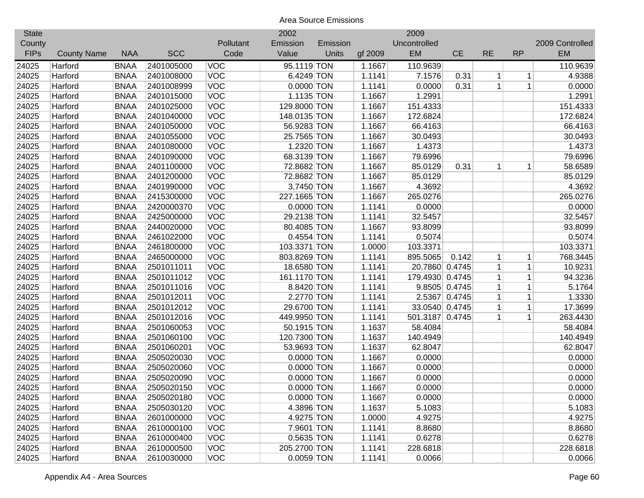| <b>State</b> |                    |             |            |            | 2002         |          |         | 2009            |               |              |              |                 |
|--------------|--------------------|-------------|------------|------------|--------------|----------|---------|-----------------|---------------|--------------|--------------|-----------------|
| County       |                    |             |            | Pollutant  | Emission     | Emission |         | Uncontrolled    |               |              |              | 2009 Controlled |
| <b>FIPs</b>  | <b>County Name</b> | <b>NAA</b>  | <b>SCC</b> | Code       | Value        | Units    | gf 2009 | <b>EM</b>       | <b>CE</b>     | <b>RE</b>    | <b>RP</b>    | <b>EM</b>       |
| 24025        | Harford            | <b>BNAA</b> | 2401005000 | VOC        | 95.1119 TON  |          | 1.1667  | 110.9639        |               |              |              | 110.9639        |
| 24025        | Harford            | <b>BNAA</b> | 2401008000 | VOC        | 6.4249 TON   |          | 1.1141  | 7.1576          | 0.31          | 1            | $\mathbf 1$  | 4.9388          |
| 24025        | Harford            | <b>BNAA</b> | 2401008999 | VOC        | $0.0000$ TON |          | 1.1141  | 0.0000          | 0.31          | $\mathbf 1$  | $\mathbf{1}$ | 0.0000          |
| 24025        | Harford            | <b>BNAA</b> | 2401015000 | VOC        | 1.1135 TON   |          | 1.1667  | 1.2991          |               |              |              | 1.2991          |
| 24025        | Harford            | <b>BNAA</b> | 2401025000 | VOC        | 129.8000 TON |          | 1.1667  | 151.4333        |               |              |              | 151.4333        |
| 24025        | Harford            | <b>BNAA</b> | 2401040000 | VOC        | 148.0135 TON |          | 1.1667  | 172.6824        |               |              |              | 172.6824        |
| 24025        | Harford            | <b>BNAA</b> | 2401050000 | VOC        | 56.9283 TON  |          | 1.1667  | 66.4163         |               |              |              | 66.4163         |
| 24025        | Harford            | <b>BNAA</b> | 2401055000 | VOC        | 25.7565 TON  |          | 1.1667  | 30.0493         |               |              |              | 30.0493         |
| 24025        | Harford            | <b>BNAA</b> | 2401080000 | VOC        | 1.2320 TON   |          | 1.1667  | 1.4373          |               |              |              | 1.4373          |
| 24025        | Harford            | <b>BNAA</b> | 2401090000 | <b>VOC</b> | 68.3139 TON  |          | 1.1667  | 79.6996         |               |              |              | 79.6996         |
| 24025        | Harford            | <b>BNAA</b> | 2401100000 | VOC        | 72.8682 TON  |          | 1.1667  | 85.0129         | 0.31          | 1            | 1            | 58.6589         |
| 24025        | Harford            | <b>BNAA</b> | 2401200000 | VOC        | 72.8682 TON  |          | 1.1667  | 85.0129         |               |              |              | 85.0129         |
| 24025        | Harford            | <b>BNAA</b> | 2401990000 | VOC        | 3.7450 TON   |          | 1.1667  | 4.3692          |               |              |              | 4.3692          |
| 24025        | Harford            | <b>BNAA</b> | 2415300000 | <b>VOC</b> | 227.1665 TON |          | 1.1667  | 265.0276        |               |              |              | 265.0276        |
| 24025        | Harford            | <b>BNAA</b> | 2420000370 | <b>VOC</b> | 0.0000 TON   |          | 1.1141  | 0.0000          |               |              |              | 0.0000          |
| 24025        | Harford            | <b>BNAA</b> | 2425000000 | VOC        | 29.2138 TON  |          | 1.1141  | 32.5457         |               |              |              | 32.5457         |
| 24025        | Harford            | <b>BNAA</b> | 2440020000 | VOC        | 80.4085 TON  |          | 1.1667  | 93.8099         |               |              |              | 93.8099         |
| 24025        | Harford            | <b>BNAA</b> | 2461022000 | VOC        | $0.4554$ TON |          | 1.1141  | 0.5074          |               |              |              | 0.5074          |
| 24025        | Harford            | <b>BNAA</b> | 2461800000 | <b>VOC</b> | 103.3371 TON |          | 1.0000  | 103.3371        |               |              |              | 103.3371        |
| 24025        | Harford            | <b>BNAA</b> | 2465000000 | <b>VOC</b> | 803.8269 TON |          | 1.1141  | 895.5065        | 0.142         | 1            | 1            | 768.3445        |
| 24025        | Harford            | <b>BNAA</b> | 2501011011 | VOC        | 18.6580 TON  |          | 1.1141  | 20.7860 0.4745  |               | $\mathbf{1}$ | $\mathbf 1$  | 10.9231         |
| 24025        | Harford            | <b>BNAA</b> | 2501011012 | VOC        | 161.1170 TON |          | 1.1141  | 179.4930 0.4745 |               | 1            | $\mathbf{1}$ | 94.3236         |
| 24025        | Harford            | <b>BNAA</b> | 2501011016 | <b>VOC</b> | 8.8420 TON   |          | 1.1141  |                 | 9.8505 0.4745 | 1            | $\mathbf{1}$ | 5.1764          |
| 24025        | Harford            | <b>BNAA</b> | 2501012011 | VOC        | 2.2770 TON   |          | 1.1141  |                 | 2.5367 0.4745 | $\mathbf{1}$ | $\mathbf{1}$ | 1.3330          |
| 24025        | Harford            | <b>BNAA</b> | 2501012012 | VOC        | 29.6700 TON  |          | 1.1141  | 33.0540 0.4745  |               | 1            | $\mathbf 1$  | 17.3699         |
| 24025        | Harford            | <b>BNAA</b> | 2501012016 | VOC        | 449.9950 TON |          | 1.1141  | 501.3187 0.4745 |               | $\mathbf 1$  | $\mathbf{1}$ | 263.4430        |
| 24025        | Harford            | <b>BNAA</b> | 2501060053 | <b>VOC</b> | 50.1915 TON  |          | 1.1637  | 58.4084         |               |              |              | 58.4084         |
| 24025        | Harford            | <b>BNAA</b> | 2501060100 | <b>VOC</b> | 120.7300 TON |          | 1.1637  | 140.4949        |               |              |              | 140.4949        |
| 24025        | Harford            | <b>BNAA</b> | 2501060201 | <b>VOC</b> | 53.9693 TON  |          | 1.1637  | 62.8047         |               |              |              | 62.8047         |
| 24025        | Harford            | <b>BNAA</b> | 2505020030 | <b>VOC</b> | $0.0000$ TON |          | 1.1667  | 0.0000          |               |              |              | 0.0000          |
| 24025        | Harford            | <b>BNAA</b> | 2505020060 | <b>VOC</b> | 0.0000 TON   |          | 1.1667  | 0.0000          |               |              |              | 0.0000          |
| 24025        | Harford            | <b>BNAA</b> | 2505020090 | <b>VOC</b> | 0.0000 TON   |          | 1.1667  | 0.0000          |               |              |              | 0.0000          |
| 24025        | Harford            | <b>BNAA</b> | 2505020150 | <b>VOC</b> | $0.0000$ TON |          | 1.1667  | 0.0000          |               |              |              | 0.0000          |
| 24025        | Harford            | <b>BNAA</b> | 2505020180 | <b>VOC</b> | 0.0000 TON   |          | 1.1667  | 0.0000          |               |              |              | 0.0000          |
| 24025        | Harford            | <b>BNAA</b> | 2505030120 | <b>VOC</b> | 4.3896 TON   |          | 1.1637  | 5.1083          |               |              |              | 5.1083          |
| 24025        | Harford            | <b>BNAA</b> | 2601000000 | <b>VOC</b> | 4.9275 TON   |          | 1.0000  | 4.9275          |               |              |              | 4.9275          |
| 24025        | Harford            | <b>BNAA</b> | 2610000100 | <b>VOC</b> | 7.9601 TON   |          | 1.1141  | 8.8680          |               |              |              | 8.8680          |
| 24025        | Harford            | <b>BNAA</b> | 2610000400 | <b>VOC</b> | $0.5635$ TON |          | 1.1141  | 0.6278          |               |              |              | 0.6278          |
| 24025        | Harford            | <b>BNAA</b> | 2610000500 | <b>VOC</b> | 205.2700 TON |          | 1.1141  | 228.6818        |               |              |              | 228.6818        |
| 24025        | Harford            | <b>BNAA</b> | 2610030000 | <b>VOC</b> | 0.0059 TON   |          | 1.1141  | 0.0066          |               |              |              | 0.0066          |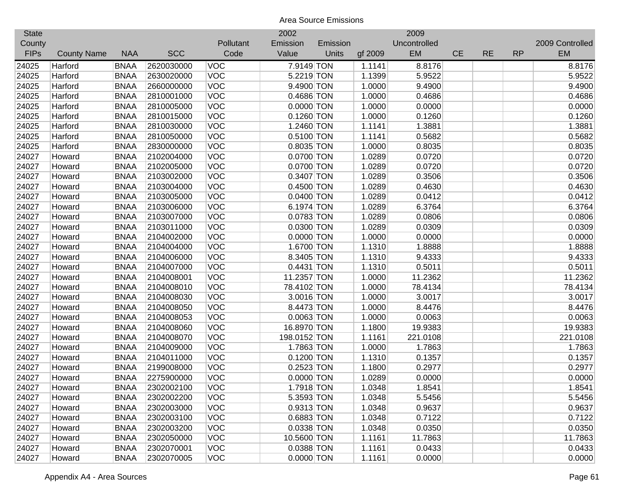| <b>State</b> |                    |             |            |            | 2002         |          |         | 2009         |           |           |           |                 |
|--------------|--------------------|-------------|------------|------------|--------------|----------|---------|--------------|-----------|-----------|-----------|-----------------|
| County       |                    |             |            | Pollutant  | Emission     | Emission |         | Uncontrolled |           |           |           | 2009 Controlled |
| <b>FIPs</b>  | <b>County Name</b> | <b>NAA</b>  | <b>SCC</b> | Code       | Value        | Units    | gf 2009 | EM           | <b>CE</b> | <b>RE</b> | <b>RP</b> | <b>EM</b>       |
| 24025        | Harford            | <b>BNAA</b> | 2620030000 | <b>VOC</b> | 7.9149 TON   |          | 1.1141  | 8.8176       |           |           |           | 8.8176          |
| 24025        | Harford            | <b>BNAA</b> | 2630020000 | <b>VOC</b> | 5.2219 TON   |          | 1.1399  | 5.9522       |           |           |           | 5.9522          |
| 24025        | Harford            | <b>BNAA</b> | 2660000000 | <b>VOC</b> | 9.4900 TON   |          | 1.0000  | 9.4900       |           |           |           | 9.4900          |
| 24025        | Harford            | <b>BNAA</b> | 2810001000 | <b>VOC</b> | 0.4686 TON   |          | 1.0000  | 0.4686       |           |           |           | 0.4686          |
| 24025        | Harford            | <b>BNAA</b> | 2810005000 | <b>VOC</b> | $0.0000$ TON |          | 1.0000  | 0.0000       |           |           |           | 0.0000          |
| 24025        | Harford            | <b>BNAA</b> | 2810015000 | <b>VOC</b> | $0.1260$ TON |          | 1.0000  | 0.1260       |           |           |           | 0.1260          |
| 24025        | Harford            | <b>BNAA</b> | 2810030000 | <b>VOC</b> | 1.2460 TON   |          | 1.1141  | 1.3881       |           |           |           | 1.3881          |
| 24025        | Harford            | <b>BNAA</b> | 2810050000 | <b>VOC</b> | 0.5100 TON   |          | 1.1141  | 0.5682       |           |           |           | 0.5682          |
| 24025        | Harford            | <b>BNAA</b> | 2830000000 | <b>VOC</b> | 0.8035 TON   |          | 1.0000  | 0.8035       |           |           |           | 0.8035          |
| 24027        | Howard             | <b>BNAA</b> | 2102004000 | <b>VOC</b> | 0.0700 TON   |          | 1.0289  | 0.0720       |           |           |           | 0.0720          |
| 24027        | Howard             | <b>BNAA</b> | 2102005000 | <b>VOC</b> | 0.0700 TON   |          | 1.0289  | 0.0720       |           |           |           | 0.0720          |
| 24027        | Howard             | <b>BNAA</b> | 2103002000 | <b>VOC</b> | 0.3407 TON   |          | 1.0289  | 0.3506       |           |           |           | 0.3506          |
| 24027        | Howard             | <b>BNAA</b> | 2103004000 | <b>VOC</b> | $0.4500$ TON |          | 1.0289  | 0.4630       |           |           |           | 0.4630          |
| 24027        | Howard             | <b>BNAA</b> | 2103005000 | <b>VOC</b> | 0.0400 TON   |          | 1.0289  | 0.0412       |           |           |           | 0.0412          |
| 24027        | Howard             | <b>BNAA</b> | 2103006000 | <b>VOC</b> | 6.1974 TON   |          | 1.0289  | 6.3764       |           |           |           | 6.3764          |
| 24027        | Howard             | <b>BNAA</b> | 2103007000 | <b>VOC</b> | 0.0783 TON   |          | 1.0289  | 0.0806       |           |           |           | 0.0806          |
| 24027        | Howard             | <b>BNAA</b> | 2103011000 | <b>VOC</b> | 0.0300 TON   |          | 1.0289  | 0.0309       |           |           |           | 0.0309          |
| 24027        | Howard             | <b>BNAA</b> | 2104002000 | <b>VOC</b> | $0.0000$ TON |          | 1.0000  | 0.0000       |           |           |           | 0.0000          |
| 24027        | Howard             | <b>BNAA</b> | 2104004000 | <b>VOC</b> | 1.6700 TON   |          | 1.1310  | 1.8888       |           |           |           | 1.8888          |
| 24027        | Howard             | <b>BNAA</b> | 2104006000 | <b>VOC</b> | 8.3405 TON   |          | 1.1310  | 9.4333       |           |           |           | 9.4333          |
| 24027        | Howard             | <b>BNAA</b> | 2104007000 | <b>VOC</b> | 0.4431 TON   |          | 1.1310  | 0.5011       |           |           |           | 0.5011          |
| 24027        | Howard             | <b>BNAA</b> | 2104008001 | <b>VOC</b> | 11.2357 TON  |          | 1.0000  | 11.2362      |           |           |           | 11.2362         |
| 24027        | Howard             | <b>BNAA</b> | 2104008010 | <b>VOC</b> | 78.4102 TON  |          | 1.0000  | 78.4134      |           |           |           | 78.4134         |
| 24027        | Howard             | <b>BNAA</b> | 2104008030 | VOC        | 3.0016 TON   |          | 1.0000  | 3.0017       |           |           |           | 3.0017          |
| 24027        | Howard             | <b>BNAA</b> | 2104008050 | <b>VOC</b> | 8.4473 TON   |          | 1.0000  | 8.4476       |           |           |           | 8.4476          |
| 24027        | Howard             | <b>BNAA</b> | 2104008053 | <b>VOC</b> | $0.0063$ TON |          | 1.0000  | 0.0063       |           |           |           | 0.0063          |
| 24027        | Howard             | <b>BNAA</b> | 2104008060 | <b>VOC</b> | 16.8970 TON  |          | 1.1800  | 19.9383      |           |           |           | 19.9383         |
| 24027        | Howard             | <b>BNAA</b> | 2104008070 | <b>VOC</b> | 198.0152 TON |          | 1.1161  | 221.0108     |           |           |           | 221.0108        |
| 24027        | Howard             | <b>BNAA</b> | 2104009000 | <b>VOC</b> | 1.7863 TON   |          | 1.0000  | 1.7863       |           |           |           | 1.7863          |
| 24027        | Howard             | <b>BNAA</b> | 2104011000 | <b>VOC</b> | 0.1200 TON   |          | 1.1310  | 0.1357       |           |           |           | 0.1357          |
| 24027        | Howard             | <b>BNAA</b> | 2199008000 | <b>VOC</b> | 0.2523 TON   |          | 1.1800  | 0.2977       |           |           |           | 0.2977          |
| 24027        | Howard             | <b>BNAA</b> | 2275900000 | <b>VOC</b> | $0.0000$ TON |          | 1.0289  | 0.0000       |           |           |           | 0.0000          |
| 24027        | Howard             | <b>BNAA</b> | 2302002100 | <b>VOC</b> | 1.7918 TON   |          | 1.0348  | 1.8541       |           |           |           | 1.8541          |
| 24027        | Howard             | <b>BNAA</b> | 2302002200 | <b>VOC</b> | 5.3593 TON   |          | 1.0348  | 5.5456       |           |           |           | 5.5456          |
| 24027        | Howard             | <b>BNAA</b> | 2302003000 | <b>VOC</b> | 0.9313 TON   |          | 1.0348  | 0.9637       |           |           |           | 0.9637          |
| 24027        | Howard             | <b>BNAA</b> | 2302003100 | <b>VOC</b> | 0.6883 TON   |          | 1.0348  | 0.7122       |           |           |           | 0.7122          |
| 24027        | Howard             | <b>BNAA</b> | 2302003200 | <b>VOC</b> | 0.0338 TON   |          | 1.0348  | 0.0350       |           |           |           | 0.0350          |
| 24027        | Howard             | <b>BNAA</b> | 2302050000 | <b>VOC</b> | 10.5600 TON  |          | 1.1161  | 11.7863      |           |           |           | 11.7863         |
| 24027        | Howard             | <b>BNAA</b> | 2302070001 | <b>VOC</b> | 0.0388 TON   |          | 1.1161  | 0.0433       |           |           |           | 0.0433          |
| 24027        | Howard             | <b>BNAA</b> | 2302070005 | <b>VOC</b> | $0.0000$ TON |          | 1.1161  | 0.0000       |           |           |           | 0.0000          |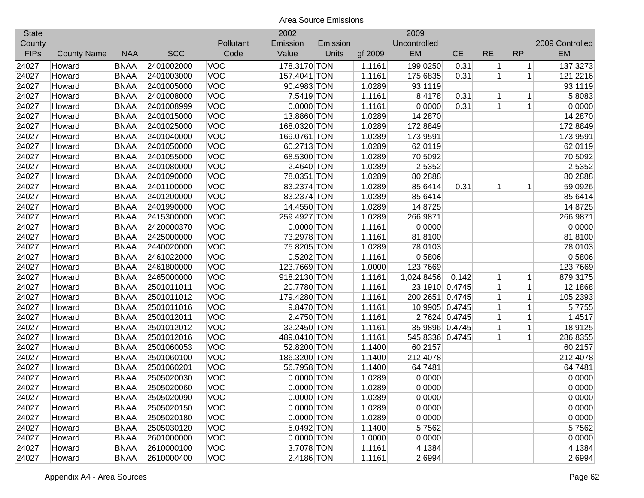| <b>State</b> |                    |             |            |            | 2002         |          |         | 2009            |               |              |              |                 |
|--------------|--------------------|-------------|------------|------------|--------------|----------|---------|-----------------|---------------|--------------|--------------|-----------------|
| County       |                    |             |            | Pollutant  | Emission     | Emission |         | Uncontrolled    |               |              |              | 2009 Controlled |
| <b>FIPs</b>  | <b>County Name</b> | <b>NAA</b>  | <b>SCC</b> | Code       | Value        | Units    | gf 2009 | <b>EM</b>       | <b>CE</b>     | <b>RE</b>    | <b>RP</b>    | <b>EM</b>       |
| 24027        | Howard             | <b>BNAA</b> | 2401002000 | <b>VOC</b> | 178.3170 TON |          | 1.1161  | 199.0250        | 0.31          | $\mathbf{1}$ | $\vert$      | 137.3273        |
| 24027        | Howard             | <b>BNAA</b> | 2401003000 | <b>VOC</b> | 157.4041 TON |          | 1.1161  | 175.6835        | 0.31          | $\mathbf{1}$ | $\mathbf{1}$ | 121.2216        |
| 24027        | Howard             | <b>BNAA</b> | 2401005000 | <b>VOC</b> | 90.4983 TON  |          | 1.0289  | 93.1119         |               |              |              | 93.1119         |
| 24027        | Howard             | <b>BNAA</b> | 2401008000 | <b>VOC</b> | 7.5419 TON   |          | 1.1161  | 8.4178          | 0.31          | 1            | $\mathbf 1$  | 5.8083          |
| 24027        | Howard             | <b>BNAA</b> | 2401008999 | <b>VOC</b> | $0.0000$ TON |          | 1.1161  | 0.0000          | 0.31          | $\mathbf{1}$ | $\mathbf{1}$ | 0.0000          |
| 24027        | Howard             | <b>BNAA</b> | 2401015000 | <b>VOC</b> | 13.8860 TON  |          | 1.0289  | 14.2870         |               |              |              | 14.2870         |
| 24027        | Howard             | <b>BNAA</b> | 2401025000 | <b>VOC</b> | 168.0320 TON |          | 1.0289  | 172.8849        |               |              |              | 172.8849        |
| 24027        | Howard             | <b>BNAA</b> | 2401040000 | <b>VOC</b> | 169.0761 TON |          | 1.0289  | 173.9591        |               |              |              | 173.9591        |
| 24027        | Howard             | <b>BNAA</b> | 2401050000 | <b>VOC</b> | 60.2713 TON  |          | 1.0289  | 62.0119         |               |              |              | 62.0119         |
| 24027        | Howard             | <b>BNAA</b> | 2401055000 | <b>VOC</b> | 68.5300 TON  |          | 1.0289  | 70.5092         |               |              |              | 70.5092         |
| 24027        | Howard             | <b>BNAA</b> | 2401080000 | <b>VOC</b> | 2.4640 TON   |          | 1.0289  | 2.5352          |               |              |              | 2.5352          |
| 24027        | Howard             | <b>BNAA</b> | 2401090000 | VOC        | 78.0351 TON  |          | 1.0289  | 80.2888         |               |              |              | 80.2888         |
| 24027        | Howard             | <b>BNAA</b> | 2401100000 | VOC        | 83.2374 TON  |          | 1.0289  | 85.6414         | 0.31          | $\mathbf 1$  | 1            | 59.0926         |
| 24027        | Howard             | <b>BNAA</b> | 2401200000 | VOC        | 83.2374 TON  |          | 1.0289  | 85.6414         |               |              |              | 85.6414         |
| 24027        | Howard             | <b>BNAA</b> | 2401990000 | VOC        | 14.4550 TON  |          | 1.0289  | 14.8725         |               |              |              | 14.8725         |
| 24027        | Howard             | <b>BNAA</b> | 2415300000 | <b>VOC</b> | 259.4927 TON |          | 1.0289  | 266.9871        |               |              |              | 266.9871        |
| 24027        | Howard             | <b>BNAA</b> | 2420000370 | <b>VOC</b> | 0.0000 TON   |          | 1.1161  | 0.0000          |               |              |              | 0.0000          |
| 24027        | Howard             | <b>BNAA</b> | 2425000000 | <b>VOC</b> | 73.2978 TON  |          | 1.1161  | 81.8100         |               |              |              | 81.8100         |
| 24027        | Howard             | <b>BNAA</b> | 2440020000 | <b>VOC</b> | 75.8205 TON  |          | 1.0289  | 78.0103         |               |              |              | 78.0103         |
| 24027        | Howard             | <b>BNAA</b> | 2461022000 | <b>VOC</b> | 0.5202 TON   |          | 1.1161  | 0.5806          |               |              |              | 0.5806          |
| 24027        | Howard             | <b>BNAA</b> | 2461800000 | <b>VOC</b> | 123.7669 TON |          | 1.0000  | 123.7669        |               |              |              | 123.7669        |
| 24027        | Howard             | <b>BNAA</b> | 2465000000 | <b>VOC</b> | 918.2130 TON |          | 1.1161  | 1,024.8456      | 0.142         | 1            | 1            | 879.3175        |
| 24027        | Howard             | <b>BNAA</b> | 2501011011 | <b>VOC</b> | 20.7780 TON  |          | 1.1161  | 23.1910 0.4745  |               | $\mathbf{1}$ | $\mathbf 1$  | 12.1868         |
| 24027        | Howard             | <b>BNAA</b> | 2501011012 | <b>VOC</b> | 179.4280 TON |          | 1.1161  | 200.2651 0.4745 |               | 1            | $\mathbf{1}$ | 105.2393        |
| 24027        | Howard             | <b>BNAA</b> | 2501011016 | <b>VOC</b> | 9.8470 TON   |          | 1.1161  | 10.9905 0.4745  |               | $\mathbf{1}$ | $\mathbf 1$  | 5.7755          |
| 24027        | Howard             | <b>BNAA</b> | 2501012011 | VOC        | 2.4750 TON   |          | 1.1161  |                 | 2.7624 0.4745 | $\mathbf{1}$ | $\mathbf 1$  | 1.4517          |
| 24027        | Howard             | <b>BNAA</b> | 2501012012 | <b>VOC</b> | 32.2450 TON  |          | 1.1161  | 35.9896 0.4745  |               | $\mathbf{1}$ | $\mathbf 1$  | 18.9125         |
| 24027        | Howard             | <b>BNAA</b> | 2501012016 | <b>VOC</b> | 489.0410 TON |          | 1.1161  | 545.8336 0.4745 |               | $\mathbf 1$  | $\mathbf 1$  | 286.8355        |
| 24027        | Howard             | <b>BNAA</b> | 2501060053 | <b>VOC</b> | 52.8200 TON  |          | 1.1400  | 60.2157         |               |              |              | 60.2157         |
| 24027        | Howard             | <b>BNAA</b> | 2501060100 | <b>VOC</b> | 186.3200 TON |          | 1.1400  | 212.4078        |               |              |              | 212.4078        |
| 24027        | Howard             | <b>BNAA</b> | 2501060201 | <b>VOC</b> | 56.7958 TON  |          | 1.1400  | 64.7481         |               |              |              | 64.7481         |
| 24027        | Howard             | <b>BNAA</b> | 2505020030 | <b>VOC</b> | $0.0000$ TON |          | 1.0289  | 0.0000          |               |              |              | 0.0000          |
| 24027        | Howard             | <b>BNAA</b> | 2505020060 | <b>VOC</b> | $0.0000$ TON |          | 1.0289  | 0.0000          |               |              |              | 0.0000          |
| 24027        | Howard             | <b>BNAA</b> | 2505020090 | <b>VOC</b> | 0.0000 TON   |          | 1.0289  | 0.0000          |               |              |              | 0.0000          |
| 24027        | Howard             | <b>BNAA</b> | 2505020150 | <b>VOC</b> | $0.0000$ TON |          | 1.0289  | 0.0000          |               |              |              | 0.0000          |
| 24027        | Howard             | <b>BNAA</b> | 2505020180 | <b>VOC</b> | $0.0000$ TON |          | 1.0289  | 0.0000          |               |              |              | 0.0000          |
| 24027        | Howard             | <b>BNAA</b> | 2505030120 | <b>VOC</b> | 5.0492 TON   |          | 1.1400  | 5.7562          |               |              |              | 5.7562          |
| 24027        | Howard             | <b>BNAA</b> | 2601000000 | <b>VOC</b> | $0.0000$ TON |          | 1.0000  | 0.0000          |               |              |              | 0.0000          |
| 24027        | Howard             | <b>BNAA</b> | 2610000100 | <b>VOC</b> | 3.7078 TON   |          | 1.1161  | 4.1384          |               |              |              | 4.1384          |
| 24027        | Howard             | <b>BNAA</b> | 2610000400 | <b>VOC</b> | 2.4186 TON   |          | 1.1161  | 2.6994          |               |              |              | 2.6994          |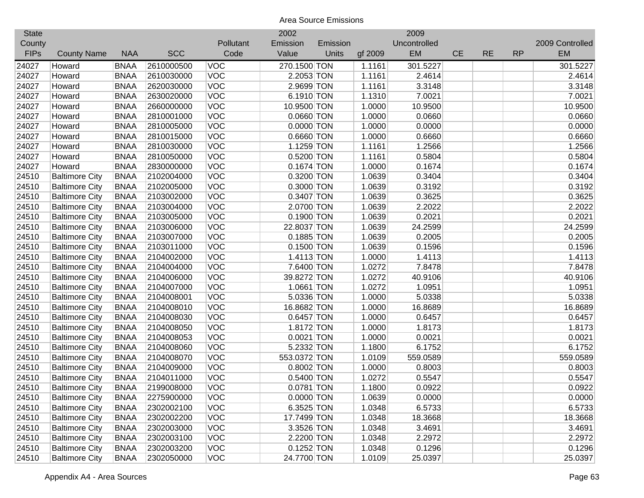| <b>State</b> |                       |             |            |            | 2002         |          |         | 2009         |           |           |           |                 |
|--------------|-----------------------|-------------|------------|------------|--------------|----------|---------|--------------|-----------|-----------|-----------|-----------------|
| County       |                       |             |            | Pollutant  | Emission     | Emission |         | Uncontrolled |           |           |           | 2009 Controlled |
| <b>FIPs</b>  | <b>County Name</b>    | <b>NAA</b>  | <b>SCC</b> | Code       | Value        | Units    | gf 2009 | EM           | <b>CE</b> | <b>RE</b> | <b>RP</b> | <b>EM</b>       |
| 24027        | Howard                | <b>BNAA</b> | 2610000500 | <b>VOC</b> | 270.1500 TON |          | 1.1161  | 301.5227     |           |           |           | 301.5227        |
| 24027        | Howard                | <b>BNAA</b> | 2610030000 | <b>VOC</b> | 2.2053 TON   |          | 1.1161  | 2.4614       |           |           |           | 2.4614          |
| 24027        | Howard                | <b>BNAA</b> | 2620030000 | <b>VOC</b> | 2.9699 TON   |          | 1.1161  | 3.3148       |           |           |           | 3.3148          |
| 24027        | Howard                | <b>BNAA</b> | 2630020000 | <b>VOC</b> | 6.1910 TON   |          | 1.1310  | 7.0021       |           |           |           | 7.0021          |
| 24027        | Howard                | <b>BNAA</b> | 2660000000 | <b>VOC</b> | 10.9500 TON  |          | 1.0000  | 10.9500      |           |           |           | 10.9500         |
| 24027        | Howard                | <b>BNAA</b> | 2810001000 | VOC        | $0.0660$ TON |          | 1.0000  | 0.0660       |           |           |           | 0.0660          |
| 24027        | Howard                | <b>BNAA</b> | 2810005000 | VOC        | $0.0000$ TON |          | 1.0000  | 0.0000       |           |           |           | 0.0000          |
| 24027        | Howard                | <b>BNAA</b> | 2810015000 | <b>VOC</b> | $0.6660$ TON |          | 1.0000  | 0.6660       |           |           |           | 0.6660          |
| 24027        | Howard                | <b>BNAA</b> | 2810030000 | <b>VOC</b> | 1.1259 TON   |          | 1.1161  | 1.2566       |           |           |           | 1.2566          |
| 24027        | Howard                | <b>BNAA</b> | 2810050000 | <b>VOC</b> | 0.5200 TON   |          | 1.1161  | 0.5804       |           |           |           | 0.5804          |
| 24027        | Howard                | <b>BNAA</b> | 2830000000 | <b>VOC</b> | $0.1674$ TON |          | 1.0000  | 0.1674       |           |           |           | 0.1674          |
| 24510        | <b>Baltimore City</b> | <b>BNAA</b> | 2102004000 | <b>VOC</b> | 0.3200 TON   |          | 1.0639  | 0.3404       |           |           |           | 0.3404          |
| 24510        | <b>Baltimore City</b> | <b>BNAA</b> | 2102005000 | <b>VOC</b> | 0.3000 TON   |          | 1.0639  | 0.3192       |           |           |           | 0.3192          |
| 24510        | <b>Baltimore City</b> | <b>BNAA</b> | 2103002000 | <b>VOC</b> | 0.3407 TON   |          | 1.0639  | 0.3625       |           |           |           | 0.3625          |
| 24510        | <b>Baltimore City</b> | <b>BNAA</b> | 2103004000 | <b>VOC</b> | 2.0700 TON   |          | 1.0639  | 2.2022       |           |           |           | 2.2022          |
| 24510        | <b>Baltimore City</b> | <b>BNAA</b> | 2103005000 | <b>VOC</b> | 0.1900 TON   |          | 1.0639  | 0.2021       |           |           |           | 0.2021          |
| 24510        | <b>Baltimore City</b> | <b>BNAA</b> | 2103006000 | <b>VOC</b> | 22.8037 TON  |          | 1.0639  | 24.2599      |           |           |           | 24.2599         |
| 24510        | <b>Baltimore City</b> | <b>BNAA</b> | 2103007000 | <b>VOC</b> | $0.1885$ TON |          | 1.0639  | 0.2005       |           |           |           | 0.2005          |
| 24510        | <b>Baltimore City</b> | <b>BNAA</b> | 2103011000 | <b>VOC</b> | $0.1500$ TON |          | 1.0639  | 0.1596       |           |           |           | 0.1596          |
| 24510        | <b>Baltimore City</b> | <b>BNAA</b> | 2104002000 | <b>VOC</b> | 1.4113 TON   |          | 1.0000  | 1.4113       |           |           |           | 1.4113          |
| 24510        | <b>Baltimore City</b> | <b>BNAA</b> | 2104004000 | <b>VOC</b> | 7.6400 TON   |          | 1.0272  | 7.8478       |           |           |           | 7.8478          |
| 24510        | <b>Baltimore City</b> | <b>BNAA</b> | 2104006000 | <b>VOC</b> | 39.8272 TON  |          | 1.0272  | 40.9106      |           |           |           | 40.9106         |
| 24510        | <b>Baltimore City</b> | <b>BNAA</b> | 2104007000 | VOC        | 1.0661 TON   |          | 1.0272  | 1.0951       |           |           |           | 1.0951          |
| 24510        | <b>Baltimore City</b> | <b>BNAA</b> | 2104008001 | VOC        | 5.0336 TON   |          | 1.0000  | 5.0338       |           |           |           | 5.0338          |
| 24510        | <b>Baltimore City</b> | <b>BNAA</b> | 2104008010 | VOC        | 16.8682 TON  |          | 1.0000  | 16.8689      |           |           |           | 16.8689         |
| 24510        | <b>Baltimore City</b> | <b>BNAA</b> | 2104008030 | <b>VOC</b> | $0.6457$ TON |          | 1.0000  | 0.6457       |           |           |           | 0.6457          |
| 24510        | <b>Baltimore City</b> | <b>BNAA</b> | 2104008050 | <b>VOC</b> | 1.8172 TON   |          | 1.0000  | 1.8173       |           |           |           | 1.8173          |
| 24510        | <b>Baltimore City</b> | <b>BNAA</b> | 2104008053 | <b>VOC</b> | $0.0021$ TON |          | 1.0000  | 0.0021       |           |           |           | 0.0021          |
| 24510        | <b>Baltimore City</b> | <b>BNAA</b> | 2104008060 | <b>VOC</b> | 5.2332 TON   |          | 1.1800  | 6.1752       |           |           |           | 6.1752          |
| 24510        | <b>Baltimore City</b> | <b>BNAA</b> | 2104008070 | <b>VOC</b> | 553.0372 TON |          | 1.0109  | 559.0589     |           |           |           | 559.0589        |
| 24510        | <b>Baltimore City</b> | <b>BNAA</b> | 2104009000 | <b>VOC</b> | 0.8002 TON   |          | 1.0000  | 0.8003       |           |           |           | 0.8003          |
| 24510        | <b>Baltimore City</b> | <b>BNAA</b> | 2104011000 | <b>VOC</b> | 0.5400 TON   |          | 1.0272  | 0.5547       |           |           |           | 0.5547          |
| 24510        | <b>Baltimore City</b> | <b>BNAA</b> | 2199008000 | VOC        | 0.0781 TON   |          | 1.1800  | 0.0922       |           |           |           | 0.0922          |
| 24510        | <b>Baltimore City</b> | <b>BNAA</b> | 2275900000 | <b>VOC</b> | $0.0000$ TON |          | 1.0639  | 0.0000       |           |           |           | 0.0000          |
| 24510        | <b>Baltimore City</b> | <b>BNAA</b> | 2302002100 | <b>VOC</b> | 6.3525 TON   |          | 1.0348  | 6.5733       |           |           |           | 6.5733          |
| 24510        | <b>Baltimore City</b> | <b>BNAA</b> | 2302002200 | <b>VOC</b> | 17.7499 TON  |          | 1.0348  | 18.3668      |           |           |           | 18.3668         |
| 24510        | <b>Baltimore City</b> | <b>BNAA</b> | 2302003000 | <b>VOC</b> | 3.3526 TON   |          | 1.0348  | 3.4691       |           |           |           | 3.4691          |
| 24510        | <b>Baltimore City</b> | <b>BNAA</b> | 2302003100 | <b>VOC</b> | 2.2200 TON   |          | 1.0348  | 2.2972       |           |           |           | 2.2972          |
| 24510        | <b>Baltimore City</b> | <b>BNAA</b> | 2302003200 | <b>VOC</b> | $0.1252$ TON |          | 1.0348  | 0.1296       |           |           |           | 0.1296          |
| 24510        | <b>Baltimore City</b> | <b>BNAA</b> | 2302050000 | <b>VOC</b> | 24.7700 TON  |          | 1.0109  | 25.0397      |           |           |           | 25.0397         |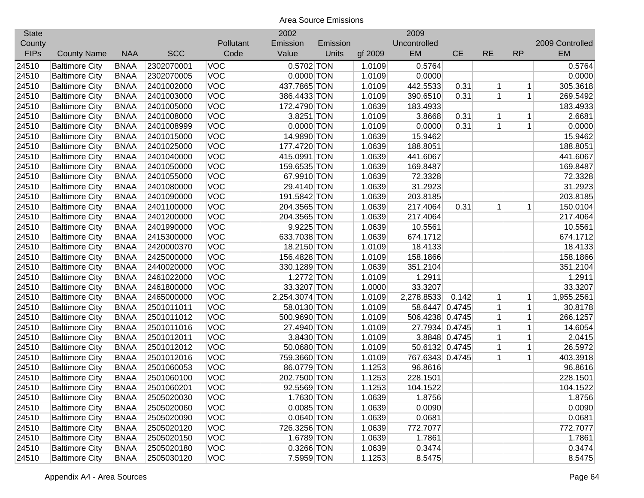| <b>State</b> |                       |             |            |            | 2002           |              |         | 2009            |               |              |              |                 |
|--------------|-----------------------|-------------|------------|------------|----------------|--------------|---------|-----------------|---------------|--------------|--------------|-----------------|
| County       |                       |             |            | Pollutant  | Emission       | Emission     |         | Uncontrolled    |               |              |              | 2009 Controlled |
| <b>FIPs</b>  | <b>County Name</b>    | <b>NAA</b>  | <b>SCC</b> | Code       | Value          | <b>Units</b> | gf 2009 | EM              | <b>CE</b>     | <b>RE</b>    | <b>RP</b>    | <b>EM</b>       |
| 24510        | <b>Baltimore City</b> | <b>BNAA</b> | 2302070001 | <b>VOC</b> | 0.5702 TON     |              | 1.0109  | 0.5764          |               |              |              | 0.5764          |
| 24510        | <b>Baltimore City</b> | <b>BNAA</b> | 2302070005 | <b>VOC</b> | $0.0000$ TON   |              | 1.0109  | 0.0000          |               |              |              | 0.0000          |
| 24510        | <b>Baltimore City</b> | <b>BNAA</b> | 2401002000 | <b>VOC</b> | 437.7865 TON   |              | 1.0109  | 442.5533        | 0.31          | 1            | 1            | 305.3618        |
| 24510        | <b>Baltimore City</b> | <b>BNAA</b> | 2401003000 | VOC        | 386.4433 TON   |              | 1.0109  | 390.6510        | 0.31          | $\mathbf{1}$ | $\mathbf{1}$ | 269.5492        |
| 24510        | <b>Baltimore City</b> | <b>BNAA</b> | 2401005000 | <b>VOC</b> | 172.4790 TON   |              | 1.0639  | 183.4933        |               |              |              | 183.4933        |
| 24510        | <b>Baltimore City</b> | <b>BNAA</b> | 2401008000 | <b>VOC</b> | 3.8251 TON     |              | 1.0109  | 3.8668          | 0.31          | $\mathbf 1$  | 1            | 2.6681          |
| 24510        | <b>Baltimore City</b> | <b>BNAA</b> | 2401008999 | <b>VOC</b> | $0.0000$ TON   |              | 1.0109  | 0.0000          | 0.31          | 1            | $\mathbf{1}$ | 0.0000          |
| 24510        | <b>Baltimore City</b> | <b>BNAA</b> | 2401015000 | <b>VOC</b> | 14.9890 TON    |              | 1.0639  | 15.9462         |               |              |              | 15.9462         |
| 24510        | <b>Baltimore City</b> | <b>BNAA</b> | 2401025000 | <b>VOC</b> | 177.4720 TON   |              | 1.0639  | 188.8051        |               |              |              | 188.8051        |
| 24510        | <b>Baltimore City</b> | <b>BNAA</b> | 2401040000 | <b>VOC</b> | 415.0991 TON   |              | 1.0639  | 441.6067        |               |              |              | 441.6067        |
| 24510        | <b>Baltimore City</b> | <b>BNAA</b> | 2401050000 | <b>VOC</b> | 159.6535 TON   |              | 1.0639  | 169.8487        |               |              |              | 169.8487        |
| 24510        | <b>Baltimore City</b> | <b>BNAA</b> | 2401055000 | VOC        | 67.9910 TON    |              | 1.0639  | 72.3328         |               |              |              | 72.3328         |
| 24510        | <b>Baltimore City</b> | <b>BNAA</b> | 2401080000 | VOC        | 29.4140 TON    |              | 1.0639  | 31.2923         |               |              |              | 31.2923         |
| 24510        | <b>Baltimore City</b> | <b>BNAA</b> | 2401090000 | <b>VOC</b> | 191.5842 TON   |              | 1.0639  | 203.8185        |               |              |              | 203.8185        |
| 24510        | <b>Baltimore City</b> | <b>BNAA</b> | 2401100000 | <b>VOC</b> | 204.3565 TON   |              | 1.0639  | 217.4064        | 0.31          | 1            | 1            | 150.0104        |
| 24510        | <b>Baltimore City</b> | <b>BNAA</b> | 2401200000 | VOC        | 204.3565 TON   |              | 1.0639  | 217.4064        |               |              |              | 217.4064        |
| 24510        | <b>Baltimore City</b> | <b>BNAA</b> | 2401990000 | <b>VOC</b> | 9.9225 TON     |              | 1.0639  | 10.5561         |               |              |              | 10.5561         |
| 24510        | <b>Baltimore City</b> | <b>BNAA</b> | 2415300000 | <b>VOC</b> | 633.7038 TON   |              | 1.0639  | 674.1712        |               |              |              | 674.1712        |
| 24510        | <b>Baltimore City</b> | <b>BNAA</b> | 2420000370 | <b>VOC</b> | 18.2150 TON    |              | 1.0109  | 18.4133         |               |              |              | 18.4133         |
| 24510        | <b>Baltimore City</b> | <b>BNAA</b> | 2425000000 | <b>VOC</b> | 156.4828 TON   |              | 1.0109  | 158.1866        |               |              |              | 158.1866        |
| 24510        | <b>Baltimore City</b> | <b>BNAA</b> | 2440020000 | <b>VOC</b> | 330.1289 TON   |              | 1.0639  | 351.2104        |               |              |              | 351.2104        |
| 24510        | <b>Baltimore City</b> | <b>BNAA</b> | 2461022000 | <b>VOC</b> | 1.2772 TON     |              | 1.0109  | 1.2911          |               |              |              | 1.2911          |
| 24510        | <b>Baltimore City</b> | <b>BNAA</b> | 2461800000 | <b>VOC</b> | 33.3207 TON    |              | 1.0000  | 33.3207         |               |              |              | 33.3207         |
| 24510        | <b>Baltimore City</b> | <b>BNAA</b> | 2465000000 | <b>VOC</b> | 2,254.3074 TON |              | 1.0109  | 2,278.8533      | 0.142         | 1            | 1            | 1,955.2561      |
| 24510        | <b>Baltimore City</b> | <b>BNAA</b> | 2501011011 | VOC        | 58.0130 TON    |              | 1.0109  | 58.6447 0.4745  |               | $\mathbf{1}$ | $\mathbf{1}$ | 30.8178         |
| 24510        | <b>Baltimore City</b> | <b>BNAA</b> | 2501011012 | <b>VOC</b> | 500.9690 TON   |              | 1.0109  | 506.4238 0.4745 |               | 1            | 1            | 266.1257        |
| 24510        | <b>Baltimore City</b> | <b>BNAA</b> | 2501011016 | <b>VOC</b> | 27.4940 TON    |              | 1.0109  | 27.7934 0.4745  |               | 1            | 1            | 14.6054         |
| 24510        | <b>Baltimore City</b> | <b>BNAA</b> | 2501012011 | <b>VOC</b> | 3.8430 TON     |              | 1.0109  |                 | 3.8848 0.4745 | 1            | $\mathbf{1}$ | 2.0415          |
| 24510        | <b>Baltimore City</b> | <b>BNAA</b> | 2501012012 | <b>VOC</b> | 50.0680 TON    |              | 1.0109  | 50.6132 0.4745  |               | 1            | $\mathbf 1$  | 26.5972         |
| 24510        | <b>Baltimore City</b> | <b>BNAA</b> | 2501012016 | <b>VOC</b> | 759.3660 TON   |              | 1.0109  | 767.6343 0.4745 |               | 1            | 1            | 403.3918        |
| 24510        | <b>Baltimore City</b> | <b>BNAA</b> | 2501060053 | <b>VOC</b> | 86.0779 TON    |              | 1.1253  | 96.8616         |               |              |              | 96.8616         |
| 24510        | <b>Baltimore City</b> | <b>BNAA</b> | 2501060100 | <b>VOC</b> | 202.7500 TON   |              | 1.1253  | 228.1501        |               |              |              | 228.1501        |
| 24510        | <b>Baltimore City</b> | <b>BNAA</b> | 2501060201 | <b>VOC</b> | 92.5569 TON    |              | 1.1253  | 104.1522        |               |              |              | 104.1522        |
| 24510        | <b>Baltimore City</b> | <b>BNAA</b> | 2505020030 | <b>VOC</b> | 1.7630 TON     |              | 1.0639  | 1.8756          |               |              |              | 1.8756          |
| 24510        | <b>Baltimore City</b> | <b>BNAA</b> | 2505020060 | <b>VOC</b> | $0.0085$ TON   |              | 1.0639  | 0.0090          |               |              |              | 0.0090          |
| 24510        | <b>Baltimore City</b> | <b>BNAA</b> | 2505020090 | <b>VOC</b> | $0.0640$ TON   |              | 1.0639  | 0.0681          |               |              |              | 0.0681          |
| 24510        | <b>Baltimore City</b> | <b>BNAA</b> | 2505020120 | <b>VOC</b> | 726.3256 TON   |              | 1.0639  | 772.7077        |               |              |              | 772.7077        |
| 24510        | <b>Baltimore City</b> | <b>BNAA</b> | 2505020150 | <b>VOC</b> | 1.6789 TON     |              | 1.0639  | 1.7861          |               |              |              | 1.7861          |
| 24510        | <b>Baltimore City</b> | <b>BNAA</b> | 2505020180 | <b>VOC</b> | 0.3266 TON     |              | 1.0639  | 0.3474          |               |              |              | 0.3474          |
| 24510        | <b>Baltimore City</b> | <b>BNAA</b> | 2505030120 | <b>VOC</b> | 7.5959 TON     |              | 1.1253  | 8.5475          |               |              |              | 8.5475          |